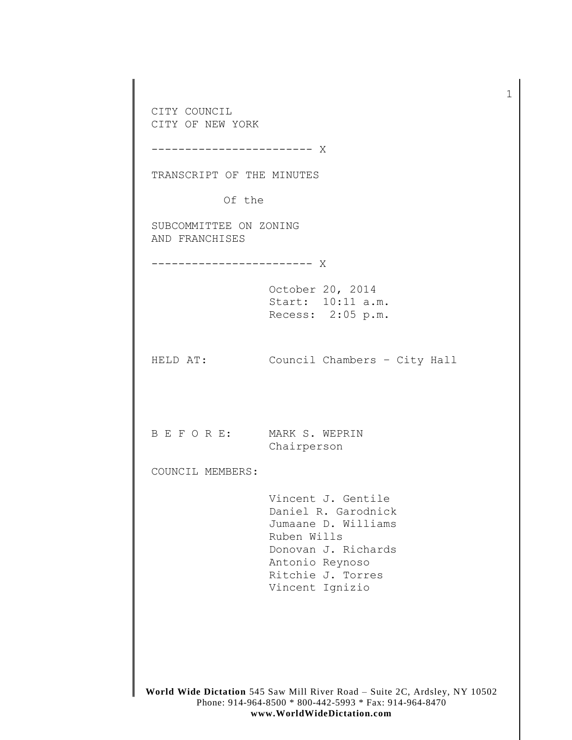**World Wide Dictation** 545 Saw Mill River Road – Suite 2C, Ardsley, NY 10502 Phone: 914-964-8500 \* 800-442-5993 \* Fax: 914-964-8470 CITY COUNCIL CITY OF NEW YORK ------------------------ X TRANSCRIPT OF THE MINUTES Of the SUBCOMMITTEE ON ZONING AND FRANCHISES ------------------------ X October 20, 2014 Start: 10:11 a.m. Recess: 2:05 p.m. HELD AT: Council Chambers – City Hall B E F O R E: MARK S. WEPRIN Chairperson COUNCIL MEMBERS: Vincent J. Gentile Daniel R. Garodnick Jumaane D. Williams Ruben Wills Donovan J. Richards Antonio Reynoso Ritchie J. Torres Vincent Ignizio

1

**www.WorldWideDictation.com**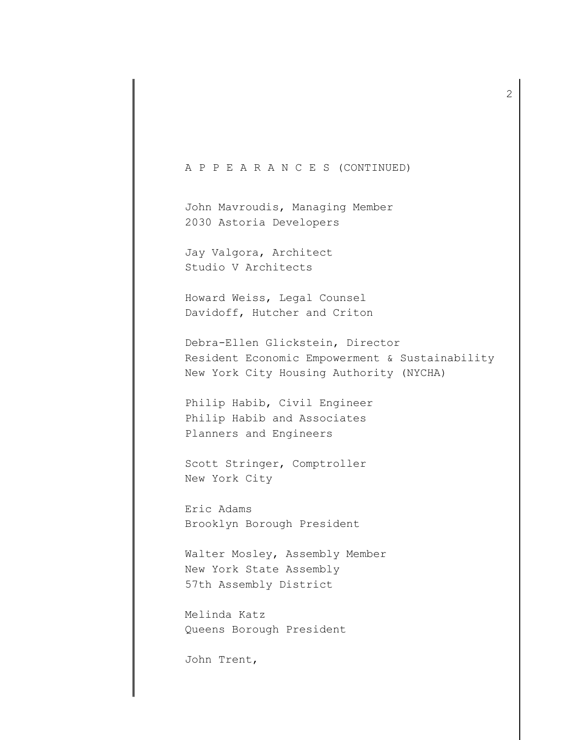## A P P E A R A N C E S (CONTINUED)

John Mavroudis, Managing Member 2030 Astoria Developers

Jay Valgora, Architect Studio V Architects

Howard Weiss, Legal Counsel Davidoff, Hutcher and Criton

Debra-Ellen Glickstein, Director Resident Economic Empowerment & Sustainability New York City Housing Authority (NYCHA)

Philip Habib, Civil Engineer Philip Habib and Associates Planners and Engineers

Scott Stringer, Comptroller New York City

Eric Adams Brooklyn Borough President

Walter Mosley, Assembly Member New York State Assembly 57th Assembly District

Melinda Katz Queens Borough President

John Trent,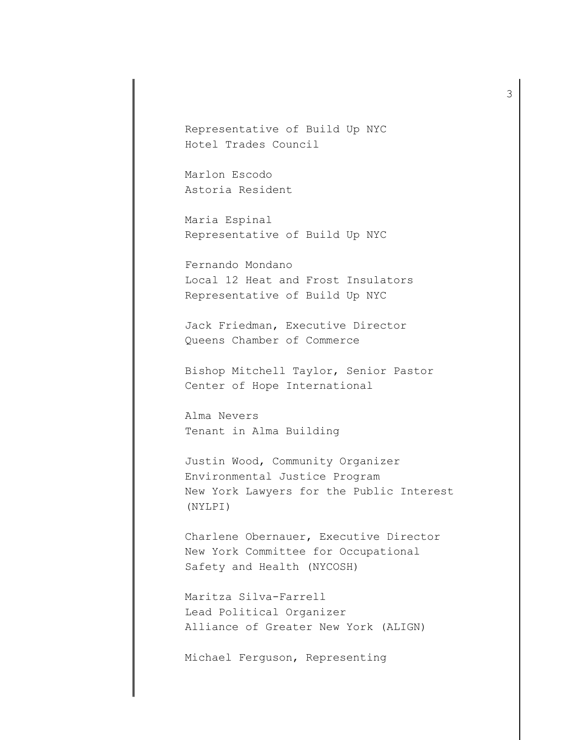Representative of Build Up NYC Hotel Trades Council

Marlon Escodo Astoria Resident

Maria Espinal Representative of Build Up NYC

Fernando Mondano Local 12 Heat and Frost Insulators Representative of Build Up NYC

Jack Friedman, Executive Director Queens Chamber of Commerce

Bishop Mitchell Taylor, Senior Pastor Center of Hope International

Alma Nevers Tenant in Alma Building

Justin Wood, Community Organizer Environmental Justice Program New York Lawyers for the Public Interest (NYLPI)

Charlene Obernauer, Executive Director New York Committee for Occupational Safety and Health (NYCOSH)

Maritza Silva-Farrell Lead Political Organizer Alliance of Greater New York (ALIGN)

Michael Ferguson, Representing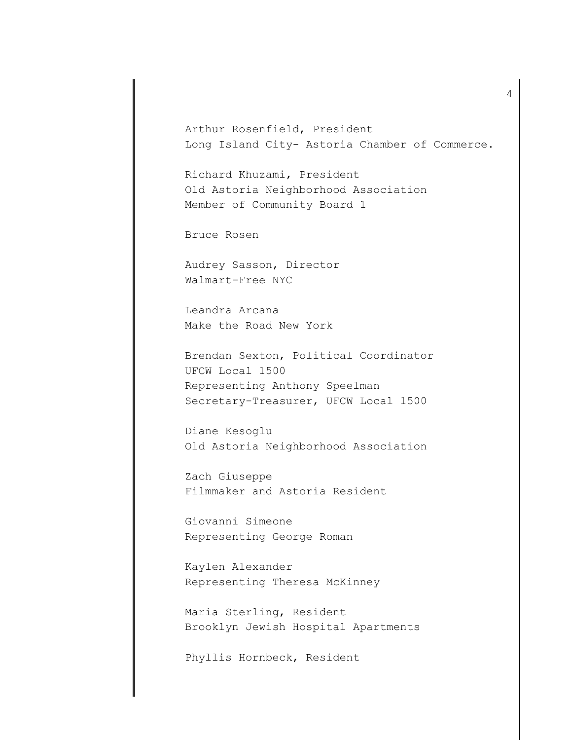Arthur Rosenfield, President Long Island City- Astoria Chamber of Commerce.

Richard Khuzami, President Old Astoria Neighborhood Association Member of Community Board 1

Bruce Rosen

Audrey Sasson, Director Walmart-Free NYC

Leandra Arcana Make the Road New York

Brendan Sexton, Political Coordinator UFCW Local 1500 Representing Anthony Speelman Secretary-Treasurer, UFCW Local 1500

Diane Kesoglu Old Astoria Neighborhood Association

Zach Giuseppe Filmmaker and Astoria Resident

Giovanni Simeone Representing George Roman

Kaylen Alexander Representing Theresa McKinney

Maria Sterling, Resident Brooklyn Jewish Hospital Apartments

Phyllis Hornbeck, Resident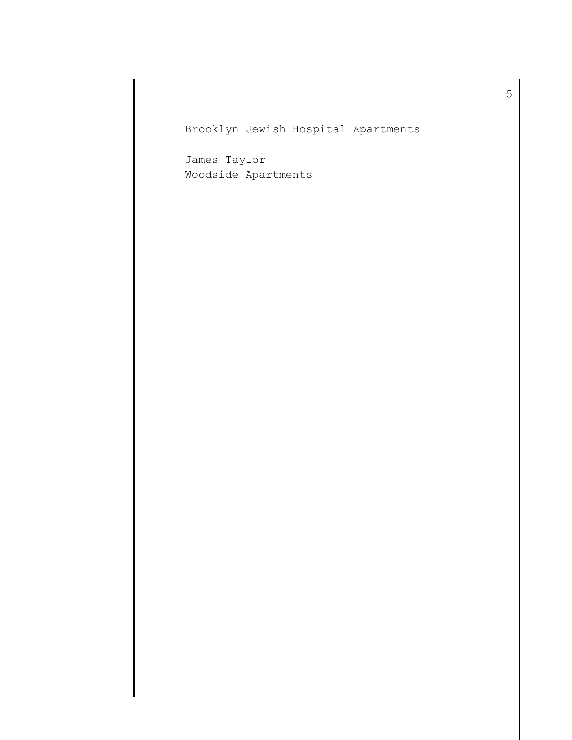Brooklyn Jewish Hospital Apartments

James Taylor Woodside Apartments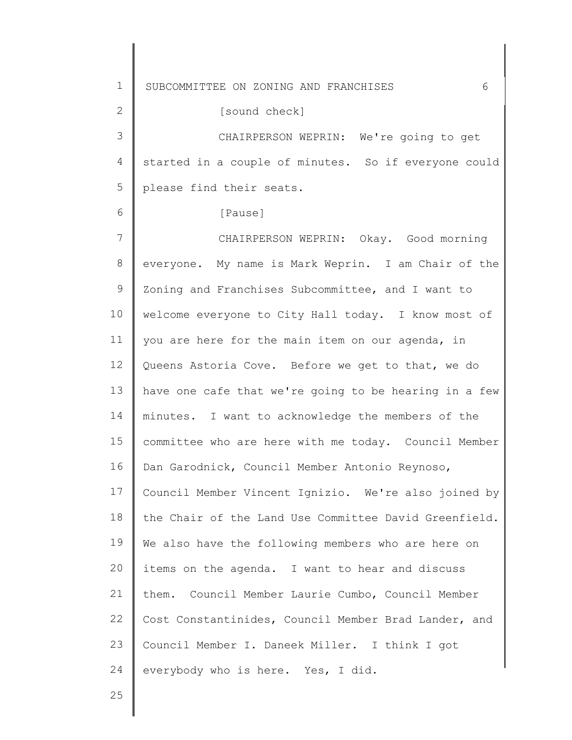1 2 3 4 5 6 7 8 9 10 11 12 13 14 15 16 17 18 19 20 21 22 23 24 25 SUBCOMMITTEE ON ZONING AND FRANCHISES 6 started in a couple of minutes. So if everyone could [sound check] CHAIRPERSON WEPRIN: We're going to get please find their seats. [Pause] CHAIRPERSON WEPRIN: Okay. Good morning everyone. My name is Mark Weprin. I am Chair of the Zoning and Franchises Subcommittee, and I want to welcome everyone to City Hall today. I know most of you are here for the main item on our agenda, in Queens Astoria Cove. Before we get to that, we do have one cafe that we're going to be hearing in a few minutes. I want to acknowledge the members of the committee who are here with me today. Council Member Dan Garodnick, Council Member Antonio Reynoso, Council Member Vincent Ignizio. We're also joined by the Chair of the Land Use Committee David Greenfield. We also have the following members who are here on items on the agenda. I want to hear and discuss them. Council Member Laurie Cumbo, Council Member Cost Constantinides, Council Member Brad Lander, and Council Member I. Daneek Miller. I think I got everybody who is here. Yes, I did.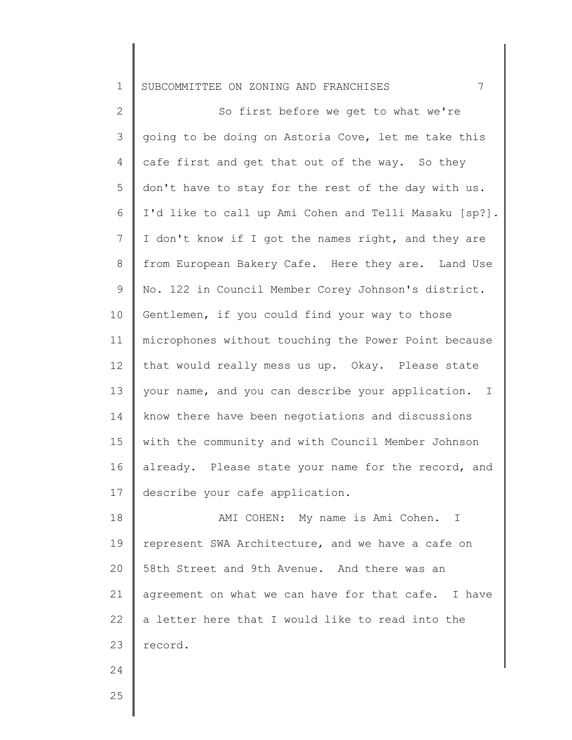2 3 4 5 6 7 8 9 10 11 12 13 14 15 16 17 So first before we get to what we're going to be doing on Astoria Cove, let me take this cafe first and get that out of the way. So they don't have to stay for the rest of the day with us. I'd like to call up Ami Cohen and Telli Masaku [sp?]. I don't know if I got the names right, and they are from European Bakery Cafe. Here they are. Land Use No. 122 in Council Member Corey Johnson's district. Gentlemen, if you could find your way to those microphones without touching the Power Point because that would really mess us up. Okay. Please state your name, and you can describe your application. I know there have been negotiations and discussions with the community and with Council Member Johnson already. Please state your name for the record, and describe your cafe application.

18 19 20 21 22 23 AMI COHEN: My name is Ami Cohen. I represent SWA Architecture, and we have a cafe on 58th Street and 9th Avenue. And there was an agreement on what we can have for that cafe. I have a letter here that I would like to read into the record.

25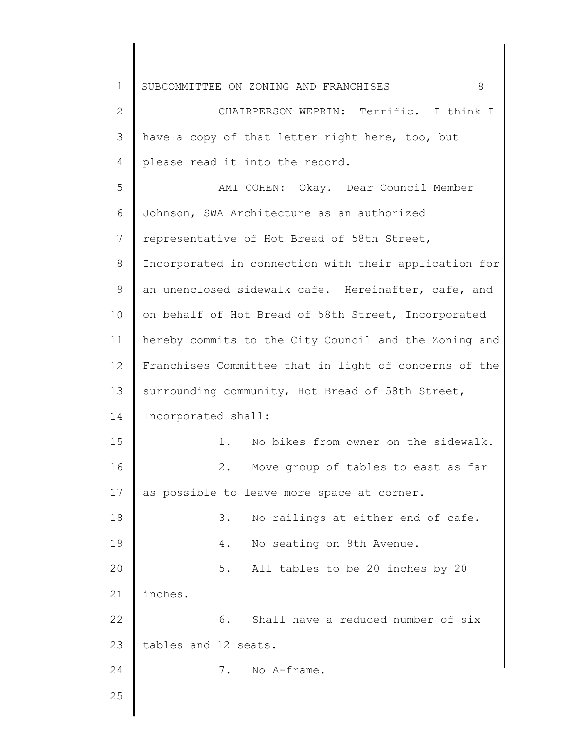| $\mathbf 1$ | SUBCOMMITTEE ON ZONING AND FRANCHISES<br>8            |
|-------------|-------------------------------------------------------|
| 2           | CHAIRPERSON WEPRIN: Terrific. I think I               |
| 3           | have a copy of that letter right here, too, but       |
| 4           | please read it into the record.                       |
| 5           | AMI COHEN: Okay. Dear Council Member                  |
| 6           | Johnson, SWA Architecture as an authorized            |
| 7           | representative of Hot Bread of 58th Street,           |
| 8           | Incorporated in connection with their application for |
| 9           | an unenclosed sidewalk cafe. Hereinafter, cafe, and   |
| 10          | on behalf of Hot Bread of 58th Street, Incorporated   |
| 11          | hereby commits to the City Council and the Zoning and |
| 12          | Franchises Committee that in light of concerns of the |
| 13          | surrounding community, Hot Bread of 58th Street,      |
| 14          | Incorporated shall:                                   |
| 15          | No bikes from owner on the sidewalk.<br>1.            |
| 16          | Move group of tables to east as far<br>2.             |
| 17          | as possible to leave more space at corner.            |
| 18          | No railings at either end of cafe.<br>3.              |
| 19          | No seating on 9th Avenue.<br>4.                       |
| 20          | All tables to be 20 inches by 20<br>$5.$              |
| 21          | inches.                                               |
| 22          | 6.<br>Shall have a reduced number of six              |
| 23          | tables and 12 seats.                                  |
| 24          | No A-frame.<br>$7$ .                                  |
| 25          |                                                       |
|             |                                                       |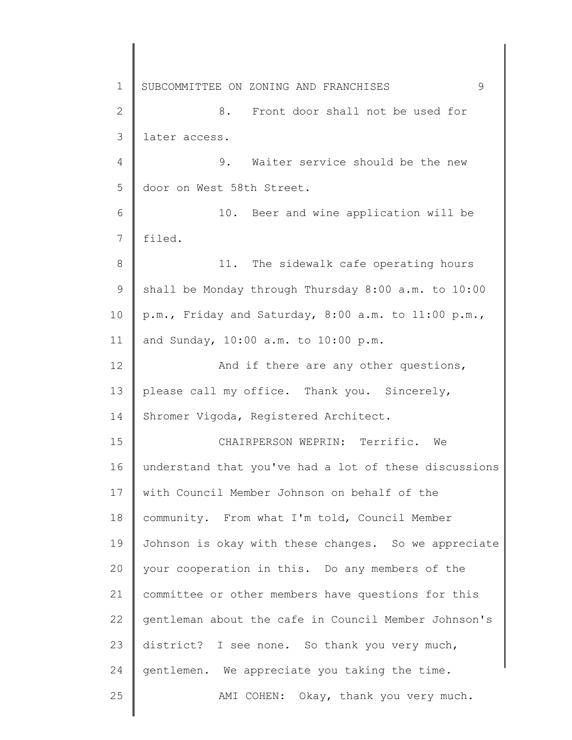1 2 3 4 5 6 7 8 9 10 11 12 13 14 15 16 17 18 19 20 21 22 23 24 25 SUBCOMMITTEE ON ZONING AND FRANCHISES 9 8. Front door shall not be used for later access. 9. Waiter service should be the new door on West 58th Street. 10. Beer and wine application will be filed. 11. The sidewalk cafe operating hours shall be Monday through Thursday 8:00 a.m. to 10:00 p.m., Friday and Saturday, 8:00 a.m. to 11:00 p.m., and Sunday, 10:00 a.m. to 10:00 p.m. And if there are any other questions, please call my office. Thank you. Sincerely, Shromer Vigoda, Registered Architect. CHAIRPERSON WEPRIN: Terrific. We understand that you've had a lot of these discussions with Council Member Johnson on behalf of the community. From what I'm told, Council Member Johnson is okay with these changes. So we appreciate your cooperation in this. Do any members of the committee or other members have questions for this gentleman about the cafe in Council Member Johnson's district? I see none. So thank you very much, gentlemen. We appreciate you taking the time. AMI COHEN: Okay, thank you very much.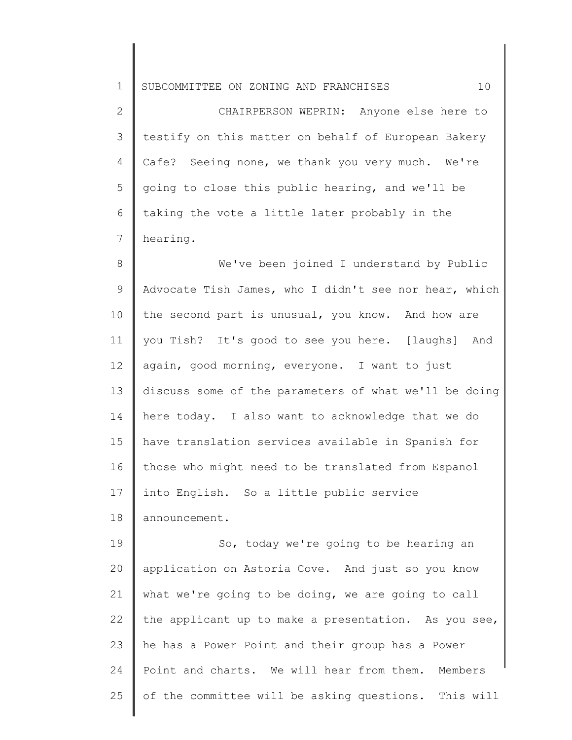2 3 4 5 6 7 CHAIRPERSON WEPRIN: Anyone else here to testify on this matter on behalf of European Bakery Cafe? Seeing none, we thank you very much. We're going to close this public hearing, and we'll be taking the vote a little later probably in the hearing.

8 9 10 11 12 13 14 15 16 17 18 We've been joined I understand by Public Advocate Tish James, who I didn't see nor hear, which the second part is unusual, you know. And how are you Tish? It's good to see you here. [laughs] And again, good morning, everyone. I want to just discuss some of the parameters of what we'll be doing here today. I also want to acknowledge that we do have translation services available in Spanish for those who might need to be translated from Espanol into English. So a little public service announcement.

19 20 21 22 23 24 25 So, today we're going to be hearing an application on Astoria Cove. And just so you know what we're going to be doing, we are going to call the applicant up to make a presentation. As you see, he has a Power Point and their group has a Power Point and charts. We will hear from them. Members of the committee will be asking questions. This will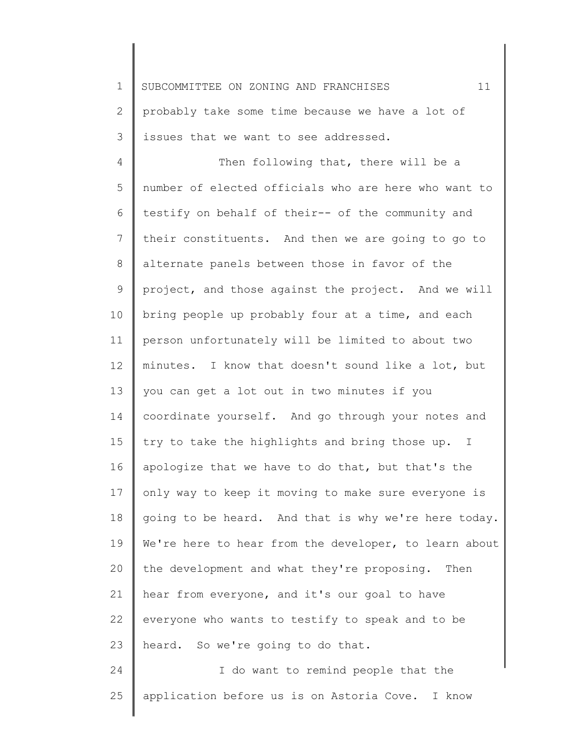2 3 probably take some time because we have a lot of issues that we want to see addressed.

4 5 6 7 8 9 10 11 12 13 14 15 16 17 18 19 20 21 22 23 Then following that, there will be a number of elected officials who are here who want to testify on behalf of their-- of the community and their constituents. And then we are going to go to alternate panels between those in favor of the project, and those against the project. And we will bring people up probably four at a time, and each person unfortunately will be limited to about two minutes. I know that doesn't sound like a lot, but you can get a lot out in two minutes if you coordinate yourself. And go through your notes and try to take the highlights and bring those up. I apologize that we have to do that, but that's the only way to keep it moving to make sure everyone is going to be heard. And that is why we're here today. We're here to hear from the developer, to learn about the development and what they're proposing. Then hear from everyone, and it's our goal to have everyone who wants to testify to speak and to be heard. So we're going to do that.

24 25 I do want to remind people that the application before us is on Astoria Cove. I know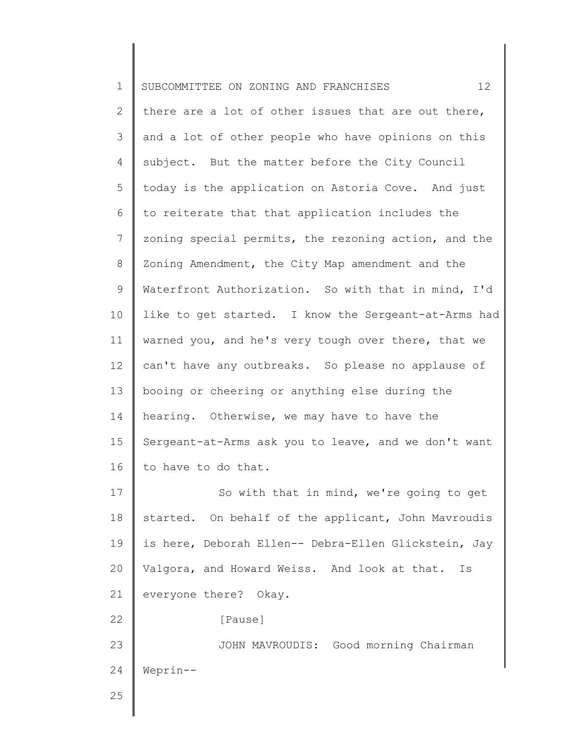| $\mathbf 1$    | 12<br>SUBCOMMITTEE ON ZONING AND FRANCHISES          |
|----------------|------------------------------------------------------|
| $\mathbf{2}$   | there are a lot of other issues that are out there,  |
| 3              | and a lot of other people who have opinions on this  |
| 4              | subject. But the matter before the City Council      |
| 5              | today is the application on Astoria Cove. And just   |
| 6              | to reiterate that that application includes the      |
| $7\phantom{.}$ | zoning special permits, the rezoning action, and the |
| $\,8\,$        | Zoning Amendment, the City Map amendment and the     |
| $\mathsf 9$    | Waterfront Authorization. So with that in mind, I'd  |
| 10             | like to get started. I know the Sergeant-at-Arms had |
| 11             | warned you, and he's very tough over there, that we  |
| 12             | can't have any outbreaks. So please no applause of   |
| 13             | booing or cheering or anything else during the       |
| 14             | hearing. Otherwise, we may have to have the          |
| 15             | Sergeant-at-Arms ask you to leave, and we don't want |
| 16             | to have to do that.                                  |
| 17             | So with that in mind, we're going to get             |
| 18             | started. On behalf of the applicant, John Mavroudis  |
| 19             | is here, Deborah Ellen-- Debra-Ellen Glickstein, Jay |
| 20             | Valgora, and Howard Weiss. And look at that.<br>Is   |
| 21             | everyone there? Okay.                                |
| 22             | [Pause]                                              |
| 23             | JOHN MAVROUDIS: Good morning Chairman                |
| 24             | Weprin--                                             |
| 25             |                                                      |
|                |                                                      |

║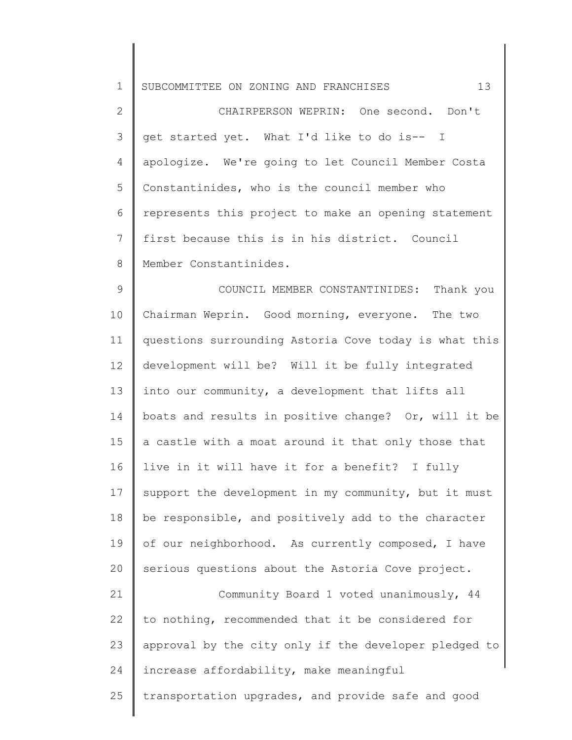1 2 3 4 5 6 7 8 9 10 11 12 13 14 15 16 17 18 19 20 21 22 23 SUBCOMMITTEE ON ZONING AND FRANCHISES 13 CHAIRPERSON WEPRIN: One second. Don't get started yet. What I'd like to do is-- I apologize. We're going to let Council Member Costa Constantinides, who is the council member who represents this project to make an opening statement first because this is in his district. Council Member Constantinides. COUNCIL MEMBER CONSTANTINIDES: Thank you Chairman Weprin. Good morning, everyone. The two questions surrounding Astoria Cove today is what this development will be? Will it be fully integrated into our community, a development that lifts all boats and results in positive change? Or, will it be a castle with a moat around it that only those that live in it will have it for a benefit? I fully support the development in my community, but it must be responsible, and positively add to the character of our neighborhood. As currently composed, I have serious questions about the Astoria Cove project. Community Board 1 voted unanimously, 44 to nothing, recommended that it be considered for approval by the city only if the developer pledged to

25 increase affordability, make meaningful transportation upgrades, and provide safe and good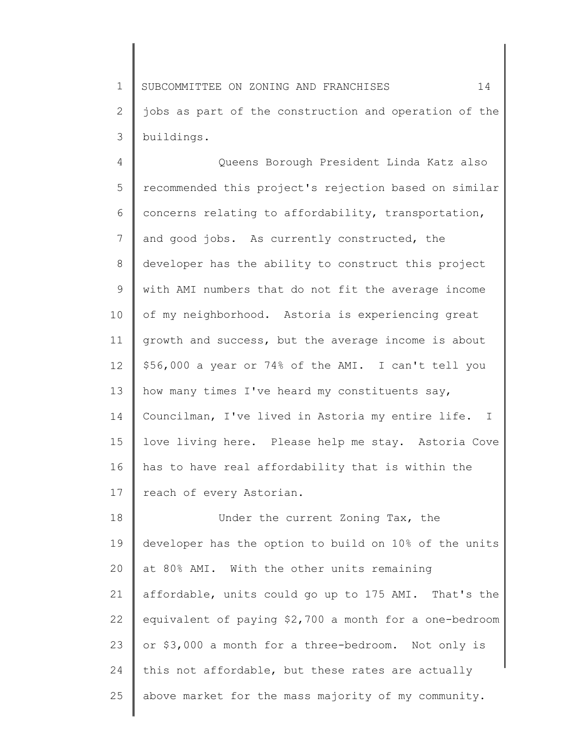1 2 3 SUBCOMMITTEE ON ZONING AND FRANCHISES 14 jobs as part of the construction and operation of the buildings.

4 5 6 7 8 9 10 11 12 13 14 15 16 17 Queens Borough President Linda Katz also recommended this project's rejection based on similar concerns relating to affordability, transportation, and good jobs. As currently constructed, the developer has the ability to construct this project with AMI numbers that do not fit the average income of my neighborhood. Astoria is experiencing great growth and success, but the average income is about \$56,000 a year or 74% of the AMI. I can't tell you how many times I've heard my constituents say, Councilman, I've lived in Astoria my entire life. I love living here. Please help me stay. Astoria Cove has to have real affordability that is within the reach of every Astorian.

18 19 20 21 22 23 24 25 Under the current Zoning Tax, the developer has the option to build on 10% of the units at 80% AMI. With the other units remaining affordable, units could go up to 175 AMI. That's the equivalent of paying \$2,700 a month for a one-bedroom or \$3,000 a month for a three-bedroom. Not only is this not affordable, but these rates are actually above market for the mass majority of my community.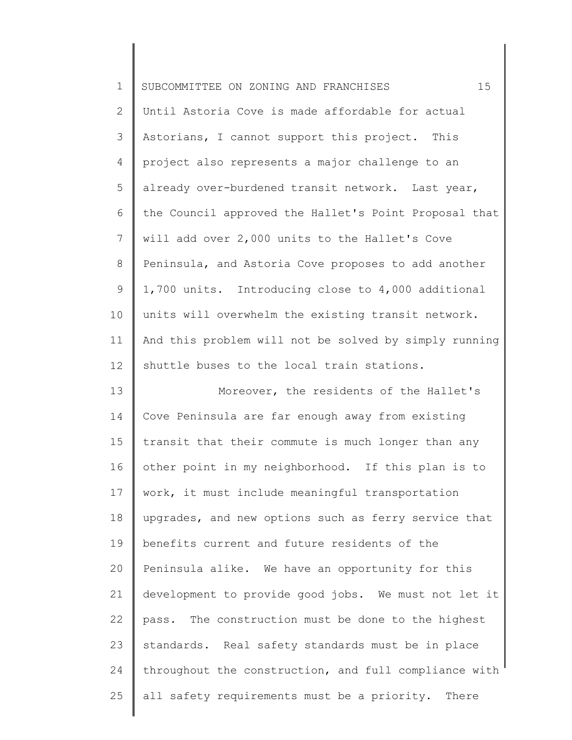| $\mathbf 1$    | 15<br>SUBCOMMITTEE ON ZONING AND FRANCHISES           |
|----------------|-------------------------------------------------------|
| $\mathbf{2}$   | Until Astoria Cove is made affordable for actual      |
| 3              | Astorians, I cannot support this project. This        |
| 4              | project also represents a major challenge to an       |
| 5              | already over-burdened transit network. Last year,     |
| 6              | the Council approved the Hallet's Point Proposal that |
| $\overline{7}$ | will add over 2,000 units to the Hallet's Cove        |
| 8              | Peninsula, and Astoria Cove proposes to add another   |
| 9              | 1,700 units. Introducing close to 4,000 additional    |
| 10             | units will overwhelm the existing transit network.    |
| 11             | And this problem will not be solved by simply running |
| 12             | shuttle buses to the local train stations.            |
| 13             | Moreover, the residents of the Hallet's               |
| 14             | Cove Peninsula are far enough away from existing      |
| 15             | transit that their commute is much longer than any    |
| 16             | other point in my neighborhood. If this plan is to    |
| 17             | work, it must include meaningful transportation       |
| 18             | upgrades, and new options such as ferry service that  |
| 19             | benefits current and future residents of the          |
| 20             | Peninsula alike. We have an opportunity for this      |
| 21             | development to provide good jobs. We must not let it  |
| 22             | pass. The construction must be done to the highest    |
| 23             | standards. Real safety standards must be in place     |
| 24             | throughout the construction, and full compliance with |
| 25             | all safety requirements must be a priority. There     |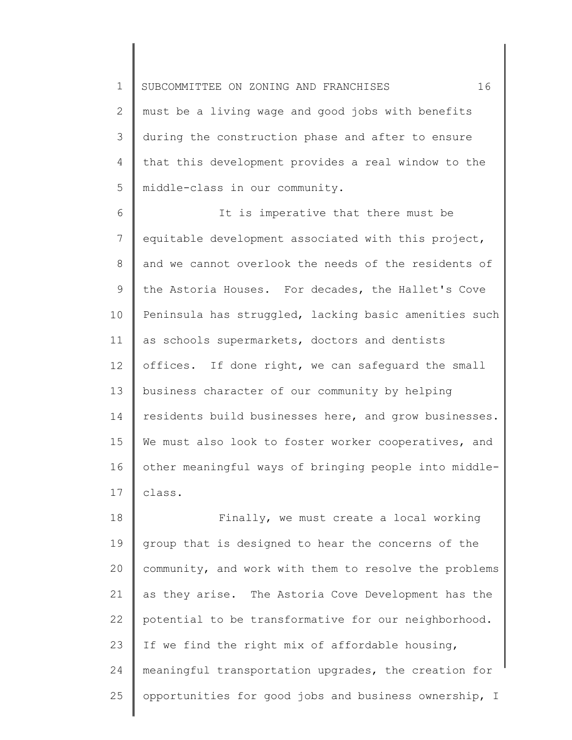1 2 3 4 5 SUBCOMMITTEE ON ZONING AND FRANCHISES  $16$ must be a living wage and good jobs with benefits during the construction phase and after to ensure that this development provides a real window to the middle-class in our community.

6 7 8 9 10 11 12 13 14 15 16 17 It is imperative that there must be equitable development associated with this project, and we cannot overlook the needs of the residents of the Astoria Houses. For decades, the Hallet's Cove Peninsula has struggled, lacking basic amenities such as schools supermarkets, doctors and dentists offices. If done right, we can safeguard the small business character of our community by helping residents build businesses here, and grow businesses. We must also look to foster worker cooperatives, and other meaningful ways of bringing people into middleclass.

18 19 20 21 22 23 24 25 Finally, we must create a local working group that is designed to hear the concerns of the community, and work with them to resolve the problems as they arise. The Astoria Cove Development has the potential to be transformative for our neighborhood. If we find the right mix of affordable housing, meaningful transportation upgrades, the creation for opportunities for good jobs and business ownership, I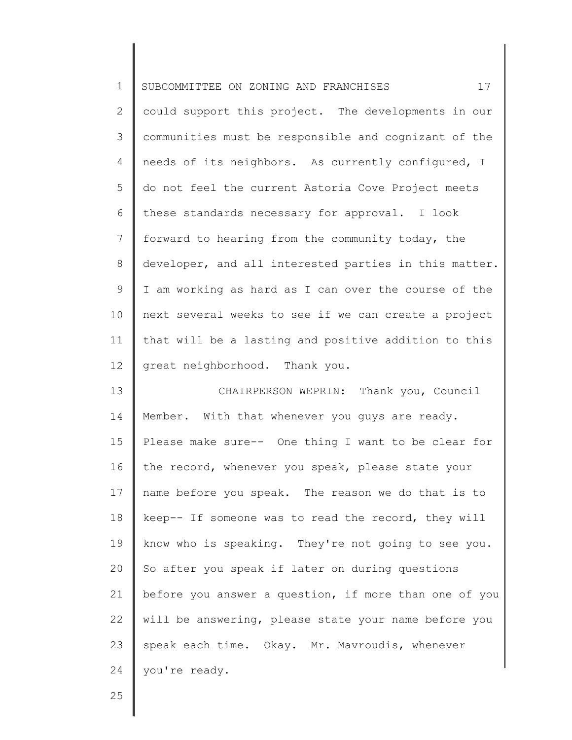| $\mathbf 1$    | 17<br>SUBCOMMITTEE ON ZONING AND FRANCHISES           |
|----------------|-------------------------------------------------------|
| $\mathbf{2}$   | could support this project. The developments in our   |
| 3              | communities must be responsible and cognizant of the  |
| 4              | needs of its neighbors. As currently configured, I    |
| 5              | do not feel the current Astoria Cove Project meets    |
| 6              | these standards necessary for approval. I look        |
| $\overline{7}$ | forward to hearing from the community today, the      |
| $8\,$          | developer, and all interested parties in this matter. |
| 9              | I am working as hard as I can over the course of the  |
| 10             | next several weeks to see if we can create a project  |
| 11             | that will be a lasting and positive addition to this  |
| 12             | great neighborhood. Thank you.                        |
| 13             | CHAIRPERSON WEPRIN: Thank you, Council                |
| 14             | Member. With that whenever you guys are ready.        |
| 15             | Please make sure-- One thing I want to be clear for   |
| 16             | the record, whenever you speak, please state your     |
| 17             | name before you speak. The reason we do that is to    |
| 18             | keep-- If someone was to read the record, they will   |
| 19             | know who is speaking. They're not going to see you.   |
| 20             | So after you speak if later on during questions       |
| 21             | before you answer a question, if more than one of you |
| 22             | will be answering, please state your name before you  |
| 23             | speak each time. Okay. Mr. Mavroudis, whenever        |
| 24             | you're ready.                                         |
|                |                                                       |

25

║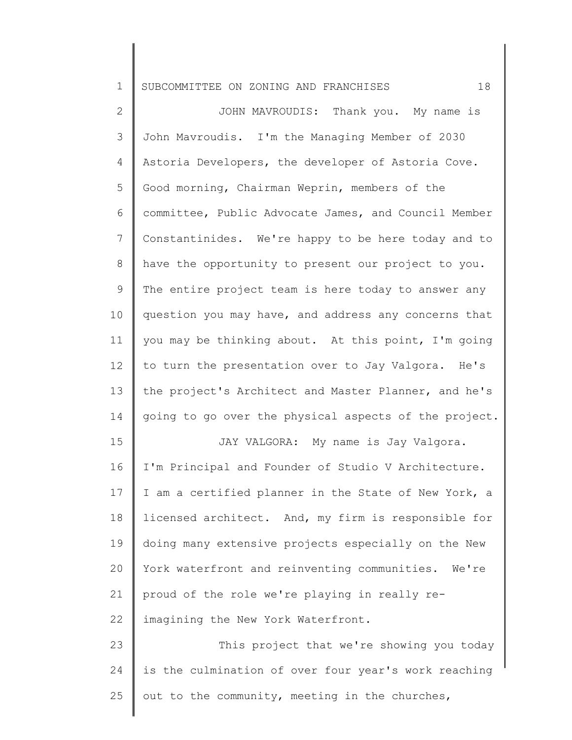2 3 4 5 6 7 8 9 10 11 12 13 14 15 16 17 18 19 JOHN MAVROUDIS: Thank you. My name is John Mavroudis. I'm the Managing Member of 2030 Astoria Developers, the developer of Astoria Cove. Good morning, Chairman Weprin, members of the committee, Public Advocate James, and Council Member Constantinides. We're happy to be here today and to have the opportunity to present our project to you. The entire project team is here today to answer any question you may have, and address any concerns that you may be thinking about. At this point, I'm going to turn the presentation over to Jay Valgora. He's the project's Architect and Master Planner, and he's going to go over the physical aspects of the project. JAY VALGORA: My name is Jay Valgora. I'm Principal and Founder of Studio V Architecture. I am a certified planner in the State of New York, a licensed architect. And, my firm is responsible for doing many extensive projects especially on the New

21 proud of the role we're playing in really re-

22 imagining the New York Waterfront.

20

23 24 25 This project that we're showing you today is the culmination of over four year's work reaching out to the community, meeting in the churches,

York waterfront and reinventing communities. We're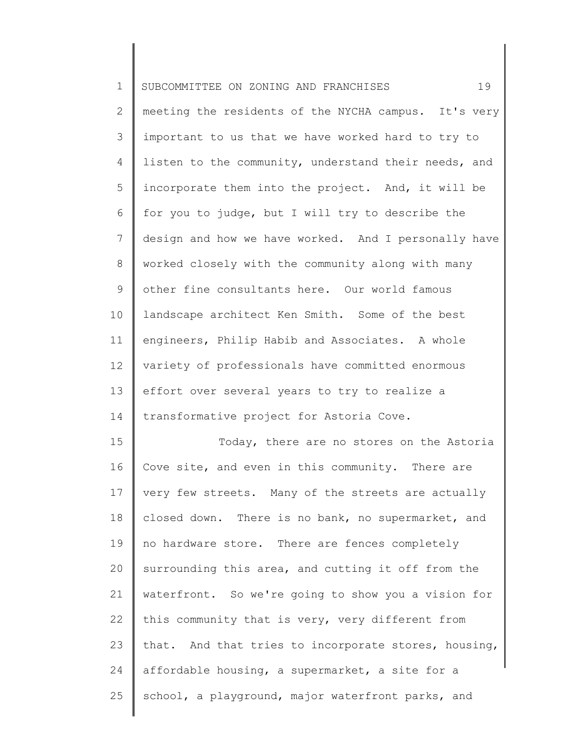| $\mathbf 1$    | 19<br>SUBCOMMITTEE ON ZONING AND FRANCHISES          |
|----------------|------------------------------------------------------|
| $\mathbf{2}$   | meeting the residents of the NYCHA campus. It's very |
| 3              | important to us that we have worked hard to try to   |
| 4              | listen to the community, understand their needs, and |
| 5              | incorporate them into the project. And, it will be   |
| 6              | for you to judge, but I will try to describe the     |
| $\overline{7}$ | design and how we have worked. And I personally have |
| 8              | worked closely with the community along with many    |
| 9              | other fine consultants here. Our world famous        |
| 10             | landscape architect Ken Smith. Some of the best      |
| 11             | engineers, Philip Habib and Associates. A whole      |
| 12             | variety of professionals have committed enormous     |
| 13             | effort over several years to try to realize a        |
| 14             | transformative project for Astoria Cove.             |
| 15             | Today, there are no stores on the Astoria            |
| 16             | Cove site, and even in this community. There are     |
| 17             | very few streets. Many of the streets are actually   |
| 18             | closed down. There is no bank, no supermarket, and   |
| 19             | no hardware store. There are fences completely       |
| 20             | surrounding this area, and cutting it off from the   |
| 21             | waterfront. So we're going to show you a vision for  |
| 22             | this community that is very, very different from     |
| 23             | that. And that tries to incorporate stores, housing, |
| 24             | affordable housing, a supermarket, a site for a      |
| 25             | school, a playground, major waterfront parks, and    |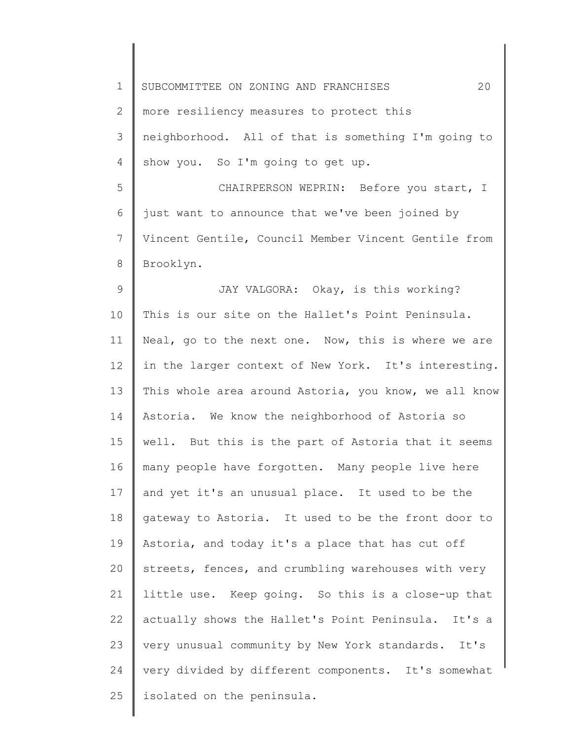| $\mathbf 1$ | 20<br>SUBCOMMITTEE ON ZONING AND FRANCHISES           |
|-------------|-------------------------------------------------------|
| 2           | more resiliency measures to protect this              |
| 3           | neighborhood. All of that is something I'm going to   |
| 4           | show you. So I'm going to get up.                     |
| 5           | CHAIRPERSON WEPRIN: Before you start, I               |
| 6           | just want to announce that we've been joined by       |
| 7           | Vincent Gentile, Council Member Vincent Gentile from  |
| 8           | Brooklyn.                                             |
| 9           | JAY VALGORA: Okay, is this working?                   |
| 10          | This is our site on the Hallet's Point Peninsula.     |
| 11          | Neal, go to the next one. Now, this is where we are   |
| 12          | in the larger context of New York. It's interesting.  |
| 13          | This whole area around Astoria, you know, we all know |
| 14          | Astoria. We know the neighborhood of Astoria so       |
| 15          | well. But this is the part of Astoria that it seems   |
| 16          | many people have forgotten. Many people live here     |
| 17          | and yet it's an unusual place. It used to be the      |
| 18          | gateway to Astoria. It used to be the front door to   |
| 19          | Astoria, and today it's a place that has cut off      |
| 20          | streets, fences, and crumbling warehouses with very   |
| 21          | little use. Keep going. So this is a close-up that    |
| 22          | actually shows the Hallet's Point Peninsula. It's a   |
| 23          | very unusual community by New York standards. It's    |
| 24          | very divided by different components. It's somewhat   |
| 25          | isolated on the peninsula.                            |
|             |                                                       |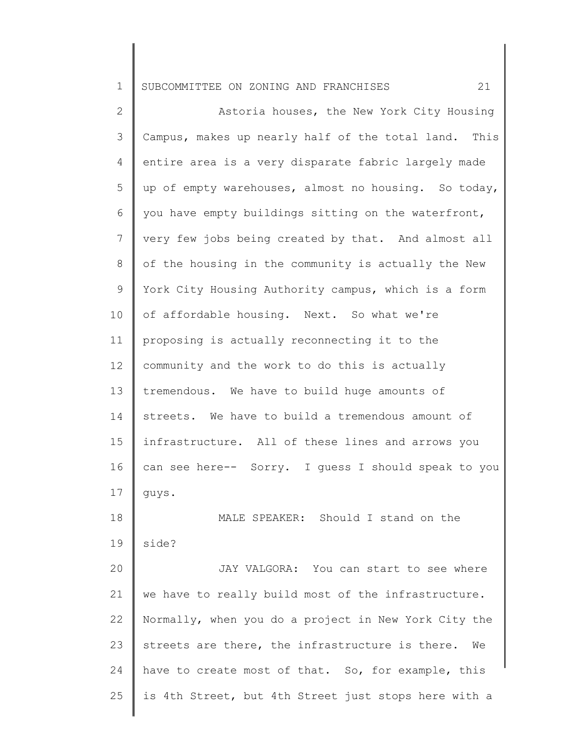2 3 4 5 6 7 8 9 10 11 12 13 14 15 16 17 18 19 20 21 22 23 24 25 Astoria houses, the New York City Housing Campus, makes up nearly half of the total land. This entire area is a very disparate fabric largely made up of empty warehouses, almost no housing. So today, you have empty buildings sitting on the waterfront, very few jobs being created by that. And almost all of the housing in the community is actually the New York City Housing Authority campus, which is a form of affordable housing. Next. So what we're proposing is actually reconnecting it to the community and the work to do this is actually tremendous. We have to build huge amounts of streets. We have to build a tremendous amount of infrastructure. All of these lines and arrows you can see here-- Sorry. I guess I should speak to you guys. MALE SPEAKER: Should I stand on the side? JAY VALGORA: You can start to see where we have to really build most of the infrastructure. Normally, when you do a project in New York City the streets are there, the infrastructure is there. We have to create most of that. So, for example, this is 4th Street, but 4th Street just stops here with a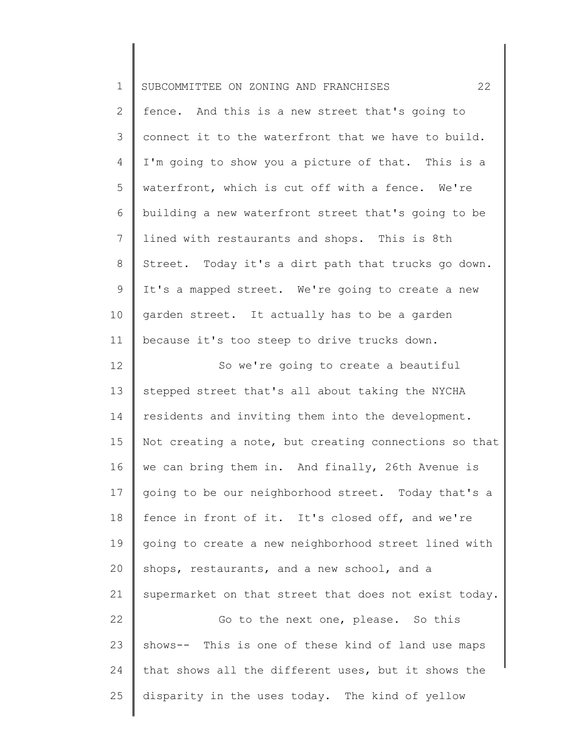| $\mathbf 1$  | 22<br>SUBCOMMITTEE ON ZONING AND FRANCHISES           |
|--------------|-------------------------------------------------------|
| $\mathbf{2}$ | fence. And this is a new street that's going to       |
| 3            | connect it to the waterfront that we have to build.   |
| 4            | I'm going to show you a picture of that. This is a    |
| 5            | waterfront, which is cut off with a fence. We're      |
| 6            | building a new waterfront street that's going to be   |
| 7            | lined with restaurants and shops. This is 8th         |
| 8            | Street. Today it's a dirt path that trucks go down.   |
| 9            | It's a mapped street. We're going to create a new     |
| 10           | garden street. It actually has to be a garden         |
| 11           | because it's too steep to drive trucks down.          |
| 12           | So we're going to create a beautiful                  |
| 13           | stepped street that's all about taking the NYCHA      |
| 14           | residents and inviting them into the development.     |
| 15           | Not creating a note, but creating connections so that |
| 16           | we can bring them in. And finally, 26th Avenue is     |
| 17           | going to be our neighborhood street. Today that's a   |
| 18           | fence in front of it. It's closed off, and we're      |
| 19           | going to create a new neighborhood street lined with  |
| 20           | shops, restaurants, and a new school, and a           |
| 21           | supermarket on that street that does not exist today. |
| 22           | Go to the next one, please. So this                   |
| 23           | shows-- This is one of these kind of land use maps    |
| 24           | that shows all the different uses, but it shows the   |
| 25           | disparity in the uses today. The kind of yellow       |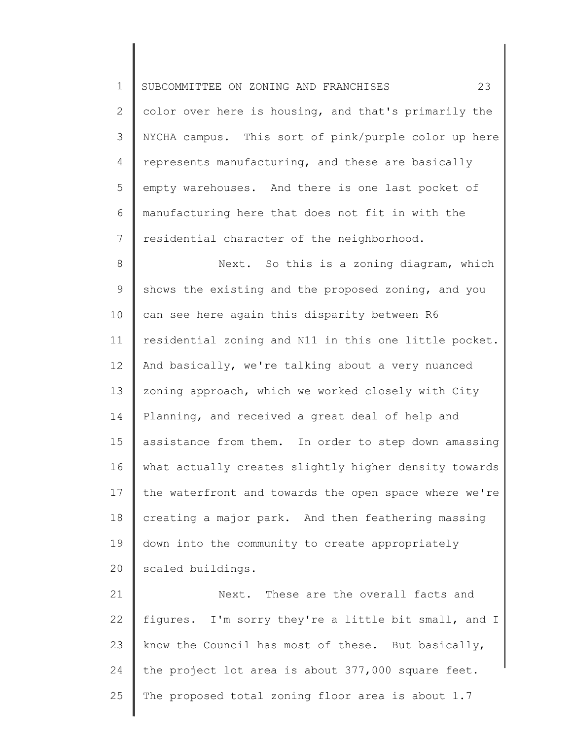1 2 3 4 5 6 7 SUBCOMMITTEE ON ZONING AND FRANCHISES 23 color over here is housing, and that's primarily the NYCHA campus. This sort of pink/purple color up here represents manufacturing, and these are basically empty warehouses. And there is one last pocket of manufacturing here that does not fit in with the residential character of the neighborhood.

8 9 10 11 12 13 14 15 16 17 18 19 20 Next. So this is a zoning diagram, which shows the existing and the proposed zoning, and you can see here again this disparity between R6 residential zoning and N11 in this one little pocket. And basically, we're talking about a very nuanced zoning approach, which we worked closely with City Planning, and received a great deal of help and assistance from them. In order to step down amassing what actually creates slightly higher density towards the waterfront and towards the open space where we're creating a major park. And then feathering massing down into the community to create appropriately scaled buildings.

21 22 23 24 25 Next. These are the overall facts and figures. I'm sorry they're a little bit small, and I know the Council has most of these. But basically, the project lot area is about 377,000 square feet. The proposed total zoning floor area is about 1.7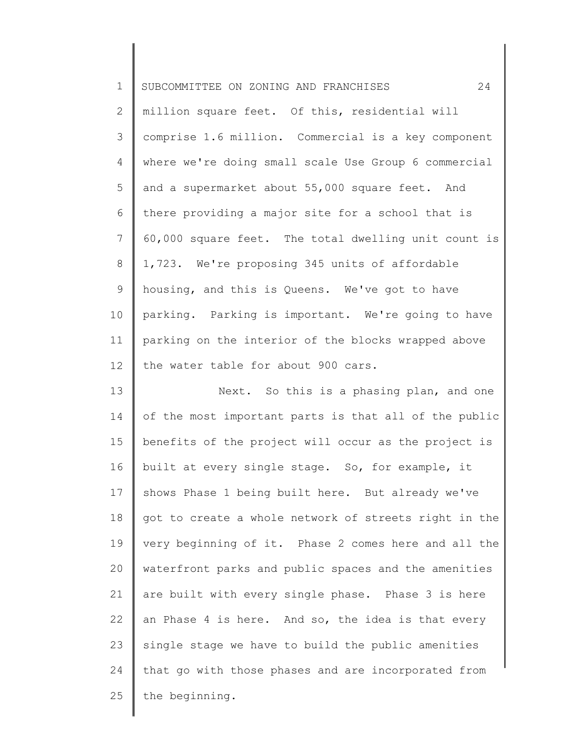| $\mathbf 1$    | 24<br>SUBCOMMITTEE ON ZONING AND FRANCHISES           |
|----------------|-------------------------------------------------------|
| $\mathbf{2}$   | million square feet. Of this, residential will        |
| 3              | comprise 1.6 million. Commercial is a key component   |
| 4              | where we're doing small scale Use Group 6 commercial  |
| 5              | and a supermarket about 55,000 square feet. And       |
| 6              | there providing a major site for a school that is     |
| $7\phantom{.}$ | 60,000 square feet. The total dwelling unit count is  |
| 8              | 1,723. We're proposing 345 units of affordable        |
| $\mathsf 9$    | housing, and this is Queens. We've got to have        |
| 10             | parking. Parking is important. We're going to have    |
| 11             | parking on the interior of the blocks wrapped above   |
| 12             | the water table for about 900 cars.                   |
| 13             | Next. So this is a phasing plan, and one              |
| 14             | of the most important parts is that all of the public |
| 15             | benefits of the project will occur as the project is  |
| 16             | built at every single stage. So, for example, it      |
| 17             | shows Phase 1 being built here. But already we've     |
| 18             | got to create a whole network of streets right in the |
| 19             | very beginning of it. Phase 2 comes here and all the  |
| 20             | waterfront parks and public spaces and the amenities  |
| 21             | are built with every single phase. Phase 3 is here    |
| 22             | an Phase 4 is here. And so, the idea is that every    |
| 23             | single stage we have to build the public amenities    |
| 24             | that go with those phases and are incorporated from   |
| 25             | the beginning.                                        |
|                |                                                       |

║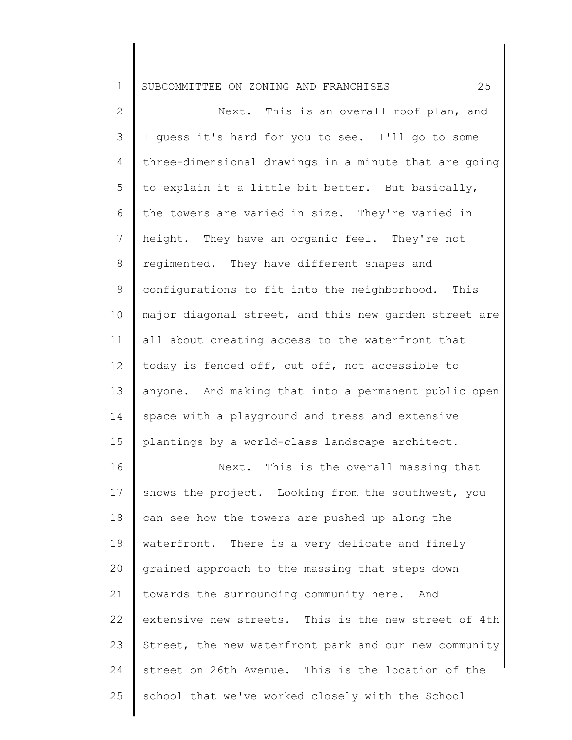2 3 4 5 6 7 8 9 10 11 12 13 14 15 16 17 18 19 20 21 22 23 Next. This is an overall roof plan, and I guess it's hard for you to see. I'll go to some three-dimensional drawings in a minute that are going to explain it a little bit better. But basically, the towers are varied in size. They're varied in height. They have an organic feel. They're not regimented. They have different shapes and configurations to fit into the neighborhood. This major diagonal street, and this new garden street are all about creating access to the waterfront that today is fenced off, cut off, not accessible to anyone. And making that into a permanent public open space with a playground and tress and extensive plantings by a world-class landscape architect. Next. This is the overall massing that shows the project. Looking from the southwest, you can see how the towers are pushed up along the waterfront. There is a very delicate and finely grained approach to the massing that steps down towards the surrounding community here. And extensive new streets. This is the new street of 4th Street, the new waterfront park and our new community

street on 26th Avenue. This is the location of the

school that we've worked closely with the School

24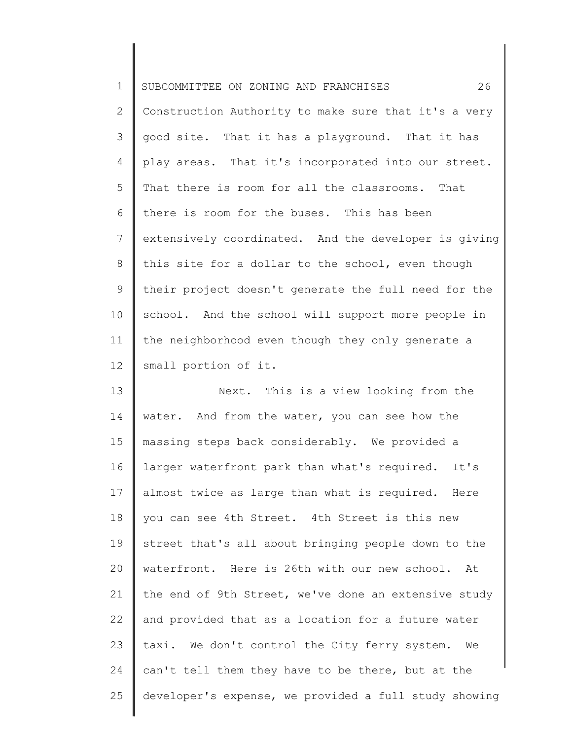| $\mathbf 1$  | 26<br>SUBCOMMITTEE ON ZONING AND FRANCHISES           |
|--------------|-------------------------------------------------------|
| $\mathbf{2}$ | Construction Authority to make sure that it's a very  |
| 3            | good site. That it has a playground. That it has      |
| 4            | play areas. That it's incorporated into our street.   |
| 5            | That there is room for all the classrooms. That       |
| 6            | there is room for the buses. This has been            |
| 7            | extensively coordinated. And the developer is giving  |
| 8            | this site for a dollar to the school, even though     |
| 9            | their project doesn't generate the full need for the  |
| 10           | school. And the school will support more people in    |
| 11           | the neighborhood even though they only generate a     |
| 12           | small portion of it.                                  |
| 13           | Next. This is a view looking from the                 |
| 14           | water. And from the water, you can see how the        |
| 15           | massing steps back considerably. We provided a        |
| 16           | larger waterfront park than what's required. It's     |
| 17           | almost twice as large than what is required. Here     |
| 18           | you can see 4th Street. 4th Street is this new        |
| 19           | street that's all about bringing people down to the   |
| 20           | waterfront. Here is 26th with our new school. At      |
| 21           | the end of 9th Street, we've done an extensive study  |
| 22           | and provided that as a location for a future water    |
| 23           | taxi. We don't control the City ferry system.<br>We   |
| 24           | can't tell them they have to be there, but at the     |
| 25           | developer's expense, we provided a full study showing |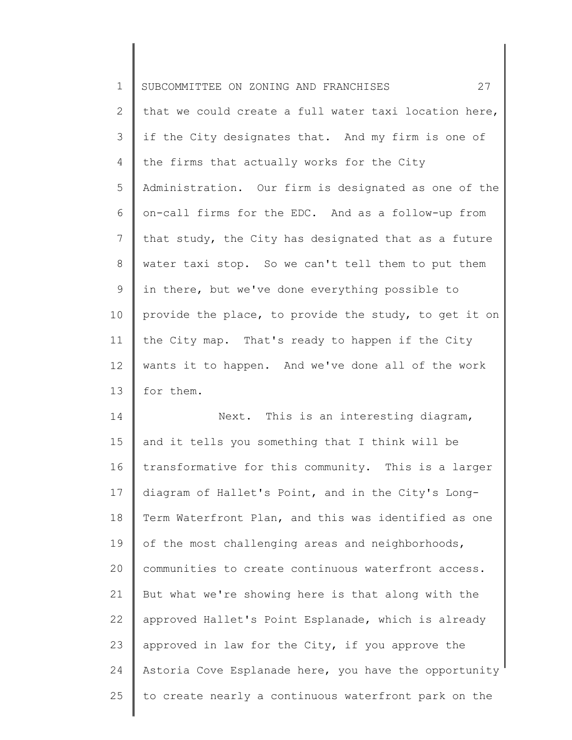| $\mathbf 1$  | 27<br>SUBCOMMITTEE ON ZONING AND FRANCHISES           |
|--------------|-------------------------------------------------------|
| $\mathbf{2}$ | that we could create a full water taxi location here, |
| 3            | if the City designates that. And my firm is one of    |
| 4            | the firms that actually works for the City            |
| 5            | Administration. Our firm is designated as one of the  |
| 6            | on-call firms for the EDC. And as a follow-up from    |
| 7            | that study, the City has designated that as a future  |
| 8            | water taxi stop. So we can't tell them to put them    |
| 9            | in there, but we've done everything possible to       |
| 10           | provide the place, to provide the study, to get it on |
| 11           | the City map. That's ready to happen if the City      |
| 12           | wants it to happen. And we've done all of the work    |
| 13           | for them.                                             |
| 14           | Next. This is an interesting diagram,                 |
| 15           | and it tells you something that I think will be       |
| 16           | transformative for this community. This is a larger   |
| 17           | diagram of Hallet's Point, and in the City's Long-    |
| 18           | Term Waterfront Plan, and this was identified as one  |
| 19           | of the most challenging areas and neighborhoods,      |
| 20           | communities to create continuous waterfront access.   |
| 21           | But what we're showing here is that along with the    |
| 22           | approved Hallet's Point Esplanade, which is already   |
| 23           | approved in law for the City, if you approve the      |
| 24           | Astoria Cove Esplanade here, you have the opportunity |
| 25           | to create nearly a continuous waterfront park on the  |
|              |                                                       |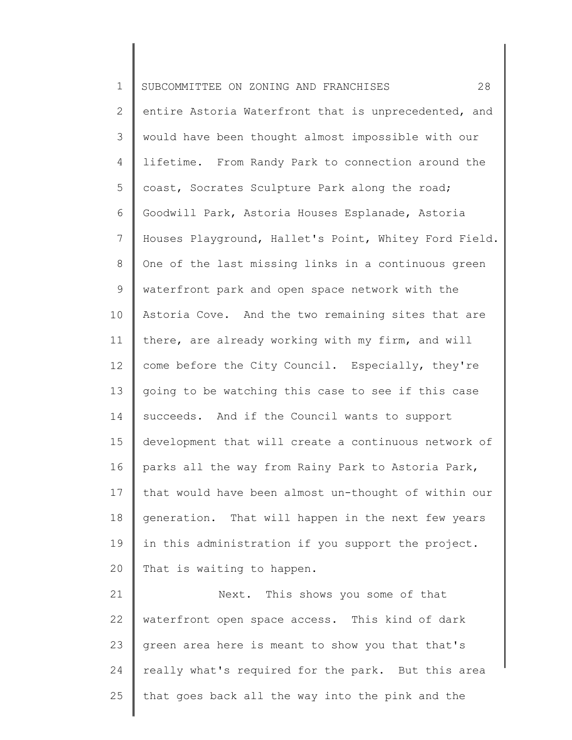| $\mathbf 1$ | 28<br>SUBCOMMITTEE ON ZONING AND FRANCHISES           |
|-------------|-------------------------------------------------------|
| 2           | entire Astoria Waterfront that is unprecedented, and  |
| 3           | would have been thought almost impossible with our    |
| 4           | lifetime. From Randy Park to connection around the    |
| 5           | coast, Socrates Sculpture Park along the road;        |
| 6           | Goodwill Park, Astoria Houses Esplanade, Astoria      |
| 7           | Houses Playground, Hallet's Point, Whitey Ford Field. |
| 8           | One of the last missing links in a continuous green   |
| 9           | waterfront park and open space network with the       |
| 10          | Astoria Cove. And the two remaining sites that are    |
| 11          | there, are already working with my firm, and will     |
| 12          | come before the City Council. Especially, they're     |
| 13          | going to be watching this case to see if this case    |
| 14          | succeeds. And if the Council wants to support         |
| 15          | development that will create a continuous network of  |
| 16          | parks all the way from Rainy Park to Astoria Park,    |
| 17          | that would have been almost un-thought of within our  |
| 18          | generation. That will happen in the next few years    |
| 19          | in this administration if you support the project.    |
| 20          | That is waiting to happen.                            |
| 21          | Next. This shows you some of that                     |
| 22          | waterfront open space access. This kind of dark       |
| 23          | green area here is meant to show you that that's      |
| 24          | really what's required for the park. But this area    |
| 25          | that goes back all the way into the pink and the      |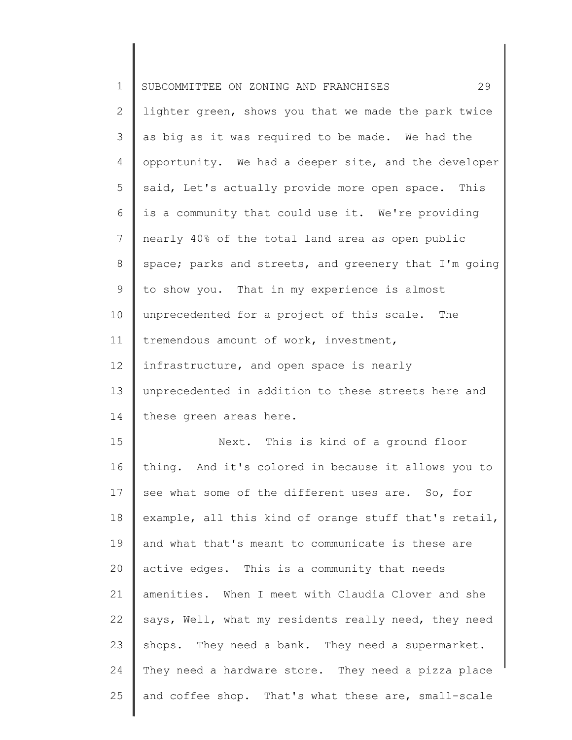| $\mathbf 1$    | 29<br>SUBCOMMITTEE ON ZONING AND FRANCHISES           |
|----------------|-------------------------------------------------------|
| $\overline{2}$ | lighter green, shows you that we made the park twice  |
| 3              | as big as it was required to be made. We had the      |
| 4              | opportunity. We had a deeper site, and the developer  |
| 5              | said, Let's actually provide more open space. This    |
| 6              | is a community that could use it. We're providing     |
| $7\phantom{.}$ | nearly 40% of the total land area as open public      |
| 8              | space; parks and streets, and greenery that I'm going |
| 9              | to show you. That in my experience is almost          |
| 10             | unprecedented for a project of this scale. The        |
| 11             | tremendous amount of work, investment,                |
| 12             | infrastructure, and open space is nearly              |
| 13             | unprecedented in addition to these streets here and   |
| 14             | these green areas here.                               |
| 15             | Next. This is kind of a ground floor                  |
| 16             | thing. And it's colored in because it allows you to   |
| 17             | see what some of the different uses are. So, for      |
| 18             | example, all this kind of orange stuff that's retail, |
| 19             | and what that's meant to communicate is these are     |
| 20             | active edges. This is a community that needs          |
| 21             | amenities. When I meet with Claudia Clover and she    |
| 22             | says, Well, what my residents really need, they need  |
| 23             | shops. They need a bank. They need a supermarket.     |
| 24             | They need a hardware store. They need a pizza place   |
| 25             | and coffee shop. That's what these are, small-scale   |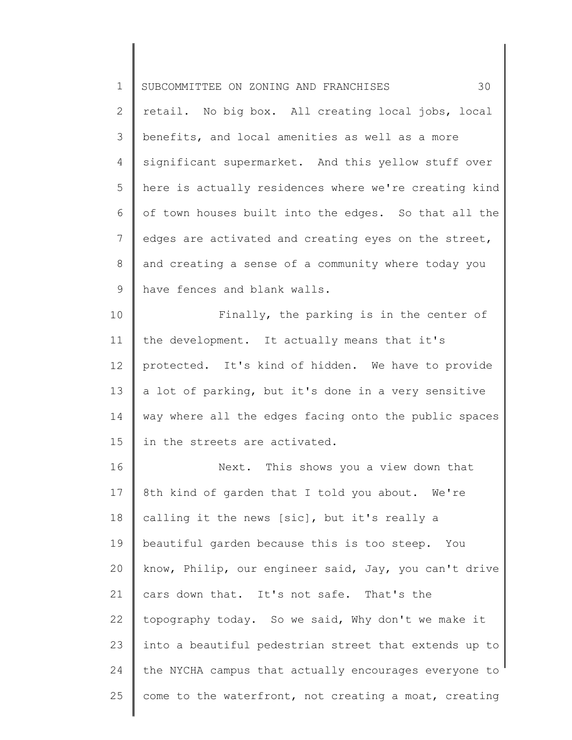| $\mathbf 1$    | 30<br>SUBCOMMITTEE ON ZONING AND FRANCHISES           |
|----------------|-------------------------------------------------------|
| $\overline{2}$ | retail. No big box. All creating local jobs, local    |
| 3              | benefits, and local amenities as well as a more       |
| 4              | significant supermarket. And this yellow stuff over   |
| 5              | here is actually residences where we're creating kind |
| 6              | of town houses built into the edges. So that all the  |
| $7\phantom{.}$ | edges are activated and creating eyes on the street,  |
| $8\,$          | and creating a sense of a community where today you   |
| $\mathsf 9$    | have fences and blank walls.                          |
| 10             | Finally, the parking is in the center of              |
| 11             | the development. It actually means that it's          |
| 12             | protected. It's kind of hidden. We have to provide    |
| 13             | a lot of parking, but it's done in a very sensitive   |
| 14             | way where all the edges facing onto the public spaces |
| 15             | in the streets are activated.                         |
| 16             | Next. This shows you a view down that                 |
| 17             | 8th kind of garden that I told you about. We're       |
| 18             | calling it the news [sic], but it's really a          |
| 19             | beautiful garden because this is too steep. You       |
| 20             | know, Philip, our engineer said, Jay, you can't drive |
| 21             | cars down that. It's not safe. That's the             |
| 22             | topography today. So we said, Why don't we make it    |
| 23             | into a beautiful pedestrian street that extends up to |
| 24             | the NYCHA campus that actually encourages everyone to |
| 25             | come to the waterfront, not creating a moat, creating |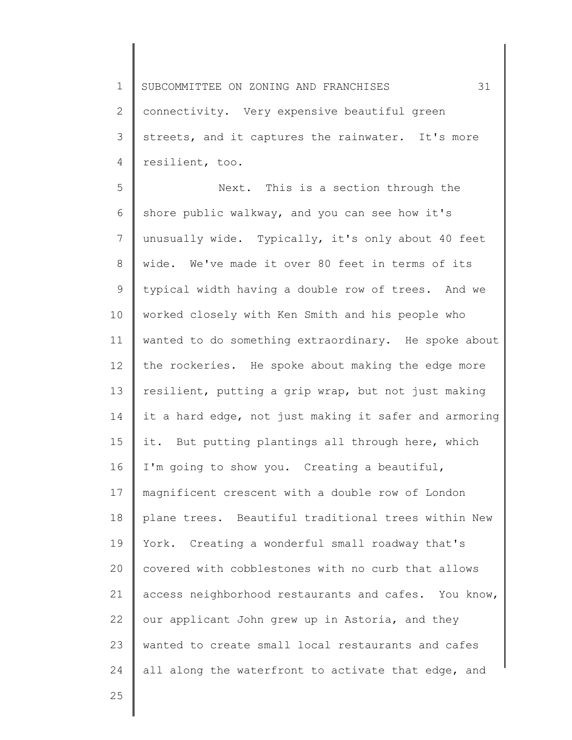1 2 3 4 SUBCOMMITTEE ON ZONING AND FRANCHISES 31 connectivity. Very expensive beautiful green streets, and it captures the rainwater. It's more resilient, too.

5 6 7 8 9 10 11 12 13 14 15 16 17 18 19 20 21 22 23 24 Next. This is a section through the shore public walkway, and you can see how it's unusually wide. Typically, it's only about 40 feet wide. We've made it over 80 feet in terms of its typical width having a double row of trees. And we worked closely with Ken Smith and his people who wanted to do something extraordinary. He spoke about the rockeries. He spoke about making the edge more resilient, putting a grip wrap, but not just making it a hard edge, not just making it safer and armoring it. But putting plantings all through here, which I'm going to show you. Creating a beautiful, magnificent crescent with a double row of London plane trees. Beautiful traditional trees within New York. Creating a wonderful small roadway that's covered with cobblestones with no curb that allows access neighborhood restaurants and cafes. You know, our applicant John grew up in Astoria, and they wanted to create small local restaurants and cafes all along the waterfront to activate that edge, and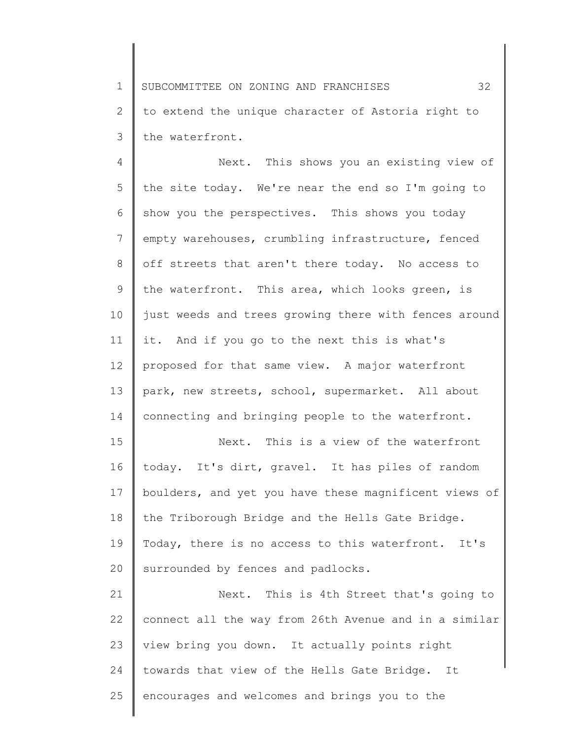1 2 3 SUBCOMMITTEE ON ZONING AND FRANCHISES 32 to extend the unique character of Astoria right to the waterfront.

4 5 6 7 8 9 10 11 12 13 14 15 Next. This shows you an existing view of the site today. We're near the end so I'm going to show you the perspectives. This shows you today empty warehouses, crumbling infrastructure, fenced off streets that aren't there today. No access to the waterfront. This area, which looks green, is just weeds and trees growing there with fences around it. And if you go to the next this is what's proposed for that same view. A major waterfront park, new streets, school, supermarket. All about connecting and bringing people to the waterfront. Next. This is a view of the waterfront

16 17 18 19 20 today. It's dirt, gravel. It has piles of random boulders, and yet you have these magnificent views of the Triborough Bridge and the Hells Gate Bridge. Today, there is no access to this waterfront. It's surrounded by fences and padlocks.

21 22 23 24 25 Next. This is 4th Street that's going to connect all the way from 26th Avenue and in a similar view bring you down. It actually points right towards that view of the Hells Gate Bridge. It encourages and welcomes and brings you to the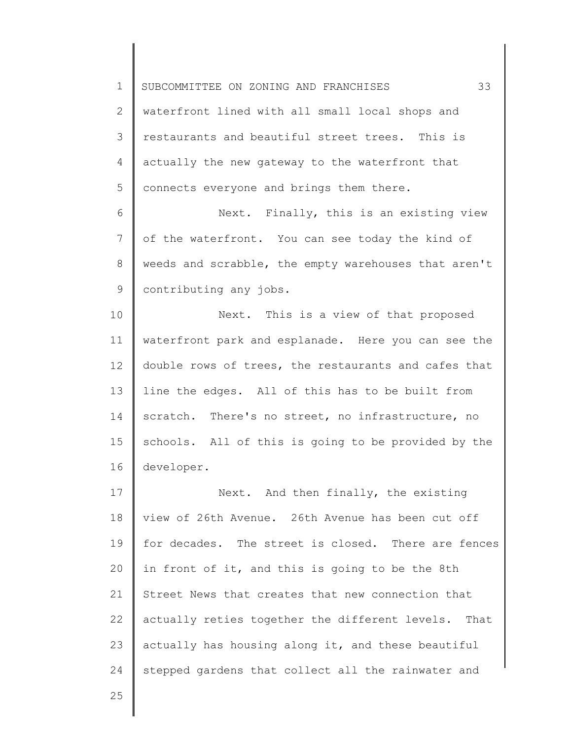2 3 4 5 waterfront lined with all small local shops and restaurants and beautiful street trees. This is actually the new gateway to the waterfront that connects everyone and brings them there.

6 7 8 9 Next. Finally, this is an existing view of the waterfront. You can see today the kind of weeds and scrabble, the empty warehouses that aren't contributing any jobs.

10 11 12 13 14 15 16 Next. This is a view of that proposed waterfront park and esplanade. Here you can see the double rows of trees, the restaurants and cafes that line the edges. All of this has to be built from scratch. There's no street, no infrastructure, no schools. All of this is going to be provided by the developer.

17 18 19 20 21 22 23 24 Next. And then finally, the existing view of 26th Avenue. 26th Avenue has been cut off for decades. The street is closed. There are fences in front of it, and this is going to be the 8th Street News that creates that new connection that actually reties together the different levels. That actually has housing along it, and these beautiful stepped gardens that collect all the rainwater and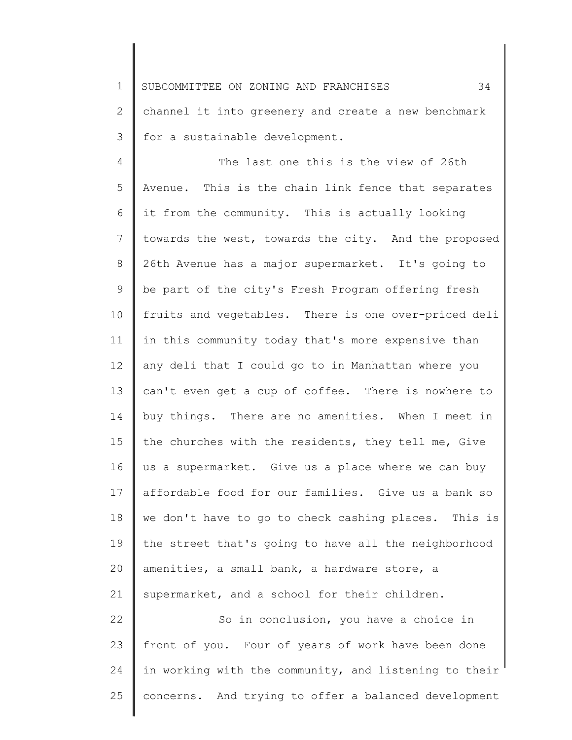2 3 channel it into greenery and create a new benchmark for a sustainable development.

4 5 6 7 8 9 10 11 12 13 14 15 16 17 18 19 20 21 22 23 The last one this is the view of 26th Avenue. This is the chain link fence that separates it from the community. This is actually looking towards the west, towards the city. And the proposed 26th Avenue has a major supermarket. It's going to be part of the city's Fresh Program offering fresh fruits and vegetables. There is one over-priced deli in this community today that's more expensive than any deli that I could go to in Manhattan where you can't even get a cup of coffee. There is nowhere to buy things. There are no amenities. When I meet in the churches with the residents, they tell me, Give us a supermarket. Give us a place where we can buy affordable food for our families. Give us a bank so we don't have to go to check cashing places. This is the street that's going to have all the neighborhood amenities, a small bank, a hardware store, a supermarket, and a school for their children. So in conclusion, you have a choice in front of you. Four of years of work have been done

24 25 in working with the community, and listening to their concerns. And trying to offer a balanced development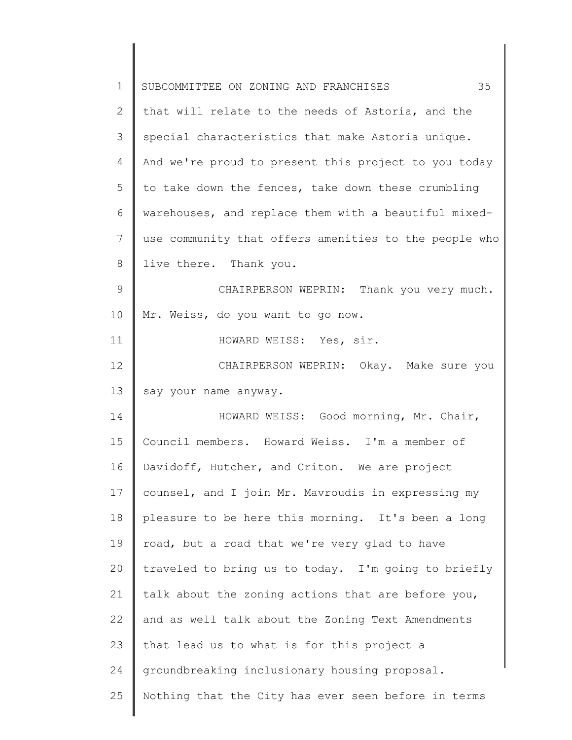| $\mathbf 1$ | 35<br>SUBCOMMITTEE ON ZONING AND FRANCHISES           |
|-------------|-------------------------------------------------------|
| 2           | that will relate to the needs of Astoria, and the     |
| 3           | special characteristics that make Astoria unique.     |
| 4           | And we're proud to present this project to you today  |
| 5           | to take down the fences, take down these crumbling    |
| 6           | warehouses, and replace them with a beautiful mixed-  |
| 7           | use community that offers amenities to the people who |
| 8           | live there. Thank you.                                |
| 9           | CHAIRPERSON WEPRIN: Thank you very much.              |
| 10          | Mr. Weiss, do you want to go now.                     |
| 11          | HOWARD WEISS: Yes, sir.                               |
| 12          | CHAIRPERSON WEPRIN: Okay. Make sure you               |
| 13          | say your name anyway.                                 |
| 14          | HOWARD WEISS: Good morning, Mr. Chair,                |
| 15          | Council members. Howard Weiss. I'm a member of        |
| 16          | Davidoff, Hutcher, and Criton. We are project         |
| 17          | counsel, and I join Mr. Mavroudis in expressing my    |
| 18          | pleasure to be here this morning. It's been a long    |
| 19          | road, but a road that we're very glad to have         |
| 20          | traveled to bring us to today. I'm going to briefly   |
| 21          | talk about the zoning actions that are before you,    |
| 22          | and as well talk about the Zoning Text Amendments     |
| 23          | that lead us to what is for this project a            |
| 24          | groundbreaking inclusionary housing proposal.         |
| 25          | Nothing that the City has ever seen before in terms   |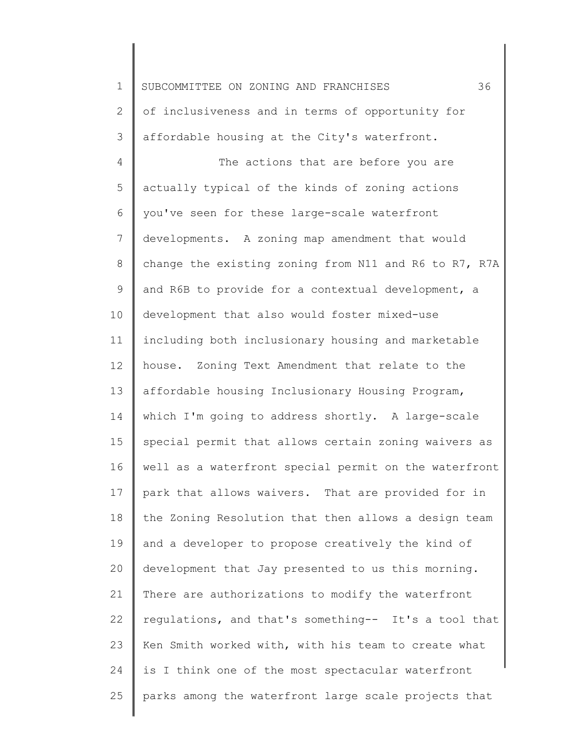1 2 3 4 5 6 7 8 9 10 11 12 13 14 15 16 17 18 19 20 21 22 23 24 25 SUBCOMMITTEE ON ZONING AND FRANCHISES 36 of inclusiveness and in terms of opportunity for affordable housing at the City's waterfront. The actions that are before you are actually typical of the kinds of zoning actions you've seen for these large-scale waterfront developments. A zoning map amendment that would change the existing zoning from N11 and R6 to R7, R7A and R6B to provide for a contextual development, a development that also would foster mixed-use including both inclusionary housing and marketable house. Zoning Text Amendment that relate to the affordable housing Inclusionary Housing Program, which I'm going to address shortly. A large-scale special permit that allows certain zoning waivers as well as a waterfront special permit on the waterfront park that allows waivers. That are provided for in the Zoning Resolution that then allows a design team and a developer to propose creatively the kind of development that Jay presented to us this morning. There are authorizations to modify the waterfront regulations, and that's something-- It's a tool that Ken Smith worked with, with his team to create what is I think one of the most spectacular waterfront parks among the waterfront large scale projects that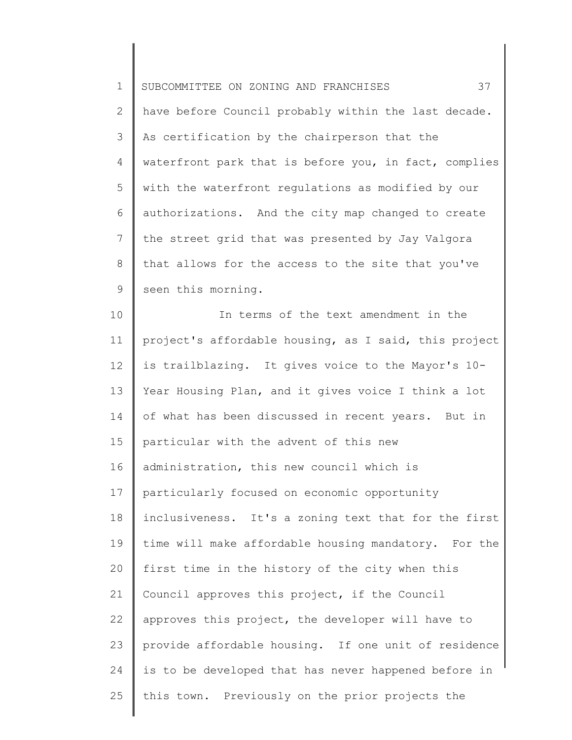| $\mathbf 1$    | 37<br>SUBCOMMITTEE ON ZONING AND FRANCHISES           |
|----------------|-------------------------------------------------------|
| $\overline{2}$ | have before Council probably within the last decade.  |
| 3              | As certification by the chairperson that the          |
| 4              | waterfront park that is before you, in fact, complies |
| 5              | with the waterfront regulations as modified by our    |
| 6              | authorizations. And the city map changed to create    |
| 7              | the street grid that was presented by Jay Valgora     |
| $8\,$          | that allows for the access to the site that you've    |
| 9              | seen this morning.                                    |
| 10             | In terms of the text amendment in the                 |
| 11             | project's affordable housing, as I said, this project |
| 12             | is trailblazing. It gives voice to the Mayor's 10-    |
| 13             | Year Housing Plan, and it gives voice I think a lot   |
| 14             | of what has been discussed in recent years. But in    |
| 15             | particular with the advent of this new                |
| 16             | administration, this new council which is             |
| 17             | particularly focused on economic opportunity          |
| 18             | inclusiveness. It's a zoning text that for the first  |
| 19             | time will make affordable housing mandatory. For the  |
| 20             | first time in the history of the city when this       |
| 21             | Council approves this project, if the Council         |
| 22             | approves this project, the developer will have to     |
| 23             | provide affordable housing. If one unit of residence  |
| 24             | is to be developed that has never happened before in  |
| 25             | this town. Previously on the prior projects the       |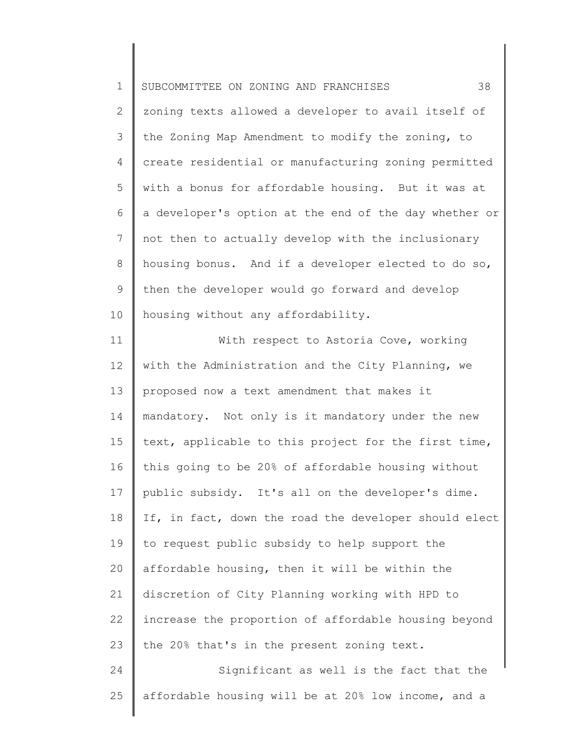| $\mathbf 1$ | 38<br>SUBCOMMITTEE ON ZONING AND FRANCHISES           |
|-------------|-------------------------------------------------------|
| 2           | zoning texts allowed a developer to avail itself of   |
| 3           | the Zoning Map Amendment to modify the zoning, to     |
| 4           | create residential or manufacturing zoning permitted  |
| 5           | with a bonus for affordable housing. But it was at    |
| 6           | a developer's option at the end of the day whether or |
| 7           | not then to actually develop with the inclusionary    |
| 8           | housing bonus. And if a developer elected to do so,   |
| 9           | then the developer would go forward and develop       |
| 10          | housing without any affordability.                    |
| 11          | With respect to Astoria Cove, working                 |
| 12          | with the Administration and the City Planning, we     |
| 13          | proposed now a text amendment that makes it           |
| 14          | mandatory. Not only is it mandatory under the new     |
| 15          | text, applicable to this project for the first time,  |
| 16          | this going to be 20% of affordable housing without    |
| 17          | public subsidy. It's all on the developer's dime.     |
| 18          | If, in fact, down the road the developer should elect |
| 19          | to request public subsidy to help support the         |
| 20          | affordable housing, then it will be within the        |
| 21          | discretion of City Planning working with HPD to       |
| 22          | increase the proportion of affordable housing beyond  |
| 23          | the 20% that's in the present zoning text.            |
| 24          | Significant as well is the fact that the              |
| 25          | affordable housing will be at 20% low income, and a   |
|             |                                                       |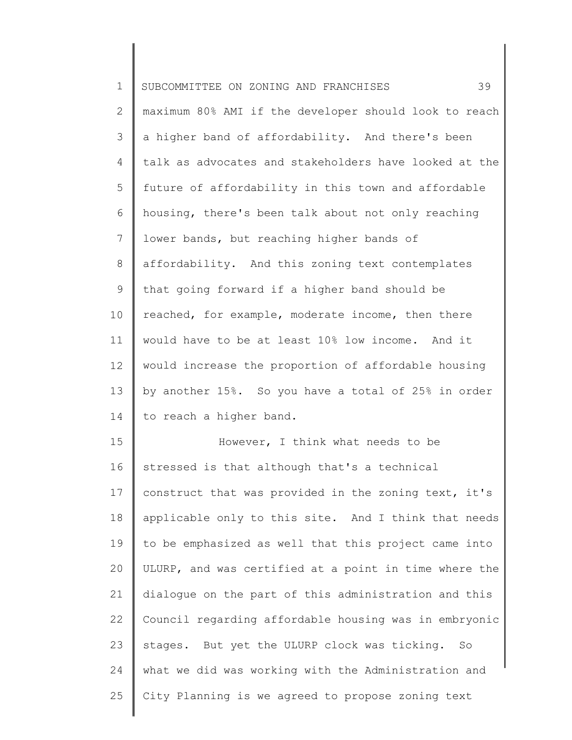| $\mathbf 1$    | 39<br>SUBCOMMITTEE ON ZONING AND FRANCHISES           |
|----------------|-------------------------------------------------------|
| $\mathbf{2}$   | maximum 80% AMI if the developer should look to reach |
| 3              | a higher band of affordability. And there's been      |
| 4              | talk as advocates and stakeholders have looked at the |
| 5              | future of affordability in this town and affordable   |
| 6              | housing, there's been talk about not only reaching    |
| $7\phantom{.}$ | lower bands, but reaching higher bands of             |
| 8              | affordability. And this zoning text contemplates      |
| 9              | that going forward if a higher band should be         |
| 10             | reached, for example, moderate income, then there     |
| 11             | would have to be at least 10% low income. And it      |
| 12             | would increase the proportion of affordable housing   |
| 13             | by another 15%. So you have a total of 25% in order   |
| 14             | to reach a higher band.                               |
| 15             | However, I think what needs to be                     |
| 16             | stressed is that although that's a technical          |
| 17             | construct that was provided in the zoning text, it's  |
| 18             | applicable only to this site. And I think that needs  |
| 19             | to be emphasized as well that this project came into  |
| 20             | ULURP, and was certified at a point in time where the |
| 21             | dialogue on the part of this administration and this  |
| 22             | Council regarding affordable housing was in embryonic |
| 23             | stages. But yet the ULURP clock was ticking. So       |
| 24             | what we did was working with the Administration and   |
| 25             | City Planning is we agreed to propose zoning text     |
|                |                                                       |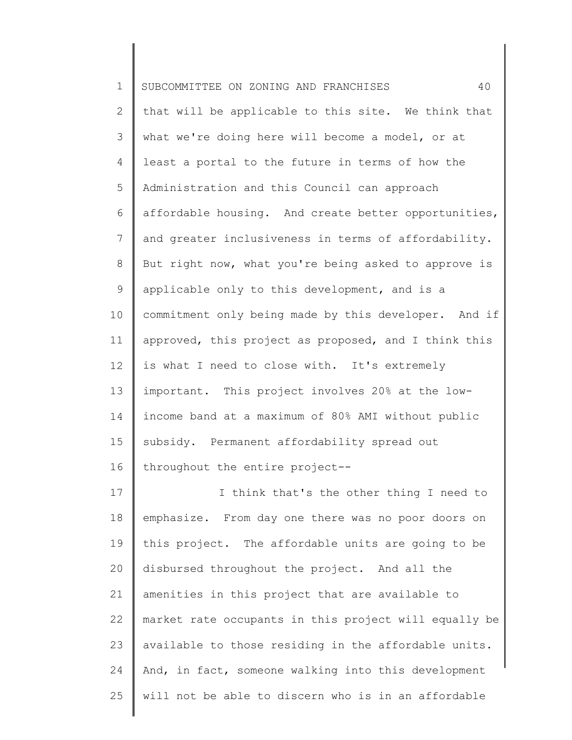| $\mathbf 1$     | 40<br>SUBCOMMITTEE ON ZONING AND FRANCHISES           |
|-----------------|-------------------------------------------------------|
| $\mathbf{2}$    | that will be applicable to this site. We think that   |
| 3               | what we're doing here will become a model, or at      |
| $\overline{4}$  | least a portal to the future in terms of how the      |
| 5               | Administration and this Council can approach          |
| 6               | affordable housing. And create better opportunities,  |
| 7               | and greater inclusiveness in terms of affordability.  |
| 8               | But right now, what you're being asked to approve is  |
| 9               | applicable only to this development, and is a         |
| 10              | commitment only being made by this developer. And if  |
| 11              | approved, this project as proposed, and I think this  |
| 12 <sup>°</sup> | is what I need to close with. It's extremely          |
| 13              | important. This project involves 20% at the low-      |
| 14              | income band at a maximum of 80% AMI without public    |
| 15              | subsidy. Permanent affordability spread out           |
| 16              | throughout the entire project--                       |
| 17              | I think that's the other thing I need to              |
| 18              | emphasize. From day one there was no poor doors on    |
| 19              | this project. The affordable units are going to be    |
| 20              | disbursed throughout the project. And all the         |
| 21              | amenities in this project that are available to       |
| 22              | market rate occupants in this project will equally be |
| 23              | available to those residing in the affordable units.  |
| 24              | And, in fact, someone walking into this development   |
| 25              | will not be able to discern who is in an affordable   |
|                 |                                                       |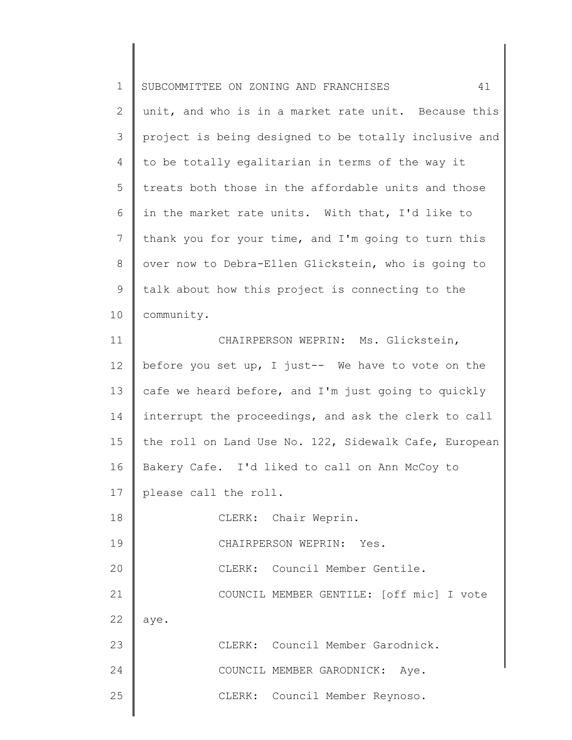| $\mathbf 1$  | 41<br>SUBCOMMITTEE ON ZONING AND FRANCHISES           |
|--------------|-------------------------------------------------------|
| $\mathbf{2}$ | unit, and who is in a market rate unit. Because this  |
| 3            | project is being designed to be totally inclusive and |
| 4            | to be totally egalitarian in terms of the way it      |
| 5            | treats both those in the affordable units and those   |
| 6            | in the market rate units. With that, I'd like to      |
| 7            | thank you for your time, and I'm going to turn this   |
| 8            | over now to Debra-Ellen Glickstein, who is going to   |
| 9            | talk about how this project is connecting to the      |
| 10           | community.                                            |
| 11           | CHAIRPERSON WEPRIN: Ms. Glickstein,                   |
| 12           | before you set up, I just-- We have to vote on the    |
| 13           | cafe we heard before, and I'm just going to quickly   |
| 14           | interrupt the proceedings, and ask the clerk to call  |
| 15           | the roll on Land Use No. 122, Sidewalk Cafe, European |
| 16           | Bakery Cafe. I'd liked to call on Ann McCoy to        |
| 17           | please call the roll.                                 |
| 18           | CLERK: Chair Weprin.                                  |
| 19           | CHAIRPERSON WEPRIN: Yes.                              |
| 20           | CLERK: Council Member Gentile.                        |
| 21           | COUNCIL MEMBER GENTILE: [off mic] I vote              |
| 22           | aye.                                                  |
| 23           | CLERK: Council Member Garodnick.                      |
| 24           | COUNCIL MEMBER GARODNICK: Aye.                        |
| 25           | CLERK: Council Member Reynoso.                        |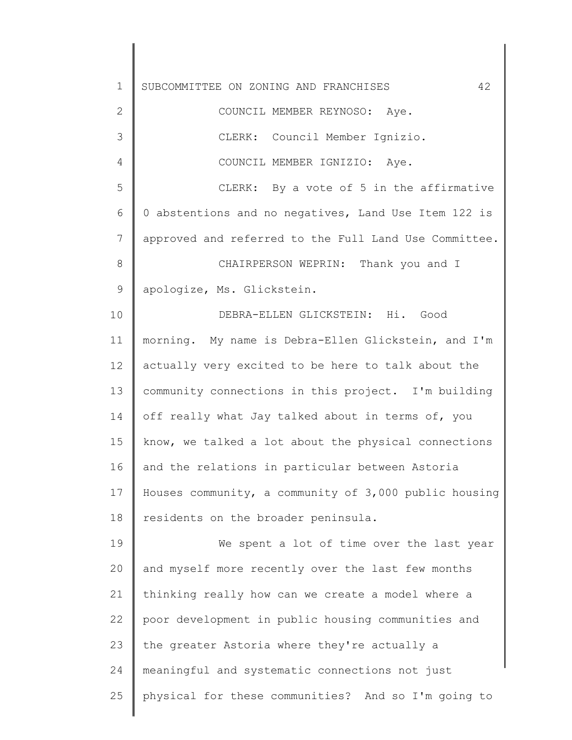1 2 3 4 5 6 7 8 9 10 11 12 13 14 15 16 17 18 19 20 21 22 23 24 25 SUBCOMMITTEE ON ZONING AND FRANCHISES 42 COUNCIL MEMBER REYNOSO: Aye. CLERK: Council Member Ignizio. COUNCIL MEMBER IGNIZIO: Aye. CLERK: By a vote of 5 in the affirmative 0 abstentions and no negatives, Land Use Item 122 is approved and referred to the Full Land Use Committee. CHAIRPERSON WEPRIN: Thank you and I apologize, Ms. Glickstein. DEBRA-ELLEN GLICKSTEIN: Hi. Good morning. My name is Debra-Ellen Glickstein, and I'm actually very excited to be here to talk about the community connections in this project. I'm building off really what Jay talked about in terms of, you know, we talked a lot about the physical connections and the relations in particular between Astoria Houses community, a community of 3,000 public housing residents on the broader peninsula. We spent a lot of time over the last year and myself more recently over the last few months thinking really how can we create a model where a poor development in public housing communities and the greater Astoria where they're actually a meaningful and systematic connections not just physical for these communities? And so I'm going to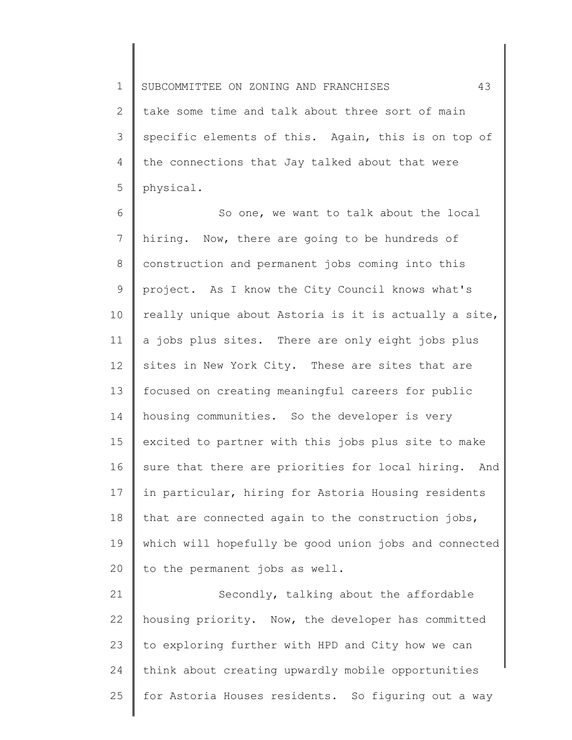1 2 3 4 5 SUBCOMMITTEE ON ZONING AND FRANCHISES 43 take some time and talk about three sort of main specific elements of this. Again, this is on top of the connections that Jay talked about that were physical.

6 7 8 9 10 11 12 13 14 15 16 17 18 19 20 So one, we want to talk about the local hiring. Now, there are going to be hundreds of construction and permanent jobs coming into this project. As I know the City Council knows what's really unique about Astoria is it is actually a site, a jobs plus sites. There are only eight jobs plus sites in New York City. These are sites that are focused on creating meaningful careers for public housing communities. So the developer is very excited to partner with this jobs plus site to make sure that there are priorities for local hiring. And in particular, hiring for Astoria Housing residents that are connected again to the construction jobs, which will hopefully be good union jobs and connected to the permanent jobs as well.

21 22 23 24 25 Secondly, talking about the affordable housing priority. Now, the developer has committed to exploring further with HPD and City how we can think about creating upwardly mobile opportunities for Astoria Houses residents. So figuring out a way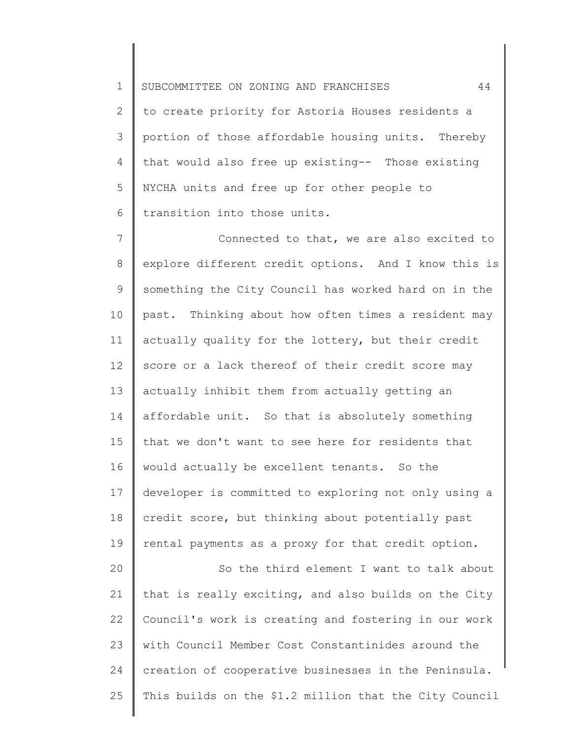1 SUBCOMMITTEE ON ZONING AND FRANCHISES 44

2 3 4 5 6 to create priority for Astoria Houses residents a portion of those affordable housing units. Thereby that would also free up existing-- Those existing NYCHA units and free up for other people to transition into those units.

7 8 9 10 11 12 13 14 15 16 17 18 19 20 21 Connected to that, we are also excited to explore different credit options. And I know this is something the City Council has worked hard on in the past. Thinking about how often times a resident may actually quality for the lottery, but their credit score or a lack thereof of their credit score may actually inhibit them from actually getting an affordable unit. So that is absolutely something that we don't want to see here for residents that would actually be excellent tenants. So the developer is committed to exploring not only using a credit score, but thinking about potentially past rental payments as a proxy for that credit option. So the third element I want to talk about that is really exciting, and also builds on the City

22 23 24 25 Council's work is creating and fostering in our work with Council Member Cost Constantinides around the creation of cooperative businesses in the Peninsula. This builds on the \$1.2 million that the City Council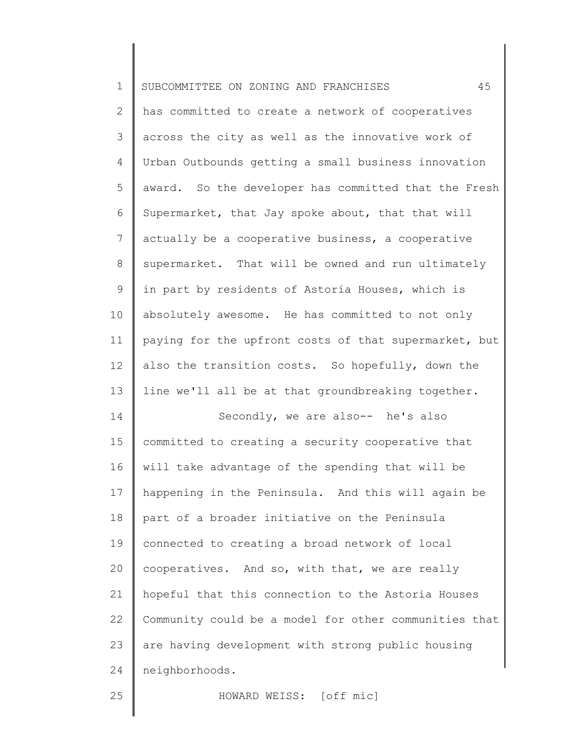| $\mathbf 1$    | 45<br>SUBCOMMITTEE ON ZONING AND FRANCHISES           |
|----------------|-------------------------------------------------------|
| 2              | has committed to create a network of cooperatives     |
| 3              | across the city as well as the innovative work of     |
| 4              | Urban Outbounds getting a small business innovation   |
| 5              | award. So the developer has committed that the Fresh  |
| 6              | Supermarket, that Jay spoke about, that that will     |
| $\overline{7}$ | actually be a cooperative business, a cooperative     |
| $8\,$          | supermarket. That will be owned and run ultimately    |
| $\mathsf 9$    | in part by residents of Astoria Houses, which is      |
| 10             | absolutely awesome. He has committed to not only      |
| 11             | paying for the upfront costs of that supermarket, but |
| 12             | also the transition costs. So hopefully, down the     |
| 13             | line we'll all be at that groundbreaking together.    |
| 14             | Secondly, we are also-- he's also                     |
| 15             | committed to creating a security cooperative that     |
| 16             | will take advantage of the spending that will be      |
| 17             | happening in the Peninsula. And this will again be    |
| 18             | part of a broader initiative on the Peninsula         |
| 19             | connected to creating a broad network of local        |
| 20             | cooperatives. And so, with that, we are really        |
| 21             | hopeful that this connection to the Astoria Houses    |
| 22             | Community could be a model for other communities that |
| 23             | are having development with strong public housing     |
| 24             | neighborhoods.                                        |
| 25             | HOWARD WEISS: [off mic]                               |
|                |                                                       |

║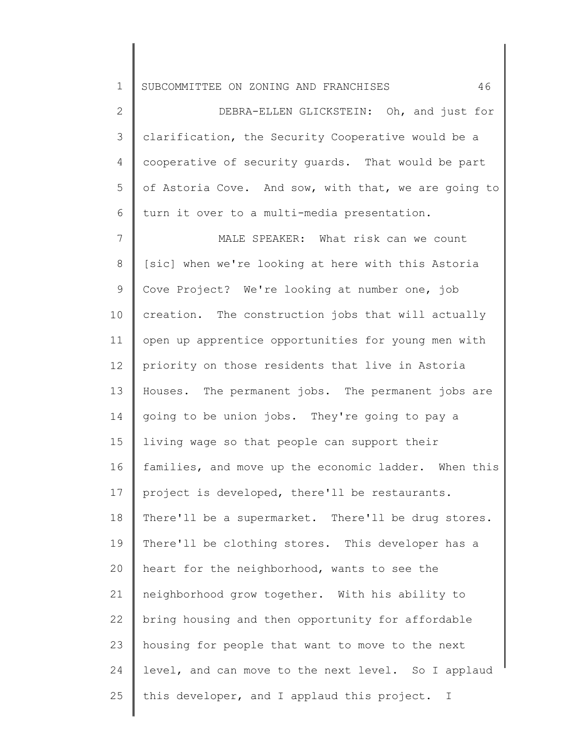1 SUBCOMMITTEE ON ZONING AND FRANCHISES 46

2 3 4 5 6 DEBRA-ELLEN GLICKSTEIN: Oh, and just for clarification, the Security Cooperative would be a cooperative of security guards. That would be part of Astoria Cove. And sow, with that, we are going to turn it over to a multi-media presentation.

7 8 9 10 11 12 13 14 15 16 17 18 19 20 21 22 23 24 25 MALE SPEAKER: What risk can we count [sic] when we're looking at here with this Astoria Cove Project? We're looking at number one, job creation. The construction jobs that will actually open up apprentice opportunities for young men with priority on those residents that live in Astoria Houses. The permanent jobs. The permanent jobs are going to be union jobs. They're going to pay a living wage so that people can support their families, and move up the economic ladder. When this project is developed, there'll be restaurants. There'll be a supermarket. There'll be drug stores. There'll be clothing stores. This developer has a heart for the neighborhood, wants to see the neighborhood grow together. With his ability to bring housing and then opportunity for affordable housing for people that want to move to the next level, and can move to the next level. So I applaud this developer, and I applaud this project. I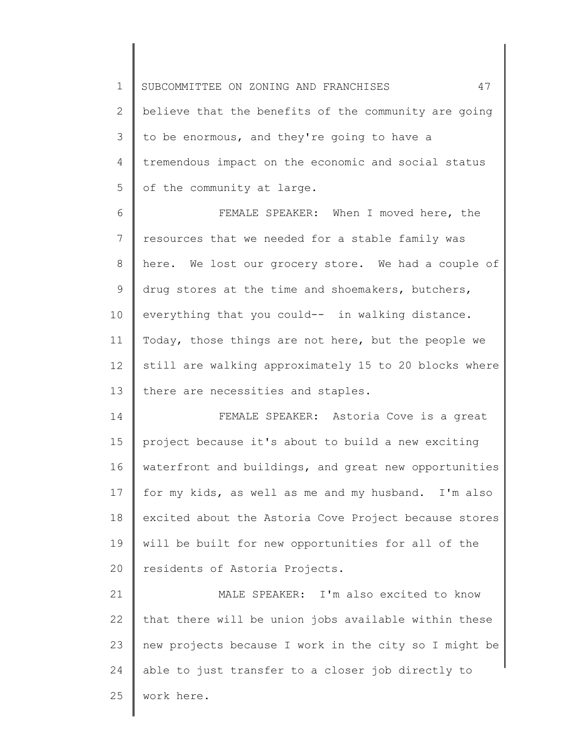1 2 3 4 5 SUBCOMMITTEE ON ZONING AND FRANCHISES 47 believe that the benefits of the community are going to be enormous, and they're going to have a tremendous impact on the economic and social status of the community at large.

6 7 8 9 10 11 12 13 FEMALE SPEAKER: When I moved here, the resources that we needed for a stable family was here. We lost our grocery store. We had a couple of drug stores at the time and shoemakers, butchers, everything that you could-- in walking distance. Today, those things are not here, but the people we still are walking approximately 15 to 20 blocks where there are necessities and staples.

14 15 16 17 18 19 20 FEMALE SPEAKER: Astoria Cove is a great project because it's about to build a new exciting waterfront and buildings, and great new opportunities for my kids, as well as me and my husband. I'm also excited about the Astoria Cove Project because stores will be built for new opportunities for all of the residents of Astoria Projects.

21 22 23 24 25 MALE SPEAKER: I'm also excited to know that there will be union jobs available within these new projects because I work in the city so I might be able to just transfer to a closer job directly to work here.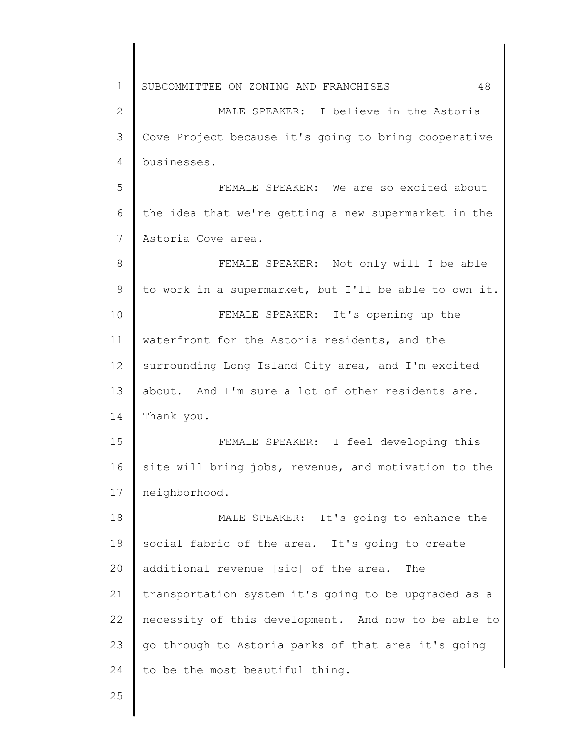1 2 3 4 5 6 7 8 9 10 11 12 13 14 15 16 17 18 19 20 21 22 23 24 25 SUBCOMMITTEE ON ZONING AND FRANCHISES 48 MALE SPEAKER: I believe in the Astoria Cove Project because it's going to bring cooperative businesses. FEMALE SPEAKER: We are so excited about the idea that we're getting a new supermarket in the Astoria Cove area. FEMALE SPEAKER: Not only will I be able to work in a supermarket, but I'll be able to own it. FEMALE SPEAKER: It's opening up the waterfront for the Astoria residents, and the surrounding Long Island City area, and I'm excited about. And I'm sure a lot of other residents are. Thank you. FEMALE SPEAKER: I feel developing this site will bring jobs, revenue, and motivation to the neighborhood. MALE SPEAKER: It's going to enhance the social fabric of the area. It's going to create additional revenue [sic] of the area. The transportation system it's going to be upgraded as a necessity of this development. And now to be able to go through to Astoria parks of that area it's going to be the most beautiful thing.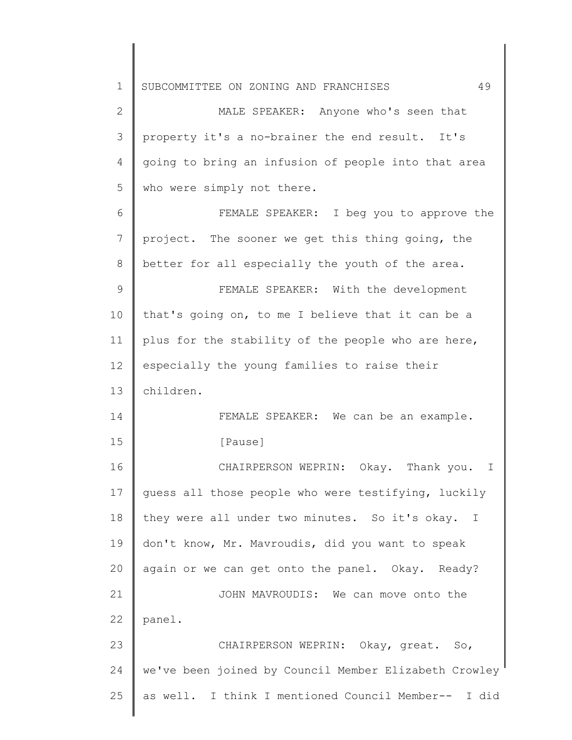1 2 3 4 5 6 7 8 9 10 11 12 13 14 15 16 17 18 19 20 21 22 23 24 25 SUBCOMMITTEE ON ZONING AND FRANCHISES 49 MALE SPEAKER: Anyone who's seen that property it's a no-brainer the end result. It's going to bring an infusion of people into that area who were simply not there. FEMALE SPEAKER: I beg you to approve the project. The sooner we get this thing going, the better for all especially the youth of the area. FEMALE SPEAKER: With the development that's going on, to me I believe that it can be a plus for the stability of the people who are here, especially the young families to raise their children. FEMALE SPEAKER: We can be an example. [Pause] CHAIRPERSON WEPRIN: Okay. Thank you. I guess all those people who were testifying, luckily they were all under two minutes. So it's okay. I don't know, Mr. Mavroudis, did you want to speak again or we can get onto the panel. Okay. Ready? JOHN MAVROUDIS: We can move onto the panel. CHAIRPERSON WEPRIN: Okay, great. So, we've been joined by Council Member Elizabeth Crowley as well. I think I mentioned Council Member-- I did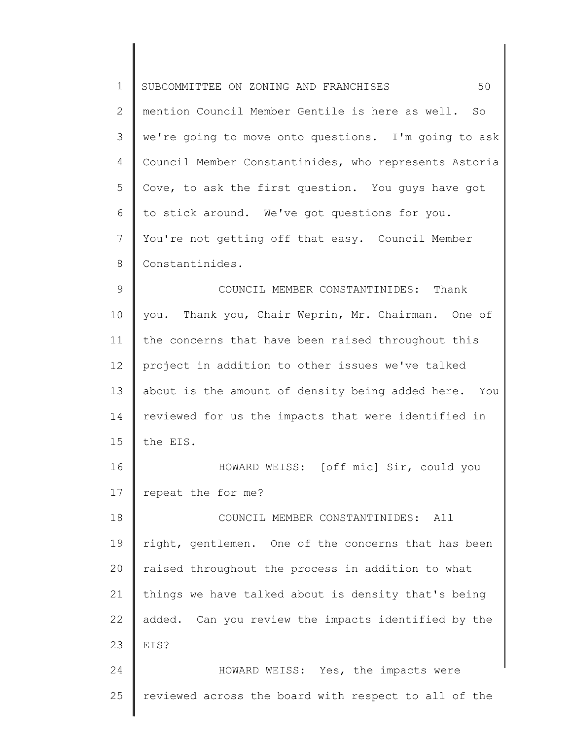| $\mathbf 1$   | 50<br>SUBCOMMITTEE ON ZONING AND FRANCHISES           |
|---------------|-------------------------------------------------------|
| 2             | mention Council Member Gentile is here as well. So    |
| 3             | we're going to move onto questions. I'm going to ask  |
| 4             | Council Member Constantinides, who represents Astoria |
| 5             | Cove, to ask the first question. You guys have got    |
| 6             | to stick around. We've got questions for you.         |
| 7             | You're not getting off that easy. Council Member      |
| $\,8\,$       | Constantinides.                                       |
| $\mathcal{G}$ | COUNCIL MEMBER CONSTANTINIDES: Thank                  |
| 10            | Thank you, Chair Weprin, Mr. Chairman. One of<br>you. |
| 11            | the concerns that have been raised throughout this    |
| 12            | project in addition to other issues we've talked      |
| 13            | about is the amount of density being added here. You  |
| 14            | reviewed for us the impacts that were identified in   |
| 15            | the EIS.                                              |
| 16            | HOWARD WEISS: [off mic] Sir, could you                |
| 17            | repeat the for me?                                    |
| 18            | COUNCIL MEMBER CONSTANTINIDES:<br>All                 |
| 19            | right, gentlemen. One of the concerns that has been   |
| 20            | raised throughout the process in addition to what     |
| 21            | things we have talked about is density that's being   |
| 22            | added. Can you review the impacts identified by the   |
| 23            | EIS?                                                  |
| 24            | HOWARD WEISS: Yes, the impacts were                   |
| 25            | reviewed across the board with respect to all of the  |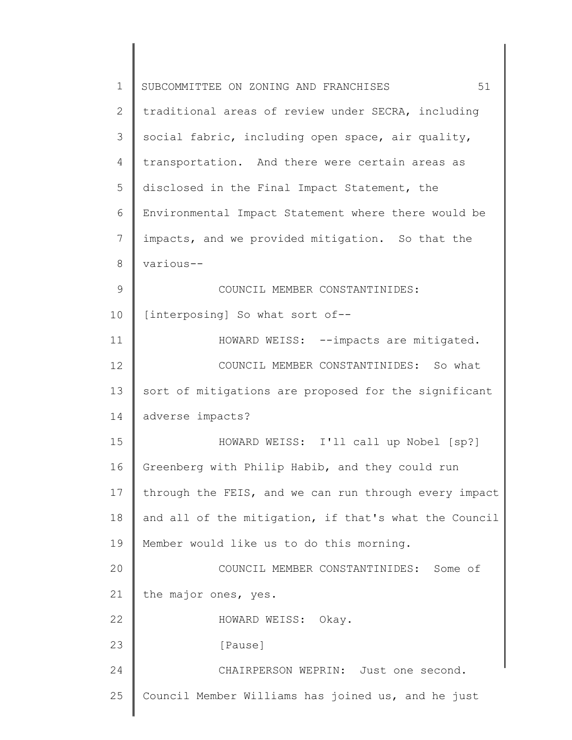| $\mathbf 1$ | 51<br>SUBCOMMITTEE ON ZONING AND FRANCHISES           |
|-------------|-------------------------------------------------------|
| 2           | traditional areas of review under SECRA, including    |
| 3           | social fabric, including open space, air quality,     |
| 4           | transportation. And there were certain areas as       |
| 5           | disclosed in the Final Impact Statement, the          |
| 6           | Environmental Impact Statement where there would be   |
| 7           | impacts, and we provided mitigation. So that the      |
| 8           | various--                                             |
| 9           | COUNCIL MEMBER CONSTANTINIDES:                        |
| 10          | [interposing] So what sort of--                       |
| 11          | HOWARD WEISS: --impacts are mitigated.                |
| 12          | COUNCIL MEMBER CONSTANTINIDES: So what                |
| 13          | sort of mitigations are proposed for the significant  |
| 14          | adverse impacts?                                      |
| 15          | HOWARD WEISS: I'll call up Nobel [sp?]                |
| 16          | Greenberg with Philip Habib, and they could run       |
| 17          | through the FEIS, and we can run through every impact |
| 18          | and all of the mitigation, if that's what the Council |
| 19          | Member would like us to do this morning.              |
| 20          | COUNCIL MEMBER CONSTANTINIDES: Some of                |
| 21          | the major ones, yes.                                  |
| 22          | HOWARD WEISS: Okay.                                   |
| 23          | [Pause]                                               |
| 24          | CHAIRPERSON WEPRIN: Just one second.                  |
| 25          | Council Member Williams has joined us, and he just    |
|             |                                                       |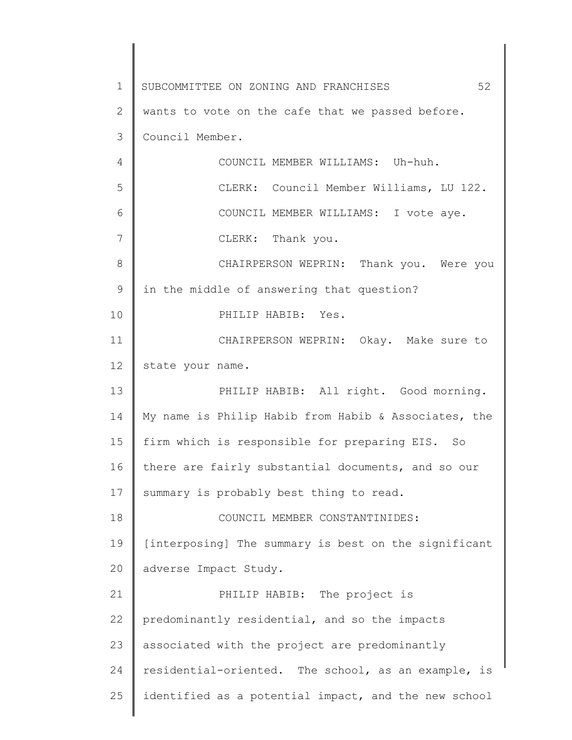1 2 3 4 5 6 7 8 9 10 11 12 13 14 15 16 17 18 19 20 21 22 23 24 25 SUBCOMMITTEE ON ZONING AND FRANCHISES 52 wants to vote on the cafe that we passed before. Council Member. COUNCIL MEMBER WILLIAMS: Uh-huh. CLERK: Council Member Williams, LU 122. COUNCIL MEMBER WILLIAMS: I vote aye. CLERK: Thank you. CHAIRPERSON WEPRIN: Thank you. Were you in the middle of answering that question? PHILIP HABIB: Yes. CHAIRPERSON WEPRIN: Okay. Make sure to state your name. PHILIP HABIB: All right. Good morning. My name is Philip Habib from Habib & Associates, the firm which is responsible for preparing EIS. So there are fairly substantial documents, and so our summary is probably best thing to read. COUNCIL MEMBER CONSTANTINIDES: [interposing] The summary is best on the significant adverse Impact Study. PHILIP HABIB: The project is predominantly residential, and so the impacts associated with the project are predominantly residential-oriented. The school, as an example, is identified as a potential impact, and the new school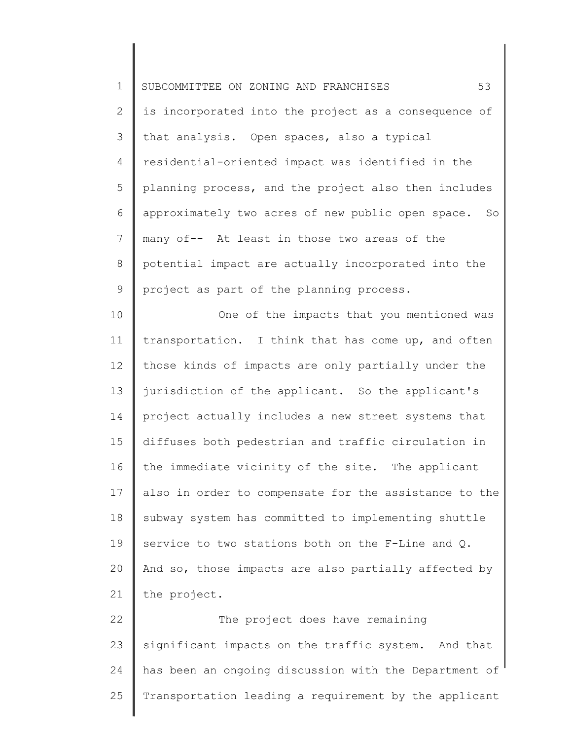1 2 3 4 5 6 7 8 9 10 11 12 13 14 15 16 17 18 19 20 21 22 23 24 25 SUBCOMMITTEE ON ZONING AND FRANCHISES 63 is incorporated into the project as a consequence of that analysis. Open spaces, also a typical residential-oriented impact was identified in the planning process, and the project also then includes approximately two acres of new public open space. So many of-- At least in those two areas of the potential impact are actually incorporated into the project as part of the planning process. One of the impacts that you mentioned was transportation. I think that has come up, and often those kinds of impacts are only partially under the jurisdiction of the applicant. So the applicant's project actually includes a new street systems that diffuses both pedestrian and traffic circulation in the immediate vicinity of the site. The applicant also in order to compensate for the assistance to the subway system has committed to implementing shuttle service to two stations both on the F-Line and Q. And so, those impacts are also partially affected by the project. The project does have remaining significant impacts on the traffic system. And that has been an ongoing discussion with the Department of Transportation leading a requirement by the applicant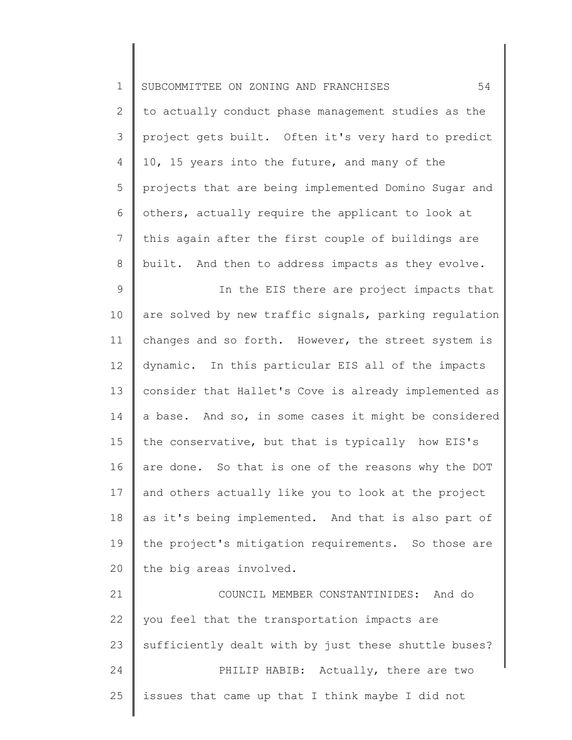| $1\,$           | 54<br>SUBCOMMITTEE ON ZONING AND FRANCHISES           |
|-----------------|-------------------------------------------------------|
| $\mathbf{2}$    | to actually conduct phase management studies as the   |
| 3               | project gets built. Often it's very hard to predict   |
| 4               | 10, 15 years into the future, and many of the         |
| 5               | projects that are being implemented Domino Sugar and  |
| 6               | others, actually require the applicant to look at     |
| $7\phantom{.0}$ | this again after the first couple of buildings are    |
| 8               | built. And then to address impacts as they evolve.    |
| 9               | In the EIS there are project impacts that             |
| 10              | are solved by new traffic signals, parking regulation |
| 11              | changes and so forth. However, the street system is   |
| 12              | dynamic. In this particular EIS all of the impacts    |
| 13              | consider that Hallet's Cove is already implemented as |
| 14              | a base. And so, in some cases it might be considered  |
| 15              | the conservative, but that is typically how EIS's     |
| 16              | are done. So that is one of the reasons why the DOT   |
| 17              | and others actually like you to look at the project   |
| 18              | as it's being implemented. And that is also part of   |
| 19              | the project's mitigation requirements. So those are   |
| 20              | the big areas involved.                               |
| 21              | COUNCIL MEMBER CONSTANTINIDES: And do                 |
| 22              | you feel that the transportation impacts are          |
| 23              | sufficiently dealt with by just these shuttle buses?  |
| 24              | PHILIP HABIB: Actually, there are two                 |
| 25              | issues that came up that I think maybe I did not      |
|                 |                                                       |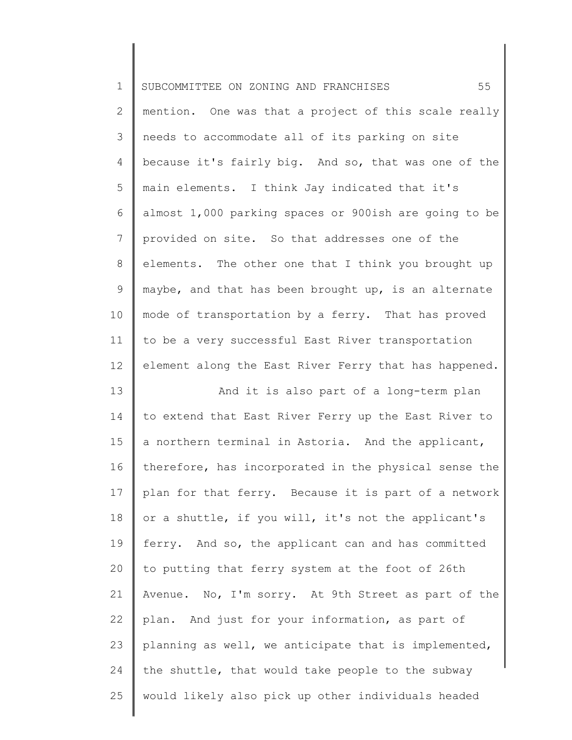| $\mathbf 1$     | 55<br>SUBCOMMITTEE ON ZONING AND FRANCHISES           |
|-----------------|-------------------------------------------------------|
| $\mathbf{2}$    | mention. One was that a project of this scale really  |
| 3               | needs to accommodate all of its parking on site       |
| 4               | because it's fairly big. And so, that was one of the  |
| 5               | main elements. I think Jay indicated that it's        |
| 6               | almost 1,000 parking spaces or 900ish are going to be |
| $\overline{7}$  | provided on site. So that addresses one of the        |
| 8               | elements. The other one that I think you brought up   |
| 9               | maybe, and that has been brought up, is an alternate  |
| 10              | mode of transportation by a ferry. That has proved    |
| 11              | to be a very successful East River transportation     |
| 12 <sup>°</sup> | element along the East River Ferry that has happened. |
| 13              | And it is also part of a long-term plan               |
| 14              | to extend that East River Ferry up the East River to  |
| 15              | a northern terminal in Astoria. And the applicant,    |
| 16              | therefore, has incorporated in the physical sense the |
| 17              | plan for that ferry. Because it is part of a network  |
| 18              | or a shuttle, if you will, it's not the applicant's   |
| 19              | ferry. And so, the applicant can and has committed    |
| 20              | to putting that ferry system at the foot of 26th      |
| 21              | Avenue. No, I'm sorry. At 9th Street as part of the   |
| 22              | plan. And just for your information, as part of       |
| 23              | planning as well, we anticipate that is implemented,  |
| 24              | the shuttle, that would take people to the subway     |
| 25              | would likely also pick up other individuals headed    |

║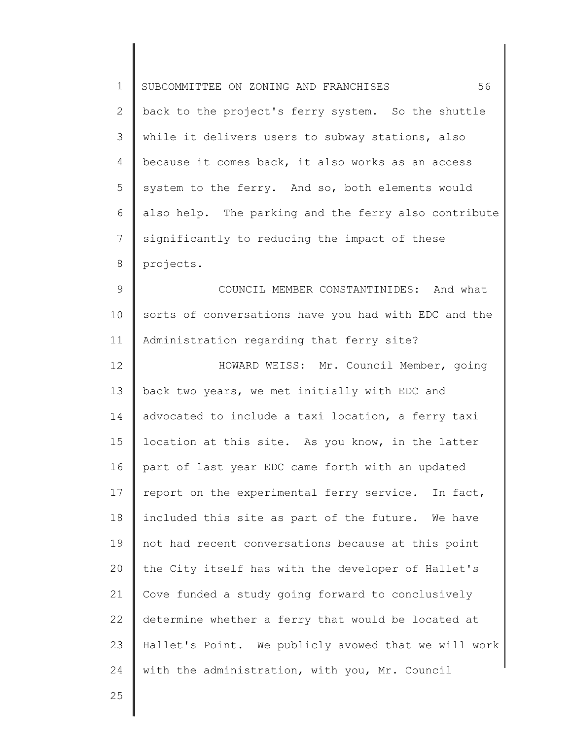| $\mathbf 1$  | 56<br>SUBCOMMITTEE ON ZONING AND FRANCHISES          |
|--------------|------------------------------------------------------|
| $\mathbf{2}$ | back to the project's ferry system. So the shuttle   |
| 3            | while it delivers users to subway stations, also     |
| 4            | because it comes back, it also works as an access    |
| 5            | system to the ferry. And so, both elements would     |
| 6            | also help. The parking and the ferry also contribute |
| 7            | significantly to reducing the impact of these        |
| 8            | projects.                                            |
| $\mathsf 9$  | COUNCIL MEMBER CONSTANTINIDES: And what              |
| 10           | sorts of conversations have you had with EDC and the |
| 11           | Administration regarding that ferry site?            |
| 12           | HOWARD WEISS: Mr. Council Member, going              |
| 13           | back two years, we met initially with EDC and        |
| 14           | advocated to include a taxi location, a ferry taxi   |
| 15           | location at this site. As you know, in the latter    |
| 16           | part of last year EDC came forth with an updated     |
| 17           | report on the experimental ferry service. In fact,   |
| 18           | included this site as part of the future. We have    |
| 19           | not had recent conversations because at this point   |
| 20           | the City itself has with the developer of Hallet's   |
| 21           | Cove funded a study going forward to conclusively    |
| 22           | determine whether a ferry that would be located at   |
| 23           | Hallet's Point. We publicly avowed that we will work |
| 24           | with the administration, with you, Mr. Council       |
| 25           |                                                      |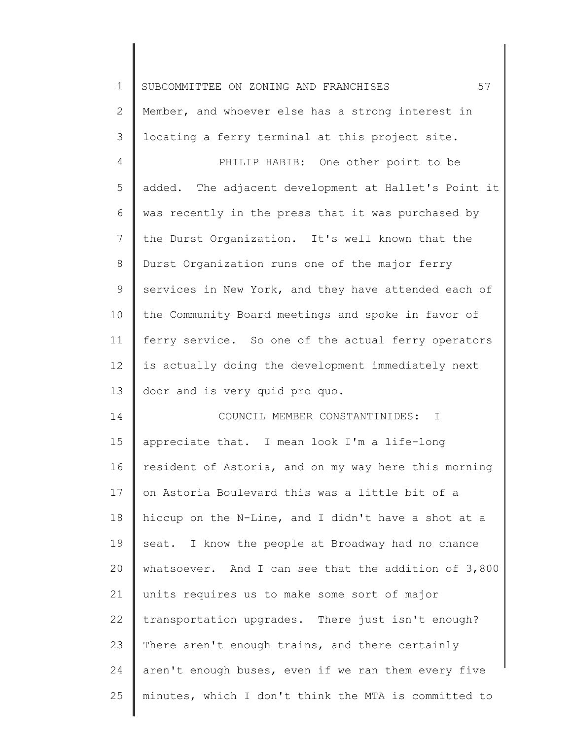| $\mathbf 1$  | 57<br>SUBCOMMITTEE ON ZONING AND FRANCHISES          |
|--------------|------------------------------------------------------|
| $\mathbf{2}$ | Member, and whoever else has a strong interest in    |
| 3            | locating a ferry terminal at this project site.      |
| 4            | PHILIP HABIB: One other point to be                  |
| 5            | added. The adjacent development at Hallet's Point it |
| 6            | was recently in the press that it was purchased by   |
| 7            | the Durst Organization. It's well known that the     |
| 8            | Durst Organization runs one of the major ferry       |
| $\mathsf 9$  | services in New York, and they have attended each of |
| 10           | the Community Board meetings and spoke in favor of   |
| 11           | ferry service. So one of the actual ferry operators  |
| 12           | is actually doing the development immediately next   |
| 13           | door and is very quid pro quo.                       |
| 14           | COUNCIL MEMBER CONSTANTINIDES:<br>$\mathbf{I}$       |
| 15           | appreciate that. I mean look I'm a life-long         |
| 16           | resident of Astoria, and on my way here this morning |
| 17           | on Astoria Boulevard this was a little bit of a      |
| 18           | hiccup on the N-Line, and I didn't have a shot at a  |
| 19           | seat. I know the people at Broadway had no chance    |
| 20           | whatsoever. And I can see that the addition of 3,800 |
| 21           | units requires us to make some sort of major         |
| 22           | transportation upgrades. There just isn't enough?    |
| 23           | There aren't enough trains, and there certainly      |
| 24           | aren't enough buses, even if we ran them every five  |
| 25           | minutes, which I don't think the MTA is committed to |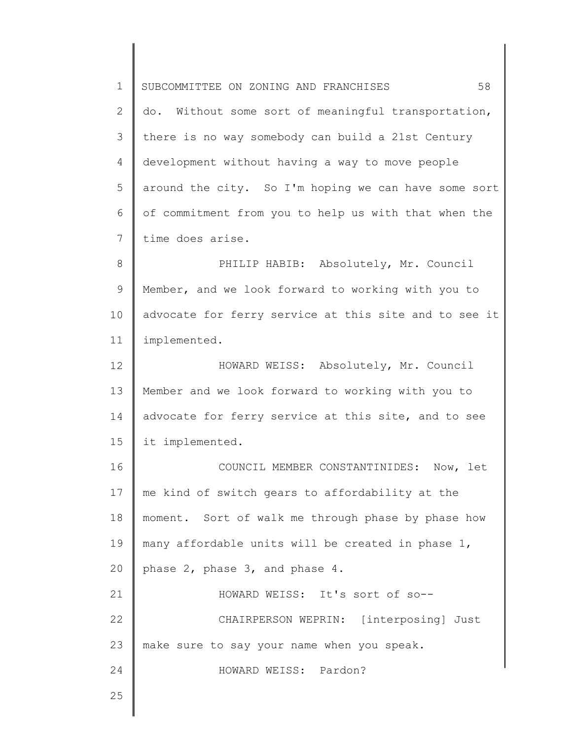1 2 3 4 5 6 7 8 9 10 11 12 13 14 15 16 17 18 19 20 21 22 23 24 25 SUBCOMMITTEE ON ZONING AND FRANCHISES 58 do. Without some sort of meaningful transportation, there is no way somebody can build a 21st Century development without having a way to move people around the city. So I'm hoping we can have some sort of commitment from you to help us with that when the time does arise. PHILIP HABIB: Absolutely, Mr. Council Member, and we look forward to working with you to advocate for ferry service at this site and to see it implemented. HOWARD WEISS: Absolutely, Mr. Council Member and we look forward to working with you to advocate for ferry service at this site, and to see it implemented. COUNCIL MEMBER CONSTANTINIDES: Now, let me kind of switch gears to affordability at the moment. Sort of walk me through phase by phase how many affordable units will be created in phase 1, phase 2, phase 3, and phase 4. HOWARD WEISS: It's sort of so-- CHAIRPERSON WEPRIN: [interposing] Just make sure to say your name when you speak. HOWARD WEISS: Pardon?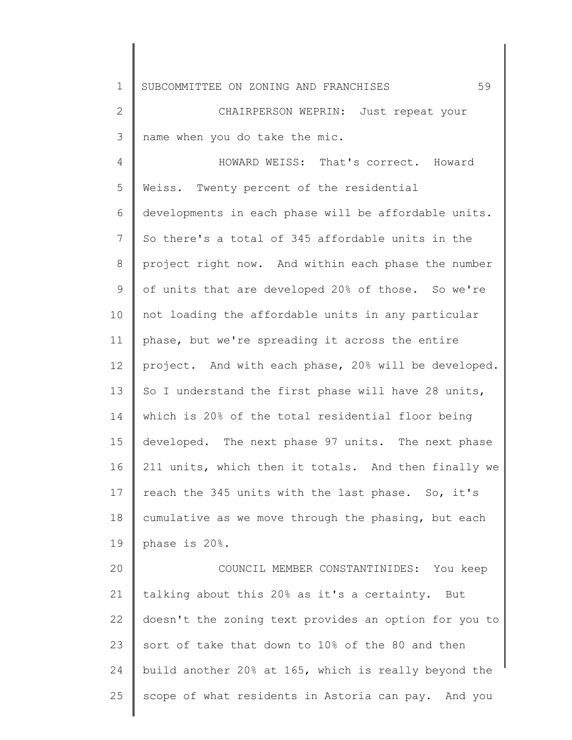1 SUBCOMMITTEE ON ZONING AND FRANCHISES 59

2 3 CHAIRPERSON WEPRIN: Just repeat your name when you do take the mic.

4 5 6 7 8 9 10 11 12 13 14 15 16 17 18 19 HOWARD WEISS: That's correct. Howard Weiss. Twenty percent of the residential developments in each phase will be affordable units. So there's a total of 345 affordable units in the project right now. And within each phase the number of units that are developed 20% of those. So we're not loading the affordable units in any particular phase, but we're spreading it across the entire project. And with each phase, 20% will be developed. So I understand the first phase will have 28 units, which is 20% of the total residential floor being developed. The next phase 97 units. The next phase 211 units, which then it totals. And then finally we reach the 345 units with the last phase. So, it's cumulative as we move through the phasing, but each phase is 20%.

20 21 22 23 24 25 COUNCIL MEMBER CONSTANTINIDES: You keep talking about this 20% as it's a certainty. But doesn't the zoning text provides an option for you to sort of take that down to 10% of the 80 and then build another 20% at 165, which is really beyond the scope of what residents in Astoria can pay. And you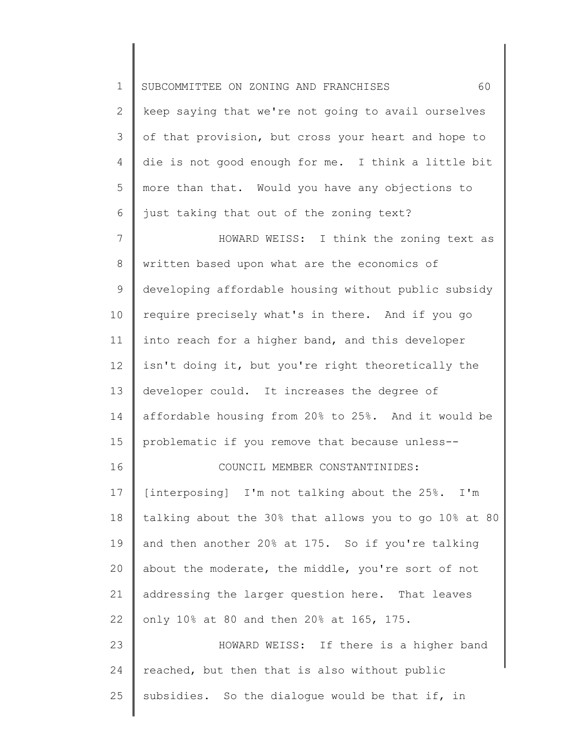| $\mathbf 1$  | 60<br>SUBCOMMITTEE ON ZONING AND FRANCHISES           |
|--------------|-------------------------------------------------------|
| $\mathbf{2}$ | keep saying that we're not going to avail ourselves   |
| 3            | of that provision, but cross your heart and hope to   |
| 4            | die is not good enough for me. I think a little bit   |
| 5            | more than that. Would you have any objections to      |
| 6            | just taking that out of the zoning text?              |
| 7            | HOWARD WEISS: I think the zoning text as              |
| 8            | written based upon what are the economics of          |
| $\mathsf 9$  | developing affordable housing without public subsidy  |
| 10           | require precisely what's in there. And if you go      |
| 11           | into reach for a higher band, and this developer      |
| 12           | isn't doing it, but you're right theoretically the    |
| 13           | developer could. It increases the degree of           |
| 14           | affordable housing from 20% to 25%. And it would be   |
| 15           | problematic if you remove that because unless--       |
| 16           | COUNCIL MEMBER CONSTANTINIDES:                        |
| 17           | [interposing] I'm not talking about the 25%. I'm      |
| 18           | talking about the 30% that allows you to go 10% at 80 |
| 19           | and then another 20% at 175. So if you're talking     |
| 20           | about the moderate, the middle, you're sort of not    |
| 21           | addressing the larger question here. That leaves      |
| 22           | only 10% at 80 and then 20% at 165, 175.              |
| 23           | HOWARD WEISS: If there is a higher band               |
| 24           | reached, but then that is also without public         |
| 25           | subsidies. So the dialogue would be that if, in       |
|              |                                                       |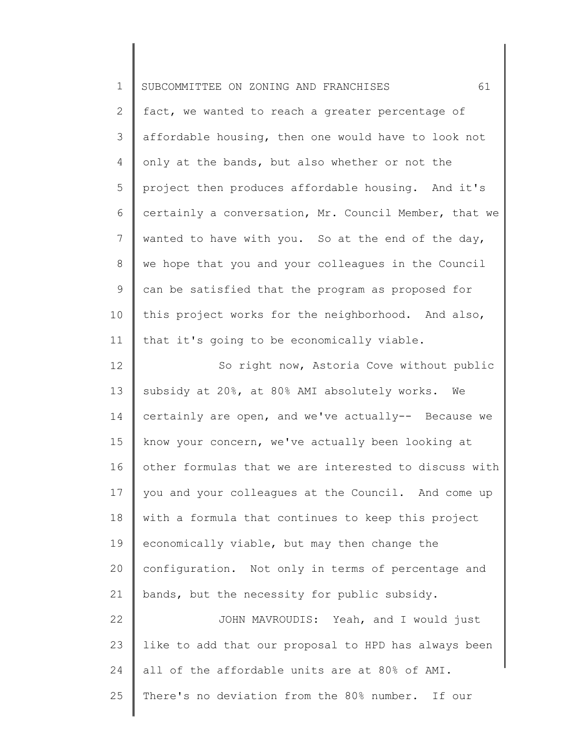| $\mathbf 1$    | 61<br>SUBCOMMITTEE ON ZONING AND FRANCHISES           |
|----------------|-------------------------------------------------------|
| $\overline{2}$ | fact, we wanted to reach a greater percentage of      |
| 3              | affordable housing, then one would have to look not   |
| 4              | only at the bands, but also whether or not the        |
| 5              | project then produces affordable housing. And it's    |
| 6              | certainly a conversation, Mr. Council Member, that we |
| 7              | wanted to have with you. So at the end of the day,    |
| 8              | we hope that you and your colleagues in the Council   |
| 9              | can be satisfied that the program as proposed for     |
| 10             | this project works for the neighborhood. And also,    |
| 11             | that it's going to be economically viable.            |
| 12             | So right now, Astoria Cove without public             |
| 13             | subsidy at 20%, at 80% AMI absolutely works. We       |
| 14             | certainly are open, and we've actually-- Because we   |
| 15             | know your concern, we've actually been looking at     |
| 16             | other formulas that we are interested to discuss with |
| 17             | you and your colleagues at the Council. And come up   |
| 18             | with a formula that continues to keep this project    |
| 19             | economically viable, but may then change the          |
| 20             | configuration. Not only in terms of percentage and    |
| 21             | bands, but the necessity for public subsidy.          |
| 22             | JOHN MAVROUDIS: Yeah, and I would just                |
| 23             | like to add that our proposal to HPD has always been  |
| 24             | all of the affordable units are at 80% of AMI.        |
| 25             | There's no deviation from the 80% number. If our      |
|                |                                                       |

║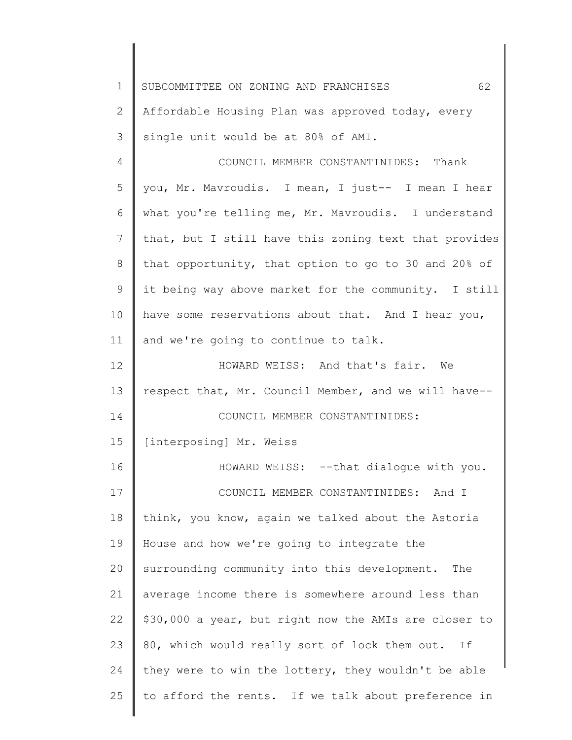1 SUBCOMMITTEE ON ZONING AND FRANCHISES 62

2 3 Affordable Housing Plan was approved today, every single unit would be at 80% of AMI.

4 5 6 7 8 9 10 11 12 13 COUNCIL MEMBER CONSTANTINIDES: Thank you, Mr. Mavroudis. I mean, I just-- I mean I hear what you're telling me, Mr. Mavroudis. I understand that, but I still have this zoning text that provides that opportunity, that option to go to 30 and 20% of it being way above market for the community. I still have some reservations about that. And I hear you, and we're going to continue to talk. HOWARD WEISS: And that's fair. We respect that, Mr. Council Member, and we will have--

14 COUNCIL MEMBER CONSTANTINIDES:

15 [interposing] Mr. Weiss

16 17 18 19 20 21 22 23 24 25 HOWARD WEISS: --that dialogue with you. COUNCIL MEMBER CONSTANTINIDES: And I think, you know, again we talked about the Astoria House and how we're going to integrate the surrounding community into this development. The average income there is somewhere around less than \$30,000 a year, but right now the AMIs are closer to 80, which would really sort of lock them out. If they were to win the lottery, they wouldn't be able to afford the rents. If we talk about preference in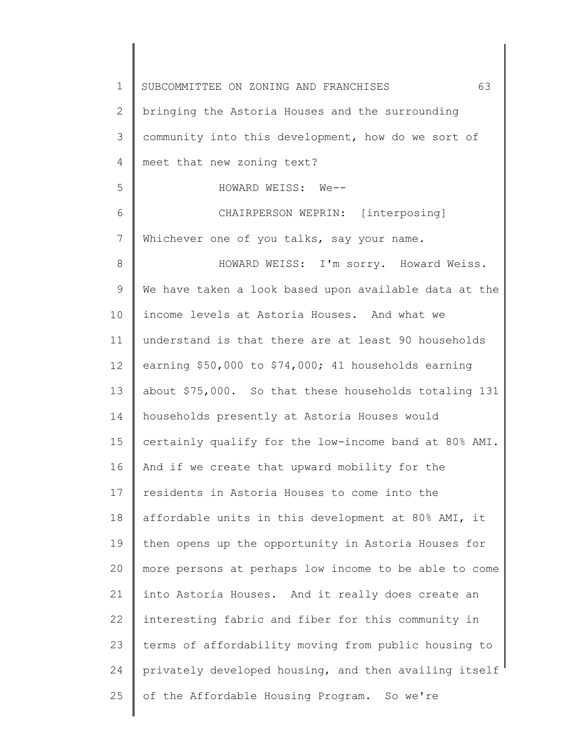1 2 3 4 5 6 7 8 9 10 11 12 13 14 15 16 17 18 19 20 21 22 23 24 25 SUBCOMMITTEE ON ZONING AND FRANCHISES 63 bringing the Astoria Houses and the surrounding community into this development, how do we sort of meet that new zoning text? HOWARD WEISS: We-- CHAIRPERSON WEPRIN: [interposing] Whichever one of you talks, say your name. HOWARD WEISS: I'm sorry. Howard Weiss. We have taken a look based upon available data at the income levels at Astoria Houses. And what we understand is that there are at least 90 households earning \$50,000 to \$74,000; 41 households earning about \$75,000. So that these households totaling 131 households presently at Astoria Houses would certainly qualify for the low-income band at 80% AMI. And if we create that upward mobility for the residents in Astoria Houses to come into the affordable units in this development at 80% AMI, it then opens up the opportunity in Astoria Houses for more persons at perhaps low income to be able to come into Astoria Houses. And it really does create an interesting fabric and fiber for this community in terms of affordability moving from public housing to privately developed housing, and then availing itself of the Affordable Housing Program. So we're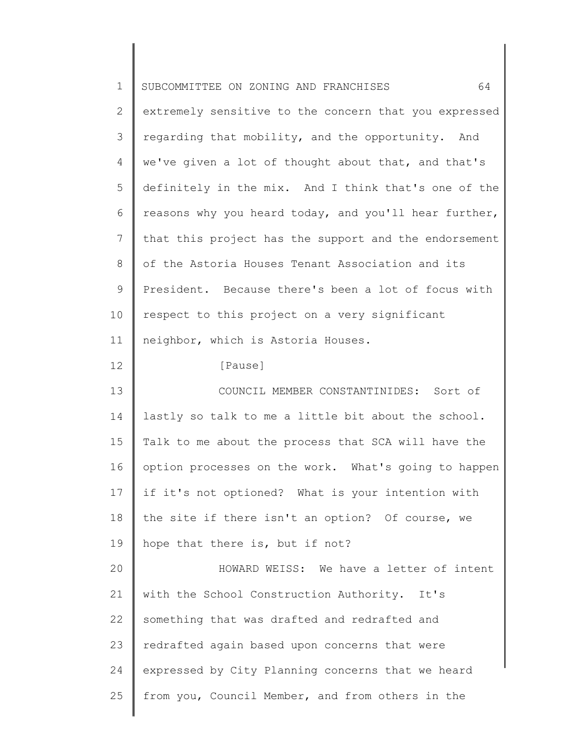| $\mathbf 1$  | 64<br>SUBCOMMITTEE ON ZONING AND FRANCHISES           |
|--------------|-------------------------------------------------------|
| $\mathbf{2}$ | extremely sensitive to the concern that you expressed |
| 3            | regarding that mobility, and the opportunity. And     |
| 4            | we've given a lot of thought about that, and that's   |
| 5            | definitely in the mix. And I think that's one of the  |
| 6            | reasons why you heard today, and you'll hear further, |
| 7            | that this project has the support and the endorsement |
| 8            | of the Astoria Houses Tenant Association and its      |
| 9            | President. Because there's been a lot of focus with   |
| 10           | respect to this project on a very significant         |
| 11           | neighbor, which is Astoria Houses.                    |
| 12           | [Pause]                                               |
| 13           | COUNCIL MEMBER CONSTANTINIDES: Sort of                |
| 14           | lastly so talk to me a little bit about the school.   |
| 15           | Talk to me about the process that SCA will have the   |
| 16           | option processes on the work. What's going to happen  |
| 17           | if it's not optioned? What is your intention with     |
| 18           | the site if there isn't an option? Of course, we      |
| 19           | hope that there is, but if not?                       |
| 20           | HOWARD WEISS: We have a letter of intent              |
| 21           | with the School Construction Authority. It's          |
| 22           | something that was drafted and redrafted and          |
| 23           | redrafted again based upon concerns that were         |
| 24           | expressed by City Planning concerns that we heard     |
| 25           | from you, Council Member, and from others in the      |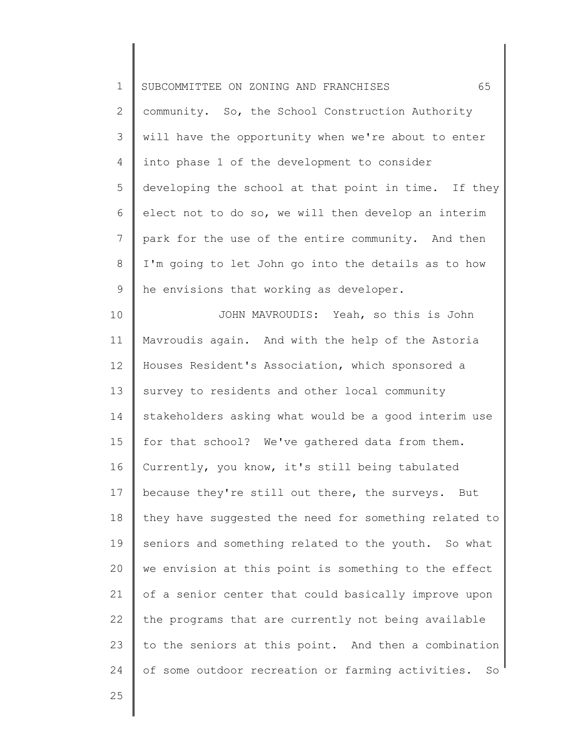| $\mathbf 1$    | 65<br>SUBCOMMITTEE ON ZONING AND FRANCHISES           |
|----------------|-------------------------------------------------------|
| $\overline{2}$ | community. So, the School Construction Authority      |
| 3              | will have the opportunity when we're about to enter   |
| 4              | into phase 1 of the development to consider           |
| 5              | developing the school at that point in time. If they  |
| 6              | elect not to do so, we will then develop an interim   |
| $\overline{7}$ | park for the use of the entire community. And then    |
| $8\,$          | I'm going to let John go into the details as to how   |
| $\mathsf 9$    | he envisions that working as developer.               |
| 10             | JOHN MAVROUDIS: Yeah, so this is John                 |
| 11             | Mavroudis again. And with the help of the Astoria     |
| 12             | Houses Resident's Association, which sponsored a      |
| 13             | survey to residents and other local community         |
| 14             | stakeholders asking what would be a good interim use  |
| 15             | for that school? We've gathered data from them.       |
| 16             | Currently, you know, it's still being tabulated       |
| 17             | because they're still out there, the surveys. But     |
| 18             | they have suggested the need for something related to |
| 19             | seniors and something related to the youth. So what   |
| 20             | we envision at this point is something to the effect  |
| 21             | of a senior center that could basically improve upon  |
| 22             | the programs that are currently not being available   |
| 23             | to the seniors at this point. And then a combination  |
| 24             | of some outdoor recreation or farming activities. So  |
| 25             |                                                       |
|                |                                                       |

║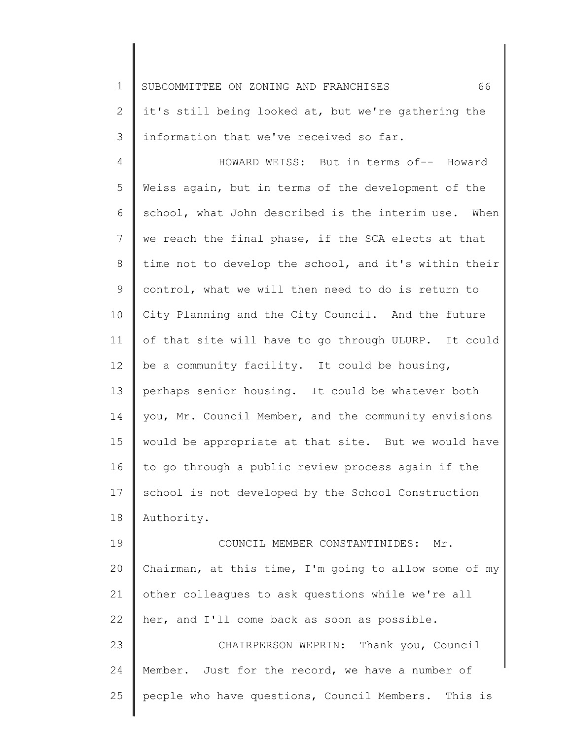1 SUBCOMMITTEE ON ZONING AND FRANCHISES 66

2 3 it's still being looked at, but we're gathering the information that we've received so far.

4 5 6 7 8 9 10 11 12 13 14 15 16 17 18 HOWARD WEISS: But in terms of-- Howard Weiss again, but in terms of the development of the school, what John described is the interim use. When we reach the final phase, if the SCA elects at that time not to develop the school, and it's within their control, what we will then need to do is return to City Planning and the City Council. And the future of that site will have to go through ULURP. It could be a community facility. It could be housing, perhaps senior housing. It could be whatever both you, Mr. Council Member, and the community envisions would be appropriate at that site. But we would have to go through a public review process again if the school is not developed by the School Construction Authority.

19 20 21 22 23 24 COUNCIL MEMBER CONSTANTINIDES: Mr. Chairman, at this time, I'm going to allow some of my other colleagues to ask questions while we're all her, and I'll come back as soon as possible. CHAIRPERSON WEPRIN: Thank you, Council Member. Just for the record, we have a number of

people who have questions, Council Members. This is

25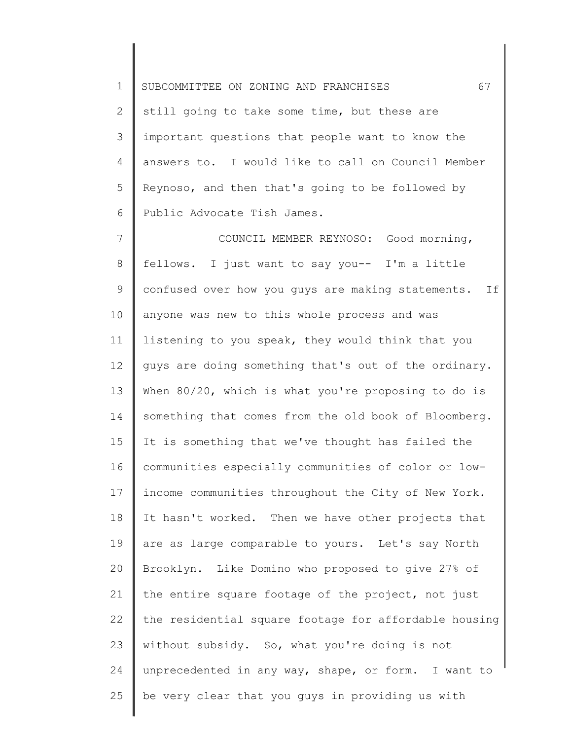1 2 3 4 5 6 SUBCOMMITTEE ON ZONING AND FRANCHISES 67 still going to take some time, but these are important questions that people want to know the answers to. I would like to call on Council Member Reynoso, and then that's going to be followed by Public Advocate Tish James.

7 8 9 10 11 12 13 14 15 16 17 18 19 20 21 22 23 24 25 COUNCIL MEMBER REYNOSO: Good morning, fellows. I just want to say you-- I'm a little confused over how you guys are making statements. If anyone was new to this whole process and was listening to you speak, they would think that you guys are doing something that's out of the ordinary. When 80/20, which is what you're proposing to do is something that comes from the old book of Bloomberg. It is something that we've thought has failed the communities especially communities of color or lowincome communities throughout the City of New York. It hasn't worked. Then we have other projects that are as large comparable to yours. Let's say North Brooklyn. Like Domino who proposed to give 27% of the entire square footage of the project, not just the residential square footage for affordable housing without subsidy. So, what you're doing is not unprecedented in any way, shape, or form. I want to be very clear that you guys in providing us with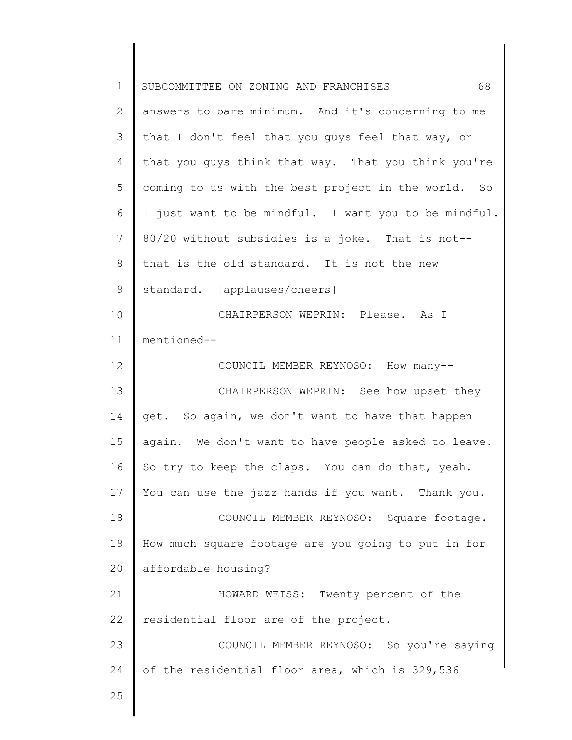| $\mathbf 1$ | 68<br>SUBCOMMITTEE ON ZONING AND FRANCHISES          |
|-------------|------------------------------------------------------|
| 2           | answers to bare minimum. And it's concerning to me   |
| 3           | that I don't feel that you guys feel that way, or    |
| 4           | that you guys think that way. That you think you're  |
| 5           | coming to us with the best project in the world. So  |
| 6           | I just want to be mindful. I want you to be mindful. |
| 7           | 80/20 without subsidies is a joke. That is not--     |
| 8           | that is the old standard. It is not the new          |
| 9           | standard. [applauses/cheers]                         |
| 10          | CHAIRPERSON WEPRIN: Please. As I                     |
| 11          | mentioned--                                          |
| 12          | COUNCIL MEMBER REYNOSO: How many--                   |
| 13          | CHAIRPERSON WEPRIN: See how upset they               |
| 14          | get. So again, we don't want to have that happen     |
| 15          | again. We don't want to have people asked to leave.  |
| 16          | So try to keep the claps. You can do that, yeah.     |
| 17          | You can use the jazz hands if you want. Thank you.   |
| 18          | COUNCIL MEMBER REYNOSO: Square footage.              |
| 19          | How much square footage are you going to put in for  |
| 20          | affordable housing?                                  |
| 21          | HOWARD WEISS: Twenty percent of the                  |
| 22          | residential floor are of the project.                |
| 23          | COUNCIL MEMBER REYNOSO: So you're saying             |
| 24          | of the residential floor area, which is 329,536      |
| 25          |                                                      |
|             |                                                      |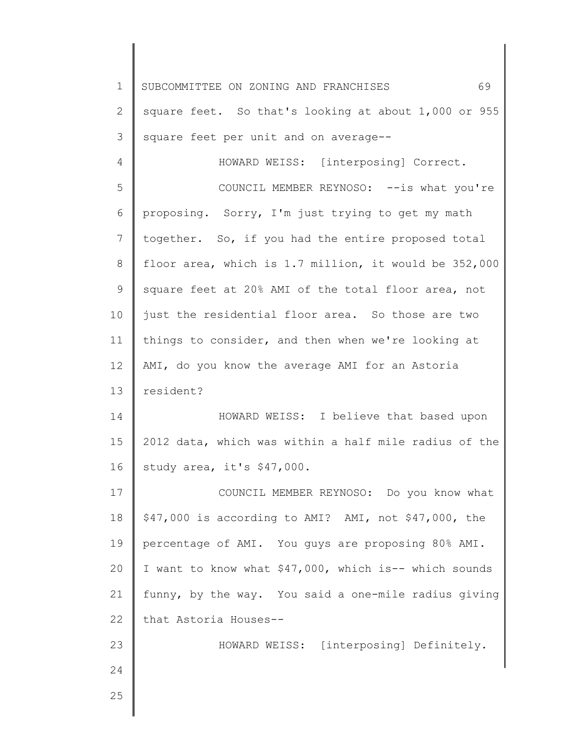1 2 3 4 5 6 7 8 9 10 11 12 13 14 15 16 17 18 19 20 21 22 23 24 25 SUBCOMMITTEE ON ZONING AND FRANCHISES 69 square feet. So that's looking at about 1,000 or 955 square feet per unit and on average-- HOWARD WEISS: [interposing] Correct. COUNCIL MEMBER REYNOSO: -- is what you're proposing. Sorry, I'm just trying to get my math together. So, if you had the entire proposed total floor area, which is 1.7 million, it would be 352,000 square feet at 20% AMI of the total floor area, not just the residential floor area. So those are two things to consider, and then when we're looking at AMI, do you know the average AMI for an Astoria resident? HOWARD WEISS: I believe that based upon 2012 data, which was within a half mile radius of the study area, it's \$47,000. COUNCIL MEMBER REYNOSO: Do you know what \$47,000 is according to AMI? AMI, not \$47,000, the percentage of AMI. You guys are proposing 80% AMI. I want to know what \$47,000, which is-- which sounds funny, by the way. You said a one-mile radius giving that Astoria Houses-- HOWARD WEISS: [interposing] Definitely.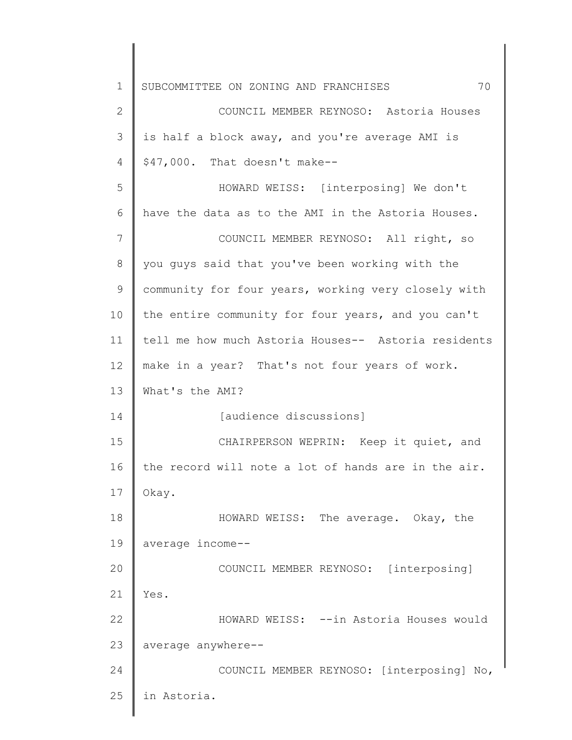1 2 3 4 5 6 7 8 9 10 11 12 13 14 15 16 17 18 19 20 21 22 23 24 25 SUBCOMMITTEE ON ZONING AND FRANCHISES 70 COUNCIL MEMBER REYNOSO: Astoria Houses is half a block away, and you're average AMI is \$47,000. That doesn't make-- HOWARD WEISS: [interposing] We don't have the data as to the AMI in the Astoria Houses. COUNCIL MEMBER REYNOSO: All right, so you guys said that you've been working with the community for four years, working very closely with the entire community for four years, and you can't tell me how much Astoria Houses-- Astoria residents make in a year? That's not four years of work. What's the AMI? [audience discussions] CHAIRPERSON WEPRIN: Keep it quiet, and the record will note a lot of hands are in the air. Okay. HOWARD WEISS: The average. Okay, the average income-- COUNCIL MEMBER REYNOSO: [interposing] Yes. HOWARD WEISS: --in Astoria Houses would average anywhere-- COUNCIL MEMBER REYNOSO: [interposing] No, in Astoria.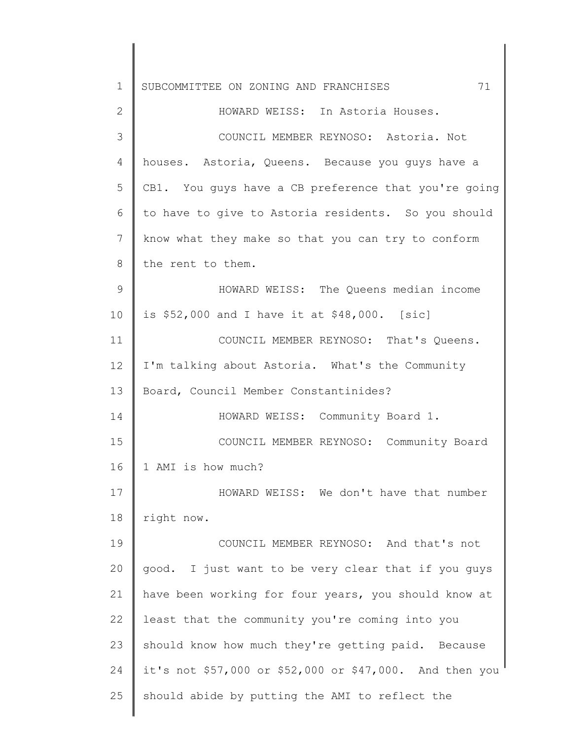| $\mathbf 1$  | 71<br>SUBCOMMITTEE ON ZONING AND FRANCHISES             |
|--------------|---------------------------------------------------------|
| $\mathbf{2}$ | HOWARD WEISS: In Astoria Houses.                        |
| 3            | COUNCIL MEMBER REYNOSO: Astoria. Not                    |
| 4            | houses. Astoria, Queens. Because you quys have a        |
| 5            | CB1. You guys have a CB preference that you're going    |
| 6            | to have to give to Astoria residents. So you should     |
| 7            | know what they make so that you can try to conform      |
| 8            | the rent to them.                                       |
| 9            | HOWARD WEISS: The Queens median income                  |
| 10           | is $$52,000$ and I have it at $$48,000$ . [sic]         |
| 11           | COUNCIL MEMBER REYNOSO: That's Queens.                  |
| 12           | I'm talking about Astoria. What's the Community         |
| 13           | Board, Council Member Constantinides?                   |
| 14           | HOWARD WEISS: Community Board 1.                        |
| 15           | COUNCIL MEMBER REYNOSO: Community Board                 |
| 16           | 1 AMI is how much?                                      |
| 17           | HOWARD WEISS: We don't have that number                 |
| 18           | right now.                                              |
| 19           | COUNCIL MEMBER REYNOSO: And that's not                  |
| 20           | good. I just want to be very clear that if you guys     |
| 21           | have been working for four years, you should know at    |
| 22           | least that the community you're coming into you         |
| 23           | should know how much they're getting paid. Because      |
| 24           | it's not \$57,000 or \$52,000 or \$47,000. And then you |
| 25           | should abide by putting the AMI to reflect the          |
|              |                                                         |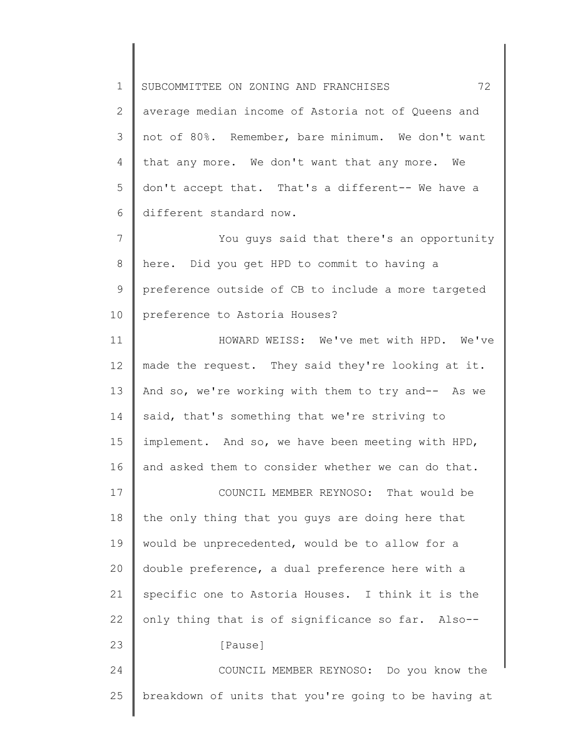1 2 3 4 5 6 7 8 9 10 11 12 13 14 15 16 17 18 19 20 21 22 23 24 25 SUBCOMMITTEE ON ZONING AND FRANCHISES 72 average median income of Astoria not of Queens and not of 80%. Remember, bare minimum. We don't want that any more. We don't want that any more. We don't accept that. That's a different-- We have a different standard now. You guys said that there's an opportunity here. Did you get HPD to commit to having a preference outside of CB to include a more targeted preference to Astoria Houses? HOWARD WEISS: We've met with HPD. We've made the request. They said they're looking at it. And so, we're working with them to try and-- As we said, that's something that we're striving to implement. And so, we have been meeting with HPD, and asked them to consider whether we can do that. COUNCIL MEMBER REYNOSO: That would be the only thing that you guys are doing here that would be unprecedented, would be to allow for a double preference, a dual preference here with a specific one to Astoria Houses. I think it is the only thing that is of significance so far. Also-- [Pause] COUNCIL MEMBER REYNOSO: Do you know the breakdown of units that you're going to be having at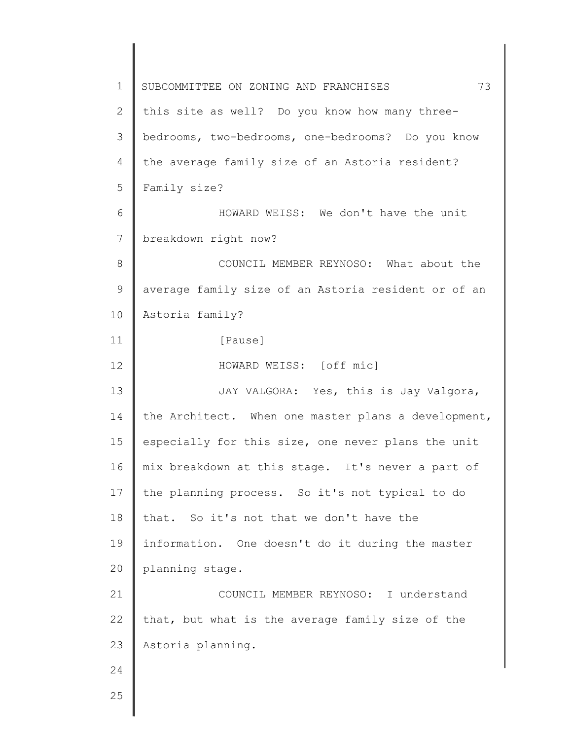1 2 3 4 5 6 7 8 9 10 11 12 13 14 15 16 17 18 19 20 21 22 23 24 25 SUBCOMMITTEE ON ZONING AND FRANCHISES  $73$ this site as well? Do you know how many threebedrooms, two-bedrooms, one-bedrooms? Do you know the average family size of an Astoria resident? Family size? HOWARD WEISS: We don't have the unit breakdown right now? COUNCIL MEMBER REYNOSO: What about the average family size of an Astoria resident or of an Astoria family? [Pause] HOWARD WEISS: [off mic] JAY VALGORA: Yes, this is Jay Valgora, the Architect. When one master plans a development, especially for this size, one never plans the unit mix breakdown at this stage. It's never a part of the planning process. So it's not typical to do that. So it's not that we don't have the information. One doesn't do it during the master planning stage. COUNCIL MEMBER REYNOSO: I understand that, but what is the average family size of the Astoria planning.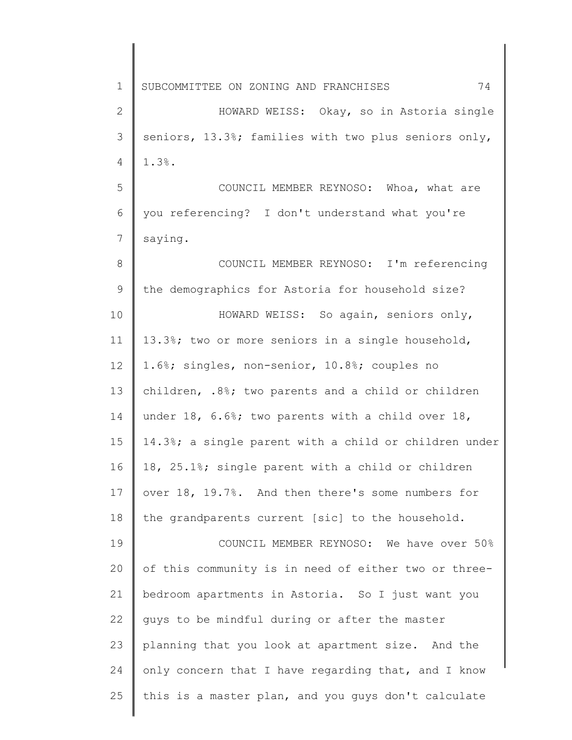1 2 3 4 5 6 7 8 9 10 11 12 13 14 15 16 17 18 19 20 21 22 23 24 25 SUBCOMMITTEE ON ZONING AND FRANCHISES 74 HOWARD WEISS: Okay, so in Astoria single seniors, 13.3%; families with two plus seniors only, 1.3%. COUNCIL MEMBER REYNOSO: Whoa, what are you referencing? I don't understand what you're saying. COUNCIL MEMBER REYNOSO: I'm referencing the demographics for Astoria for household size? HOWARD WEISS: So again, seniors only, 13.3%; two or more seniors in a single household, 1.6%; singles, non-senior, 10.8%; couples no children, .8%; two parents and a child or children under 18, 6.6%; two parents with a child over 18, 14.3%; a single parent with a child or children under 18, 25.1%; single parent with a child or children over 18, 19.7%. And then there's some numbers for the grandparents current [sic] to the household. COUNCIL MEMBER REYNOSO: We have over 50% of this community is in need of either two or threebedroom apartments in Astoria. So I just want you guys to be mindful during or after the master planning that you look at apartment size. And the only concern that I have regarding that, and I know this is a master plan, and you guys don't calculate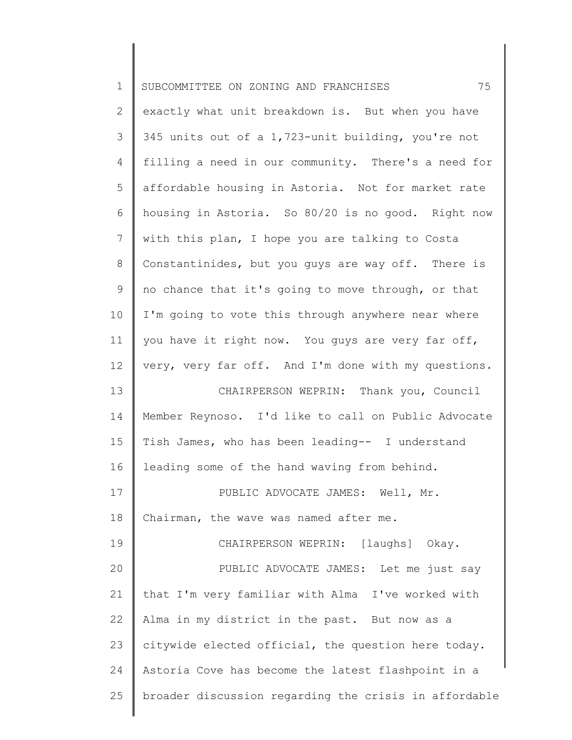| $\mathbf 1$    | 75<br>SUBCOMMITTEE ON ZONING AND FRANCHISES           |
|----------------|-------------------------------------------------------|
| 2              | exactly what unit breakdown is. But when you have     |
| 3              | 345 units out of a 1,723-unit building, you're not    |
| 4              | filling a need in our community. There's a need for   |
| 5              | affordable housing in Astoria. Not for market rate    |
| 6              | housing in Astoria. So 80/20 is no good. Right now    |
| $\overline{7}$ | with this plan, I hope you are talking to Costa       |
| $8\,$          | Constantinides, but you guys are way off. There is    |
| 9              | no chance that it's going to move through, or that    |
| 10             | I'm going to vote this through anywhere near where    |
| 11             | you have it right now. You guys are very far off,     |
| 12             | very, very far off. And I'm done with my questions.   |
| 13             | CHAIRPERSON WEPRIN: Thank you, Council                |
| 14             | Member Reynoso. I'd like to call on Public Advocate   |
| 15             | Tish James, who has been leading-- I understand       |
| 16             | leading some of the hand waving from behind.          |
| 17             | PUBLIC ADVOCATE JAMES: Well, Mr.                      |
| 18             | Chairman, the wave was named after me.                |
| 19             | CHAIRPERSON WEPRIN: [laughs] Okay.                    |
| 20             | PUBLIC ADVOCATE JAMES: Let me just say                |
| 21             | that I'm very familiar with Alma I've worked with     |
| 22             | Alma in my district in the past. But now as a         |
| 23             | citywide elected official, the question here today.   |
| 24             | Astoria Cove has become the latest flashpoint in a    |
| 25             | broader discussion regarding the crisis in affordable |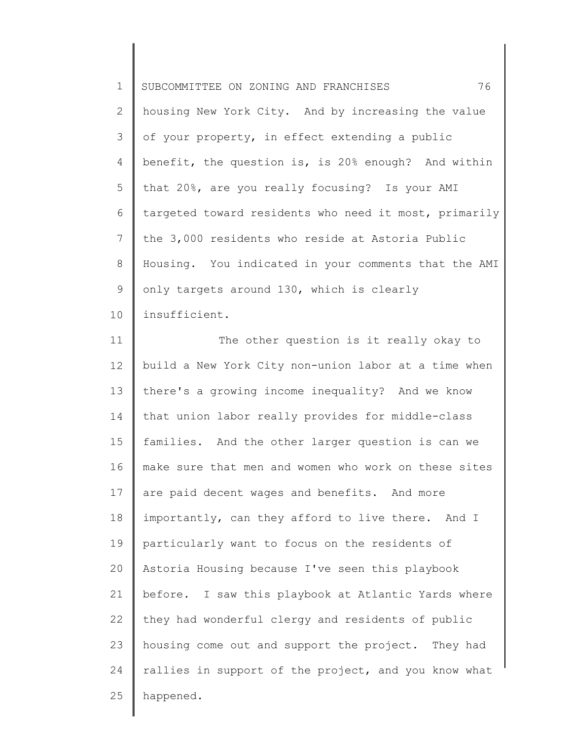1 2 3 4 5 6 7 8 9 10 SUBCOMMITTEE ON ZONING AND FRANCHISES 76 housing New York City. And by increasing the value of your property, in effect extending a public benefit, the question is, is 20% enough? And within that 20%, are you really focusing? Is your AMI targeted toward residents who need it most, primarily the 3,000 residents who reside at Astoria Public Housing. You indicated in your comments that the AMI only targets around 130, which is clearly insufficient.

11 12 13 14 15 16 17 18 19 20 21 22 23 24 25 The other question is it really okay to build a New York City non-union labor at a time when there's a growing income inequality? And we know that union labor really provides for middle-class families. And the other larger question is can we make sure that men and women who work on these sites are paid decent wages and benefits. And more importantly, can they afford to live there. And I particularly want to focus on the residents of Astoria Housing because I've seen this playbook before. I saw this playbook at Atlantic Yards where they had wonderful clergy and residents of public housing come out and support the project. They had rallies in support of the project, and you know what happened.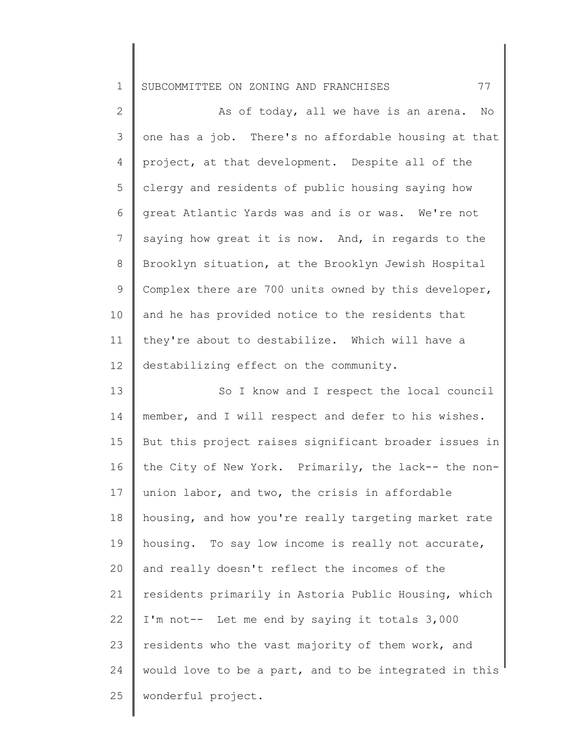1 SUBCOMMITTEE ON ZONING AND FRANCHISES 77

2 3 4 5 6 7 8 9 10 11 12 13 14 15 16 17 18 19 20 21 22 23 24 25 As of today, all we have is an arena. No one has a job. There's no affordable housing at that project, at that development. Despite all of the clergy and residents of public housing saying how great Atlantic Yards was and is or was. We're not saying how great it is now. And, in regards to the Brooklyn situation, at the Brooklyn Jewish Hospital Complex there are 700 units owned by this developer, and he has provided notice to the residents that they're about to destabilize. Which will have a destabilizing effect on the community. So I know and I respect the local council member, and I will respect and defer to his wishes. But this project raises significant broader issues in the City of New York. Primarily, the lack-- the nonunion labor, and two, the crisis in affordable housing, and how you're really targeting market rate housing. To say low income is really not accurate, and really doesn't reflect the incomes of the residents primarily in Astoria Public Housing, which I'm not-- Let me end by saying it totals 3,000 residents who the vast majority of them work, and would love to be a part, and to be integrated in this wonderful project.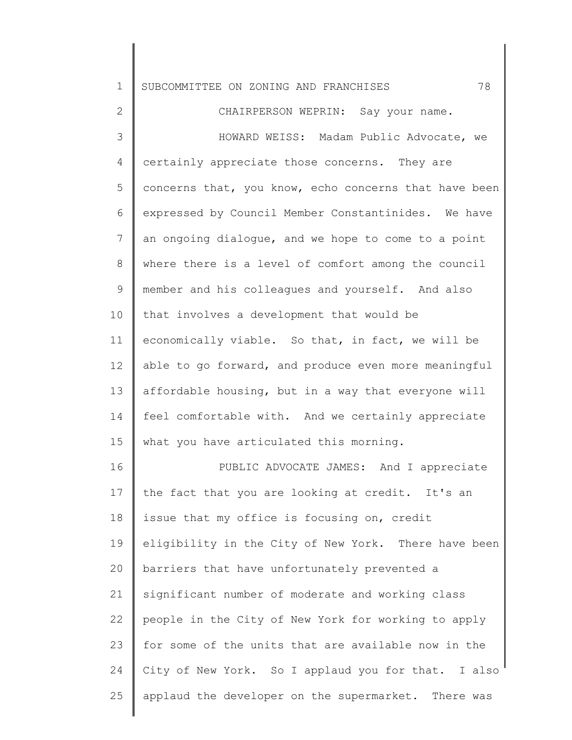| 1    SUBCOMMITTEE ON ZONING AND FRANCHISES | 78 |
|--------------------------------------------|----|
|--------------------------------------------|----|

2 3 4 5 6 7 8 9 10 11 12 13 14 15 16 CHAIRPERSON WEPRIN: Say your name. HOWARD WEISS: Madam Public Advocate, we certainly appreciate those concerns. They are concerns that, you know, echo concerns that have been expressed by Council Member Constantinides. We have an ongoing dialogue, and we hope to come to a point where there is a level of comfort among the council member and his colleagues and yourself. And also that involves a development that would be economically viable. So that, in fact, we will be able to go forward, and produce even more meaningful affordable housing, but in a way that everyone will feel comfortable with. And we certainly appreciate what you have articulated this morning. PUBLIC ADVOCATE JAMES: And I appreciate

17 18 19 20 21 22 23 24 25 the fact that you are looking at credit. It's an issue that my office is focusing on, credit eligibility in the City of New York. There have been barriers that have unfortunately prevented a significant number of moderate and working class people in the City of New York for working to apply for some of the units that are available now in the City of New York. So I applaud you for that. I also applaud the developer on the supermarket. There was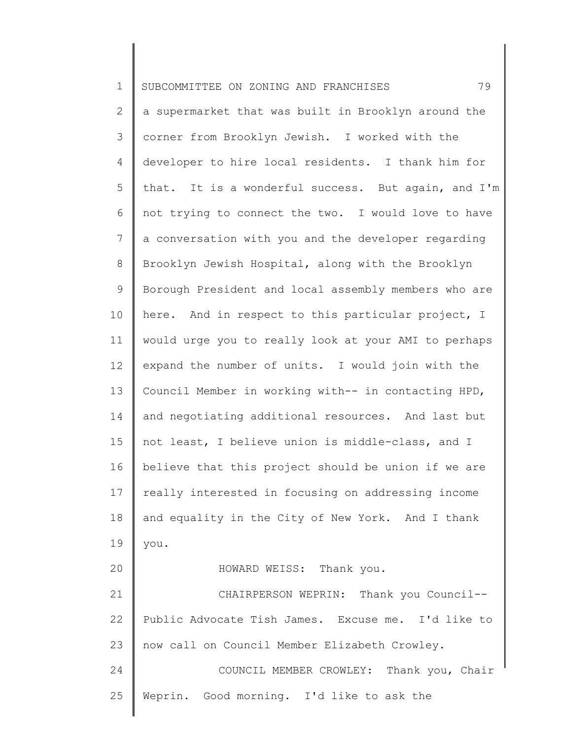1 2 3 4 5 6 7 8 9 10 11 12 13 14 15 16 17 18 19 20 21 22 23 24 25 SUBCOMMITTEE ON ZONING AND FRANCHISES 79 a supermarket that was built in Brooklyn around the corner from Brooklyn Jewish. I worked with the developer to hire local residents. I thank him for that. It is a wonderful success. But again, and I'm not trying to connect the two. I would love to have a conversation with you and the developer regarding Brooklyn Jewish Hospital, along with the Brooklyn Borough President and local assembly members who are here. And in respect to this particular project, I would urge you to really look at your AMI to perhaps expand the number of units. I would join with the Council Member in working with-- in contacting HPD, and negotiating additional resources. And last but not least, I believe union is middle-class, and I believe that this project should be union if we are really interested in focusing on addressing income and equality in the City of New York. And I thank you. HOWARD WEISS: Thank you. CHAIRPERSON WEPRIN: Thank you Council-- Public Advocate Tish James. Excuse me. I'd like to now call on Council Member Elizabeth Crowley. COUNCIL MEMBER CROWLEY: Thank you, Chair Weprin. Good morning. I'd like to ask the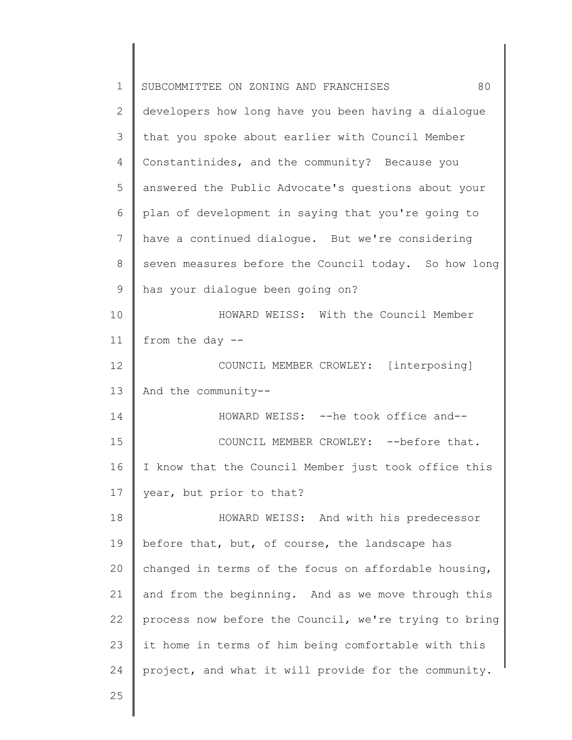| $\mathbf 1$ | SUBCOMMITTEE ON ZONING AND FRANCHISES<br>80           |
|-------------|-------------------------------------------------------|
| 2           | developers how long have you been having a dialogue   |
| 3           | that you spoke about earlier with Council Member      |
| 4           | Constantinides, and the community? Because you        |
| 5           | answered the Public Advocate's questions about your   |
| 6           | plan of development in saying that you're going to    |
| 7           | have a continued dialogue. But we're considering      |
| 8           | seven measures before the Council today. So how long  |
| 9           | has your dialoque been going on?                      |
| 10          | HOWARD WEISS: With the Council Member                 |
| 11          | from the day --                                       |
| 12          | COUNCIL MEMBER CROWLEY: [interposing]                 |
| 13          | And the community--                                   |
| 14          | HOWARD WEISS: -- he took office and--                 |
| 15          | COUNCIL MEMBER CROWLEY: -- before that.               |
| 16          | I know that the Council Member just took office this  |
| 17          | year, but prior to that?                              |
| 18          | HOWARD WEISS: And with his predecessor                |
| 19          | before that, but, of course, the landscape has        |
| 20          | changed in terms of the focus on affordable housing,  |
| 21          | and from the beginning. And as we move through this   |
| 22          | process now before the Council, we're trying to bring |
| 23          | it home in terms of him being comfortable with this   |
| 24          | project, and what it will provide for the community.  |
| 25          |                                                       |
|             |                                                       |

 $\begin{array}{c} \hline \end{array}$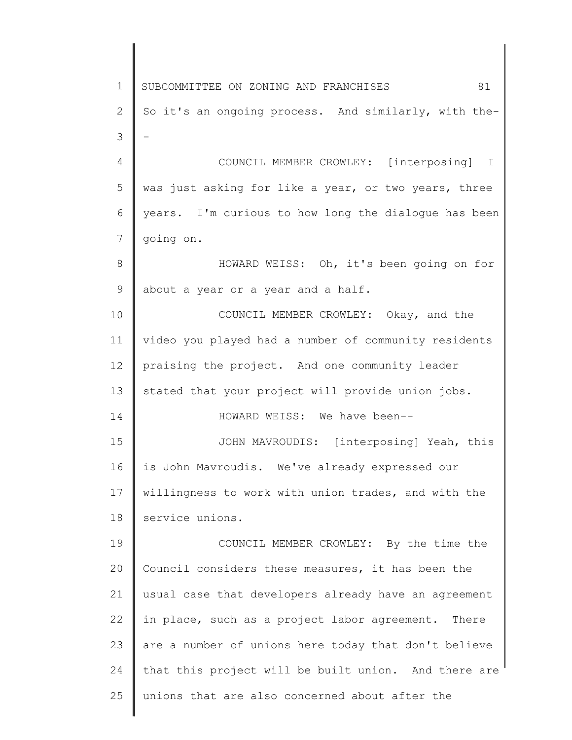1 2 3 4 5 6 7 8 9 10 11 12 13 14 15 16 17 18 19 20 21 22 23 24 25 SUBCOMMITTEE ON ZONING AND FRANCHISES  $81$ So it's an ongoing process. And similarly, with the- - COUNCIL MEMBER CROWLEY: [interposing] I was just asking for like a year, or two years, three years. I'm curious to how long the dialogue has been going on. HOWARD WEISS: Oh, it's been going on for about a year or a year and a half. COUNCIL MEMBER CROWLEY: Okay, and the video you played had a number of community residents praising the project. And one community leader stated that your project will provide union jobs. HOWARD WEISS: We have been-- JOHN MAVROUDIS: [interposing] Yeah, this is John Mavroudis. We've already expressed our willingness to work with union trades, and with the service unions. COUNCIL MEMBER CROWLEY: By the time the Council considers these measures, it has been the usual case that developers already have an agreement in place, such as a project labor agreement. There are a number of unions here today that don't believe that this project will be built union. And there are unions that are also concerned about after the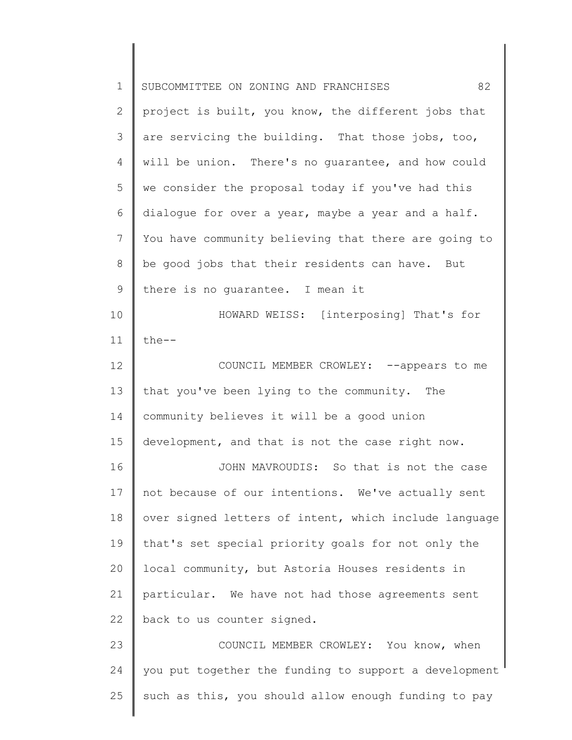| $\mathbf 1$ | 82<br>SUBCOMMITTEE ON ZONING AND FRANCHISES           |
|-------------|-------------------------------------------------------|
| 2           | project is built, you know, the different jobs that   |
| 3           | are servicing the building. That those jobs, too,     |
| 4           | will be union. There's no quarantee, and how could    |
| 5           | we consider the proposal today if you've had this     |
| 6           | dialogue for over a year, maybe a year and a half.    |
| 7           | You have community believing that there are going to  |
| 8           | be good jobs that their residents can have. But       |
| 9           | there is no quarantee. I mean it                      |
| 10          | HOWARD WEISS: [interposing] That's for                |
| 11          | $the--$                                               |
| 12          | COUNCIL MEMBER CROWLEY: --appears to me               |
| 13          | that you've been lying to the community. The          |
| 14          | community believes it will be a good union            |
| 15          | development, and that is not the case right now.      |
| 16          | JOHN MAVROUDIS: So that is not the case               |
| 17          | not because of our intentions. We've actually sent    |
| 18          | over signed letters of intent, which include language |
| 19          | that's set special priority goals for not only the    |
| 20          | local community, but Astoria Houses residents in      |
| 21          | particular. We have not had those agreements sent     |
| 22          | back to us counter signed.                            |
| 23          | COUNCIL MEMBER CROWLEY: You know, when                |
| 24          | you put together the funding to support a development |
| 25          | such as this, you should allow enough funding to pay  |
|             |                                                       |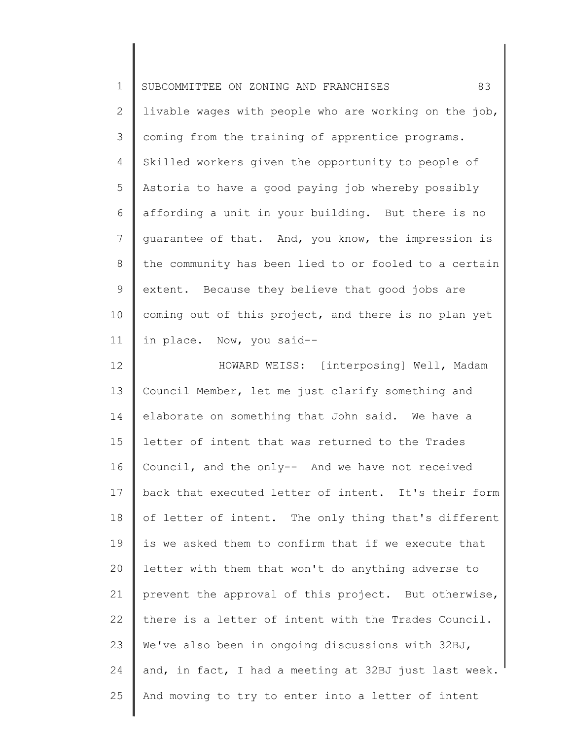| $\mathbf 1$    | 83<br>SUBCOMMITTEE ON ZONING AND FRANCHISES           |
|----------------|-------------------------------------------------------|
| $\mathbf{2}$   | livable wages with people who are working on the job, |
| 3              | coming from the training of apprentice programs.      |
| $\overline{4}$ | Skilled workers given the opportunity to people of    |
| 5              | Astoria to have a good paying job whereby possibly    |
| 6              | affording a unit in your building. But there is no    |
| 7              | quarantee of that. And, you know, the impression is   |
| 8              | the community has been lied to or fooled to a certain |
| $\mathsf 9$    | extent. Because they believe that good jobs are       |
| 10             | coming out of this project, and there is no plan yet  |
| 11             | in place. Now, you said--                             |
| 12             | HOWARD WEISS: [interposing] Well, Madam               |
| 13             | Council Member, let me just clarify something and     |
| 14             | elaborate on something that John said. We have a      |
| 15             | letter of intent that was returned to the Trades      |
| 16             | Council, and the only-- And we have not received      |
| 17             | back that executed letter of intent. It's their form  |
| 18             | of letter of intent. The only thing that's different  |
| 19             | is we asked them to confirm that if we execute that   |
| 20             | letter with them that won't do anything adverse to    |
| 21             | prevent the approval of this project. But otherwise,  |
| 22             | there is a letter of intent with the Trades Council.  |
| 23             | We've also been in ongoing discussions with 32BJ,     |
| 24             | and, in fact, I had a meeting at 32BJ just last week. |
| 25             | And moving to try to enter into a letter of intent    |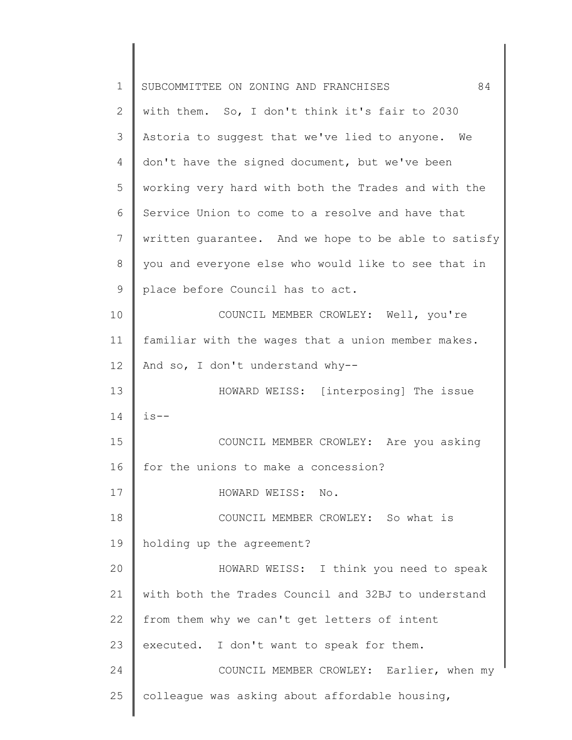| 1              | 84<br>SUBCOMMITTEE ON ZONING AND FRANCHISES          |
|----------------|------------------------------------------------------|
| 2              | with them. So, I don't think it's fair to 2030       |
| 3              | Astoria to suggest that we've lied to anyone. We     |
| $\overline{4}$ | don't have the signed document, but we've been       |
| 5              | working very hard with both the Trades and with the  |
| 6              | Service Union to come to a resolve and have that     |
| 7              | written quarantee. And we hope to be able to satisfy |
| $8\,$          | you and everyone else who would like to see that in  |
| 9              | place before Council has to act.                     |
| 10             | COUNCIL MEMBER CROWLEY: Well, you're                 |
| 11             | familiar with the wages that a union member makes.   |
| 12             | And so, I don't understand why--                     |
| 13             | HOWARD WEISS: [interposing] The issue                |
| 14             | $is - -$                                             |
| 15             | COUNCIL MEMBER CROWLEY: Are you asking               |
| 16             | for the unions to make a concession?                 |
| 17             | HOWARD WEISS: No.                                    |
| 18             | COUNCIL MEMBER CROWLEY: So what is                   |
| 19             | holding up the agreement?                            |
| 20             | HOWARD WEISS: I think you need to speak              |
| 21             | with both the Trades Council and 32BJ to understand  |
| 22             | from them why we can't get letters of intent         |
| 23             | executed. I don't want to speak for them.            |
| 24             | COUNCIL MEMBER CROWLEY: Earlier, when my             |
| 25             | colleague was asking about affordable housing,       |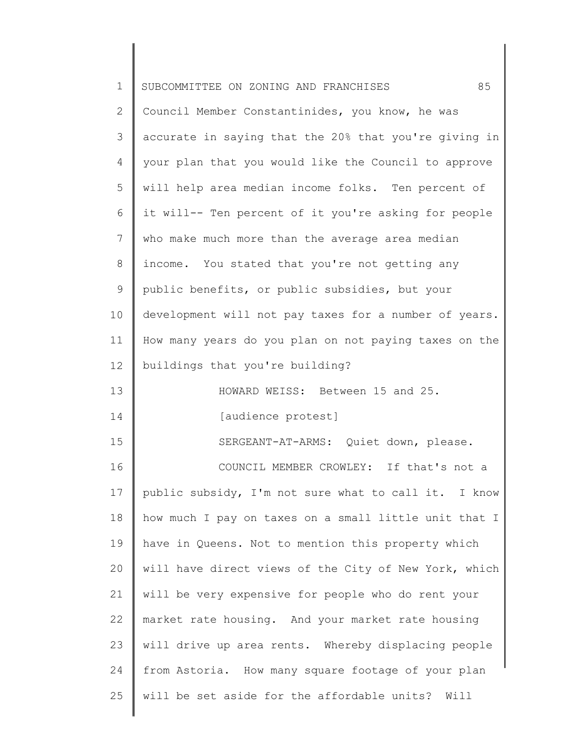| $\mathbf 1$    | 85<br>SUBCOMMITTEE ON ZONING AND FRANCHISES           |
|----------------|-------------------------------------------------------|
| $\overline{2}$ | Council Member Constantinides, you know, he was       |
| 3              | accurate in saying that the 20% that you're giving in |
| 4              | your plan that you would like the Council to approve  |
| 5              | will help area median income folks. Ten percent of    |
| 6              | it will-- Ten percent of it you're asking for people  |
| 7              | who make much more than the average area median       |
| 8              | income. You stated that you're not getting any        |
| $\mathsf 9$    | public benefits, or public subsidies, but your        |
| 10             | development will not pay taxes for a number of years. |
| 11             | How many years do you plan on not paying taxes on the |
| 12             | buildings that you're building?                       |
| 13             | HOWARD WEISS: Between 15 and 25.                      |
| 14             | [audience protest]                                    |
| 15             | SERGEANT-AT-ARMS: Quiet down, please.                 |
| 16             | COUNCIL MEMBER CROWLEY: If that's not a               |
| 17             | public subsidy, I'm not sure what to call it. I know  |
| 18             | how much I pay on taxes on a small little unit that I |
| 19             | have in Queens. Not to mention this property which    |
| 20             | will have direct views of the City of New York, which |
| 21             | will be very expensive for people who do rent your    |
| 22             | market rate housing. And your market rate housing     |
| 23             | will drive up area rents. Whereby displacing people   |
| 24             | from Astoria. How many square footage of your plan    |
| 25             | will be set aside for the affordable units? Will      |
|                |                                                       |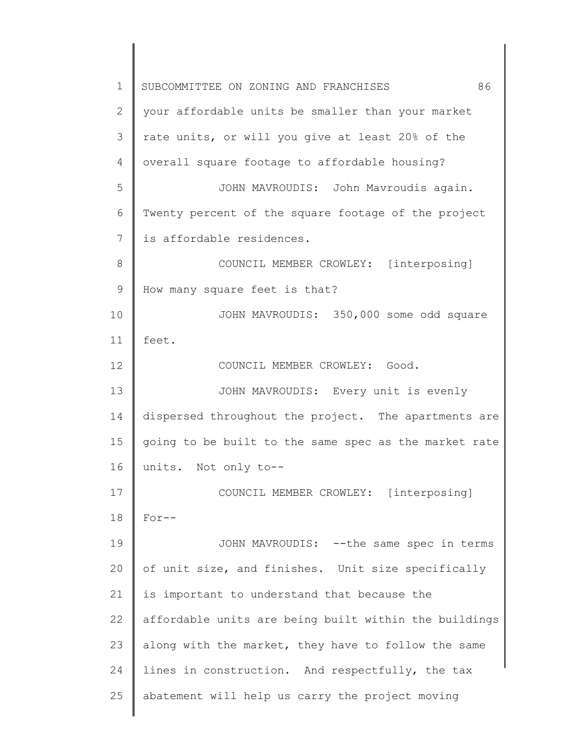1 2 3 4 5 6 7 8 9 10 11 12 13 14 15 16 17 18 19 20 21 22 23 24 25 SUBCOMMITTEE ON ZONING AND FRANCHISES 86 your affordable units be smaller than your market rate units, or will you give at least 20% of the overall square footage to affordable housing? JOHN MAVROUDIS: John Mavroudis again. Twenty percent of the square footage of the project is affordable residences. COUNCIL MEMBER CROWLEY: [interposing] How many square feet is that? JOHN MAVROUDIS: 350,000 some odd square feet. COUNCIL MEMBER CROWLEY: Good. JOHN MAVROUDIS: Every unit is evenly dispersed throughout the project. The apartments are going to be built to the same spec as the market rate units. Not only to-- COUNCIL MEMBER CROWLEY: [interposing] For-- JOHN MAVROUDIS: --the same spec in terms of unit size, and finishes. Unit size specifically is important to understand that because the affordable units are being built within the buildings along with the market, they have to follow the same lines in construction. And respectfully, the tax abatement will help us carry the project moving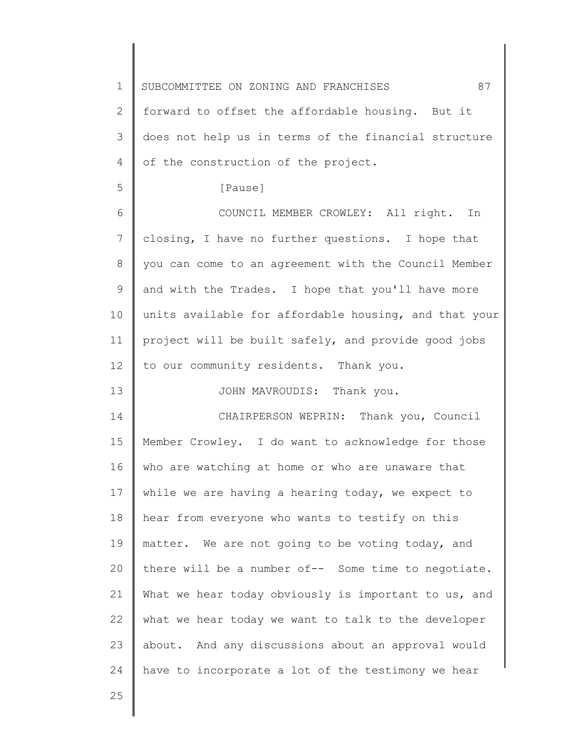| $\mathbf 1$    | 87<br>SUBCOMMITTEE ON ZONING AND FRANCHISES           |
|----------------|-------------------------------------------------------|
| $\mathbf{2}$   | forward to offset the affordable housing. But it      |
| 3              | does not help us in terms of the financial structure  |
| 4              | of the construction of the project.                   |
| 5              | [Pause]                                               |
| 6              | COUNCIL MEMBER CROWLEY: All right. In                 |
| $7\phantom{.}$ | closing, I have no further questions. I hope that     |
| 8              | you can come to an agreement with the Council Member  |
| 9              | and with the Trades. I hope that you'll have more     |
| 10             | units available for affordable housing, and that your |
| 11             | project will be built safely, and provide good jobs   |
| 12             | to our community residents. Thank you.                |
| 13             | JOHN MAVROUDIS: Thank you.                            |
| 14             | CHAIRPERSON WEPRIN: Thank you, Council                |
| 15             | Member Crowley. I do want to acknowledge for those    |
| 16             | who are watching at home or who are unaware that      |
| 17             | while we are having a hearing today, we expect to     |
| 18             | hear from everyone who wants to testify on this       |
| 19             | matter. We are not going to be voting today, and      |
| 20             | there will be a number of-- Some time to negotiate.   |
| 21             | What we hear today obviously is important to us, and  |
| 22             | what we hear today we want to talk to the developer   |
| 23             | about. And any discussions about an approval would    |
| 24             | have to incorporate a lot of the testimony we hear    |
| 25             |                                                       |
|                |                                                       |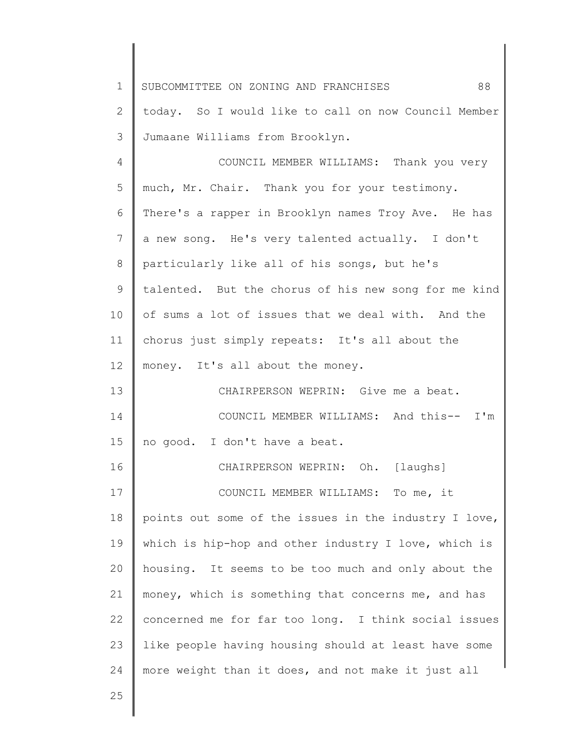1 2 3 4 5 6 7 8 9 10 11 12 13 14 15 16 17 18 19 20 21 22 23 24 25 SUBCOMMITTEE ON ZONING AND FRANCHISES 88 today. So I would like to call on now Council Member Jumaane Williams from Brooklyn. COUNCIL MEMBER WILLIAMS: Thank you very much, Mr. Chair. Thank you for your testimony. There's a rapper in Brooklyn names Troy Ave. He has a new song. He's very talented actually. I don't particularly like all of his songs, but he's talented. But the chorus of his new song for me kind of sums a lot of issues that we deal with. And the chorus just simply repeats: It's all about the money. It's all about the money. CHAIRPERSON WEPRIN: Give me a beat. COUNCIL MEMBER WILLIAMS: And this-- I'm no good. I don't have a beat. CHAIRPERSON WEPRIN: Oh. [laughs] COUNCIL MEMBER WILLIAMS: To me, it points out some of the issues in the industry I love, which is hip-hop and other industry I love, which is housing. It seems to be too much and only about the money, which is something that concerns me, and has concerned me for far too long. I think social issues like people having housing should at least have some more weight than it does, and not make it just all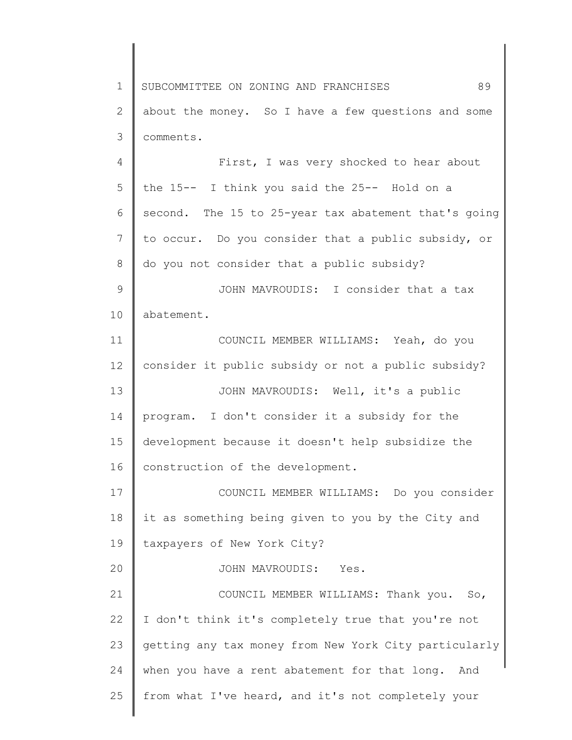1 2 3 4 5 6 7 8 9 10 11 12 13 14 15 16 17 18 19 20 21 22 23 24 25 SUBCOMMITTEE ON ZONING AND FRANCHISES 89 about the money. So I have a few questions and some comments. First, I was very shocked to hear about the 15-- I think you said the 25-- Hold on a second. The 15 to 25-year tax abatement that's going to occur. Do you consider that a public subsidy, or do you not consider that a public subsidy? JOHN MAVROUDIS: I consider that a tax abatement. COUNCIL MEMBER WILLIAMS: Yeah, do you consider it public subsidy or not a public subsidy? JOHN MAVROUDIS: Well, it's a public program. I don't consider it a subsidy for the development because it doesn't help subsidize the construction of the development. COUNCIL MEMBER WILLIAMS: Do you consider it as something being given to you by the City and taxpayers of New York City? JOHN MAVROUDIS: Yes. COUNCIL MEMBER WILLIAMS: Thank you. So, I don't think it's completely true that you're not getting any tax money from New York City particularly when you have a rent abatement for that long. And from what I've heard, and it's not completely your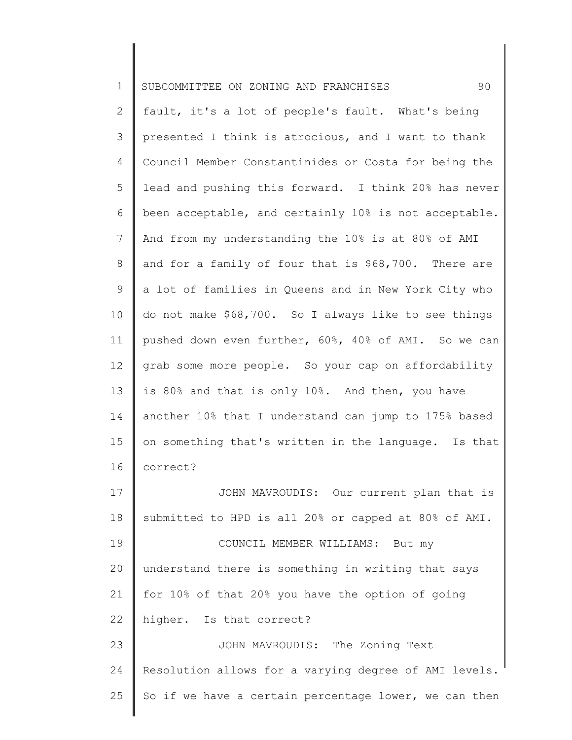| $\mathbf 1$  | 90<br>SUBCOMMITTEE ON ZONING AND FRANCHISES           |
|--------------|-------------------------------------------------------|
| $\mathbf{2}$ | fault, it's a lot of people's fault. What's being     |
| 3            | presented I think is atrocious, and I want to thank   |
| 4            | Council Member Constantinides or Costa for being the  |
| 5            | lead and pushing this forward. I think 20% has never  |
| 6            | been acceptable, and certainly 10% is not acceptable. |
| 7            | And from my understanding the 10% is at 80% of AMI    |
| 8            | and for a family of four that is \$68,700. There are  |
| 9            | a lot of families in Queens and in New York City who  |
| 10           | do not make \$68,700. So I always like to see things  |
| 11           | pushed down even further, 60%, 40% of AMI. So we can  |
| 12           | grab some more people. So your cap on affordability   |
| 13           | is 80% and that is only 10%. And then, you have       |
| 14           | another 10% that I understand can jump to 175% based  |
| 15           | on something that's written in the language. Is that  |
| 16           | correct?                                              |
| 17           | JOHN MAVROUDIS: Our current plan that is              |
| 18           | submitted to HPD is all 20% or capped at 80% of AMI.  |
| 19           | COUNCIL MEMBER WILLIAMS: But my                       |
| 20           | understand there is something in writing that says    |
| 21           | for 10% of that 20% you have the option of going      |
| 22           | higher. Is that correct?                              |
| 23           | JOHN MAVROUDIS: The Zoning Text                       |
| 24           | Resolution allows for a varying degree of AMI levels. |
| 25           | So if we have a certain percentage lower, we can then |
|              |                                                       |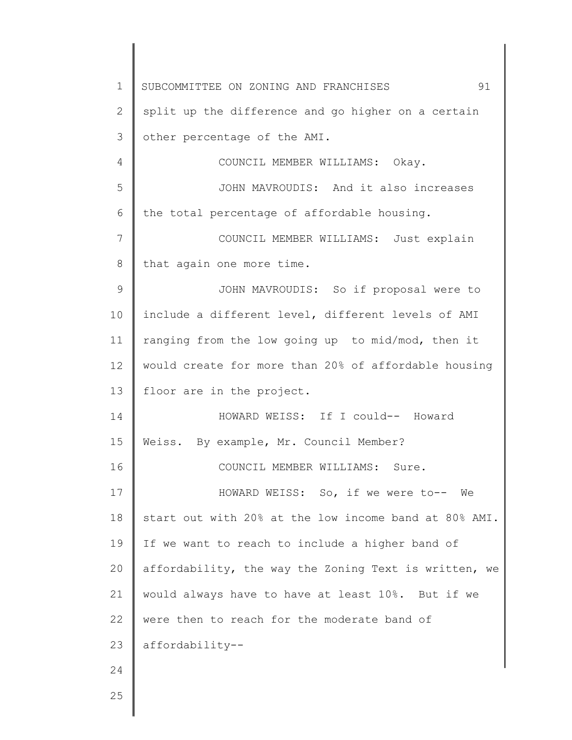1 2 3 4 5 6 7 8 9 10 11 12 13 14 15 16 17 18 19 20 21 22 23 24 25 SUBCOMMITTEE ON ZONING AND FRANCHISES 91 split up the difference and go higher on a certain other percentage of the AMI. COUNCIL MEMBER WILLIAMS: Okay. JOHN MAVROUDIS: And it also increases the total percentage of affordable housing. COUNCIL MEMBER WILLIAMS: Just explain that again one more time. JOHN MAVROUDIS: So if proposal were to include a different level, different levels of AMI ranging from the low going up to mid/mod, then it would create for more than 20% of affordable housing floor are in the project. HOWARD WEISS: If I could-- Howard Weiss. By example, Mr. Council Member? COUNCIL MEMBER WILLIAMS: Sure. HOWARD WEISS: So, if we were to-- We start out with 20% at the low income band at 80% AMI. If we want to reach to include a higher band of affordability, the way the Zoning Text is written, we would always have to have at least 10%. But if we were then to reach for the moderate band of affordability--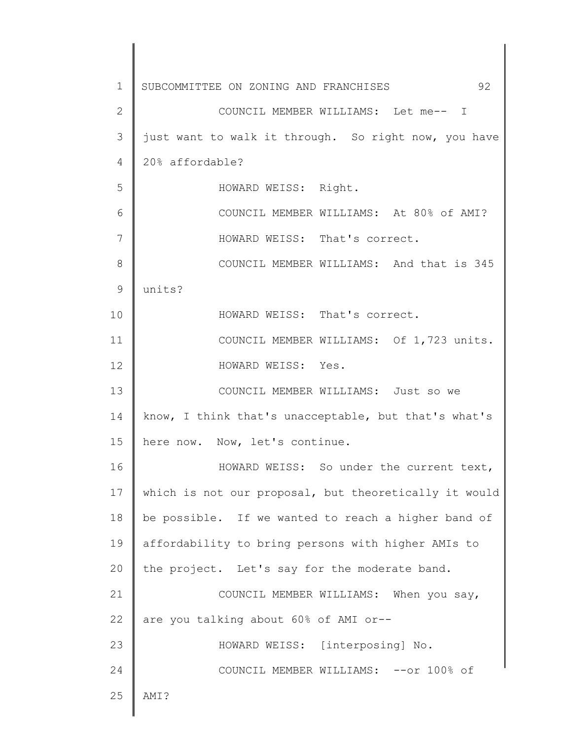1 2 3 4 5 6 7 8 9 10 11 12 13 14 15 16 17 18 19 20 21 22 23 24 25 SUBCOMMITTEE ON ZONING AND FRANCHISES 92 COUNCIL MEMBER WILLIAMS: Let me-- I just want to walk it through. So right now, you have 20% affordable? HOWARD WEISS: Right. COUNCIL MEMBER WILLIAMS: At 80% of AMI? HOWARD WEISS: That's correct. COUNCIL MEMBER WILLIAMS: And that is 345 units? HOWARD WEISS: That's correct. COUNCIL MEMBER WILLIAMS: Of 1,723 units. HOWARD WEISS: Yes. COUNCIL MEMBER WILLIAMS: Just so we know, I think that's unacceptable, but that's what's here now. Now, let's continue. HOWARD WEISS: So under the current text, which is not our proposal, but theoretically it would be possible. If we wanted to reach a higher band of affordability to bring persons with higher AMIs to the project. Let's say for the moderate band. COUNCIL MEMBER WILLIAMS: When you say, are you talking about 60% of AMI or-- HOWARD WEISS: [interposing] No. COUNCIL MEMBER WILLIAMS: --or 100% of AMI?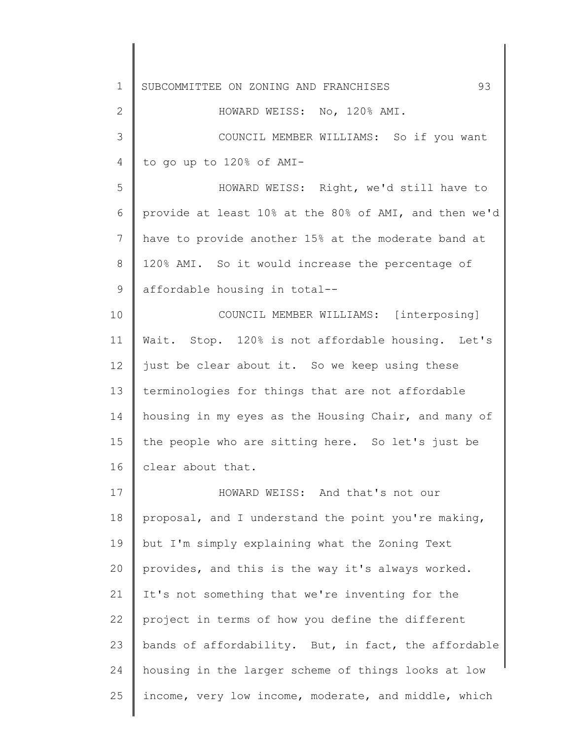1 2 3 4 5 6 7 8 9 10 11 12 13 14 15 16 17 18 19 20 21 22 23 24 25 SUBCOMMITTEE ON ZONING AND FRANCHISES 93 HOWARD WEISS: No, 120% AMI. COUNCIL MEMBER WILLIAMS: So if you want to go up to 120% of AMI-HOWARD WEISS: Right, we'd still have to provide at least 10% at the 80% of AMI, and then we'd have to provide another 15% at the moderate band at 120% AMI. So it would increase the percentage of affordable housing in total-- COUNCIL MEMBER WILLIAMS: [interposing] Wait. Stop. 120% is not affordable housing. Let's just be clear about it. So we keep using these terminologies for things that are not affordable housing in my eyes as the Housing Chair, and many of the people who are sitting here. So let's just be clear about that. HOWARD WEISS: And that's not our proposal, and I understand the point you're making, but I'm simply explaining what the Zoning Text provides, and this is the way it's always worked. It's not something that we're inventing for the project in terms of how you define the different bands of affordability. But, in fact, the affordable housing in the larger scheme of things looks at low income, very low income, moderate, and middle, which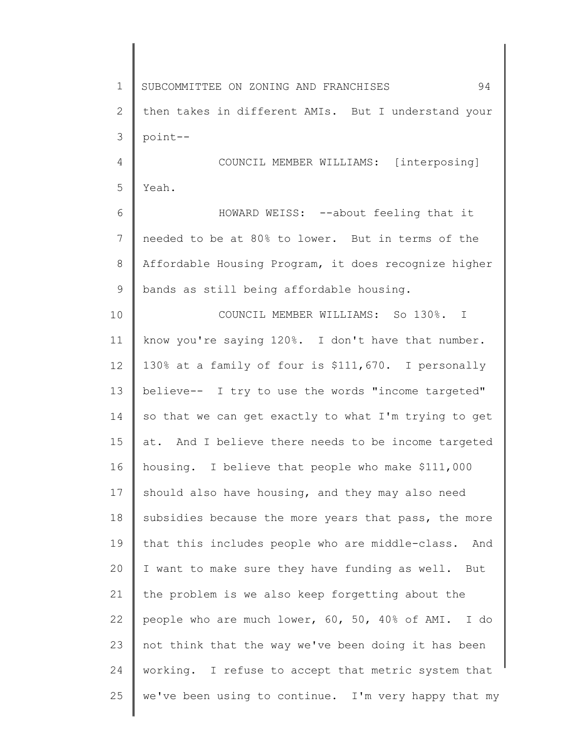1 2 3 4 5 6 7 8 9 10 11 12 13 14 15 16 17 18 19 20 21 22 23 24 25 SUBCOMMITTEE ON ZONING AND FRANCHISES 94 then takes in different AMIs. But I understand your point-- COUNCIL MEMBER WILLIAMS: [interposing] Yeah. HOWARD WEISS: --about feeling that it needed to be at 80% to lower. But in terms of the Affordable Housing Program, it does recognize higher bands as still being affordable housing. COUNCIL MEMBER WILLIAMS: So 130%. I know you're saying 120%. I don't have that number. 130% at a family of four is \$111,670. I personally believe-- I try to use the words "income targeted" so that we can get exactly to what I'm trying to get at. And I believe there needs to be income targeted housing. I believe that people who make \$111,000 should also have housing, and they may also need subsidies because the more years that pass, the more that this includes people who are middle-class. And I want to make sure they have funding as well. But the problem is we also keep forgetting about the people who are much lower, 60, 50, 40% of AMI. I do not think that the way we've been doing it has been working. I refuse to accept that metric system that we've been using to continue. I'm very happy that my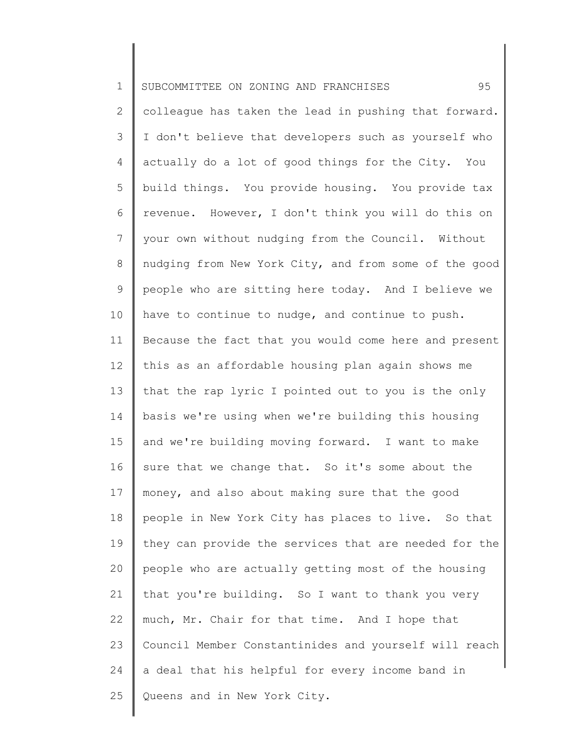1 2 3 4 5 6 7 8 9 10 11 12 13 14 15 16 17 18 19 20 21 22 23 24 25 SUBCOMMITTEE ON ZONING AND FRANCHISES 95 colleague has taken the lead in pushing that forward. I don't believe that developers such as yourself who actually do a lot of good things for the City. You build things. You provide housing. You provide tax revenue. However, I don't think you will do this on your own without nudging from the Council. Without nudging from New York City, and from some of the good people who are sitting here today. And I believe we have to continue to nudge, and continue to push. Because the fact that you would come here and present this as an affordable housing plan again shows me that the rap lyric I pointed out to you is the only basis we're using when we're building this housing and we're building moving forward. I want to make sure that we change that. So it's some about the money, and also about making sure that the good people in New York City has places to live. So that they can provide the services that are needed for the people who are actually getting most of the housing that you're building. So I want to thank you very much, Mr. Chair for that time. And I hope that Council Member Constantinides and yourself will reach a deal that his helpful for every income band in Queens and in New York City.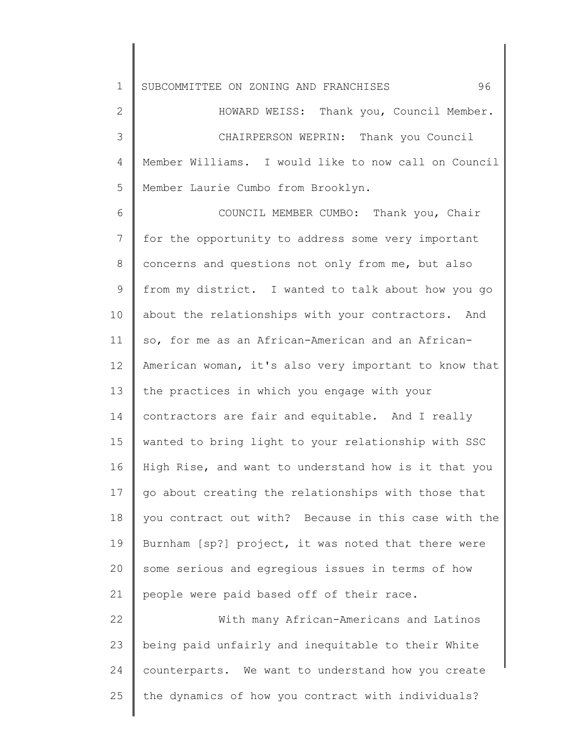| $\mathbf 1$   | 96<br>SUBCOMMITTEE ON ZONING AND FRANCHISES           |
|---------------|-------------------------------------------------------|
| $\mathbf{2}$  | HOWARD WEISS: Thank you, Council Member.              |
| 3             | CHAIRPERSON WEPRIN: Thank you Council                 |
| 4             | Member Williams. I would like to now call on Council  |
| 5             | Member Laurie Cumbo from Brooklyn.                    |
| 6             | COUNCIL MEMBER CUMBO: Thank you, Chair                |
| 7             | for the opportunity to address some very important    |
| 8             | concerns and questions not only from me, but also     |
| $\mathcal{G}$ | from my district. I wanted to talk about how you go   |
| 10            | about the relationships with your contractors. And    |
| 11            | so, for me as an African-American and an African-     |
| 12            | American woman, it's also very important to know that |
| 13            | the practices in which you engage with your           |
| 14            | contractors are fair and equitable. And I really      |
| 15            | wanted to bring light to your relationship with SSC   |
| 16            | High Rise, and want to understand how is it that you  |
| 17            | go about creating the relationships with those that   |
| 18            | you contract out with? Because in this case with the  |
| 19            | Burnham [sp?] project, it was noted that there were   |
| 20            | some serious and egregious issues in terms of how     |
| 21            | people were paid based off of their race.             |
| 22            | With many African-Americans and Latinos               |
| 23            | being paid unfairly and inequitable to their White    |
| 24            | counterparts. We want to understand how you create    |
| 25            | the dynamics of how you contract with individuals?    |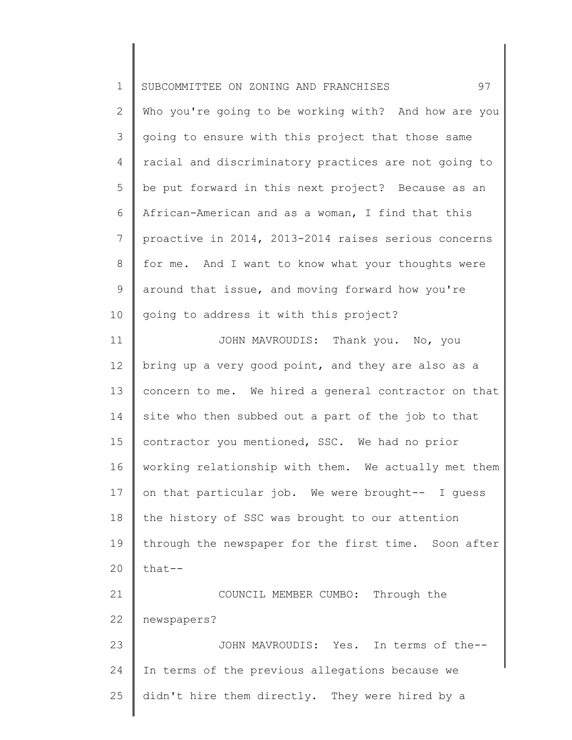| $\mathbf 1$    | 97<br>SUBCOMMITTEE ON ZONING AND FRANCHISES          |
|----------------|------------------------------------------------------|
| $\overline{2}$ | Who you're going to be working with? And how are you |
| 3              | going to ensure with this project that those same    |
| 4              | racial and discriminatory practices are not going to |
| 5              | be put forward in this next project? Because as an   |
| 6              | African-American and as a woman, I find that this    |
| $\overline{7}$ | proactive in 2014, 2013-2014 raises serious concerns |
| 8              | for me. And I want to know what your thoughts were   |
| 9              | around that issue, and moving forward how you're     |
| 10             | going to address it with this project?               |
| 11             | JOHN MAVROUDIS: Thank you. No, you                   |
| 12             | bring up a very good point, and they are also as a   |
| 13             | concern to me. We hired a general contractor on that |
| 14             | site who then subbed out a part of the job to that   |
| 15             | contractor you mentioned, SSC. We had no prior       |
| 16             | working relationship with them. We actually met them |
| 17             | on that particular job. We were brought-- I guess    |
| 18             | the history of SSC was brought to our attention      |
| 19             | through the newspaper for the first time. Soon after |
| 20             | that--                                               |
| 21             | COUNCIL MEMBER CUMBO: Through the                    |
| 22             | newspapers?                                          |
| 23             | In terms of the--<br>JOHN MAVROUDIS: Yes.            |
| 24             | In terms of the previous allegations because we      |
| 25             | didn't hire them directly. They were hired by a      |
|                |                                                      |

║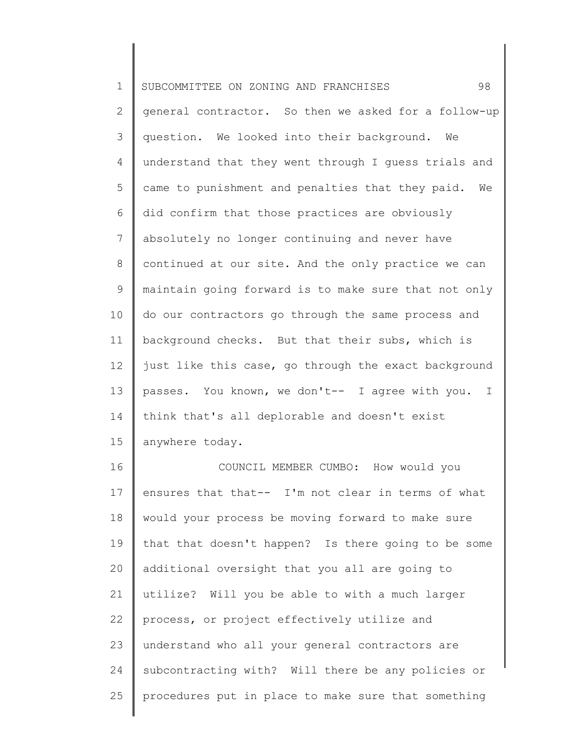1 2 3 4 5 6 7 8 9 10 11 12 13 14 15 SUBCOMMITTEE ON ZONING AND FRANCHISES 98 general contractor. So then we asked for a follow-up question. We looked into their background. We understand that they went through I guess trials and came to punishment and penalties that they paid. We did confirm that those practices are obviously absolutely no longer continuing and never have continued at our site. And the only practice we can maintain going forward is to make sure that not only do our contractors go through the same process and background checks. But that their subs, which is just like this case, go through the exact background passes. You known, we don't-- I agree with you. I think that's all deplorable and doesn't exist anywhere today.

16 17 18 19 20 21 22 23 24 25 COUNCIL MEMBER CUMBO: How would you ensures that that-- I'm not clear in terms of what would your process be moving forward to make sure that that doesn't happen? Is there going to be some additional oversight that you all are going to utilize? Will you be able to with a much larger process, or project effectively utilize and understand who all your general contractors are subcontracting with? Will there be any policies or procedures put in place to make sure that something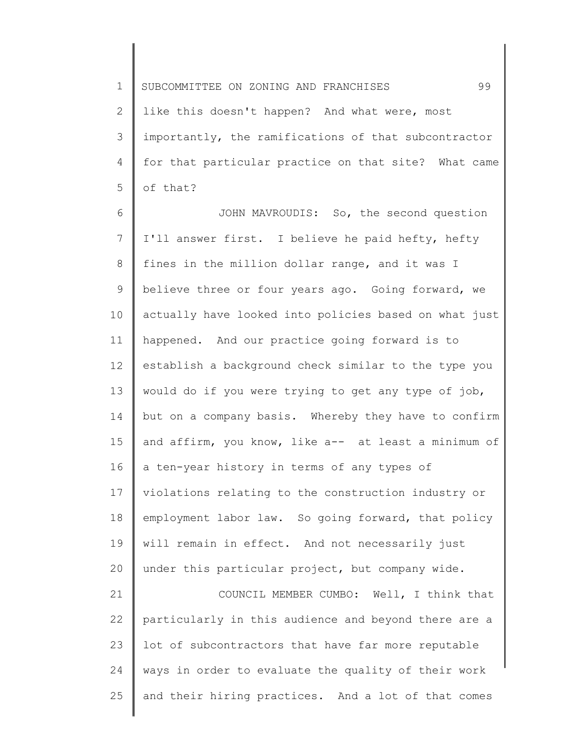1 2 3 4 5 SUBCOMMITTEE ON ZONING AND FRANCHISES 99 like this doesn't happen? And what were, most importantly, the ramifications of that subcontractor for that particular practice on that site? What came of that?

6 7 8 9 10 11 12 13 14 15 16 17 18 19 20 21 JOHN MAVROUDIS: So, the second question I'll answer first. I believe he paid hefty, hefty fines in the million dollar range, and it was I believe three or four years ago. Going forward, we actually have looked into policies based on what just happened. And our practice going forward is to establish a background check similar to the type you would do if you were trying to get any type of job, but on a company basis. Whereby they have to confirm and affirm, you know, like a-- at least a minimum of a ten-year history in terms of any types of violations relating to the construction industry or employment labor law. So going forward, that policy will remain in effect. And not necessarily just under this particular project, but company wide. COUNCIL MEMBER CUMBO: Well, I think that

22 23 24 25 particularly in this audience and beyond there are a lot of subcontractors that have far more reputable ways in order to evaluate the quality of their work and their hiring practices. And a lot of that comes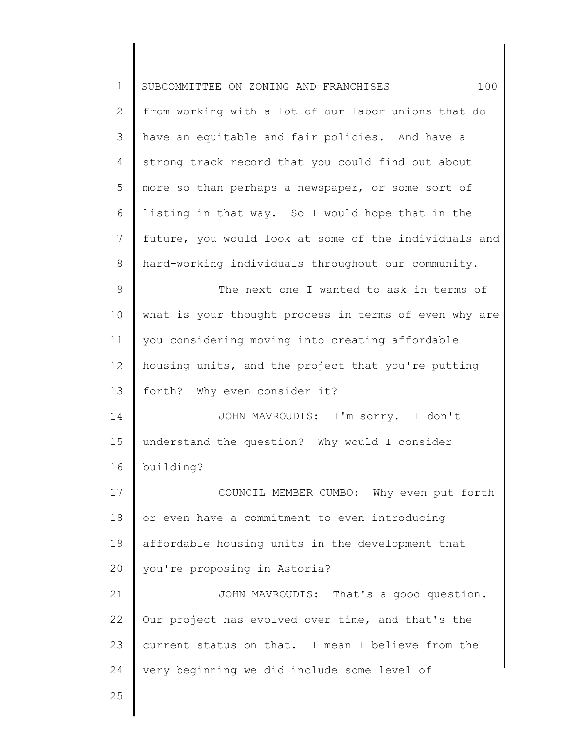| $\mathbf 1$ | SUBCOMMITTEE ON ZONING AND FRANCHISES<br>100          |
|-------------|-------------------------------------------------------|
| 2           | from working with a lot of our labor unions that do   |
| 3           | have an equitable and fair policies. And have a       |
| 4           | strong track record that you could find out about     |
| 5           | more so than perhaps a newspaper, or some sort of     |
| 6           | listing in that way. So I would hope that in the      |
| 7           | future, you would look at some of the individuals and |
| 8           | hard-working individuals throughout our community.    |
| $\mathsf 9$ | The next one I wanted to ask in terms of              |
| 10          | what is your thought process in terms of even why are |
| 11          | you considering moving into creating affordable       |
| 12          | housing units, and the project that you're putting    |
| 13          | forth? Why even consider it?                          |
| 14          | JOHN MAVROUDIS: I'm sorry. I don't                    |
| 15          | understand the question? Why would I consider         |
| 16          | building?                                             |
| 17          | COUNCIL MEMBER CUMBO: Why even put forth              |
| 18          | or even have a commitment to even introducing         |
| 19          | affordable housing units in the development that      |
| 20          | you're proposing in Astoria?                          |
| 21          | JOHN MAVROUDIS: That's a good question.               |
| 22          | Our project has evolved over time, and that's the     |
| 23          | current status on that. I mean I believe from the     |
| 24          | very beginning we did include some level of           |
| 25          |                                                       |
|             |                                                       |

 $\begin{array}{c} \hline \end{array}$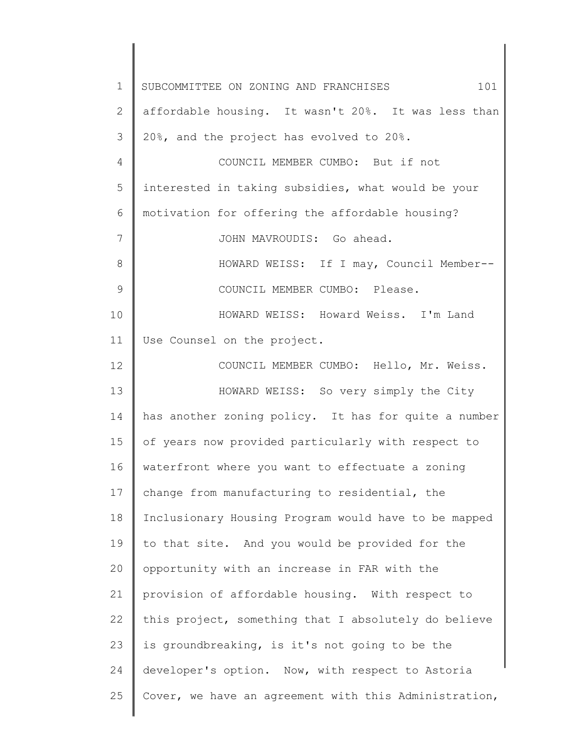1 2 3 4 5 6 7 8 9 10 11 12 13 14 15 16 17 18 19 20 21 22 23 24 25 SUBCOMMITTEE ON ZONING AND FRANCHISES 101 affordable housing. It wasn't 20%. It was less than 20%, and the project has evolved to 20%. COUNCIL MEMBER CUMBO: But if not interested in taking subsidies, what would be your motivation for offering the affordable housing? JOHN MAVROUDIS: Go ahead. HOWARD WEISS: If I may, Council Member-- COUNCIL MEMBER CUMBO: Please. HOWARD WEISS: Howard Weiss. I'm Land Use Counsel on the project. COUNCIL MEMBER CUMBO: Hello, Mr. Weiss. HOWARD WEISS: So very simply the City has another zoning policy. It has for quite a number of years now provided particularly with respect to waterfront where you want to effectuate a zoning change from manufacturing to residential, the Inclusionary Housing Program would have to be mapped to that site. And you would be provided for the opportunity with an increase in FAR with the provision of affordable housing. With respect to this project, something that I absolutely do believe is groundbreaking, is it's not going to be the developer's option. Now, with respect to Astoria Cover, we have an agreement with this Administration,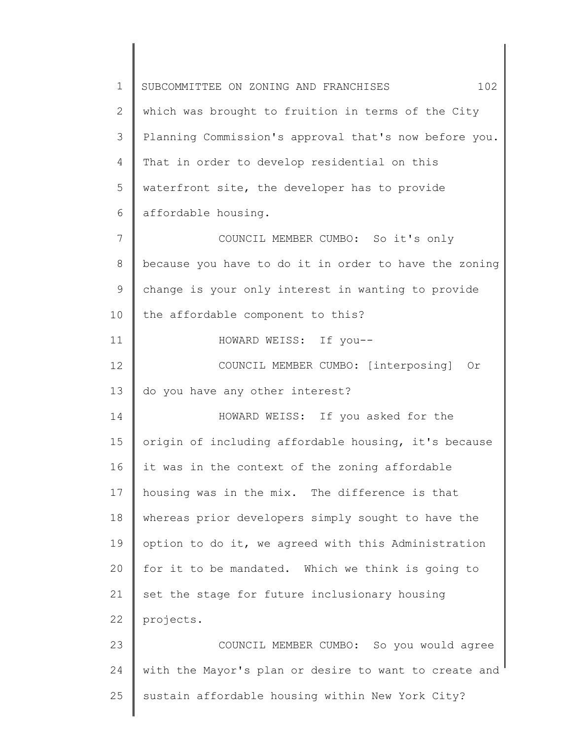1 2 3 4 5 6 7 8 9 10 11 12 13 14 15 16 17 18 19 20 21 22 23 24 25 SUBCOMMITTEE ON ZONING AND FRANCHISES  $102$ which was brought to fruition in terms of the City Planning Commission's approval that's now before you. That in order to develop residential on this waterfront site, the developer has to provide affordable housing. COUNCIL MEMBER CUMBO: So it's only because you have to do it in order to have the zoning change is your only interest in wanting to provide the affordable component to this? HOWARD WEISS: If you-- COUNCIL MEMBER CUMBO: [interposing] Or do you have any other interest? HOWARD WEISS: If you asked for the origin of including affordable housing, it's because it was in the context of the zoning affordable housing was in the mix. The difference is that whereas prior developers simply sought to have the option to do it, we agreed with this Administration for it to be mandated. Which we think is going to set the stage for future inclusionary housing projects. COUNCIL MEMBER CUMBO: So you would agree with the Mayor's plan or desire to want to create and sustain affordable housing within New York City?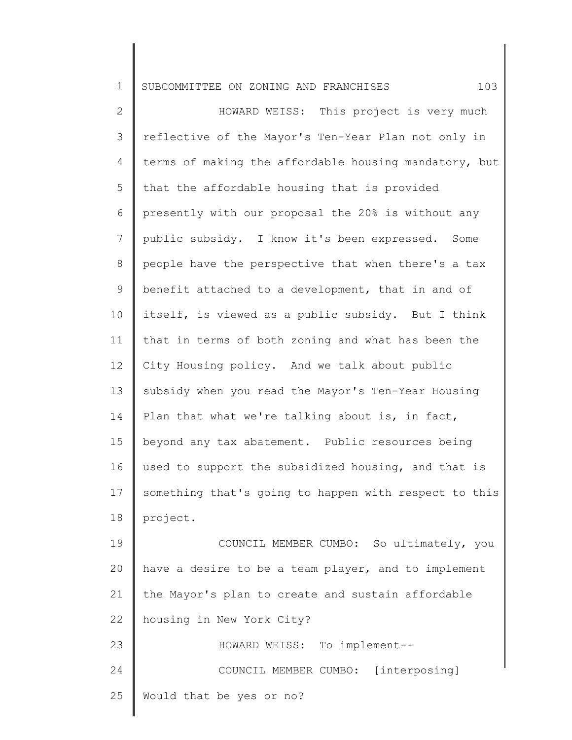1 SUBCOMMITTEE ON ZONING AND FRANCHISES 103

2 3 4 5 6 7 8 9 10 11 12 13 14 15 16 17 18 19 20 21 22 23 HOWARD WEISS: This project is very much reflective of the Mayor's Ten-Year Plan not only in terms of making the affordable housing mandatory, but that the affordable housing that is provided presently with our proposal the 20% is without any public subsidy. I know it's been expressed. Some people have the perspective that when there's a tax benefit attached to a development, that in and of itself, is viewed as a public subsidy. But I think that in terms of both zoning and what has been the City Housing policy. And we talk about public subsidy when you read the Mayor's Ten-Year Housing Plan that what we're talking about is, in fact, beyond any tax abatement. Public resources being used to support the subsidized housing, and that is something that's going to happen with respect to this project. COUNCIL MEMBER CUMBO: So ultimately, you have a desire to be a team player, and to implement the Mayor's plan to create and sustain affordable housing in New York City? HOWARD WEISS: To implement--

COUNCIL MEMBER CUMBO: [interposing]

25 Would that be yes or no?

24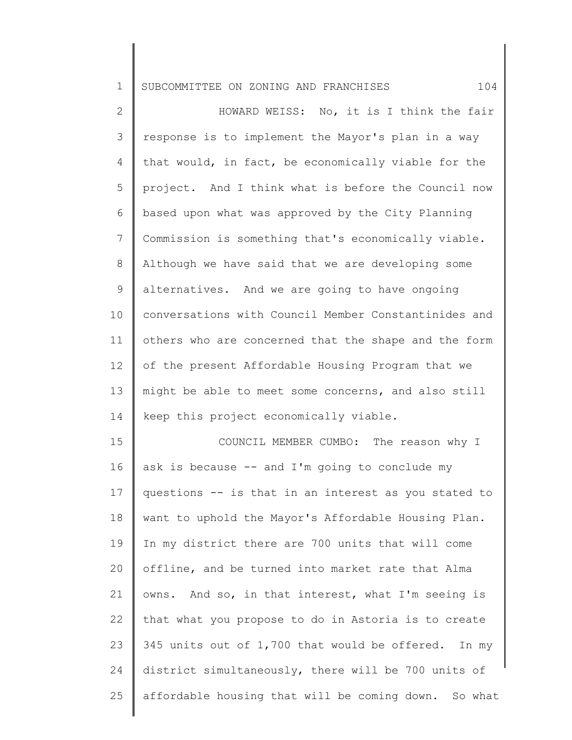1 SUBCOMMITTEE ON ZONING AND FRANCHISES 104

2 3 4 5 6 7 8 9 10 11 12 13 14 15 16 17 18 19 20 HOWARD WEISS: No, it is I think the fair response is to implement the Mayor's plan in a way that would, in fact, be economically viable for the project. And I think what is before the Council now based upon what was approved by the City Planning Commission is something that's economically viable. Although we have said that we are developing some alternatives. And we are going to have ongoing conversations with Council Member Constantinides and others who are concerned that the shape and the form of the present Affordable Housing Program that we might be able to meet some concerns, and also still keep this project economically viable. COUNCIL MEMBER CUMBO: The reason why I ask is because  $--$  and I'm going to conclude my questions -- is that in an interest as you stated to want to uphold the Mayor's Affordable Housing Plan. In my district there are 700 units that will come offline, and be turned into market rate that Alma

owns. And so, in that interest, what I'm seeing is

that what you propose to do in Astoria is to create

345 units out of 1,700 that would be offered. In my

district simultaneously, there will be 700 units of

affordable housing that will be coming down. So what

21

22

23

24

25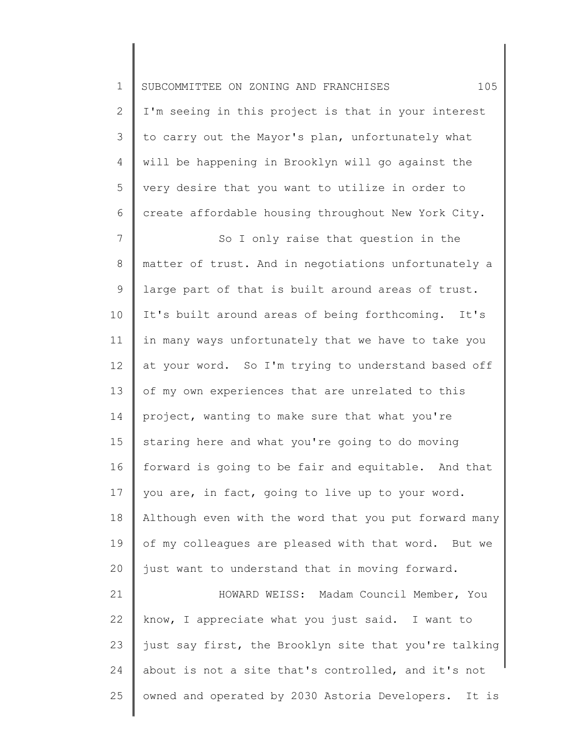| $\mathbf 1$    | 105<br>SUBCOMMITTEE ON ZONING AND FRANCHISES            |
|----------------|---------------------------------------------------------|
| $\overline{2}$ | I'm seeing in this project is that in your interest     |
| 3              | to carry out the Mayor's plan, unfortunately what       |
| 4              | will be happening in Brooklyn will go against the       |
| 5              | very desire that you want to utilize in order to        |
| 6              | create affordable housing throughout New York City.     |
| $7\phantom{.}$ | So I only raise that question in the                    |
| $8\,$          | matter of trust. And in negotiations unfortunately a    |
| 9              | large part of that is built around areas of trust.      |
| 10             | It's built around areas of being forthcoming. It's      |
| 11             | in many ways unfortunately that we have to take you     |
| 12             | at your word. So I'm trying to understand based off     |
| 13             | of my own experiences that are unrelated to this        |
| 14             | project, wanting to make sure that what you're          |
| 15             | staring here and what you're going to do moving         |
| 16             | forward is going to be fair and equitable. And that     |
| 17             | you are, in fact, going to live up to your word.        |
| 18             | Although even with the word that you put forward many   |
| 19             | of my colleagues are pleased with that word. But we     |
| 20             | just want to understand that in moving forward.         |
| 21             | HOWARD WEISS: Madam Council Member, You                 |
| 22             | know, I appreciate what you just said. I want to        |
| 23             | just say first, the Brooklyn site that you're talking   |
| 24             | about is not a site that's controlled, and it's not     |
| 25             | owned and operated by 2030 Astoria Developers.<br>It is |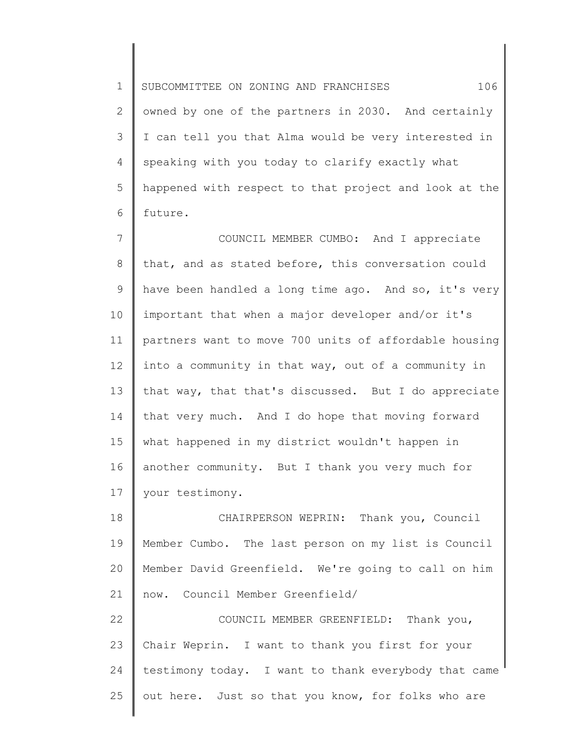1 2 3 4 5 6 SUBCOMMITTEE ON ZONING AND FRANCHISES 106 owned by one of the partners in 2030. And certainly I can tell you that Alma would be very interested in speaking with you today to clarify exactly what happened with respect to that project and look at the future.

7 8 9 10 11 12 13 14 15 16 17 COUNCIL MEMBER CUMBO: And I appreciate that, and as stated before, this conversation could have been handled a long time ago. And so, it's very important that when a major developer and/or it's partners want to move 700 units of affordable housing into a community in that way, out of a community in that way, that that's discussed. But I do appreciate that very much. And I do hope that moving forward what happened in my district wouldn't happen in another community. But I thank you very much for your testimony.

18 19 20 21 CHAIRPERSON WEPRIN: Thank you, Council Member Cumbo. The last person on my list is Council Member David Greenfield. We're going to call on him now. Council Member Greenfield/

22 23 24 25 COUNCIL MEMBER GREENFIELD: Thank you, Chair Weprin. I want to thank you first for your testimony today. I want to thank everybody that came out here. Just so that you know, for folks who are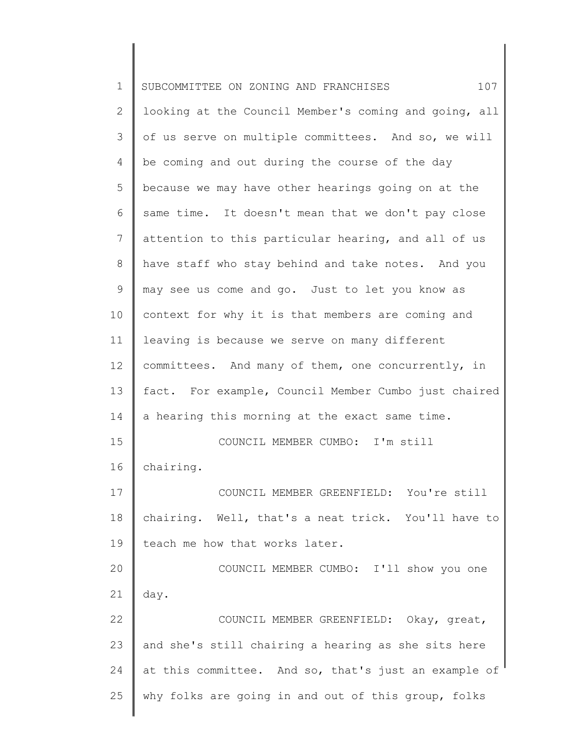| $\mathbf 1$ | SUBCOMMITTEE ON ZONING AND FRANCHISES<br>107          |
|-------------|-------------------------------------------------------|
| 2           | looking at the Council Member's coming and going, all |
| 3           | of us serve on multiple committees. And so, we will   |
| 4           | be coming and out during the course of the day        |
| 5           | because we may have other hearings going on at the    |
| 6           | same time. It doesn't mean that we don't pay close    |
| 7           | attention to this particular hearing, and all of us   |
| 8           | have staff who stay behind and take notes. And you    |
| 9           | may see us come and go. Just to let you know as       |
| 10          | context for why it is that members are coming and     |
| 11          | leaving is because we serve on many different         |
| 12          | committees. And many of them, one concurrently, in    |
| 13          | fact. For example, Council Member Cumbo just chaired  |
| 14          | a hearing this morning at the exact same time.        |
| 15          | COUNCIL MEMBER CUMBO: I'm still                       |
| 16          | chairing.                                             |
| 17          | COUNCIL MEMBER GREENFIELD: You're still               |
| 18          | chairing. Well, that's a neat trick. You'll have to   |
| 19          | teach me how that works later.                        |
| 20          | COUNCIL MEMBER CUMBO: I'll show you one               |
| 21          | day.                                                  |
| 22          | COUNCIL MEMBER GREENFIELD: Okay, great,               |
| 23          | and she's still chairing a hearing as she sits here   |
| 24          | at this committee. And so, that's just an example of  |
| 25          | why folks are going in and out of this group, folks   |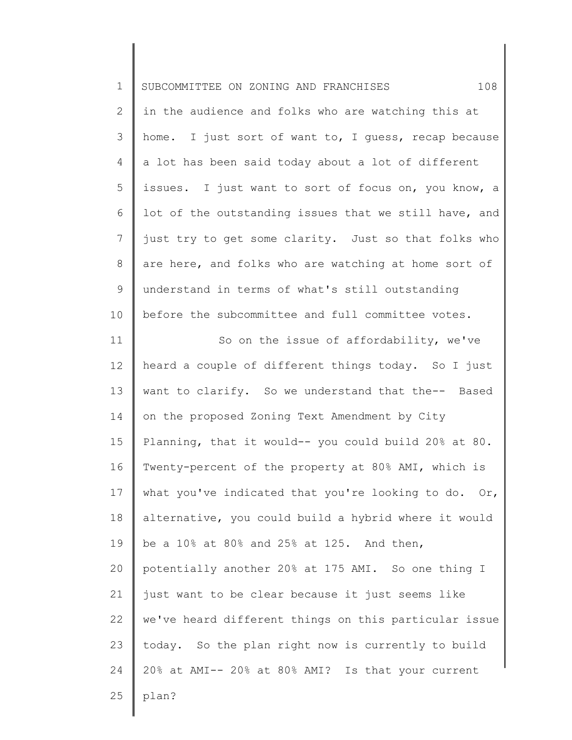| $\mathbf 1$    | 108<br>SUBCOMMITTEE ON ZONING AND FRANCHISES          |
|----------------|-------------------------------------------------------|
| $\overline{2}$ | in the audience and folks who are watching this at    |
| 3              | home. I just sort of want to, I quess, recap because  |
| 4              | a lot has been said today about a lot of different    |
| 5              | issues. I just want to sort of focus on, you know, a  |
| 6              | lot of the outstanding issues that we still have, and |
| $\overline{7}$ | just try to get some clarity. Just so that folks who  |
| $8\,$          | are here, and folks who are watching at home sort of  |
| $\mathsf 9$    | understand in terms of what's still outstanding       |
| 10             | before the subcommittee and full committee votes.     |
| 11             | So on the issue of affordability, we've               |
| 12             | heard a couple of different things today. So I just   |
| 13             | want to clarify. So we understand that the-- Based    |
| 14             | on the proposed Zoning Text Amendment by City         |
| 15             | Planning, that it would-- you could build 20% at 80.  |
| 16             | Twenty-percent of the property at 80% AMI, which is   |
| 17             | what you've indicated that you're looking to do. Or,  |
| 18             | alternative, you could build a hybrid where it would  |
| 19             | be a 10% at 80% and 25% at 125. And then,             |
| 20             | potentially another 20% at 175 AMI. So one thing I    |
| 21             | just want to be clear because it just seems like      |
| 22             | we've heard different things on this particular issue |
| 23             | today. So the plan right now is currently to build    |
| 24             | 20% at AMI-- 20% at 80% AMI? Is that your current     |
| 25             | plan?                                                 |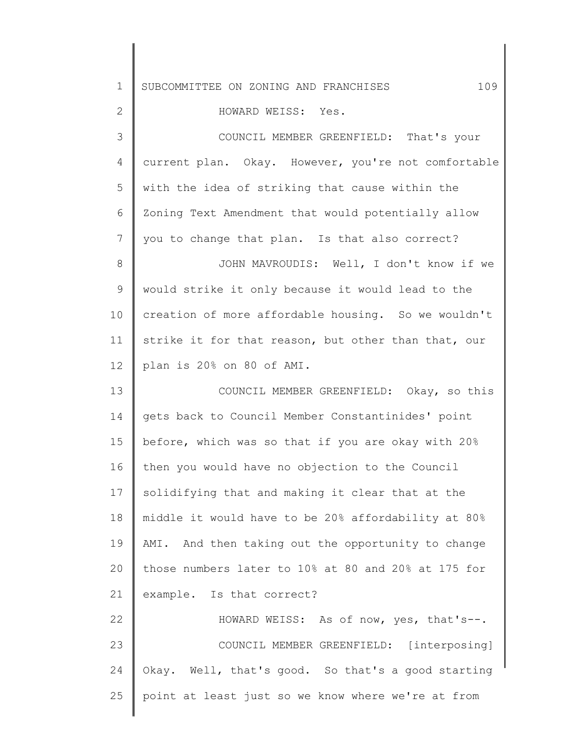| $\mathbf 1$    | 109<br>SUBCOMMITTEE ON ZONING AND FRANCHISES        |
|----------------|-----------------------------------------------------|
| $\mathbf{2}$   | HOWARD WEISS: Yes.                                  |
| $\mathcal{S}$  | COUNCIL MEMBER GREENFIELD: That's your              |
| $\overline{4}$ | current plan. Okay. However, you're not comfortable |
| 5              | with the idea of striking that cause within the     |
| 6              | Zoning Text Amendment that would potentially allow  |
| 7              | you to change that plan. Is that also correct?      |
| $\,8\,$        | JOHN MAVROUDIS: Well, I don't know if we            |
| 9              | would strike it only because it would lead to the   |
| 10             | creation of more affordable housing. So we wouldn't |
| 11             | strike it for that reason, but other than that, our |
| 12             | plan is 20% on 80 of AMI.                           |
| 13             | COUNCIL MEMBER GREENFIELD: Okay, so this            |
| 14             | gets back to Council Member Constantinides' point   |
| 15             | before, which was so that if you are okay with 20%  |
| 16             | then you would have no objection to the Council     |
| 17             | solidifying that and making it clear that at the    |
| 18             | middle it would have to be 20% affordability at 80% |
| 19             | AMI. And then taking out the opportunity to change  |
| 20             | those numbers later to 10% at 80 and 20% at 175 for |
| 21             | example. Is that correct?                           |
| 22             | HOWARD WEISS: As of now, yes, that's--.             |
| 23             | COUNCIL MEMBER GREENFIELD: [interposing]            |
| 24             | Okay. Well, that's good. So that's a good starting  |
| 25             | point at least just so we know where we're at from  |
|                |                                                     |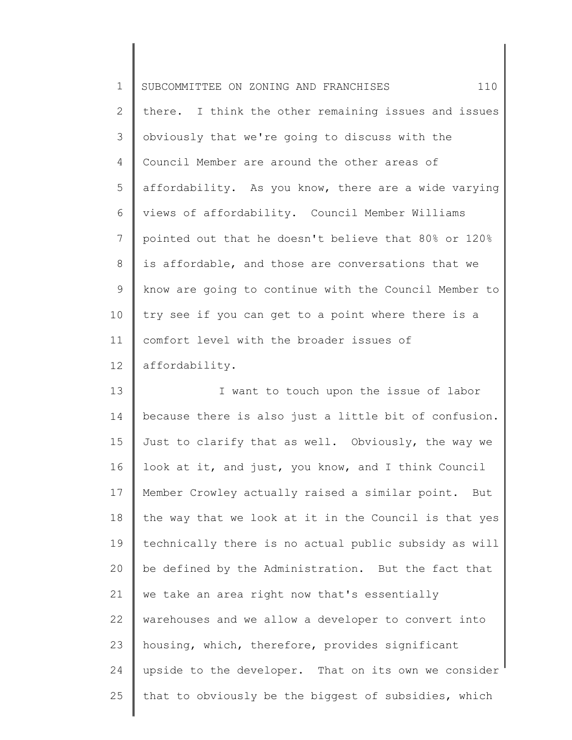1 2 3 4 5 6 7 8 9 10 11 12 SUBCOMMITTEE ON ZONING AND FRANCHISES 110 there. I think the other remaining issues and issues obviously that we're going to discuss with the Council Member are around the other areas of affordability. As you know, there are a wide varying views of affordability. Council Member Williams pointed out that he doesn't believe that 80% or 120% is affordable, and those are conversations that we know are going to continue with the Council Member to try see if you can get to a point where there is a comfort level with the broader issues of affordability.

13 14 15 16 17 18 19 20 21 22 23 24 25 I want to touch upon the issue of labor because there is also just a little bit of confusion. Just to clarify that as well. Obviously, the way we look at it, and just, you know, and I think Council Member Crowley actually raised a similar point. But the way that we look at it in the Council is that yes technically there is no actual public subsidy as will be defined by the Administration. But the fact that we take an area right now that's essentially warehouses and we allow a developer to convert into housing, which, therefore, provides significant upside to the developer. That on its own we consider that to obviously be the biggest of subsidies, which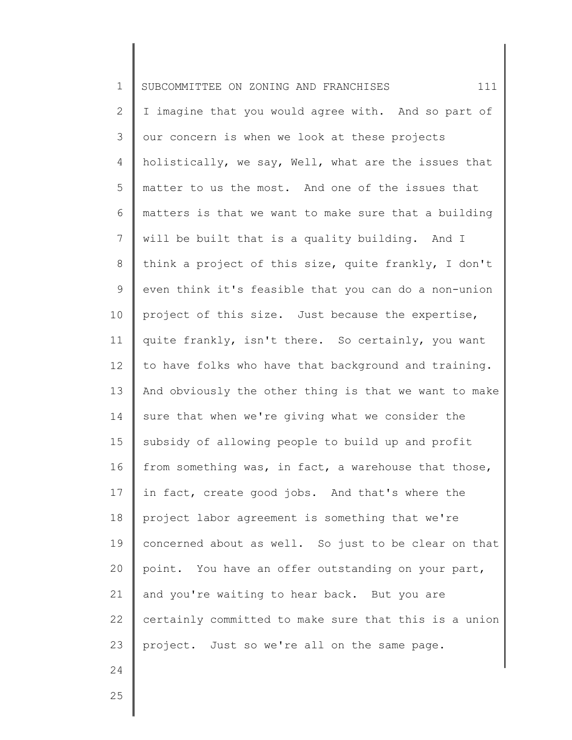| $\mathbf 1$    | 111<br>SUBCOMMITTEE ON ZONING AND FRANCHISES          |
|----------------|-------------------------------------------------------|
| $\mathbf{2}$   | I imagine that you would agree with. And so part of   |
| 3              | our concern is when we look at these projects         |
| 4              | holistically, we say, Well, what are the issues that  |
| 5              | matter to us the most. And one of the issues that     |
| 6              | matters is that we want to make sure that a building  |
| $\overline{7}$ | will be built that is a quality building. And I       |
| 8              | think a project of this size, quite frankly, I don't  |
| 9              | even think it's feasible that you can do a non-union  |
| 10             | project of this size. Just because the expertise,     |
| 11             | quite frankly, isn't there. So certainly, you want    |
| 12             | to have folks who have that background and training.  |
| 13             | And obviously the other thing is that we want to make |
| 14             | sure that when we're giving what we consider the      |
| 15             | subsidy of allowing people to build up and profit     |
| 16             | from something was, in fact, a warehouse that those,  |
| 17             | in fact, create good jobs. And that's where the       |
| 18             | project labor agreement is something that we're       |
| 19             | concerned about as well. So just to be clear on that  |
| 20             | point. You have an offer outstanding on your part,    |
| 21             | and you're waiting to hear back. But you are          |
| 22             | certainly committed to make sure that this is a union |
| 23             | project. Just so we're all on the same page.          |
| 24             |                                                       |

25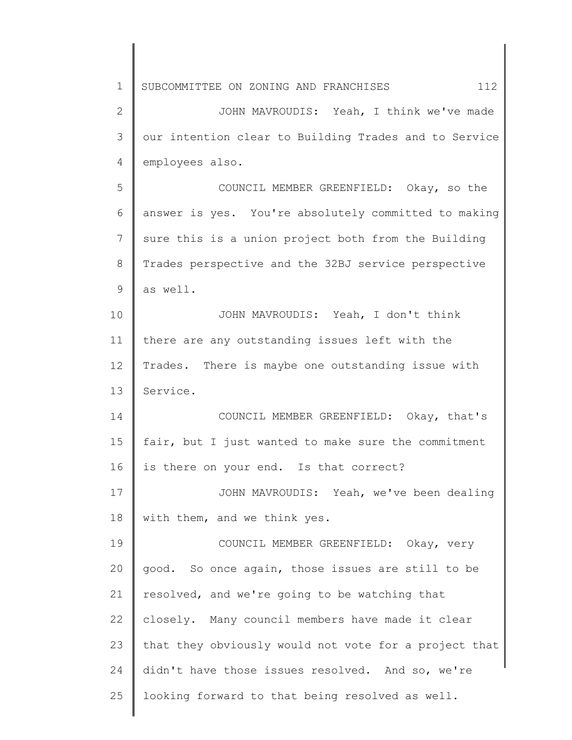1 2 3 4 5 6 7 8 9 10 11 12 13 14 15 16 17 18 19 20 21 22 23 24 25 SUBCOMMITTEE ON ZONING AND FRANCHISES 112 JOHN MAVROUDIS: Yeah, I think we've made our intention clear to Building Trades and to Service employees also. COUNCIL MEMBER GREENFIELD: Okay, so the answer is yes. You're absolutely committed to making sure this is a union project both from the Building Trades perspective and the 32BJ service perspective as well. JOHN MAVROUDIS: Yeah, I don't think there are any outstanding issues left with the Trades. There is maybe one outstanding issue with Service. COUNCIL MEMBER GREENFIELD: Okay, that's fair, but I just wanted to make sure the commitment is there on your end. Is that correct? JOHN MAVROUDIS: Yeah, we've been dealing with them, and we think yes. COUNCIL MEMBER GREENFIELD: Okay, very good. So once again, those issues are still to be resolved, and we're going to be watching that closely. Many council members have made it clear that they obviously would not vote for a project that didn't have those issues resolved. And so, we're looking forward to that being resolved as well.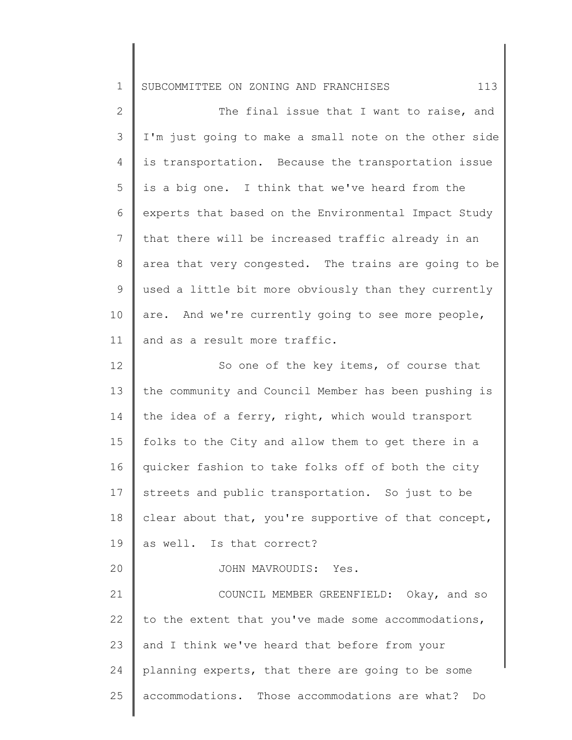| 1 SUBCOMMITTEE ON ZONING AND FRANCHISES |  |  |  |
|-----------------------------------------|--|--|--|
|                                         |  |  |  |

| $\mathbf{2}$   | The final issue that I want to raise, and             |
|----------------|-------------------------------------------------------|
| $\mathcal{S}$  | I'm just going to make a small note on the other side |
| 4              | is transportation. Because the transportation issue   |
| 5              | is a big one. I think that we've heard from the       |
| 6              | experts that based on the Environmental Impact Study  |
| $\overline{7}$ | that there will be increased traffic already in an    |
| 8              | area that very congested. The trains are going to be  |
| 9              | used a little bit more obviously than they currently  |
| 10             | are. And we're currently going to see more people,    |
| 11             | and as a result more traffic.                         |
| 12             | So one of the key items, of course that               |
| 13             | the community and Council Member has been pushing is  |
| 14             | the idea of a ferry, right, which would transport     |
| 15             | folks to the City and allow them to get there in a    |
| 16             | quicker fashion to take folks off of both the city    |
| 17             | streets and public transportation. So just to be      |
| 18             | clear about that, you're supportive of that concept,  |
| 19             | as well. Is that correct?                             |
| 20             | JOHN MAVROUDIS: Yes.                                  |
| 21             | COUNCIL MEMBER GREENFIELD: Okay, and so               |
| 22             | to the extent that you've made some accommodations,   |
| 23             | and I think we've heard that before from your         |

25 accommodations. Those accommodations are what? Do

planning experts, that there are going to be some

24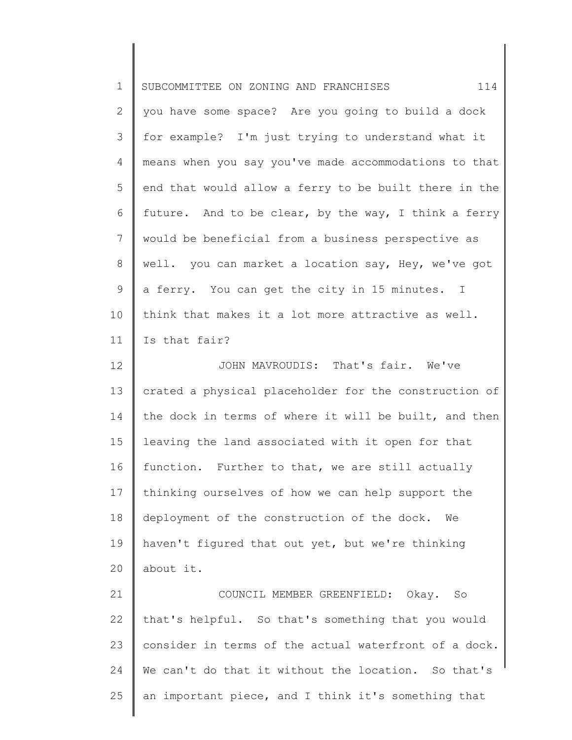| $\mathbf 1$  | 114<br>SUBCOMMITTEE ON ZONING AND FRANCHISES          |
|--------------|-------------------------------------------------------|
| $\mathbf{2}$ | you have some space? Are you going to build a dock    |
| 3            | for example? I'm just trying to understand what it    |
| 4            | means when you say you've made accommodations to that |
| 5            | end that would allow a ferry to be built there in the |
| 6            | future. And to be clear, by the way, I think a ferry  |
| 7            | would be beneficial from a business perspective as    |
| 8            | well. you can market a location say, Hey, we've got   |
| $\mathsf 9$  | a ferry. You can get the city in 15 minutes. I        |
| 10           | think that makes it a lot more attractive as well.    |
| 11           | Is that fair?                                         |
| 12           | JOHN MAVROUDIS: That's fair. We've                    |
| 13           | crated a physical placeholder for the construction of |
| 14           | the dock in terms of where it will be built, and then |
| 15           | leaving the land associated with it open for that     |
| 16           | function. Further to that, we are still actually      |
| 17           | thinking ourselves of how we can help support the     |
| 18           | deployment of the construction of the dock.<br>We     |
| 19           | haven't figured that out yet, but we're thinking      |
| 20           | about it.                                             |
| 21           | COUNCIL MEMBER GREENFIELD: Okay. So                   |
| 22           | that's helpful. So that's something that you would    |
| 23           | consider in terms of the actual waterfront of a dock. |
| 24           | We can't do that it without the location. So that's   |
| 25           | an important piece, and I think it's something that   |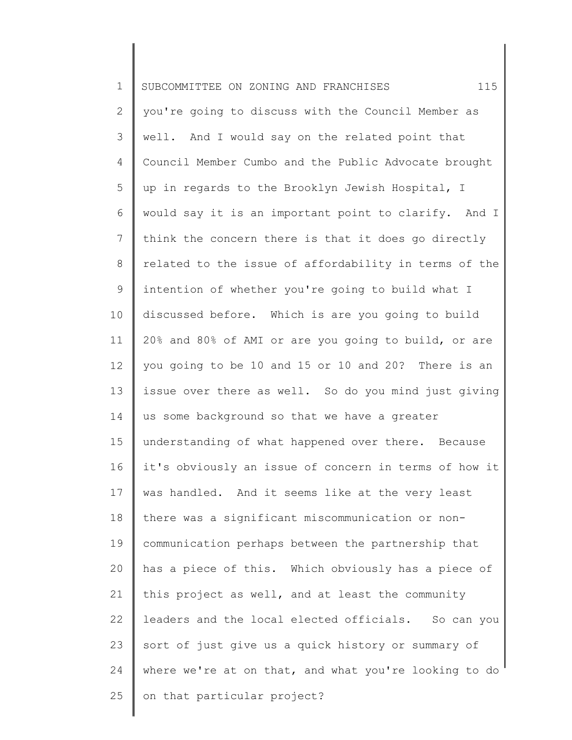| $\mathbf 1$    | 115<br>SUBCOMMITTEE ON ZONING AND FRANCHISES          |
|----------------|-------------------------------------------------------|
| $\mathbf{2}$   | you're going to discuss with the Council Member as    |
| 3              | well. And I would say on the related point that       |
| 4              | Council Member Cumbo and the Public Advocate brought  |
| 5              | up in regards to the Brooklyn Jewish Hospital, I      |
| 6              | would say it is an important point to clarify. And I  |
| $\overline{7}$ | think the concern there is that it does go directly   |
| 8              | related to the issue of affordability in terms of the |
| 9              | intention of whether you're going to build what I     |
| 10             | discussed before. Which is are you going to build     |
| 11             | 20% and 80% of AMI or are you going to build, or are  |
| 12             | you going to be 10 and 15 or 10 and 20? There is an   |
| 13             | issue over there as well. So do you mind just giving  |
| 14             | us some background so that we have a greater          |
| 15             | understanding of what happened over there. Because    |
| 16             | it's obviously an issue of concern in terms of how it |
| 17             | was handled. And it seems like at the very least      |
| 18             | there was a significant miscommunication or non-      |
| 19             | communication perhaps between the partnership that    |
| 20             | has a piece of this. Which obviously has a piece of   |
| 21             | this project as well, and at least the community      |
| 22             | leaders and the local elected officials. So can you   |
| 23             | sort of just give us a quick history or summary of    |
| 24             | where we're at on that, and what you're looking to do |
| 25             | on that particular project?                           |
|                |                                                       |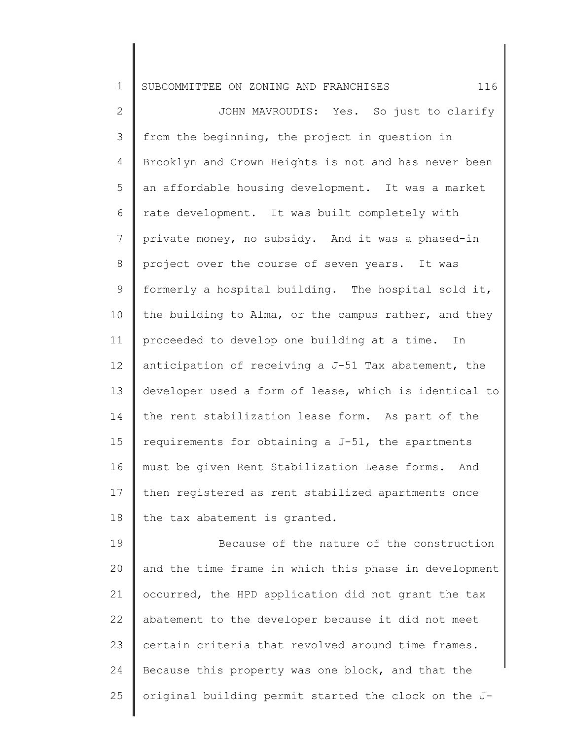1 SUBCOMMITTEE ON ZONING AND FRANCHISES 116

2 3 4 5 6 7 8 9 10 11 12 13 14 15 16 17 18 JOHN MAVROUDIS: Yes. So just to clarify from the beginning, the project in question in Brooklyn and Crown Heights is not and has never been an affordable housing development. It was a market rate development. It was built completely with private money, no subsidy. And it was a phased-in project over the course of seven years. It was formerly a hospital building. The hospital sold it, the building to Alma, or the campus rather, and they proceeded to develop one building at a time. In anticipation of receiving a J-51 Tax abatement, the developer used a form of lease, which is identical to the rent stabilization lease form. As part of the requirements for obtaining a J-51, the apartments must be given Rent Stabilization Lease forms. And then registered as rent stabilized apartments once the tax abatement is granted.

19 20 21 22 23 24 25 Because of the nature of the construction and the time frame in which this phase in development occurred, the HPD application did not grant the tax abatement to the developer because it did not meet certain criteria that revolved around time frames. Because this property was one block, and that the original building permit started the clock on the J-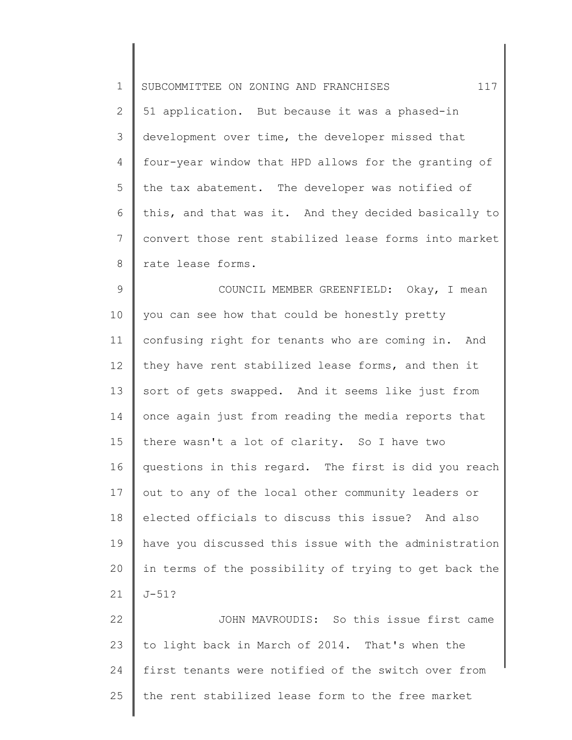1 2 3 4 5 6 7 8 9 10 11 12 13 14 15 SUBCOMMITTEE ON ZONING AND FRANCHISES 117 51 application. But because it was a phased-in development over time, the developer missed that four-year window that HPD allows for the granting of the tax abatement. The developer was notified of this, and that was it. And they decided basically to convert those rent stabilized lease forms into market rate lease forms. COUNCIL MEMBER GREENFIELD: Okay, I mean you can see how that could be honestly pretty confusing right for tenants who are coming in. And they have rent stabilized lease forms, and then it sort of gets swapped. And it seems like just from once again just from reading the media reports that there wasn't a lot of clarity. So I have two

16 17 18 19 20 21 questions in this regard. The first is did you reach out to any of the local other community leaders or elected officials to discuss this issue? And also have you discussed this issue with the administration in terms of the possibility of trying to get back the J-51?

22 23 24 25 JOHN MAVROUDIS: So this issue first came to light back in March of 2014. That's when the first tenants were notified of the switch over from the rent stabilized lease form to the free market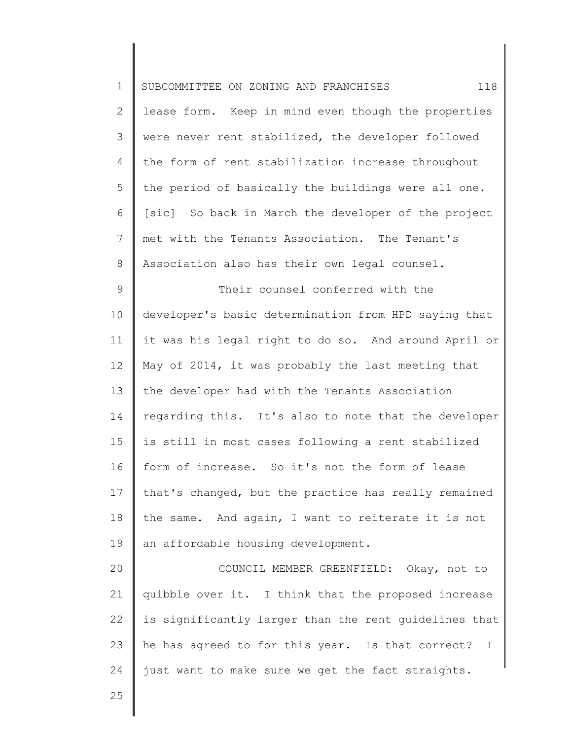| $\mathbf 1$   | 118<br>SUBCOMMITTEE ON ZONING AND FRANCHISES                     |
|---------------|------------------------------------------------------------------|
| 2             | lease form. Keep in mind even though the properties              |
| $\mathcal{S}$ | were never rent stabilized, the developer followed               |
| 4             | the form of rent stabilization increase throughout               |
| 5             | the period of basically the buildings were all one.              |
| 6             | [sic] So back in March the developer of the project              |
| 7             | met with the Tenants Association. The Tenant's                   |
| $8\,$         | Association also has their own legal counsel.                    |
| $\mathsf 9$   | Their counsel conferred with the                                 |
| 10            | developer's basic determination from HPD saying that             |
| 11            | it was his legal right to do so. And around April or             |
| 12            | May of 2014, it was probably the last meeting that               |
| 13            | the developer had with the Tenants Association                   |
| 14            | regarding this. It's also to note that the developer             |
| 15            | is still in most cases following a rent stabilized               |
| 16            | form of increase. So it's not the form of lease                  |
| 17            | that's changed, but the practice has really remained             |
| 18            | the same. And again, I want to reiterate it is not               |
| 19            | an affordable housing development.                               |
| 20            | COUNCIL MEMBER GREENFIELD: Okay, not to                          |
| 21            | quibble over it. I think that the proposed increase              |
| 22            | is significantly larger than the rent guidelines that            |
| 23            | he has agreed to for this year. Is that correct?<br>$\mathbf{I}$ |
| 24            | just want to make sure we get the fact straights.                |
| 25            |                                                                  |
|               |                                                                  |

 $\mathsf I$ ∥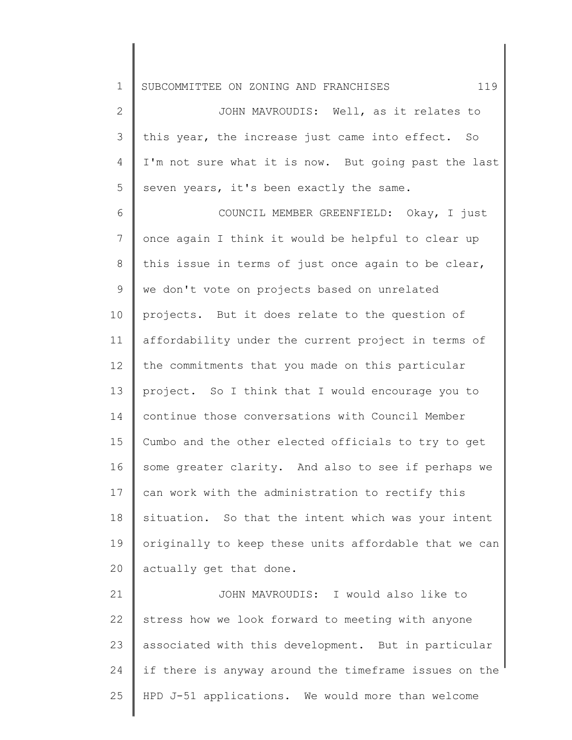1 SUBCOMMITTEE ON ZONING AND FRANCHISES 119

2 3 4 5 JOHN MAVROUDIS: Well, as it relates to this year, the increase just came into effect. So I'm not sure what it is now. But going past the last seven years, it's been exactly the same.

6 7 8 9 10 11 12 13 14 15 16 17 18 19 20 COUNCIL MEMBER GREENFIELD: Okay, I just once again I think it would be helpful to clear up this issue in terms of just once again to be clear, we don't vote on projects based on unrelated projects. But it does relate to the question of affordability under the current project in terms of the commitments that you made on this particular project. So I think that I would encourage you to continue those conversations with Council Member Cumbo and the other elected officials to try to get some greater clarity. And also to see if perhaps we can work with the administration to rectify this situation. So that the intent which was your intent originally to keep these units affordable that we can actually get that done.

21 22 23 24 25 JOHN MAVROUDIS: I would also like to stress how we look forward to meeting with anyone associated with this development. But in particular if there is anyway around the timeframe issues on the HPD J-51 applications. We would more than welcome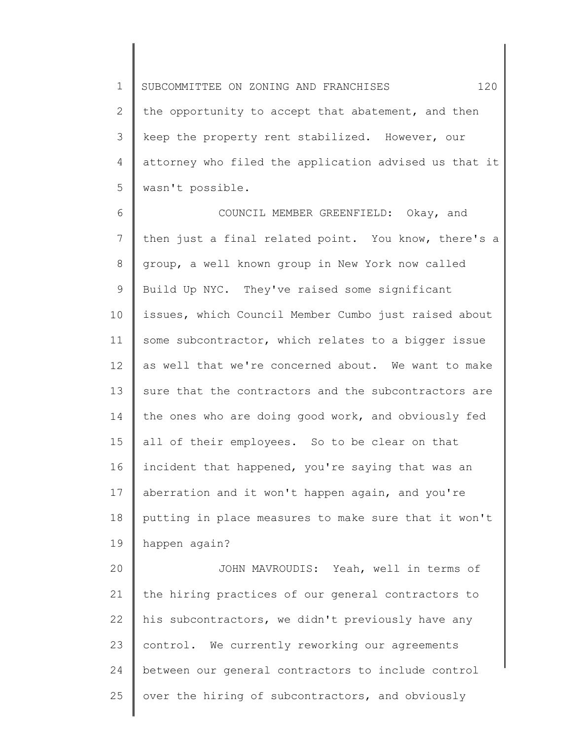1 2 3 4 5 SUBCOMMITTEE ON ZONING AND FRANCHISES 120 the opportunity to accept that abatement, and then keep the property rent stabilized. However, our attorney who filed the application advised us that it wasn't possible.

6 7 8 9 10 11 12 13 14 15 16 17 18 19 COUNCIL MEMBER GREENFIELD: Okay, and then just a final related point. You know, there's a group, a well known group in New York now called Build Up NYC. They've raised some significant issues, which Council Member Cumbo just raised about some subcontractor, which relates to a bigger issue as well that we're concerned about. We want to make sure that the contractors and the subcontractors are the ones who are doing good work, and obviously fed all of their employees. So to be clear on that incident that happened, you're saying that was an aberration and it won't happen again, and you're putting in place measures to make sure that it won't happen again?

20 21 22 23 24 25 JOHN MAVROUDIS: Yeah, well in terms of the hiring practices of our general contractors to his subcontractors, we didn't previously have any control. We currently reworking our agreements between our general contractors to include control over the hiring of subcontractors, and obviously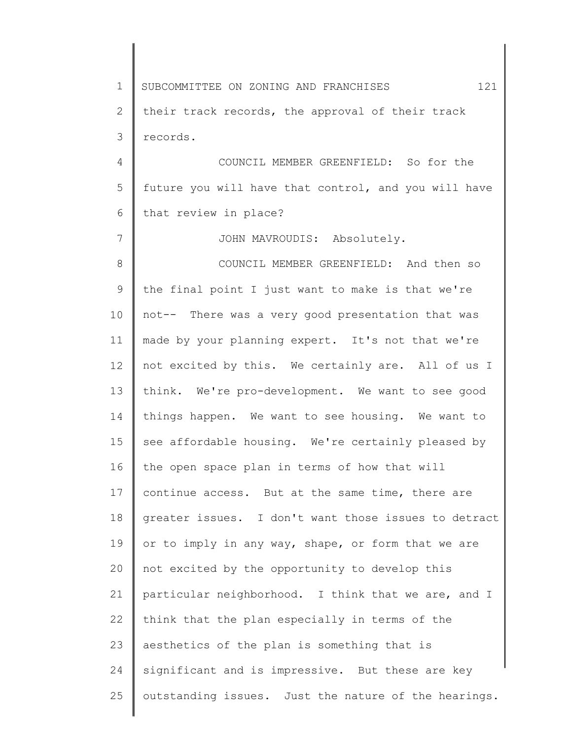1 2 3 4 5 6 7 8 9 10 11 12 13 14 15 16 17 18 19 20 21 22 23 24 25 SUBCOMMITTEE ON ZONING AND FRANCHISES  $121$ their track records, the approval of their track records. COUNCIL MEMBER GREENFIELD: So for the future you will have that control, and you will have that review in place? JOHN MAVROUDIS: Absolutely. COUNCIL MEMBER GREENFIELD: And then so the final point I just want to make is that we're not-- There was a very good presentation that was made by your planning expert. It's not that we're not excited by this. We certainly are. All of us I think. We're pro-development. We want to see good things happen. We want to see housing. We want to see affordable housing. We're certainly pleased by the open space plan in terms of how that will continue access. But at the same time, there are greater issues. I don't want those issues to detract or to imply in any way, shape, or form that we are not excited by the opportunity to develop this particular neighborhood. I think that we are, and I think that the plan especially in terms of the aesthetics of the plan is something that is significant and is impressive. But these are key outstanding issues. Just the nature of the hearings.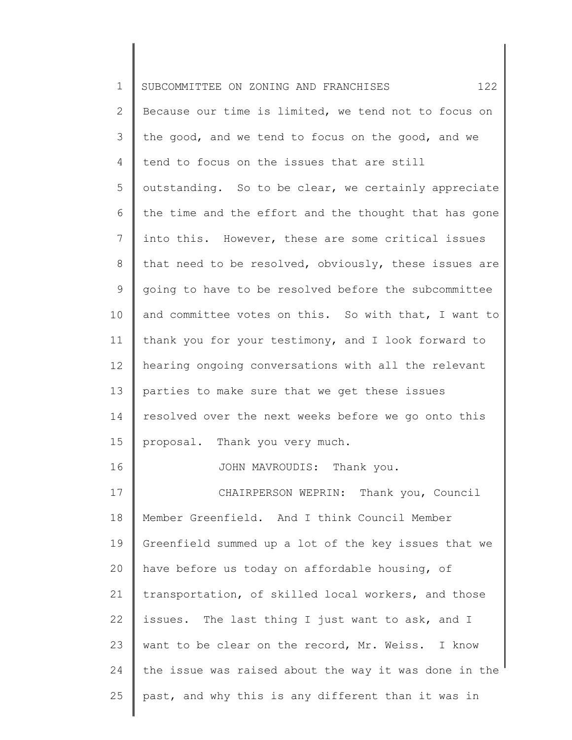| $\mathbf 1$     | 122<br>SUBCOMMITTEE ON ZONING AND FRANCHISES          |
|-----------------|-------------------------------------------------------|
| $\mathbf{2}$    | Because our time is limited, we tend not to focus on  |
| 3               | the good, and we tend to focus on the good, and we    |
| 4               | tend to focus on the issues that are still            |
| 5               | outstanding. So to be clear, we certainly appreciate  |
| 6               | the time and the effort and the thought that has gone |
| 7               | into this. However, these are some critical issues    |
| 8               | that need to be resolved, obviously, these issues are |
| $\mathsf 9$     | going to have to be resolved before the subcommittee  |
| 10              | and committee votes on this. So with that, I want to  |
| 11              | thank you for your testimony, and I look forward to   |
| 12 <sup>°</sup> | hearing ongoing conversations with all the relevant   |
| 13              | parties to make sure that we get these issues         |
| 14              | resolved over the next weeks before we go onto this   |
| 15              | proposal. Thank you very much.                        |
| 16              | JOHN MAVROUDIS: Thank you.                            |
| 17              | CHAIRPERSON WEPRIN: Thank you, Council                |
| 18              | Member Greenfield. And I think Council Member         |
| 19              | Greenfield summed up a lot of the key issues that we  |
| 20              | have before us today on affordable housing, of        |
| 21              | transportation, of skilled local workers, and those   |
| 22              | issues. The last thing I just want to ask, and I      |
| 23              | want to be clear on the record, Mr. Weiss. I know     |
| 24              | the issue was raised about the way it was done in the |
| 25              | past, and why this is any different than it was in    |
|                 |                                                       |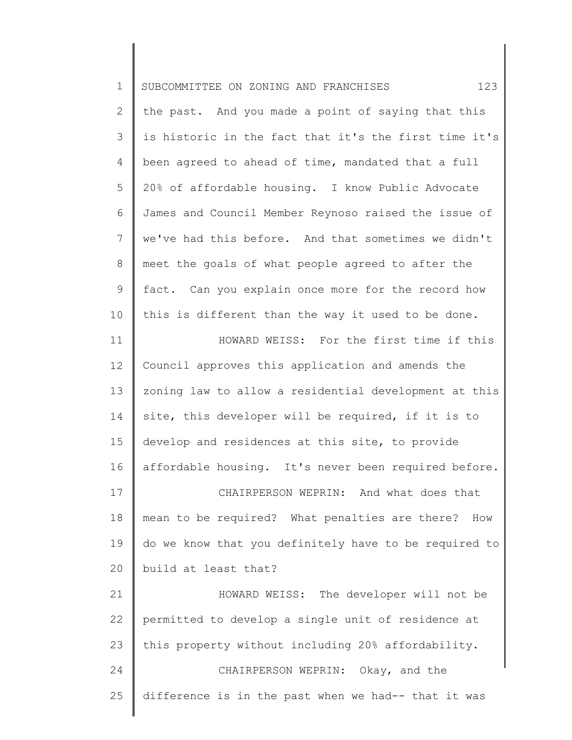| 123<br>SUBCOMMITTEE ON ZONING AND FRANCHISES          |
|-------------------------------------------------------|
| the past. And you made a point of saying that this    |
| is historic in the fact that it's the first time it's |
| been agreed to ahead of time, mandated that a full    |
| 20% of affordable housing. I know Public Advocate     |
| James and Council Member Reynoso raised the issue of  |
| we've had this before. And that sometimes we didn't   |
| meet the goals of what people agreed to after the     |
| fact. Can you explain once more for the record how    |
| this is different than the way it used to be done.    |
| HOWARD WEISS: For the first time if this              |
| Council approves this application and amends the      |
| zoning law to allow a residential development at this |
| site, this developer will be required, if it is to    |
| develop and residences at this site, to provide       |
| affordable housing. It's never been required before.  |
| CHAIRPERSON WEPRIN: And what does that                |
| mean to be required? What penalties are there? How    |
| do we know that you definitely have to be required to |
| build at least that?                                  |
| HOWARD WEISS: The developer will not be               |
| permitted to develop a single unit of residence at    |
| this property without including 20% affordability.    |
| CHAIRPERSON WEPRIN: Okay, and the                     |
|                                                       |
|                                                       |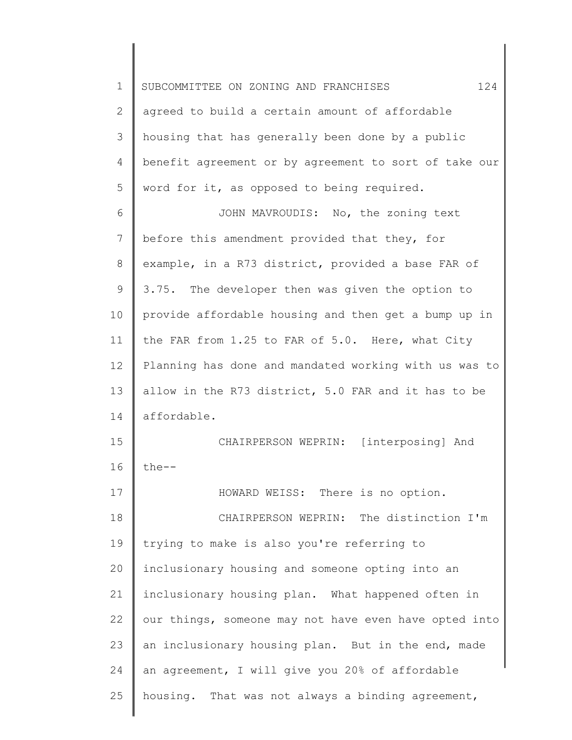1 2 3 4 5 6 7 8 9 10 11 12 13 14 15 16 17 18 19 20 21 22 23 24 25 SUBCOMMITTEE ON ZONING AND FRANCHISES  $124$ agreed to build a certain amount of affordable housing that has generally been done by a public benefit agreement or by agreement to sort of take our word for it, as opposed to being required. JOHN MAVROUDIS: No, the zoning text before this amendment provided that they, for example, in a R73 district, provided a base FAR of 3.75. The developer then was given the option to provide affordable housing and then get a bump up in the FAR from 1.25 to FAR of 5.0. Here, what City Planning has done and mandated working with us was to allow in the R73 district, 5.0 FAR and it has to be affordable. CHAIRPERSON WEPRIN: [interposing] And the-- HOWARD WEISS: There is no option. CHAIRPERSON WEPRIN: The distinction I'm trying to make is also you're referring to inclusionary housing and someone opting into an inclusionary housing plan. What happened often in our things, someone may not have even have opted into an inclusionary housing plan. But in the end, made an agreement, I will give you 20% of affordable housing. That was not always a binding agreement,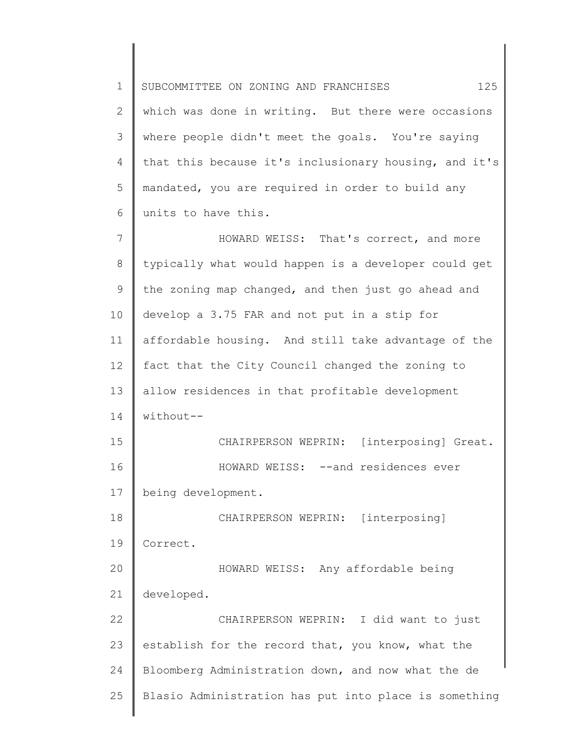1 2 3 4 5 6 7 8 9 10 SUBCOMMITTEE ON ZONING AND FRANCHISES 125 which was done in writing. But there were occasions where people didn't meet the goals. You're saying that this because it's inclusionary housing, and it's mandated, you are required in order to build any units to have this. HOWARD WEISS: That's correct, and more typically what would happen is a developer could get the zoning map changed, and then just go ahead and develop a 3.75 FAR and not put in a stip for

11 12 13 14 affordable housing. And still take advantage of the fact that the City Council changed the zoning to allow residences in that profitable development without--

15 16 17 CHAIRPERSON WEPRIN: [interposing] Great. HOWARD WEISS: --and residences ever being development.

18 19 CHAIRPERSON WEPRIN: [interposing] Correct.

20 21 HOWARD WEISS: Any affordable being developed.

22 23 24 25 CHAIRPERSON WEPRIN: I did want to just establish for the record that, you know, what the Bloomberg Administration down, and now what the de Blasio Administration has put into place is something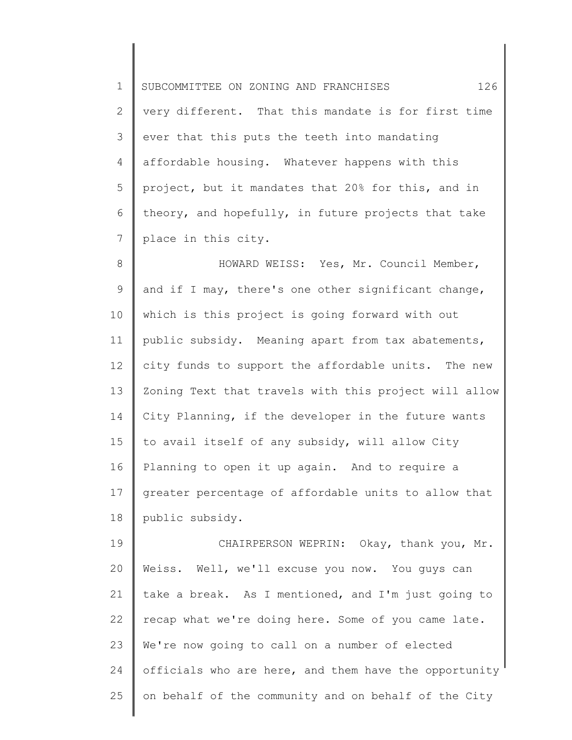1 2 3 4 5 6 7 SUBCOMMITTEE ON ZONING AND FRANCHISES 126 very different. That this mandate is for first time ever that this puts the teeth into mandating affordable housing. Whatever happens with this project, but it mandates that 20% for this, and in theory, and hopefully, in future projects that take place in this city.

8 9 10 11 12 13 14 15 16 17 18 HOWARD WEISS: Yes, Mr. Council Member, and if I may, there's one other significant change, which is this project is going forward with out public subsidy. Meaning apart from tax abatements, city funds to support the affordable units. The new Zoning Text that travels with this project will allow City Planning, if the developer in the future wants to avail itself of any subsidy, will allow City Planning to open it up again. And to require a greater percentage of affordable units to allow that public subsidy.

19 20 21 22 23 24 25 CHAIRPERSON WEPRIN: Okay, thank you, Mr. Weiss. Well, we'll excuse you now. You guys can take a break. As I mentioned, and I'm just going to recap what we're doing here. Some of you came late. We're now going to call on a number of elected officials who are here, and them have the opportunity on behalf of the community and on behalf of the City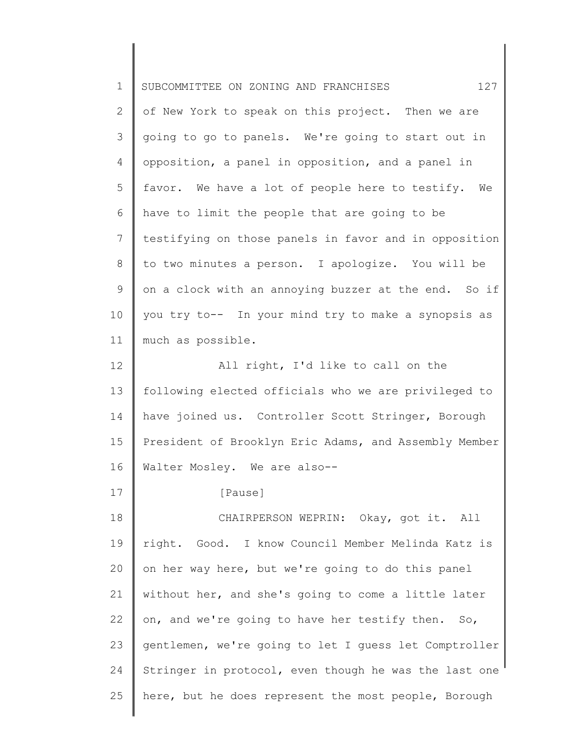| $\mathbf 1$    | 127<br>SUBCOMMITTEE ON ZONING AND FRANCHISES          |
|----------------|-------------------------------------------------------|
| $\overline{2}$ | of New York to speak on this project. Then we are     |
| 3              | going to go to panels. We're going to start out in    |
| 4              | opposition, a panel in opposition, and a panel in     |
| 5              | favor. We have a lot of people here to testify. We    |
| 6              | have to limit the people that are going to be         |
| 7              | testifying on those panels in favor and in opposition |
| 8              | to two minutes a person. I apologize. You will be     |
| 9              | on a clock with an annoying buzzer at the end. So if  |
| 10             | you try to-- In your mind try to make a synopsis as   |
| 11             | much as possible.                                     |
| 12             | All right, I'd like to call on the                    |
| 13             | following elected officials who we are privileged to  |
| 14             | have joined us. Controller Scott Stringer, Borough    |
| 15             | President of Brooklyn Eric Adams, and Assembly Member |
| 16             | Walter Mosley. We are also--                          |
| 17             | [Pause]                                               |
| 18             | CHAIRPERSON WEPRIN: Okay, got it. All                 |
| 19             | right. Good. I know Council Member Melinda Katz is    |
| 20             | on her way here, but we're going to do this panel     |
| 21             | without her, and she's going to come a little later   |
| 22             | on, and we're going to have her testify then. So,     |
| 23             | gentlemen, we're going to let I guess let Comptroller |
| 24             | Stringer in protocol, even though he was the last one |
| 25             | here, but he does represent the most people, Borough  |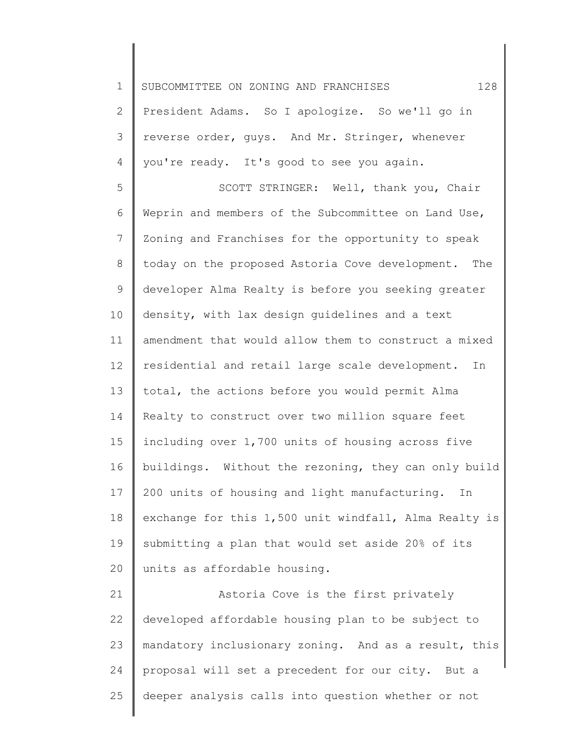1 2 3 4 5 6 7 8 9 10 11 12 13 14 15 16 17 18 19 20 21 22 23 24 SUBCOMMITTEE ON ZONING AND FRANCHISES  $128$ President Adams. So I apologize. So we'll go in reverse order, guys. And Mr. Stringer, whenever you're ready. It's good to see you again. SCOTT STRINGER: Well, thank you, Chair Weprin and members of the Subcommittee on Land Use, Zoning and Franchises for the opportunity to speak today on the proposed Astoria Cove development. The developer Alma Realty is before you seeking greater density, with lax design guidelines and a text amendment that would allow them to construct a mixed residential and retail large scale development. In total, the actions before you would permit Alma Realty to construct over two million square feet including over 1,700 units of housing across five buildings. Without the rezoning, they can only build 200 units of housing and light manufacturing. In exchange for this 1,500 unit windfall, Alma Realty is submitting a plan that would set aside 20% of its units as affordable housing. Astoria Cove is the first privately developed affordable housing plan to be subject to mandatory inclusionary zoning. And as a result, this proposal will set a precedent for our city. But a

25 deeper analysis calls into question whether or not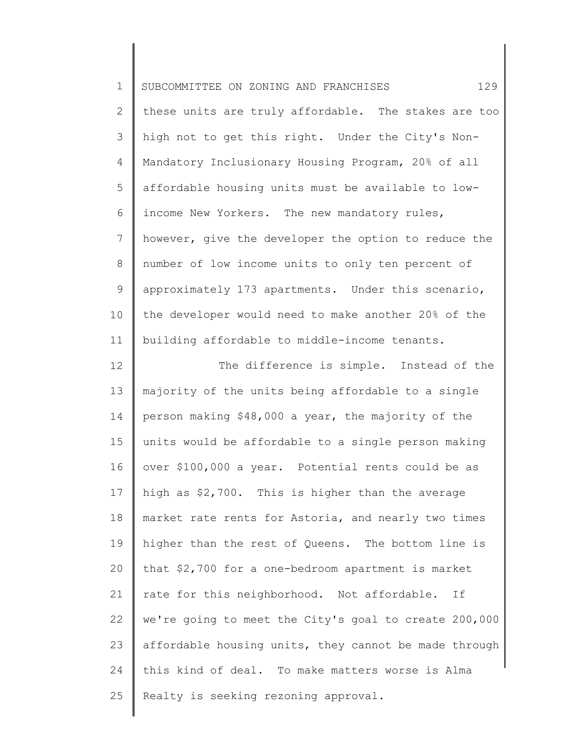| $\mathbf 1$    | 129<br>SUBCOMMITTEE ON ZONING AND FRANCHISES          |
|----------------|-------------------------------------------------------|
| $\mathbf{2}$   | these units are truly affordable. The stakes are too  |
| 3              | high not to get this right. Under the City's Non-     |
| 4              | Mandatory Inclusionary Housing Program, 20% of all    |
| 5              | affordable housing units must be available to low-    |
| 6              | income New Yorkers. The new mandatory rules,          |
| $\overline{7}$ | however, give the developer the option to reduce the  |
| $8\,$          | number of low income units to only ten percent of     |
| $\mathsf 9$    | approximately 173 apartments. Under this scenario,    |
| 10             | the developer would need to make another 20% of the   |
| 11             | building affordable to middle-income tenants.         |
| 12             | The difference is simple. Instead of the              |
| 13             | majority of the units being affordable to a single    |
| 14             | person making \$48,000 a year, the majority of the    |
| 15             | units would be affordable to a single person making   |
| 16             | over \$100,000 a year. Potential rents could be as    |
| 17             | high as \$2,700. This is higher than the average      |
| 18             | market rate rents for Astoria, and nearly two times   |
| 19             | higher than the rest of Queens. The bottom line is    |
| 20             | that \$2,700 for a one-bedroom apartment is market    |
| 21             | rate for this neighborhood. Not affordable. If        |
| 22             | we're going to meet the City's goal to create 200,000 |
| 23             | affordable housing units, they cannot be made through |
| 24             | this kind of deal. To make matters worse is Alma      |
| 25             | Realty is seeking rezoning approval.                  |
|                |                                                       |

 $\begin{array}{c} \hline \end{array}$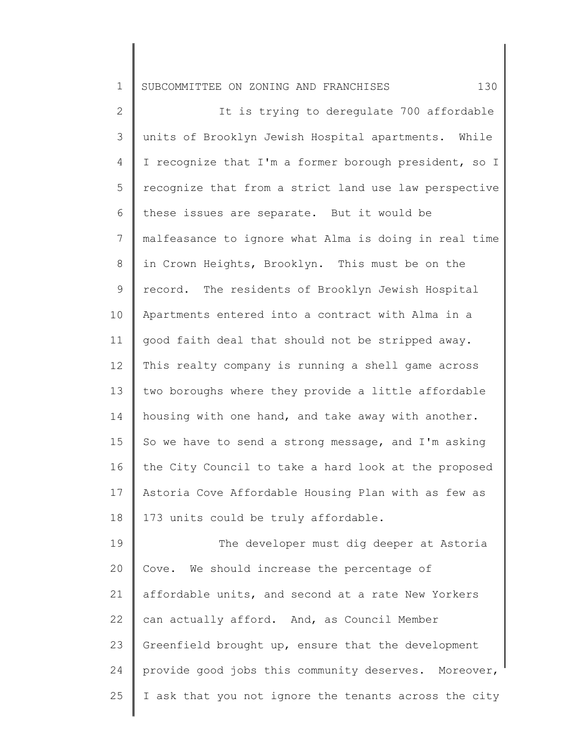1 SUBCOMMITTEE ON ZONING AND FRANCHISES 130

2 3 4 5 6 7 8 9 10 11 12 13 14 15 16 17 18 19 It is trying to deregulate 700 affordable units of Brooklyn Jewish Hospital apartments. While I recognize that I'm a former borough president, so I recognize that from a strict land use law perspective these issues are separate. But it would be malfeasance to ignore what Alma is doing in real time in Crown Heights, Brooklyn. This must be on the record. The residents of Brooklyn Jewish Hospital Apartments entered into a contract with Alma in a good faith deal that should not be stripped away. This realty company is running a shell game across two boroughs where they provide a little affordable housing with one hand, and take away with another. So we have to send a strong message, and I'm asking the City Council to take a hard look at the proposed Astoria Cove Affordable Housing Plan with as few as 173 units could be truly affordable. The developer must dig deeper at Astoria

20 21 22 23 24 25 Cove. We should increase the percentage of affordable units, and second at a rate New Yorkers can actually afford. And, as Council Member Greenfield brought up, ensure that the development provide good jobs this community deserves. Moreover, I ask that you not ignore the tenants across the city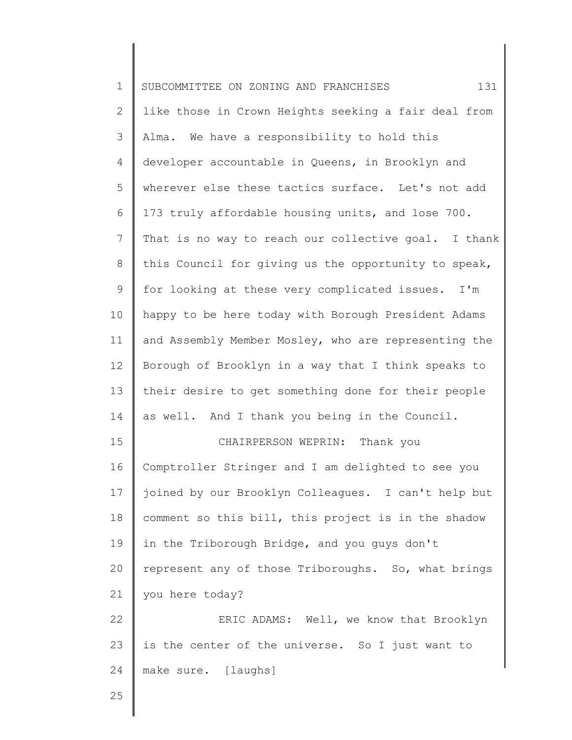| $\mathbf 1$    | 131<br>SUBCOMMITTEE ON ZONING AND FRANCHISES         |
|----------------|------------------------------------------------------|
| $\mathbf{2}$   | like those in Crown Heights seeking a fair deal from |
| 3              | Alma. We have a responsibility to hold this          |
| 4              | developer accountable in Queens, in Brooklyn and     |
| 5              | wherever else these tactics surface. Let's not add   |
| 6              | 173 truly affordable housing units, and lose 700.    |
| $\overline{7}$ | That is no way to reach our collective goal. I thank |
| $8\,$          | this Council for giving us the opportunity to speak, |
| $\mathsf 9$    | for looking at these very complicated issues. I'm    |
| 10             | happy to be here today with Borough President Adams  |
| 11             | and Assembly Member Mosley, who are representing the |
| 12             | Borough of Brooklyn in a way that I think speaks to  |
| 13             | their desire to get something done for their people  |
| 14             | as well. And I thank you being in the Council.       |
| 15             | CHAIRPERSON WEPRIN: Thank you                        |
| 16             | Comptroller Stringer and I am delighted to see you   |
| 17             | joined by our Brooklyn Colleagues. I can't help but  |
| 18             | comment so this bill, this project is in the shadow  |
| 19             | in the Triborough Bridge, and you guys don't         |
| 20             | represent any of those Triboroughs. So, what brings  |
| 21             | you here today?                                      |
| 22             | ERIC ADAMS: Well, we know that Brooklyn              |
| 23             | is the center of the universe. So I just want to     |
| 24             | make sure. [laughs]                                  |
| 25             |                                                      |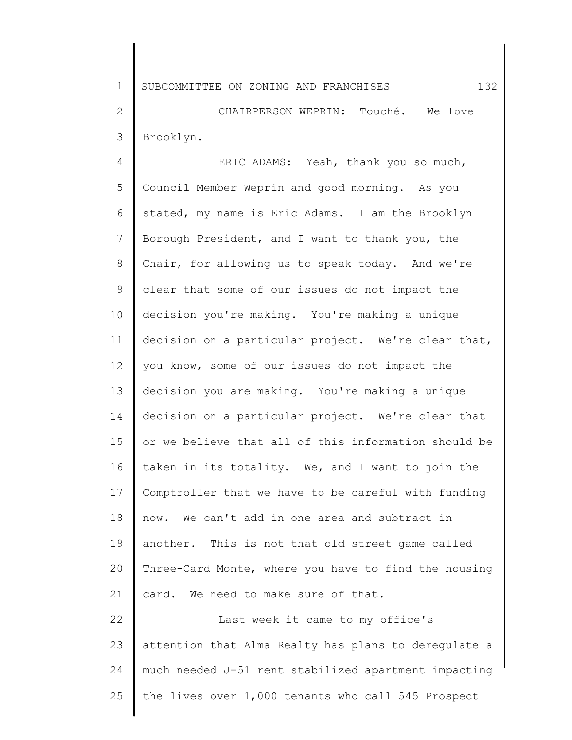1 SUBCOMMITTEE ON ZONING AND FRANCHISES 132

2 3 CHAIRPERSON WEPRIN: Touché. We love Brooklyn.

4 5 6 7 8 9 10 11 12 13 14 15 16 17 18 19 20 21 22 23 ERIC ADAMS: Yeah, thank you so much, Council Member Weprin and good morning. As you stated, my name is Eric Adams. I am the Brooklyn Borough President, and I want to thank you, the Chair, for allowing us to speak today. And we're clear that some of our issues do not impact the decision you're making. You're making a unique decision on a particular project. We're clear that, you know, some of our issues do not impact the decision you are making. You're making a unique decision on a particular project. We're clear that or we believe that all of this information should be taken in its totality. We, and I want to join the Comptroller that we have to be careful with funding now. We can't add in one area and subtract in another. This is not that old street game called Three-Card Monte, where you have to find the housing card. We need to make sure of that. Last week it came to my office's attention that Alma Realty has plans to deregulate a

25 the lives over 1,000 tenants who call 545 Prospect

much needed J-51 rent stabilized apartment impacting

24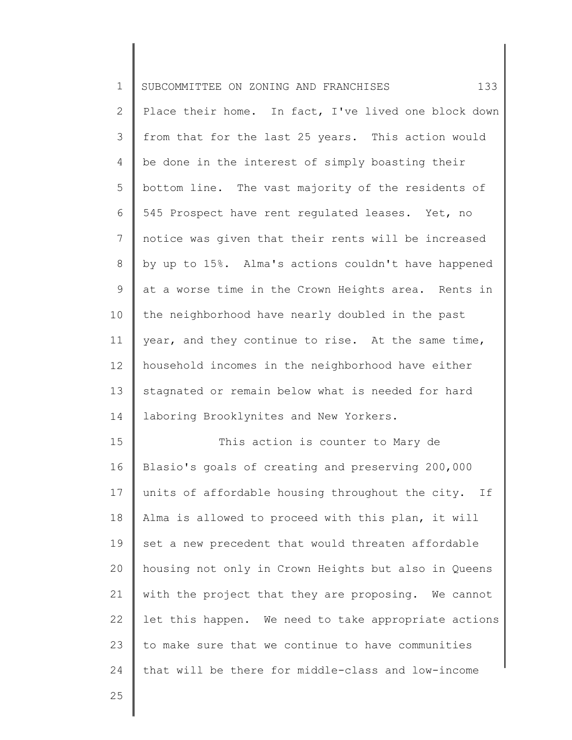| 1              | 133<br>SUBCOMMITTEE ON ZONING AND FRANCHISES         |
|----------------|------------------------------------------------------|
| $\mathbf{2}$   | Place their home. In fact, I've lived one block down |
| 3              | from that for the last 25 years. This action would   |
| 4              | be done in the interest of simply boasting their     |
| 5              | bottom line. The vast majority of the residents of   |
| 6              | 545 Prospect have rent regulated leases. Yet, no     |
| $\overline{7}$ | notice was given that their rents will be increased  |
| $8\,$          | by up to 15%. Alma's actions couldn't have happened  |
| 9              | at a worse time in the Crown Heights area. Rents in  |
| 10             | the neighborhood have nearly doubled in the past     |
| 11             | year, and they continue to rise. At the same time,   |
| 12             | household incomes in the neighborhood have either    |
| 13             | stagnated or remain below what is needed for hard    |
| 14             | laboring Brooklynites and New Yorkers.               |
| 15             | This action is counter to Mary de                    |
| 16             | Blasio's goals of creating and preserving 200,000    |
| 17             | units of affordable housing throughout the city. If  |
| 18             | Alma is allowed to proceed with this plan, it will   |
| 19             | set a new precedent that would threaten affordable   |
| 20             | housing not only in Crown Heights but also in Queens |
| 21             | with the project that they are proposing. We cannot  |
| 22             | let this happen. We need to take appropriate actions |
| 23             | to make sure that we continue to have communities    |
| 24             | that will be there for middle-class and low-income   |
| 25             |                                                      |

25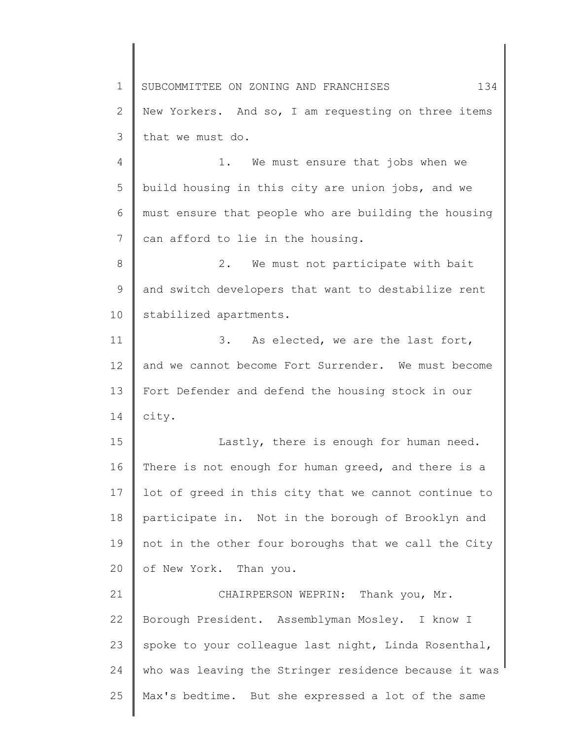1 2 3 4 5 6 7 SUBCOMMITTEE ON ZONING AND FRANCHISES 134 New Yorkers. And so, I am requesting on three items that we must do. 1. We must ensure that jobs when we build housing in this city are union jobs, and we must ensure that people who are building the housing can afford to lie in the housing.

8 9 10 2. We must not participate with bait and switch developers that want to destabilize rent stabilized apartments.

11 12 13 14 3. As elected, we are the last fort, and we cannot become Fort Surrender. We must become Fort Defender and defend the housing stock in our city.

15 16 17 18 19 20 Lastly, there is enough for human need. There is not enough for human greed, and there is a lot of greed in this city that we cannot continue to participate in. Not in the borough of Brooklyn and not in the other four boroughs that we call the City of New York. Than you.

21 22 23 24 25 CHAIRPERSON WEPRIN: Thank you, Mr. Borough President. Assemblyman Mosley. I know I spoke to your colleague last night, Linda Rosenthal, who was leaving the Stringer residence because it was Max's bedtime. But she expressed a lot of the same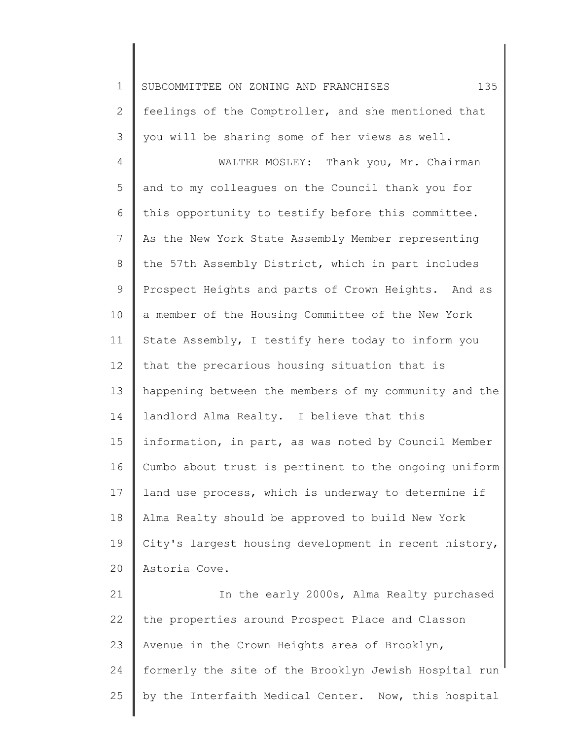1 2 3 4 5 6 7 8 9 10 11 12 13 14 15 16 17 18 19 20 SUBCOMMITTEE ON ZONING AND FRANCHISES 135 feelings of the Comptroller, and she mentioned that you will be sharing some of her views as well. WALTER MOSLEY: Thank you, Mr. Chairman and to my colleagues on the Council thank you for this opportunity to testify before this committee. As the New York State Assembly Member representing the 57th Assembly District, which in part includes Prospect Heights and parts of Crown Heights. And as a member of the Housing Committee of the New York State Assembly, I testify here today to inform you that the precarious housing situation that is happening between the members of my community and the landlord Alma Realty. I believe that this information, in part, as was noted by Council Member Cumbo about trust is pertinent to the ongoing uniform land use process, which is underway to determine if Alma Realty should be approved to build New York City's largest housing development in recent history, Astoria Cove.

21 22 23 24 25 In the early 2000s, Alma Realty purchased the properties around Prospect Place and Classon Avenue in the Crown Heights area of Brooklyn, formerly the site of the Brooklyn Jewish Hospital run by the Interfaith Medical Center. Now, this hospital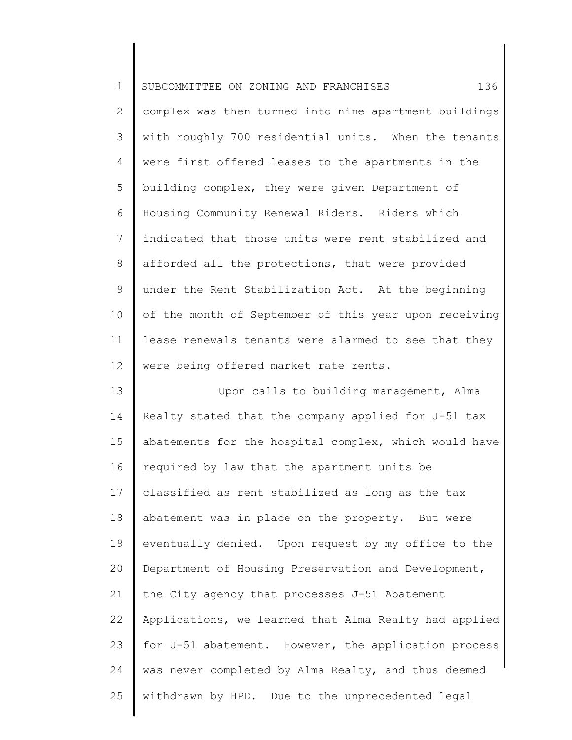| $\mathbf 1$    | 136<br>SUBCOMMITTEE ON ZONING AND FRANCHISES          |
|----------------|-------------------------------------------------------|
| $\mathbf{2}$   | complex was then turned into nine apartment buildings |
| 3              | with roughly 700 residential units. When the tenants  |
| 4              | were first offered leases to the apartments in the    |
| 5              | building complex, they were given Department of       |
| 6              | Housing Community Renewal Riders. Riders which        |
| $\overline{7}$ | indicated that those units were rent stabilized and   |
| $\,8\,$        | afforded all the protections, that were provided      |
| $\mathsf 9$    | under the Rent Stabilization Act. At the beginning    |
| 10             | of the month of September of this year upon receiving |
| 11             | lease renewals tenants were alarmed to see that they  |
| 12             | were being offered market rate rents.                 |
| 13             | Upon calls to building management, Alma               |
| 14             | Realty stated that the company applied for J-51 tax   |
| 15             | abatements for the hospital complex, which would have |
| 16             | required by law that the apartment units be           |
| 17             | classified as rent stabilized as long as the tax      |
| 18             | abatement was in place on the property. But were      |
| 19             | eventually denied. Upon request by my office to the   |
| 20             | Department of Housing Preservation and Development,   |
| 21             | the City agency that processes J-51 Abatement         |
| 22             | Applications, we learned that Alma Realty had applied |
| 23             | for J-51 abatement. However, the application process  |
| 24             | was never completed by Alma Realty, and thus deemed   |
| 25             | withdrawn by HPD. Due to the unprecedented legal      |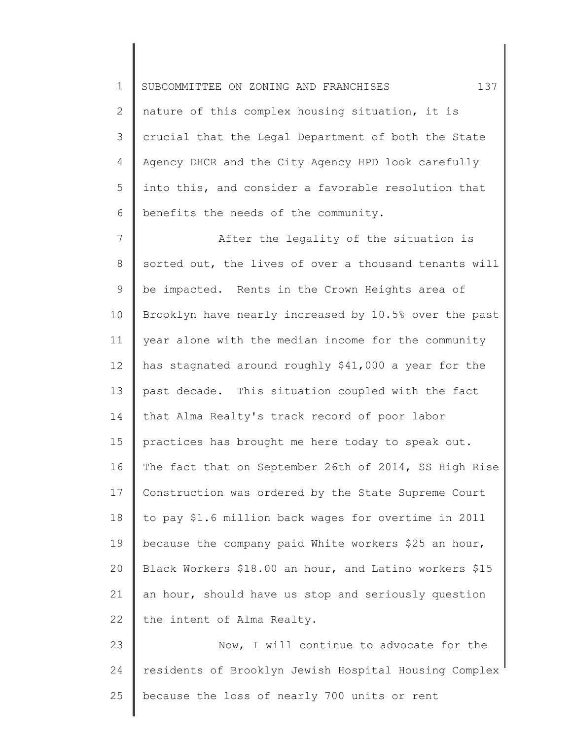1 2 3 4 5 6 SUBCOMMITTEE ON ZONING AND FRANCHISES 137 nature of this complex housing situation, it is crucial that the Legal Department of both the State Agency DHCR and the City Agency HPD look carefully into this, and consider a favorable resolution that benefits the needs of the community.

7 8 9 10 11 12 13 14 15 16 17 18 19 20 21 22 After the legality of the situation is sorted out, the lives of over a thousand tenants will be impacted. Rents in the Crown Heights area of Brooklyn have nearly increased by 10.5% over the past year alone with the median income for the community has stagnated around roughly \$41,000 a year for the past decade. This situation coupled with the fact that Alma Realty's track record of poor labor practices has brought me here today to speak out. The fact that on September 26th of 2014, SS High Rise Construction was ordered by the State Supreme Court to pay \$1.6 million back wages for overtime in 2011 because the company paid White workers \$25 an hour, Black Workers \$18.00 an hour, and Latino workers \$15 an hour, should have us stop and seriously question the intent of Alma Realty.

23 24 25 Now, I will continue to advocate for the residents of Brooklyn Jewish Hospital Housing Complex because the loss of nearly 700 units or rent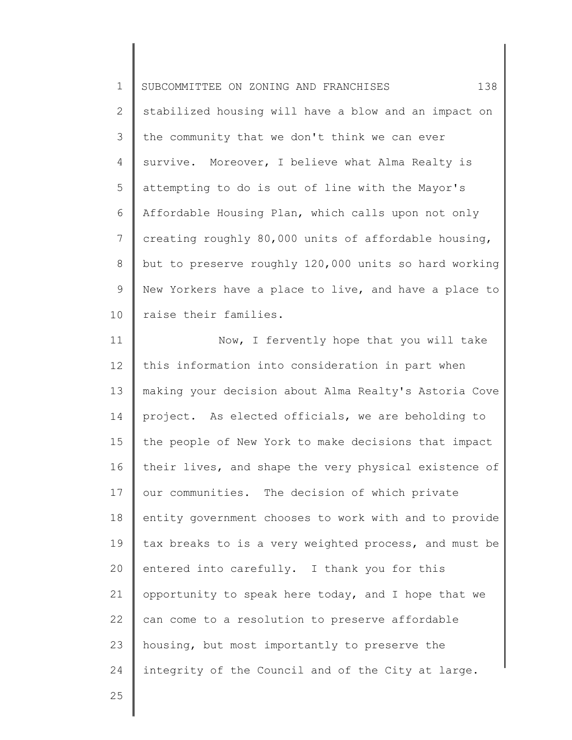1 2 3 4 5 6 7 8 9 10 SUBCOMMITTEE ON ZONING AND FRANCHISES 138 stabilized housing will have a blow and an impact on the community that we don't think we can ever survive. Moreover, I believe what Alma Realty is attempting to do is out of line with the Mayor's Affordable Housing Plan, which calls upon not only creating roughly 80,000 units of affordable housing, but to preserve roughly 120,000 units so hard working New Yorkers have a place to live, and have a place to raise their families.

11 12 13 14 15 16 17 18 19 20 21 22 23 24 Now, I fervently hope that you will take this information into consideration in part when making your decision about Alma Realty's Astoria Cove project. As elected officials, we are beholding to the people of New York to make decisions that impact their lives, and shape the very physical existence of our communities. The decision of which private entity government chooses to work with and to provide tax breaks to is a very weighted process, and must be entered into carefully. I thank you for this opportunity to speak here today, and I hope that we can come to a resolution to preserve affordable housing, but most importantly to preserve the integrity of the Council and of the City at large.

25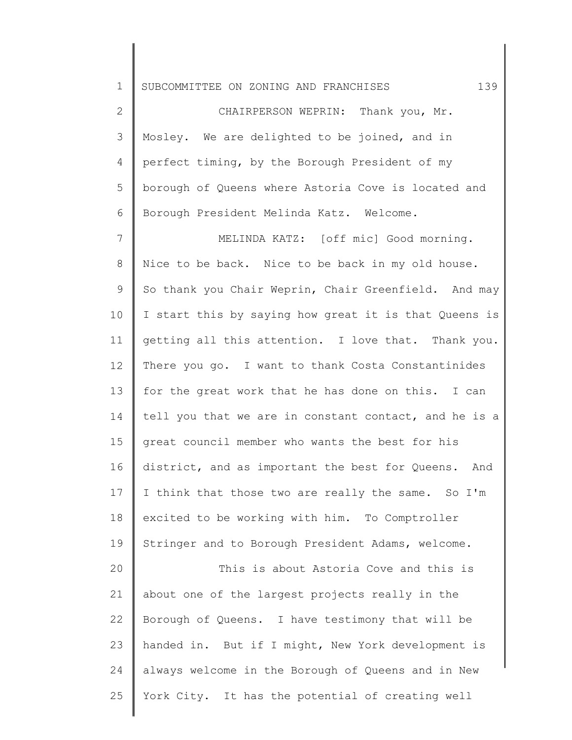1 SUBCOMMITTEE ON ZONING AND FRANCHISES 139

2 3 4 5 6 CHAIRPERSON WEPRIN: Thank you, Mr. Mosley. We are delighted to be joined, and in perfect timing, by the Borough President of my borough of Queens where Astoria Cove is located and Borough President Melinda Katz. Welcome.

7 8 9 10 11 12 13 14 15 16 17 18 19 MELINDA KATZ: [off mic] Good morning. Nice to be back. Nice to be back in my old house. So thank you Chair Weprin, Chair Greenfield. And may I start this by saying how great it is that Queens is getting all this attention. I love that. Thank you. There you go. I want to thank Costa Constantinides for the great work that he has done on this. I can tell you that we are in constant contact, and he is a great council member who wants the best for his district, and as important the best for Queens. And I think that those two are really the same. So I'm excited to be working with him. To Comptroller Stringer and to Borough President Adams, welcome.

20 21 22 23 24 25 This is about Astoria Cove and this is about one of the largest projects really in the Borough of Queens. I have testimony that will be handed in. But if I might, New York development is always welcome in the Borough of Queens and in New York City. It has the potential of creating well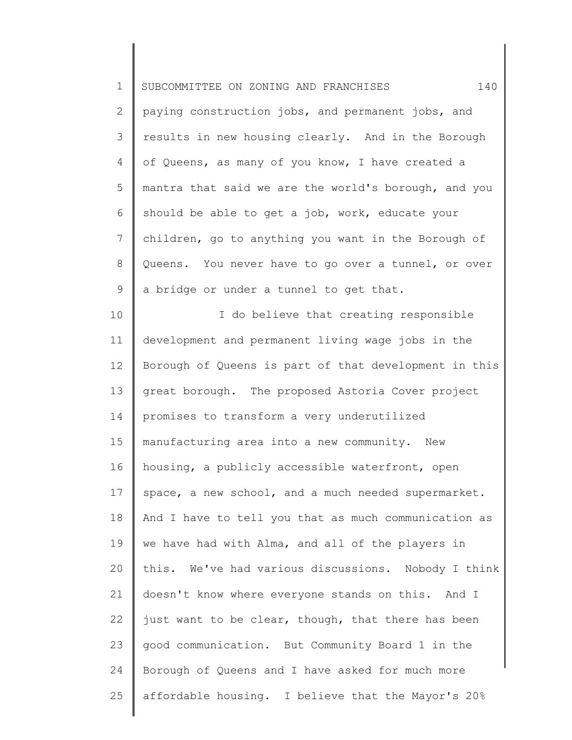1 2 3 4 5 6 7 8 9 10 11 12 13 14 15 16 17 18 19 20 21 22 23 24 25 SUBCOMMITTEE ON ZONING AND FRANCHISES 140 paying construction jobs, and permanent jobs, and results in new housing clearly. And in the Borough of Queens, as many of you know, I have created a mantra that said we are the world's borough, and you should be able to get a job, work, educate your children, go to anything you want in the Borough of Queens. You never have to go over a tunnel, or over a bridge or under a tunnel to get that. I do believe that creating responsible development and permanent living wage jobs in the Borough of Queens is part of that development in this great borough. The proposed Astoria Cover project promises to transform a very underutilized manufacturing area into a new community. New housing, a publicly accessible waterfront, open space, a new school, and a much needed supermarket. And I have to tell you that as much communication as we have had with Alma, and all of the players in this. We've had various discussions. Nobody I think doesn't know where everyone stands on this. And I just want to be clear, though, that there has been good communication. But Community Board 1 in the Borough of Queens and I have asked for much more affordable housing. I believe that the Mayor's 20%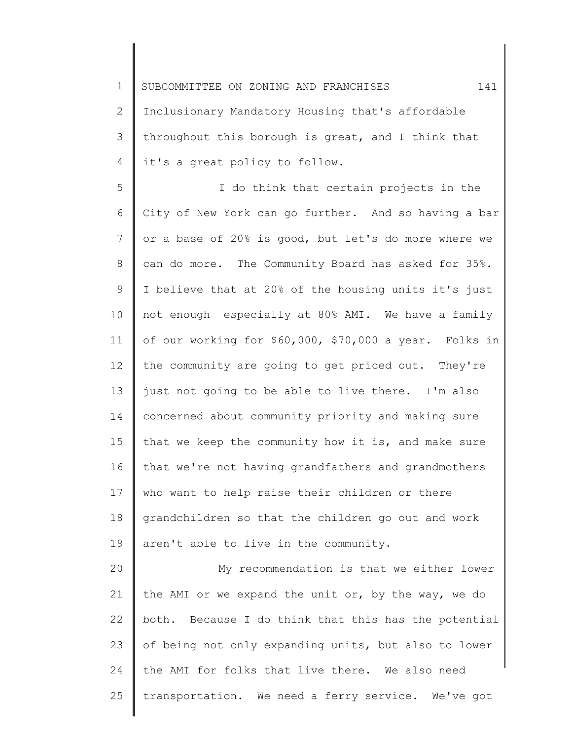1 2 3 4 SUBCOMMITTEE ON ZONING AND FRANCHISES  $141$ Inclusionary Mandatory Housing that's affordable throughout this borough is great, and I think that it's a great policy to follow.

5 6 7 8 9 10 11 12 13 14 15 16 17 18 19 I do think that certain projects in the City of New York can go further. And so having a bar or a base of 20% is good, but let's do more where we can do more. The Community Board has asked for 35%. I believe that at 20% of the housing units it's just not enough especially at 80% AMI. We have a family of our working for \$60,000, \$70,000 a year. Folks in the community are going to get priced out. They're just not going to be able to live there. I'm also concerned about community priority and making sure that we keep the community how it is, and make sure that we're not having grandfathers and grandmothers who want to help raise their children or there grandchildren so that the children go out and work aren't able to live in the community.

20 21 22 23 24 25 My recommendation is that we either lower the AMI or we expand the unit or, by the way, we do both. Because I do think that this has the potential of being not only expanding units, but also to lower the AMI for folks that live there. We also need transportation. We need a ferry service. We've got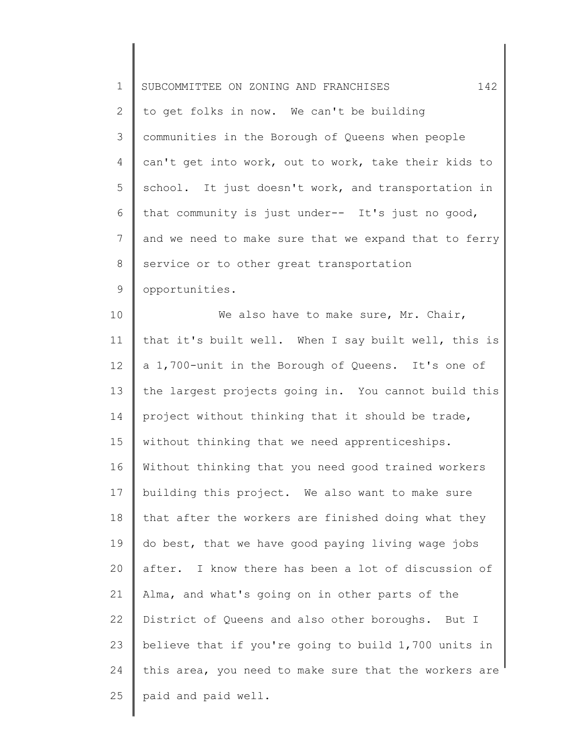| $\mathbf 1$    | 142<br>SUBCOMMITTEE ON ZONING AND FRANCHISES          |
|----------------|-------------------------------------------------------|
| $\mathbf{2}$   | to get folks in now. We can't be building             |
| 3              | communities in the Borough of Queens when people      |
| 4              | can't get into work, out to work, take their kids to  |
| 5              | school. It just doesn't work, and transportation in   |
| 6              | that community is just under-- It's just no good,     |
| $\overline{7}$ | and we need to make sure that we expand that to ferry |
| 8              | service or to other great transportation              |
| 9              | opportunities.                                        |
| 10             | We also have to make sure, Mr. Chair,                 |
| 11             | that it's built well. When I say built well, this is  |
| 12             | a 1,700-unit in the Borough of Queens. It's one of    |
| 13             | the largest projects going in. You cannot build this  |
| 14             | project without thinking that it should be trade,     |
| 15             | without thinking that we need apprenticeships.        |
| 16             | Without thinking that you need good trained workers   |
| 17             | building this project. We also want to make sure      |
| 18             | that after the workers are finished doing what they   |
| 19             | do best, that we have good paying living wage jobs    |
| 20             | after. I know there has been a lot of discussion of   |
| 21             | Alma, and what's going on in other parts of the       |
| 22             | District of Queens and also other boroughs. But I     |
| 23             | believe that if you're going to build 1,700 units in  |
| 24             | this area, you need to make sure that the workers are |
| 25             | paid and paid well.                                   |
|                |                                                       |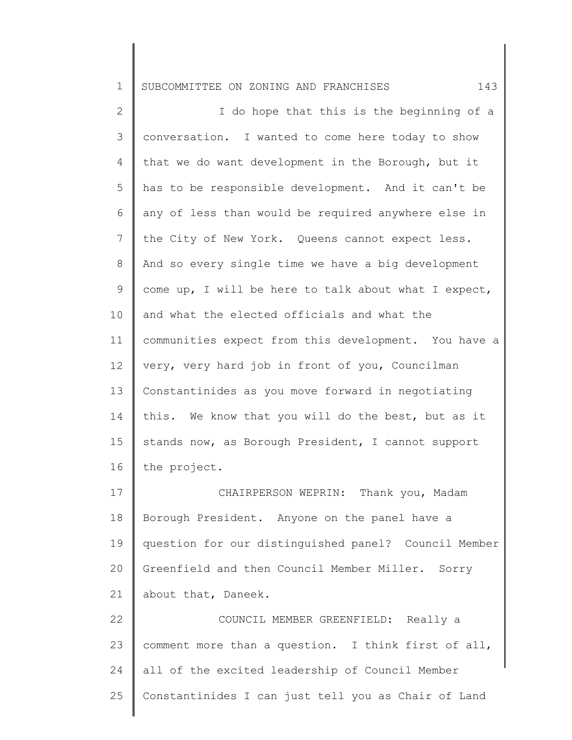1 2 3 4 5 6 7 8 9 10 11 12 13 14 15 16 17 18 19 SUBCOMMITTEE ON ZONING AND FRANCHISES 143 I do hope that this is the beginning of a conversation. I wanted to come here today to show that we do want development in the Borough, but it has to be responsible development. And it can't be any of less than would be required anywhere else in the City of New York. Queens cannot expect less. And so every single time we have a big development come up, I will be here to talk about what I expect, and what the elected officials and what the communities expect from this development. You have a very, very hard job in front of you, Councilman Constantinides as you move forward in negotiating this. We know that you will do the best, but as it stands now, as Borough President, I cannot support the project. CHAIRPERSON WEPRIN: Thank you, Madam Borough President. Anyone on the panel have a question for our distinguished panel? Council Member

21 about that, Daneek.

20

22 23 24 25 COUNCIL MEMBER GREENFIELD: Really a comment more than a question. I think first of all, all of the excited leadership of Council Member Constantinides I can just tell you as Chair of Land

Greenfield and then Council Member Miller. Sorry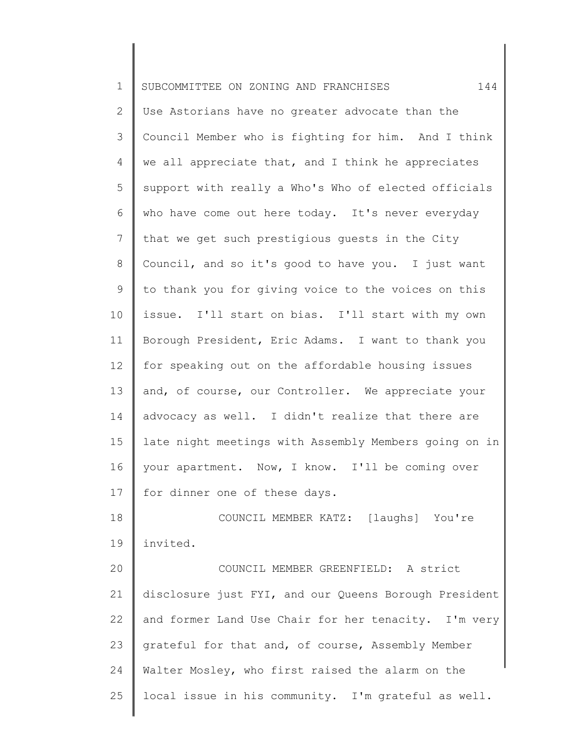| $\mathbf 1$     | 144<br>SUBCOMMITTEE ON ZONING AND FRANCHISES          |
|-----------------|-------------------------------------------------------|
| $\mathbf{2}$    | Use Astorians have no greater advocate than the       |
| 3               | Council Member who is fighting for him. And I think   |
| 4               | we all appreciate that, and I think he appreciates    |
| 5               | support with really a Who's Who of elected officials  |
| 6               | who have come out here today. It's never everyday     |
| 7               | that we get such prestigious quests in the City       |
| 8               | Council, and so it's good to have you. I just want    |
| $\mathsf 9$     | to thank you for giving voice to the voices on this   |
| 10              | issue. I'll start on bias. I'll start with my own     |
| 11              | Borough President, Eric Adams. I want to thank you    |
| 12 <sup>°</sup> | for speaking out on the affordable housing issues     |
| 13              | and, of course, our Controller. We appreciate your    |
| 14              | advocacy as well. I didn't realize that there are     |
| 15              | late night meetings with Assembly Members going on in |
| 16              | your apartment. Now, I know. I'll be coming over      |
| 17              | for dinner one of these days.                         |
| 18              | COUNCIL MEMBER KATZ: [laughs] You're                  |
| 19              | invited.                                              |
| 20              | COUNCIL MEMBER GREENFIELD: A strict                   |
| 21              | disclosure just FYI, and our Queens Borough President |
| 22              | and former Land Use Chair for her tenacity. I'm very  |
| 23              | grateful for that and, of course, Assembly Member     |
| 24              | Walter Mosley, who first raised the alarm on the      |
| 25              | local issue in his community. I'm grateful as well.   |
|                 |                                                       |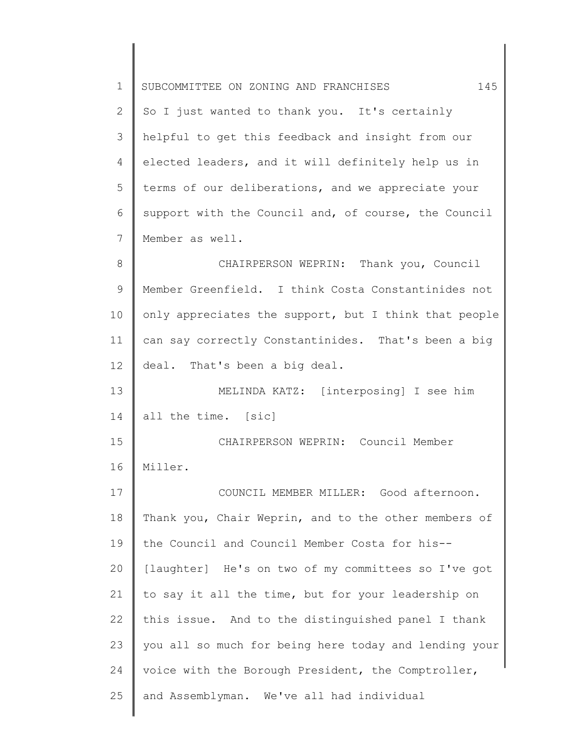| $\mathbf 1$ | 145<br>SUBCOMMITTEE ON ZONING AND FRANCHISES          |
|-------------|-------------------------------------------------------|
| 2           | So I just wanted to thank you. It's certainly         |
| 3           | helpful to get this feedback and insight from our     |
| 4           | elected leaders, and it will definitely help us in    |
| 5           | terms of our deliberations, and we appreciate your    |
| 6           | support with the Council and, of course, the Council  |
| 7           | Member as well.                                       |
| 8           | CHAIRPERSON WEPRIN: Thank you, Council                |
| 9           | Member Greenfield. I think Costa Constantinides not   |
| 10          | only appreciates the support, but I think that people |
| 11          | can say correctly Constantinides. That's been a big   |
| 12          | deal. That's been a big deal.                         |
| 13          | MELINDA KATZ: [interposing] I see him                 |
| 14          | all the time. [sic]                                   |
| 15          | CHAIRPERSON WEPRIN: Council Member                    |
| 16          | Miller.                                               |
| 17          | COUNCIL MEMBER MILLER: Good afternoon.                |
| 18          | Thank you, Chair Weprin, and to the other members of  |
| 19          | the Council and Council Member Costa for his--        |
| 20          | [laughter] He's on two of my committees so I've got   |
| 21          | to say it all the time, but for your leadership on    |
| 22          | this issue. And to the distinguished panel I thank    |
| 23          | you all so much for being here today and lending your |
| 24          | voice with the Borough President, the Comptroller,    |
| 25          | and Assemblyman. We've all had individual             |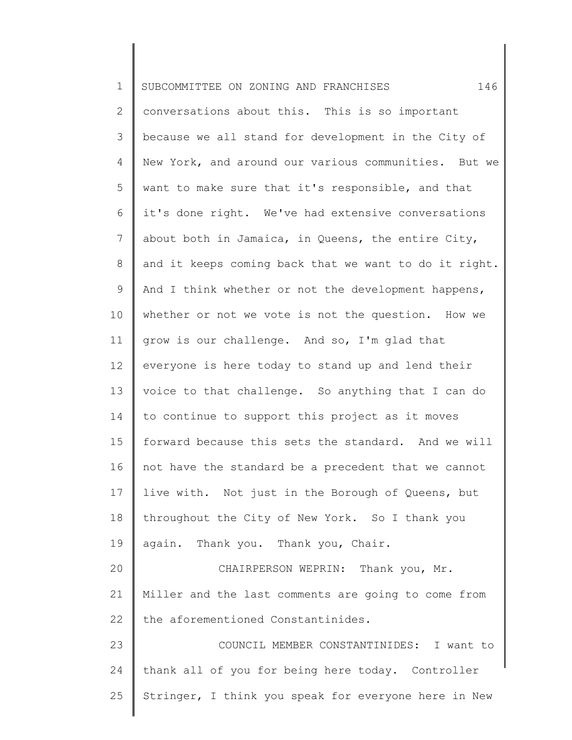| $\mathbf 1$    | 146<br>SUBCOMMITTEE ON ZONING AND FRANCHISES          |
|----------------|-------------------------------------------------------|
| $\overline{2}$ | conversations about this. This is so important        |
| 3              | because we all stand for development in the City of   |
| $\overline{4}$ | New York, and around our various communities. But we  |
| 5              | want to make sure that it's responsible, and that     |
| 6              | it's done right. We've had extensive conversations    |
| $7\phantom{.}$ | about both in Jamaica, in Queens, the entire City,    |
| 8              | and it keeps coming back that we want to do it right. |
| 9              | And I think whether or not the development happens,   |
| 10             | whether or not we vote is not the question. How we    |
| 11             | grow is our challenge. And so, I'm glad that          |
| 12             | everyone is here today to stand up and lend their     |
| 13             | voice to that challenge. So anything that I can do    |
| 14             | to continue to support this project as it moves       |
| 15             | forward because this sets the standard. And we will   |
| 16             | not have the standard be a precedent that we cannot   |
| 17             | live with. Not just in the Borough of Queens, but     |
| 18             | throughout the City of New York. So I thank you       |
| 19             | again. Thank you. Thank you, Chair.                   |
| 20             | CHAIRPERSON WEPRIN: Thank you, Mr.                    |
| 21             | Miller and the last comments are going to come from   |
| 22             | the aforementioned Constantinides.                    |
| 23             | COUNCIL MEMBER CONSTANTINIDES: I want to              |
| 24             | thank all of you for being here today. Controller     |
| 25             | Stringer, I think you speak for everyone here in New  |
|                |                                                       |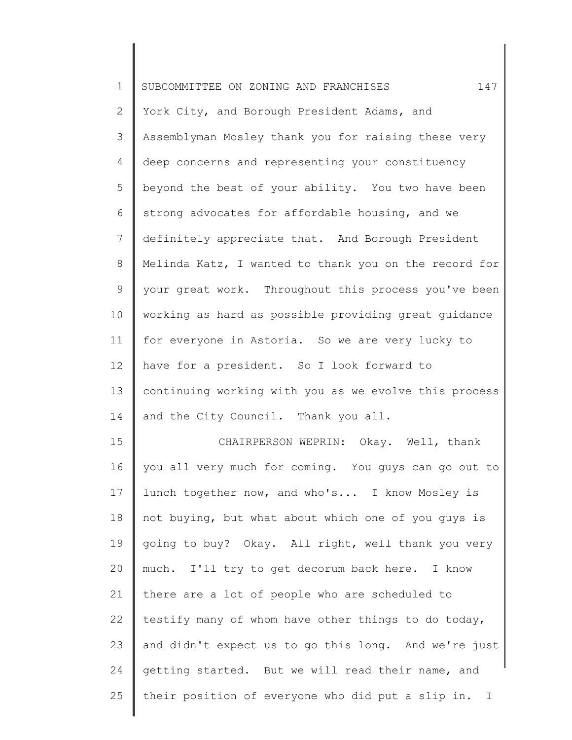| $\mathbf 1$    | 147<br>SUBCOMMITTEE ON ZONING AND FRANCHISES          |
|----------------|-------------------------------------------------------|
| $\mathbf{2}$   | York City, and Borough President Adams, and           |
| 3              | Assemblyman Mosley thank you for raising these very   |
| $\overline{4}$ | deep concerns and representing your constituency      |
| 5              | beyond the best of your ability. You two have been    |
| 6              | strong advocates for affordable housing, and we       |
| 7              | definitely appreciate that. And Borough President     |
| 8              | Melinda Katz, I wanted to thank you on the record for |
| 9              | your great work. Throughout this process you've been  |
| 10             | working as hard as possible providing great guidance  |
| 11             | for everyone in Astoria. So we are very lucky to      |
| 12             | have for a president. So I look forward to            |
| 13             | continuing working with you as we evolve this process |
| 14             | and the City Council. Thank you all.                  |
| 15             | CHAIRPERSON WEPRIN: Okay. Well, thank                 |
| 16             | you all very much for coming. You guys can go out to  |
| 17             | lunch together now, and who's I know Mosley is        |
| 18             | not buying, but what about which one of you guys is   |
| 19             | going to buy? Okay. All right, well thank you very    |
| 20             | much. I'll try to get decorum back here. I know       |
| 21             | there are a lot of people who are scheduled to        |
| 22             | testify many of whom have other things to do today,   |
| 23             | and didn't expect us to go this long. And we're just  |
| 24             | getting started. But we will read their name, and     |
| 25             | their position of everyone who did put a slip in. I   |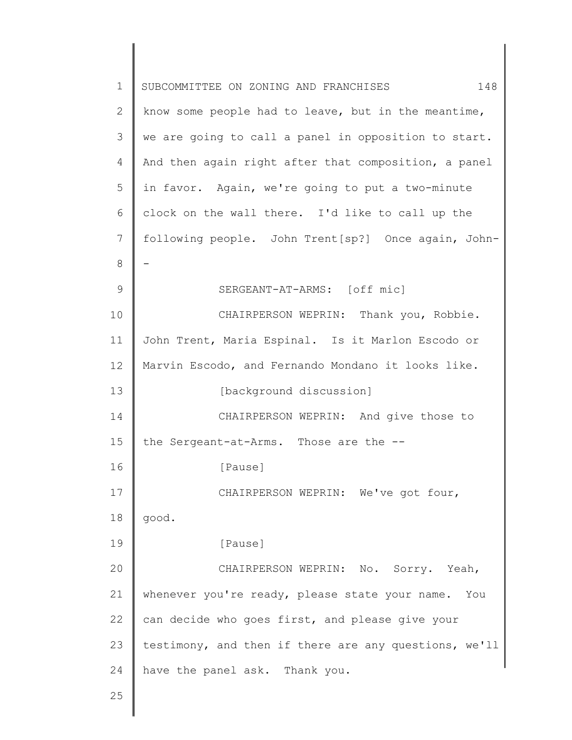| $\mathbf 1$ | 148<br>SUBCOMMITTEE ON ZONING AND FRANCHISES          |
|-------------|-------------------------------------------------------|
| 2           | know some people had to leave, but in the meantime,   |
| 3           | we are going to call a panel in opposition to start.  |
| 4           | And then again right after that composition, a panel  |
| 5           | in favor. Again, we're going to put a two-minute      |
| 6           | clock on the wall there. I'd like to call up the      |
| 7           | following people. John Trent[sp?] Once again, John-   |
| 8           |                                                       |
| 9           | SERGEANT-AT-ARMS: [off mic]                           |
| 10          | CHAIRPERSON WEPRIN: Thank you, Robbie.                |
| 11          | John Trent, Maria Espinal. Is it Marlon Escodo or     |
| 12          | Marvin Escodo, and Fernando Mondano it looks like.    |
| 13          | [background discussion]                               |
| 14          | CHAIRPERSON WEPRIN: And give those to                 |
| 15          | the Sergeant-at-Arms. Those are the --                |
| 16          | [Pause]                                               |
| 17          | CHAIRPERSON WEPRIN: We've got four,                   |
| 18          | good.                                                 |
| 19          | [Pause]                                               |
| 20          | CHAIRPERSON WEPRIN: No. Sorry. Yeah,                  |
| 21          | whenever you're ready, please state your name. You    |
| 22          | can decide who goes first, and please give your       |
| 23          | testimony, and then if there are any questions, we'll |
| 24          | have the panel ask. Thank you.                        |
| 25          |                                                       |
|             |                                                       |

 $\Big\}$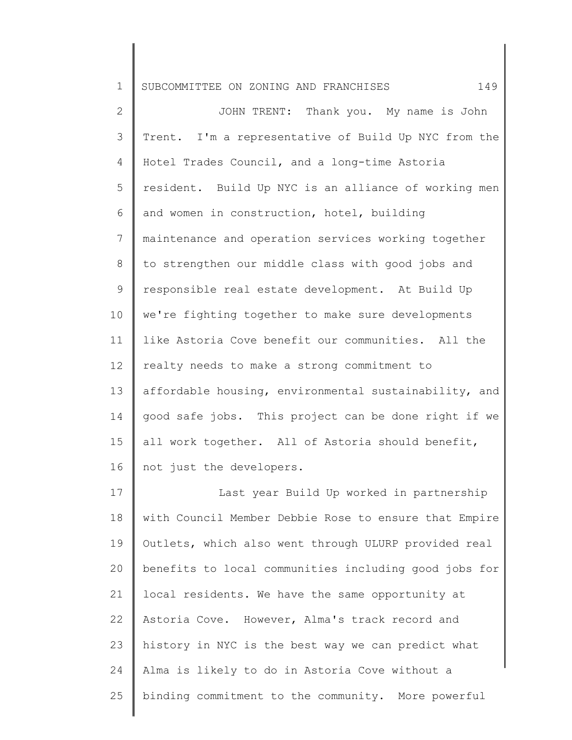| $\mathbf 1$  | 149<br>SUBCOMMITTEE ON ZONING AND FRANCHISES          |
|--------------|-------------------------------------------------------|
| $\mathbf{2}$ | JOHN TRENT: Thank you. My name is John                |
| 3            | Trent. I'm a representative of Build Up NYC from the  |
| 4            | Hotel Trades Council, and a long-time Astoria         |
| 5            | resident. Build Up NYC is an alliance of working men  |
| 6            | and women in construction, hotel, building            |
| 7            | maintenance and operation services working together   |
| 8            | to strengthen our middle class with good jobs and     |
| 9            | responsible real estate development. At Build Up      |
| 10           | we're fighting together to make sure developments     |
| 11           | like Astoria Cove benefit our communities. All the    |
| 12           | realty needs to make a strong commitment to           |
| 13           | affordable housing, environmental sustainability, and |
| 14           | good safe jobs. This project can be done right if we  |
| 15           | all work together. All of Astoria should benefit,     |
| 16           | not just the developers.                              |
| 17           | Last year Build Up worked in partnership              |
| 18           | with Council Member Debbie Rose to ensure that Empire |
| 19           | Outlets, which also went through ULURP provided real  |
| 20           | benefits to local communities including good jobs for |
| 21           | local residents. We have the same opportunity at      |
| 22           | Astoria Cove. However, Alma's track record and        |
| 23           | history in NYC is the best way we can predict what    |
| 24           | Alma is likely to do in Astoria Cove without a        |
| 25           | binding commitment to the community. More powerful    |

∥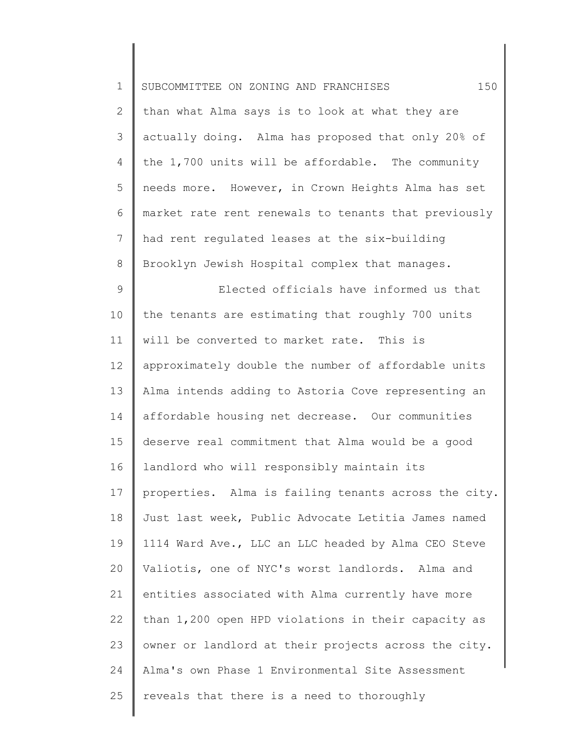| $1\,$        | 150<br>SUBCOMMITTEE ON ZONING AND FRANCHISES         |
|--------------|------------------------------------------------------|
| $\mathbf{2}$ | than what Alma says is to look at what they are      |
| 3            | actually doing. Alma has proposed that only 20% of   |
| 4            | the 1,700 units will be affordable. The community    |
| 5            | needs more. However, in Crown Heights Alma has set   |
| 6            | market rate rent renewals to tenants that previously |
| 7            | had rent regulated leases at the six-building        |
| 8            | Brooklyn Jewish Hospital complex that manages.       |
| $\mathsf 9$  | Elected officials have informed us that              |
| 10           | the tenants are estimating that roughly 700 units    |
| 11           | will be converted to market rate. This is            |
| 12           | approximately double the number of affordable units  |
| 13           | Alma intends adding to Astoria Cove representing an  |
| 14           | affordable housing net decrease. Our communities     |
| 15           | deserve real commitment that Alma would be a good    |
| 16           | landlord who will responsibly maintain its           |
| 17           | properties. Alma is failing tenants across the city. |
| 18           | Just last week, Public Advocate Letitia James named  |
| 19           | 1114 Ward Ave., LLC an LLC headed by Alma CEO Steve  |
| 20           | Valiotis, one of NYC's worst landlords. Alma and     |
| 21           | entities associated with Alma currently have more    |
| 22           | than 1,200 open HPD violations in their capacity as  |
| 23           | owner or landlord at their projects across the city. |
| 24           | Alma's own Phase 1 Environmental Site Assessment     |
| 25           | reveals that there is a need to thoroughly           |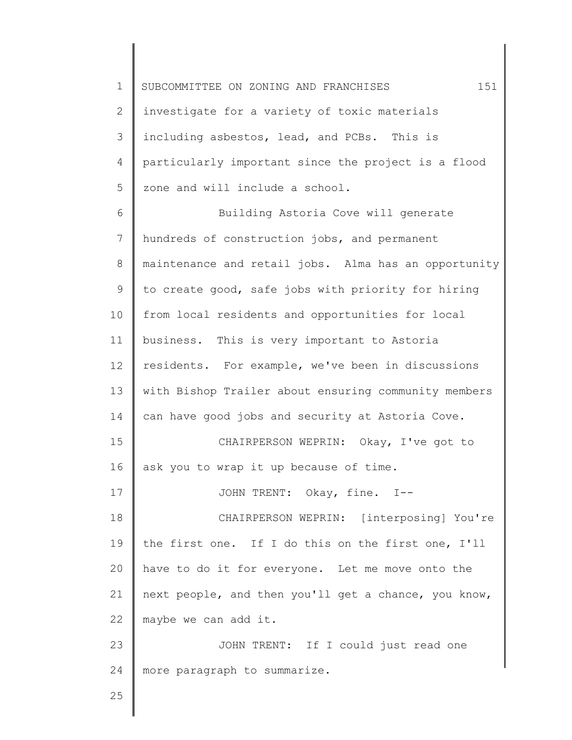1 2 3 4 5 SUBCOMMITTEE ON ZONING AND FRANCHISES 151 investigate for a variety of toxic materials including asbestos, lead, and PCBs. This is particularly important since the project is a flood zone and will include a school.

6 7 8 9 10 11 12 13 14 15 16 17 18 19 20 21 22 23 24 Building Astoria Cove will generate hundreds of construction jobs, and permanent maintenance and retail jobs. Alma has an opportunity to create good, safe jobs with priority for hiring from local residents and opportunities for local business. This is very important to Astoria residents. For example, we've been in discussions with Bishop Trailer about ensuring community members can have good jobs and security at Astoria Cove. CHAIRPERSON WEPRIN: Okay, I've got to ask you to wrap it up because of time. JOHN TRENT: Okay, fine. I-- CHAIRPERSON WEPRIN: [interposing] You're the first one. If I do this on the first one, I'll have to do it for everyone. Let me move onto the next people, and then you'll get a chance, you know, maybe we can add it. JOHN TRENT: If I could just read one more paragraph to summarize.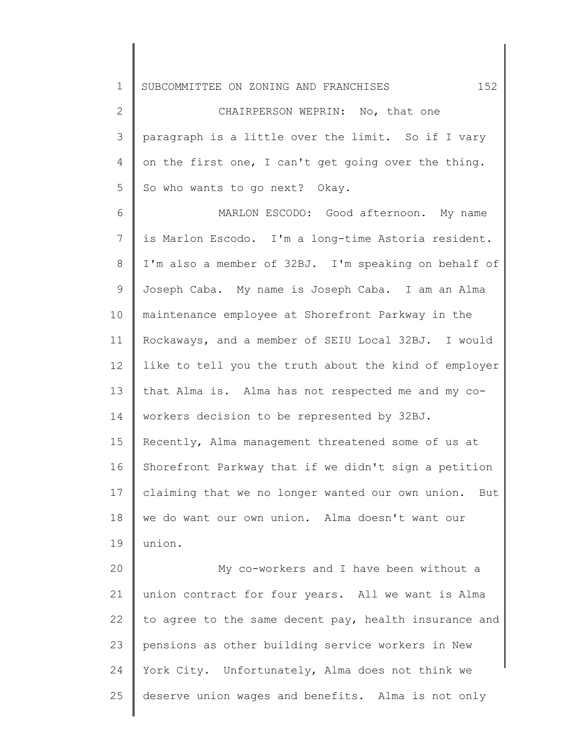1 SUBCOMMITTEE ON ZONING AND FRANCHISES 152

2 3 4 5 CHAIRPERSON WEPRIN: No, that one paragraph is a little over the limit. So if I vary on the first one, I can't get going over the thing. So who wants to go next? Okay.

6 7 8 9 10 11 12 13 14 15 16 17 18 19 MARLON ESCODO: Good afternoon. My name is Marlon Escodo. I'm a long-time Astoria resident. I'm also a member of 32BJ. I'm speaking on behalf of Joseph Caba. My name is Joseph Caba. I am an Alma maintenance employee at Shorefront Parkway in the Rockaways, and a member of SEIU Local 32BJ. I would like to tell you the truth about the kind of employer that Alma is. Alma has not respected me and my coworkers decision to be represented by 32BJ. Recently, Alma management threatened some of us at Shorefront Parkway that if we didn't sign a petition claiming that we no longer wanted our own union. But we do want our own union. Alma doesn't want our union.

20 21 22 23 24 25 My co-workers and I have been without a union contract for four years. All we want is Alma to agree to the same decent pay, health insurance and pensions as other building service workers in New York City. Unfortunately, Alma does not think we deserve union wages and benefits. Alma is not only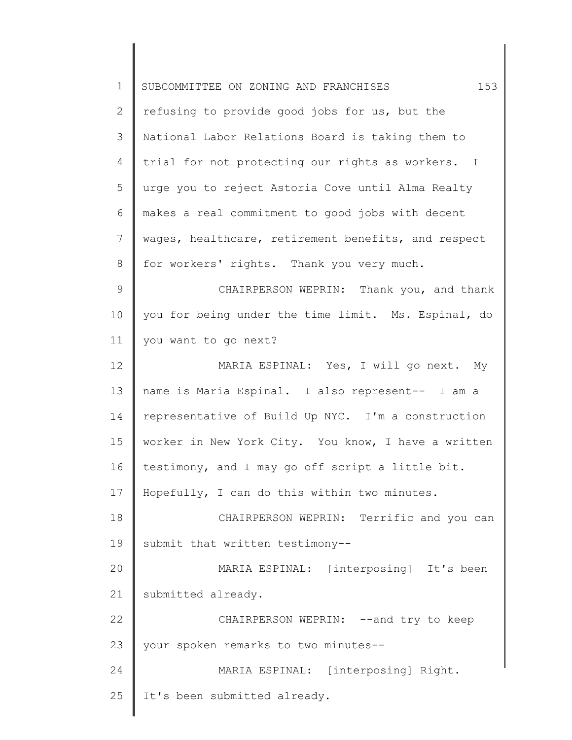| 153<br>SUBCOMMITTEE ON ZONING AND FRANCHISES        |
|-----------------------------------------------------|
| refusing to provide good jobs for us, but the       |
| National Labor Relations Board is taking them to    |
| trial for not protecting our rights as workers. I   |
| urge you to reject Astoria Cove until Alma Realty   |
| makes a real commitment to good jobs with decent    |
| wages, healthcare, retirement benefits, and respect |
| for workers' rights. Thank you very much.           |
| CHAIRPERSON WEPRIN: Thank you, and thank            |
| you for being under the time limit. Ms. Espinal, do |
| you want to go next?                                |
| MARIA ESPINAL: Yes, I will go next. My              |
| name is Maria Espinal. I also represent-- I am a    |
| representative of Build Up NYC. I'm a construction  |
| worker in New York City. You know, I have a written |
| testimony, and I may go off script a little bit.    |
| Hopefully, I can do this within two minutes.        |
| CHAIRPERSON WEPRIN: Terrific and you can            |
| submit that written testimony--                     |
| MARIA ESPINAL: [interposing] It's been              |
| submitted already.                                  |
| CHAIRPERSON WEPRIN: -- and try to keep              |
| your spoken remarks to two minutes--                |
| MARIA ESPINAL: [interposing] Right.                 |
| It's been submitted already.                        |
|                                                     |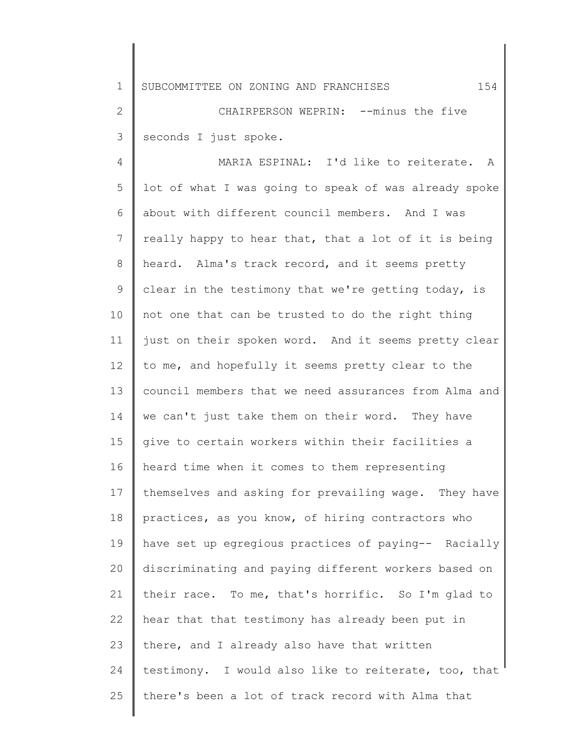1 SUBCOMMITTEE ON ZONING AND FRANCHISES 154

2 3 CHAIRPERSON WEPRIN: --minus the five seconds I just spoke.

4 5 6 7 8 9 10 11 12 13 14 15 16 17 18 19 20 21 22 23 24 25 MARIA ESPINAL: I'd like to reiterate. A lot of what I was going to speak of was already spoke about with different council members. And I was really happy to hear that, that a lot of it is being heard. Alma's track record, and it seems pretty clear in the testimony that we're getting today, is not one that can be trusted to do the right thing just on their spoken word. And it seems pretty clear to me, and hopefully it seems pretty clear to the council members that we need assurances from Alma and we can't just take them on their word. They have give to certain workers within their facilities a heard time when it comes to them representing themselves and asking for prevailing wage. They have practices, as you know, of hiring contractors who have set up egregious practices of paying-- Racially discriminating and paying different workers based on their race. To me, that's horrific. So I'm glad to hear that that testimony has already been put in there, and I already also have that written testimony. I would also like to reiterate, too, that there's been a lot of track record with Alma that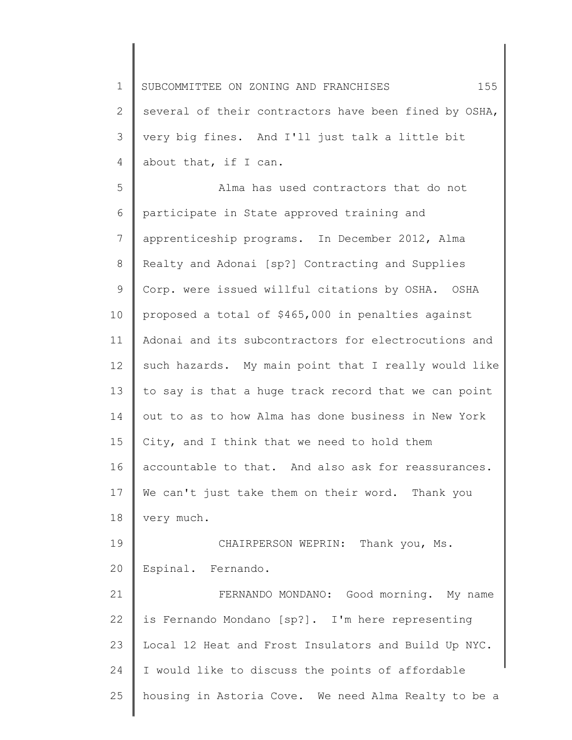1 2 3 4 SUBCOMMITTEE ON ZONING AND FRANCHISES 155 several of their contractors have been fined by OSHA, very big fines. And I'll just talk a little bit about that, if I can.

5 6 7 8 9 10 11 12 13 14 15 16 17 18 Alma has used contractors that do not participate in State approved training and apprenticeship programs. In December 2012, Alma Realty and Adonai [sp?] Contracting and Supplies Corp. were issued willful citations by OSHA. OSHA proposed a total of \$465,000 in penalties against Adonai and its subcontractors for electrocutions and such hazards. My main point that I really would like to say is that a huge track record that we can point out to as to how Alma has done business in New York City, and I think that we need to hold them accountable to that. And also ask for reassurances. We can't just take them on their word. Thank you very much.

19 20 CHAIRPERSON WEPRIN: Thank you, Ms. Espinal. Fernando.

21 22 23 24 25 FERNANDO MONDANO: Good morning. My name is Fernando Mondano [sp?]. I'm here representing Local 12 Heat and Frost Insulators and Build Up NYC. I would like to discuss the points of affordable housing in Astoria Cove. We need Alma Realty to be a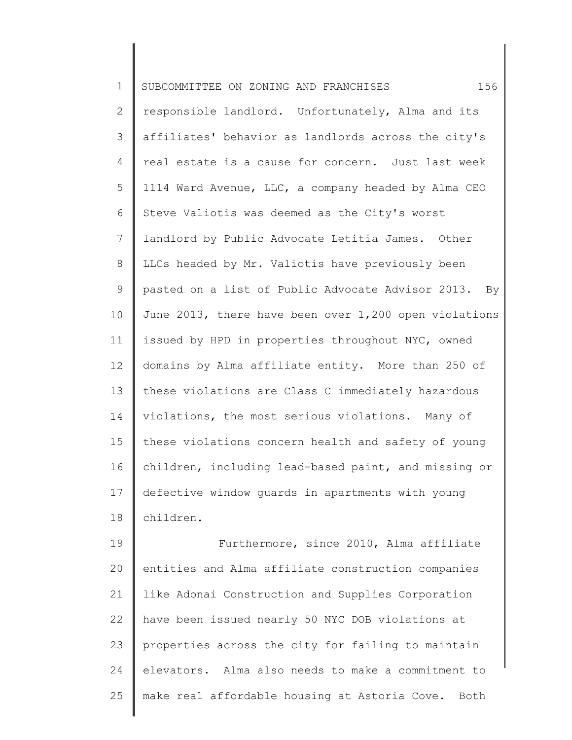| $\mathbf 1$  | 156<br>SUBCOMMITTEE ON ZONING AND FRANCHISES          |
|--------------|-------------------------------------------------------|
| $\mathbf{2}$ | responsible landlord. Unfortunately, Alma and its     |
| 3            | affiliates' behavior as landlords across the city's   |
| 4            | real estate is a cause for concern. Just last week    |
| 5            | 1114 Ward Avenue, LLC, a company headed by Alma CEO   |
| 6            | Steve Valiotis was deemed as the City's worst         |
| 7            | landlord by Public Advocate Letitia James. Other      |
| 8            | LLCs headed by Mr. Valiotis have previously been      |
| 9            | pasted on a list of Public Advocate Advisor 2013. By  |
| 10           | June 2013, there have been over 1,200 open violations |
| 11           | issued by HPD in properties throughout NYC, owned     |
| 12           | domains by Alma affiliate entity. More than 250 of    |
| 13           | these violations are Class C immediately hazardous    |
| 14           | violations, the most serious violations. Many of      |
| 15           | these violations concern health and safety of young   |
| 16           | children, including lead-based paint, and missing or  |
|              | 17 defective window guards in apartments with young   |
| 18           | children.                                             |
| 19           | Furthermore, since 2010, Alma affiliate               |
| 20           | entities and Alma affiliate construction companies    |
| 21           | like Adonai Construction and Supplies Corporation     |
| 22           | have been issued nearly 50 NYC DOB violations at      |
| 23           | properties across the city for failing to maintain    |
| 24           | elevators. Alma also needs to make a commitment to    |

25 make real affordable housing at Astoria Cove. Both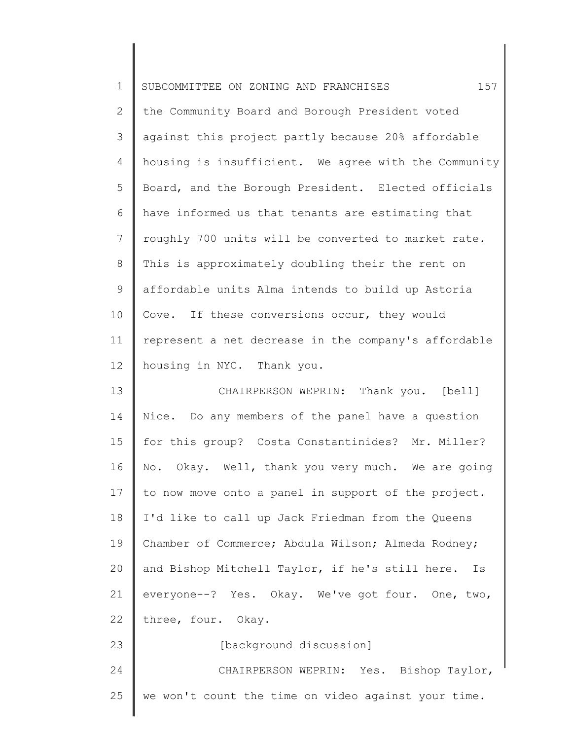| $\mathbf 1$    | 157<br>SUBCOMMITTEE ON ZONING AND FRANCHISES         |
|----------------|------------------------------------------------------|
| $\mathbf{2}$   | the Community Board and Borough President voted      |
| 3              | against this project partly because 20% affordable   |
| 4              | housing is insufficient. We agree with the Community |
| 5              | Board, and the Borough President. Elected officials  |
| 6              | have informed us that tenants are estimating that    |
| $7\phantom{.}$ | roughly 700 units will be converted to market rate.  |
| $\,8\,$        | This is approximately doubling their the rent on     |
| $\mathsf 9$    | affordable units Alma intends to build up Astoria    |
| 10             | Cove. If these conversions occur, they would         |
| 11             | represent a net decrease in the company's affordable |
| 12             | housing in NYC. Thank you.                           |
| 13             | CHAIRPERSON WEPRIN: Thank you. [bell]                |
| 14             | Nice. Do any members of the panel have a question    |
| 15             | for this group? Costa Constantinides? Mr. Miller?    |
| 16             | No. Okay. Well, thank you very much. We are going    |
| 17             | to now move onto a panel in support of the project.  |
| 18             | I'd like to call up Jack Friedman from the Queens    |
| 19             | Chamber of Commerce; Abdula Wilson; Almeda Rodney;   |
| 20             | and Bishop Mitchell Taylor, if he's still here. Is   |
| 21             | everyone --? Yes. Okay. We've got four. One, two,    |
| 22             | three, four. Okay.                                   |
| 23             | [background discussion]                              |
| 24             | CHAIRPERSON WEPRIN: Yes. Bishop Taylor,              |
| 25             | we won't count the time on video against your time.  |
|                |                                                      |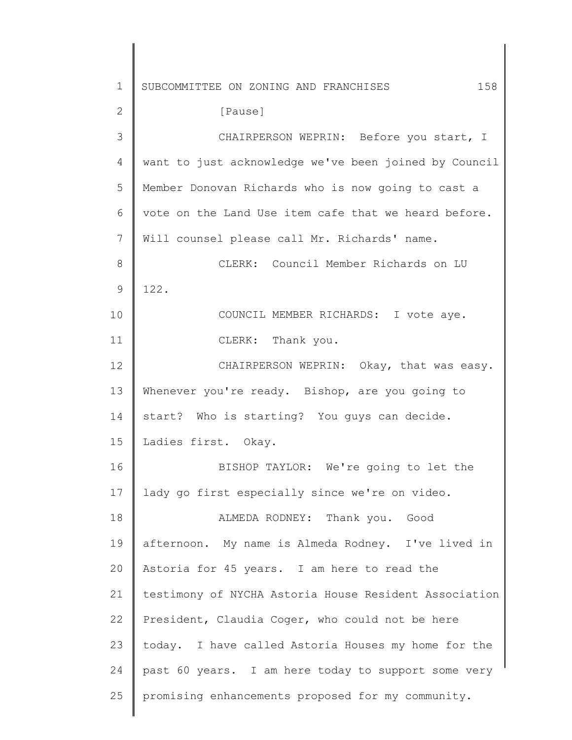1 2 3 4 5 6 7 8 9 10 11 12 13 14 15 16 17 18 19 20 21 22 23 24 25 SUBCOMMITTEE ON ZONING AND FRANCHISES 158 [Pause] CHAIRPERSON WEPRIN: Before you start, I want to just acknowledge we've been joined by Council Member Donovan Richards who is now going to cast a vote on the Land Use item cafe that we heard before. Will counsel please call Mr. Richards' name. CLERK: Council Member Richards on LU 122. COUNCIL MEMBER RICHARDS: I vote aye. CLERK: Thank you. CHAIRPERSON WEPRIN: Okay, that was easy. Whenever you're ready. Bishop, are you going to start? Who is starting? You guys can decide. Ladies first. Okay. BISHOP TAYLOR: We're going to let the lady go first especially since we're on video. ALMEDA RODNEY: Thank you. Good afternoon. My name is Almeda Rodney. I've lived in Astoria for 45 years. I am here to read the testimony of NYCHA Astoria House Resident Association President, Claudia Coger, who could not be here today. I have called Astoria Houses my home for the past 60 years. I am here today to support some very promising enhancements proposed for my community.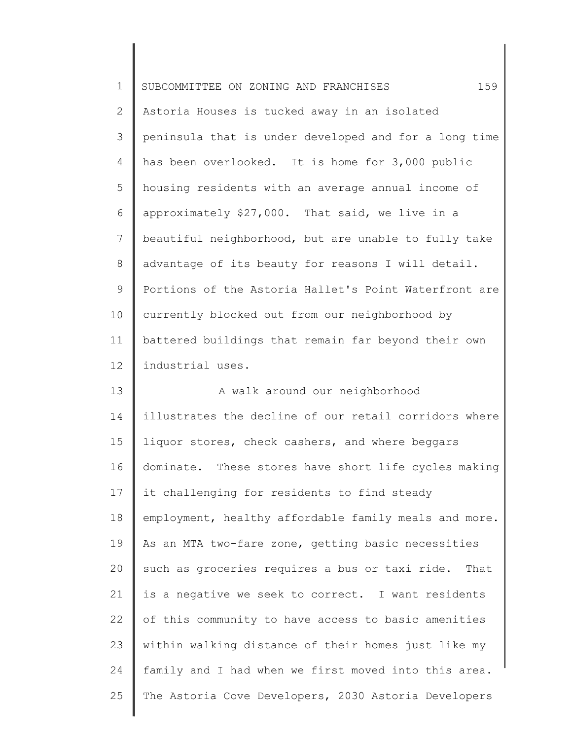| $\mathbf 1$    | 159<br>SUBCOMMITTEE ON ZONING AND FRANCHISES          |
|----------------|-------------------------------------------------------|
| $\mathbf{2}$   | Astoria Houses is tucked away in an isolated          |
| 3              | peninsula that is under developed and for a long time |
| 4              | has been overlooked. It is home for 3,000 public      |
| 5              | housing residents with an average annual income of    |
| 6              | approximately \$27,000. That said, we live in a       |
| $7\phantom{.}$ | beautiful neighborhood, but are unable to fully take  |
| $\,8\,$        | advantage of its beauty for reasons I will detail.    |
| $\mathsf 9$    | Portions of the Astoria Hallet's Point Waterfront are |
| 10             | currently blocked out from our neighborhood by        |
| 11             | battered buildings that remain far beyond their own   |
| 12             | industrial uses.                                      |
| 13             | A walk around our neighborhood                        |
| 14             | illustrates the decline of our retail corridors where |
| 15             | liquor stores, check cashers, and where beggars       |
| 16             | dominate. These stores have short life cycles making  |
| 17             | it challenging for residents to find steady           |
| 18             | employment, healthy affordable family meals and more. |
| 19             | As an MTA two-fare zone, getting basic necessities    |
| 20             | such as groceries requires a bus or taxi ride. That   |
| 21             | is a negative we seek to correct. I want residents    |
| 22             | of this community to have access to basic amenities   |
| 23             | within walking distance of their homes just like my   |
| 24             | family and I had when we first moved into this area.  |
| 25             | The Astoria Cove Developers, 2030 Astoria Developers  |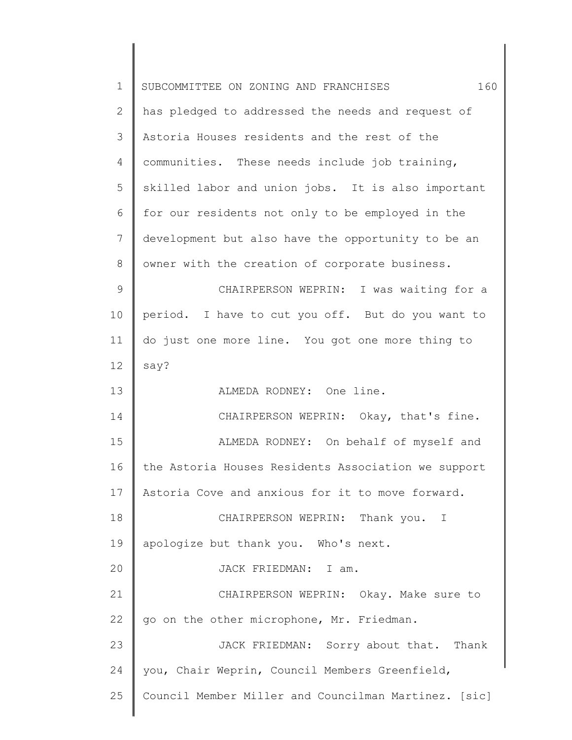| $\mathbf 1$ | 160<br>SUBCOMMITTEE ON ZONING AND FRANCHISES         |
|-------------|------------------------------------------------------|
| 2           | has pledged to addressed the needs and request of    |
| 3           | Astoria Houses residents and the rest of the         |
| 4           | communities. These needs include job training,       |
| 5           | skilled labor and union jobs. It is also important   |
| 6           | for our residents not only to be employed in the     |
| 7           | development but also have the opportunity to be an   |
| 8           | owner with the creation of corporate business.       |
| 9           | CHAIRPERSON WEPRIN: I was waiting for a              |
| 10          | period. I have to cut you off. But do you want to    |
| 11          | do just one more line. You got one more thing to     |
| 12          | say?                                                 |
| 13          | ALMEDA RODNEY: One line.                             |
| 14          | CHAIRPERSON WEPRIN: Okay, that's fine.               |
| 15          | ALMEDA RODNEY: On behalf of myself and               |
| 16          | the Astoria Houses Residents Association we support  |
| 17          | Astoria Cove and anxious for it to move forward.     |
| 18          | CHAIRPERSON WEPRIN: Thank you. I                     |
| 19          | apologize but thank you. Who's next.                 |
| 20          | JACK FRIEDMAN: I am.                                 |
| 21          | CHAIRPERSON WEPRIN: Okay. Make sure to               |
| 22          | go on the other microphone, Mr. Friedman.            |
| 23          | JACK FRIEDMAN: Sorry about that. Thank               |
| 24          | you, Chair Weprin, Council Members Greenfield,       |
| 25          | Council Member Miller and Councilman Martinez. [sic] |
|             |                                                      |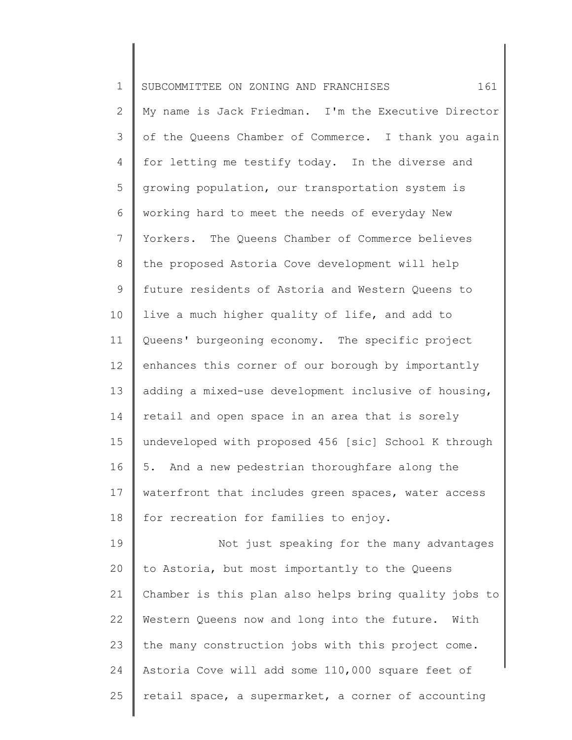| $\mathbf 1$    | 161<br>SUBCOMMITTEE ON ZONING AND FRANCHISES          |
|----------------|-------------------------------------------------------|
| $\mathbf{2}$   | My name is Jack Friedman. I'm the Executive Director  |
| 3              | of the Queens Chamber of Commerce. I thank you again  |
| 4              | for letting me testify today. In the diverse and      |
| 5              | growing population, our transportation system is      |
| 6              | working hard to meet the needs of everyday New        |
| $\overline{7}$ | Yorkers. The Queens Chamber of Commerce believes      |
| 8              | the proposed Astoria Cove development will help       |
| $\mathsf 9$    | future residents of Astoria and Western Queens to     |
| 10             | live a much higher quality of life, and add to        |
| 11             | Queens' burgeoning economy. The specific project      |
| 12             | enhances this corner of our borough by importantly    |
| 13             | adding a mixed-use development inclusive of housing,  |
| 14             | retail and open space in an area that is sorely       |
| 15             | undeveloped with proposed 456 [sic] School K through  |
| 16             | 5. And a new pedestrian thoroughfare along the        |
| 17             | waterfront that includes green spaces, water access   |
| 18             | for recreation for families to enjoy.                 |
| 19             | Not just speaking for the many advantages             |
| 20             | to Astoria, but most importantly to the Queens        |
| 21             | Chamber is this plan also helps bring quality jobs to |
| 22             | Western Queens now and long into the future. With     |
| 23             | the many construction jobs with this project come.    |
| 24             | Astoria Cove will add some 110,000 square feet of     |
| 25             | retail space, a supermarket, a corner of accounting   |
|                |                                                       |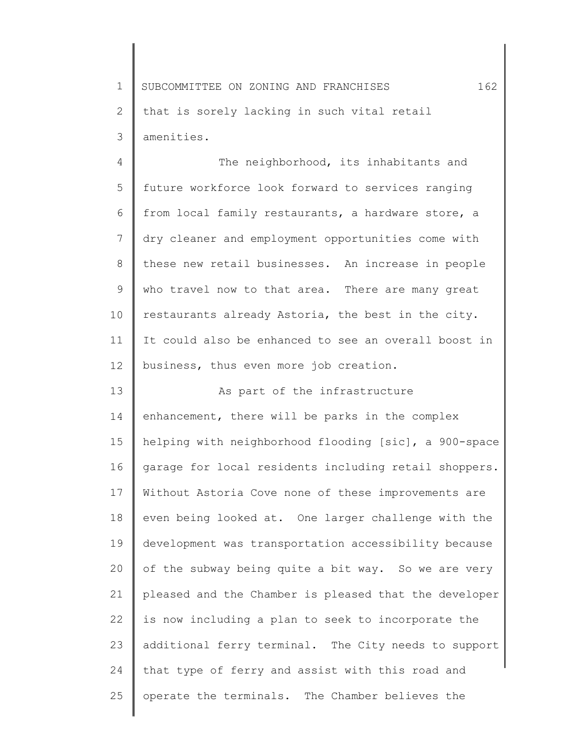1 2 3 SUBCOMMITTEE ON ZONING AND FRANCHISES  $162$ that is sorely lacking in such vital retail amenities.

4 5 6 7 8 9 10 11 12 The neighborhood, its inhabitants and future workforce look forward to services ranging from local family restaurants, a hardware store, a dry cleaner and employment opportunities come with these new retail businesses. An increase in people who travel now to that area. There are many great restaurants already Astoria, the best in the city. It could also be enhanced to see an overall boost in business, thus even more job creation.

13 14 15 16 17 18 19 20 21 22 23 24 25 As part of the infrastructure enhancement, there will be parks in the complex helping with neighborhood flooding [sic], a 900-space garage for local residents including retail shoppers. Without Astoria Cove none of these improvements are even being looked at. One larger challenge with the development was transportation accessibility because of the subway being quite a bit way. So we are very pleased and the Chamber is pleased that the developer is now including a plan to seek to incorporate the additional ferry terminal. The City needs to support that type of ferry and assist with this road and operate the terminals. The Chamber believes the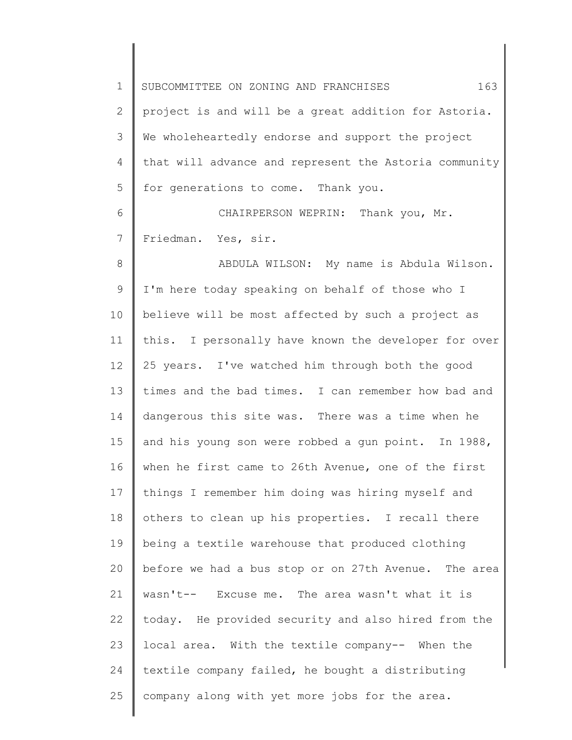1 2 3 4 5 6 7 8 9 10 11 12 13 14 15 16 17 18 19 20 21 22 23 24 25 SUBCOMMITTEE ON ZONING AND FRANCHISES 163 project is and will be a great addition for Astoria. We wholeheartedly endorse and support the project that will advance and represent the Astoria community for generations to come. Thank you. CHAIRPERSON WEPRIN: Thank you, Mr. Friedman. Yes, sir. ABDULA WILSON: My name is Abdula Wilson. I'm here today speaking on behalf of those who I believe will be most affected by such a project as this. I personally have known the developer for over 25 years. I've watched him through both the good times and the bad times. I can remember how bad and dangerous this site was. There was a time when he and his young son were robbed a gun point. In 1988, when he first came to 26th Avenue, one of the first things I remember him doing was hiring myself and others to clean up his properties. I recall there being a textile warehouse that produced clothing before we had a bus stop or on 27th Avenue. The area wasn't-- Excuse me. The area wasn't what it is today. He provided security and also hired from the local area. With the textile company-- When the textile company failed, he bought a distributing company along with yet more jobs for the area.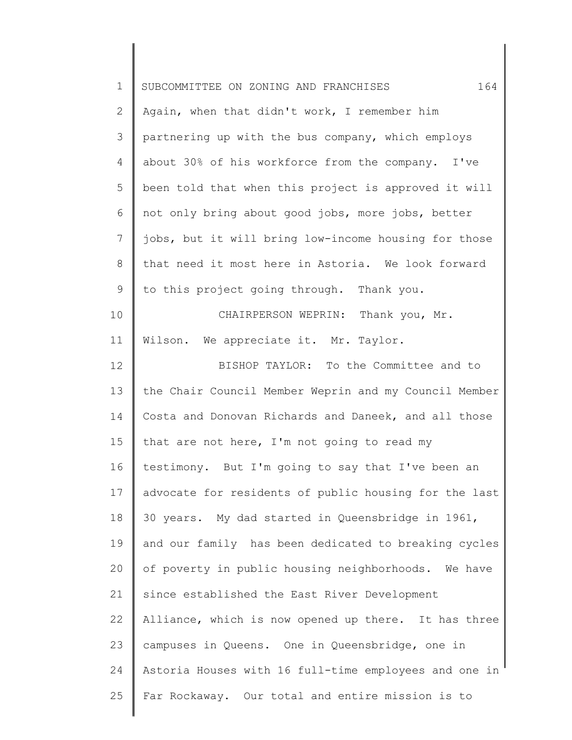| $\mathbf 1$     | 164<br>SUBCOMMITTEE ON ZONING AND FRANCHISES          |
|-----------------|-------------------------------------------------------|
| 2               | Again, when that didn't work, I remember him          |
| 3               | partnering up with the bus company, which employs     |
| 4               | about 30% of his workforce from the company. I've     |
| 5               | been told that when this project is approved it will  |
| 6               | not only bring about good jobs, more jobs, better     |
| $7\phantom{.0}$ | jobs, but it will bring low-income housing for those  |
| $\,8\,$         | that need it most here in Astoria. We look forward    |
| 9               | to this project going through. Thank you.             |
| 10              | CHAIRPERSON WEPRIN: Thank you, Mr.                    |
| 11              | Wilson. We appreciate it. Mr. Taylor.                 |
| 12              | BISHOP TAYLOR: To the Committee and to                |
| 13              | the Chair Council Member Weprin and my Council Member |
| 14              | Costa and Donovan Richards and Daneek, and all those  |
| 15              | that are not here, I'm not going to read my           |
| 16              | testimony. But I'm going to say that I've been an     |
| 17              | advocate for residents of public housing for the last |
| 18              | 30 years. My dad started in Queensbridge in 1961,     |
| 19              | and our family has been dedicated to breaking cycles  |
| 20              | of poverty in public housing neighborhoods. We have   |
| 21              | since established the East River Development          |
| 22              | Alliance, which is now opened up there. It has three  |
| 23              | campuses in Queens. One in Queensbridge, one in       |
| 24              | Astoria Houses with 16 full-time employees and one in |
| 25              | Far Rockaway. Our total and entire mission is to      |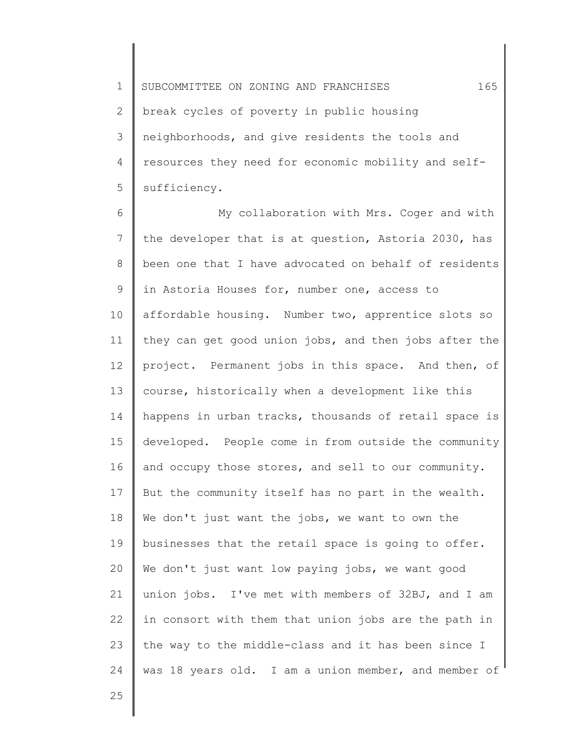1 2 3 4 5 SUBCOMMITTEE ON ZONING AND FRANCHISES  $165$ break cycles of poverty in public housing neighborhoods, and give residents the tools and resources they need for economic mobility and selfsufficiency.

6 7 8 9 10 11 12 13 14 15 16 17 18 19 20 21 22 23 24 My collaboration with Mrs. Coger and with the developer that is at question, Astoria 2030, has been one that I have advocated on behalf of residents in Astoria Houses for, number one, access to affordable housing. Number two, apprentice slots so they can get good union jobs, and then jobs after the project. Permanent jobs in this space. And then, of course, historically when a development like this happens in urban tracks, thousands of retail space is developed. People come in from outside the community and occupy those stores, and sell to our community. But the community itself has no part in the wealth. We don't just want the jobs, we want to own the businesses that the retail space is going to offer. We don't just want low paying jobs, we want good union jobs. I've met with members of 32BJ, and I am in consort with them that union jobs are the path in the way to the middle-class and it has been since I was 18 years old. I am a union member, and member of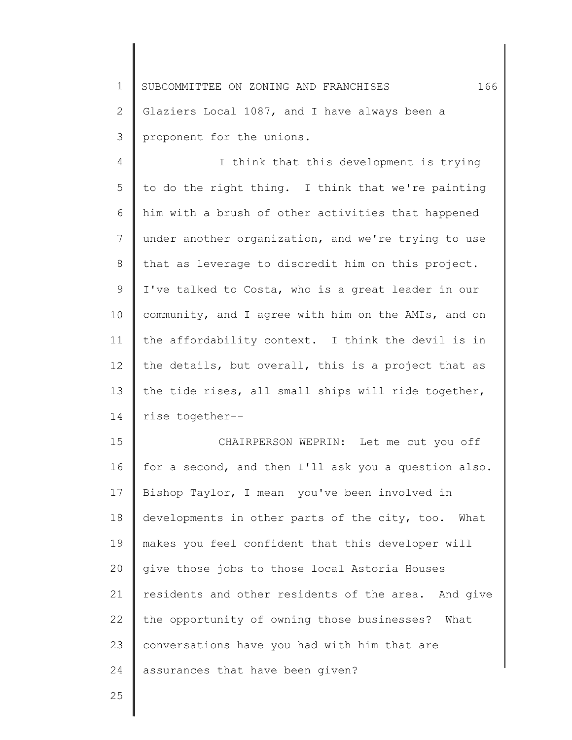1 2 3 SUBCOMMITTEE ON ZONING AND FRANCHISES 166 Glaziers Local 1087, and I have always been a proponent for the unions.

4 5 6 7 8 9 10 11 12 13 14 I think that this development is trying to do the right thing. I think that we're painting him with a brush of other activities that happened under another organization, and we're trying to use that as leverage to discredit him on this project. I've talked to Costa, who is a great leader in our community, and I agree with him on the AMIs, and on the affordability context. I think the devil is in the details, but overall, this is a project that as the tide rises, all small ships will ride together, rise together--

15 16 17 18 19 20 21 22 23 24 CHAIRPERSON WEPRIN: Let me cut you off for a second, and then I'll ask you a question also. Bishop Taylor, I mean you've been involved in developments in other parts of the city, too. What makes you feel confident that this developer will give those jobs to those local Astoria Houses residents and other residents of the area. And give the opportunity of owning those businesses? What conversations have you had with him that are assurances that have been given?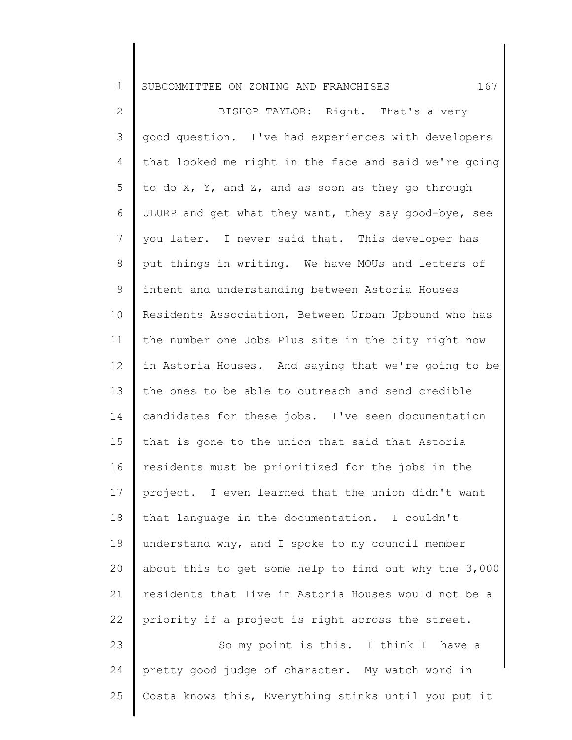1 SUBCOMMITTEE ON ZONING AND FRANCHISES 167

2 3 4 5 6 7 8 9 10 11 12 13 14 15 16 17 18 19 20 21 22 23 24 BISHOP TAYLOR: Right. That's a very good question. I've had experiences with developers that looked me right in the face and said we're going to do  $X$ ,  $Y$ , and  $Z$ , and as soon as they go through ULURP and get what they want, they say good-bye, see you later. I never said that. This developer has put things in writing. We have MOUs and letters of intent and understanding between Astoria Houses Residents Association, Between Urban Upbound who has the number one Jobs Plus site in the city right now in Astoria Houses. And saying that we're going to be the ones to be able to outreach and send credible candidates for these jobs. I've seen documentation that is gone to the union that said that Astoria residents must be prioritized for the jobs in the project. I even learned that the union didn't want that language in the documentation. I couldn't understand why, and I spoke to my council member about this to get some help to find out why the 3,000 residents that live in Astoria Houses would not be a priority if a project is right across the street. So my point is this. I think I have a pretty good judge of character. My watch word in

Costa knows this, Everything stinks until you put it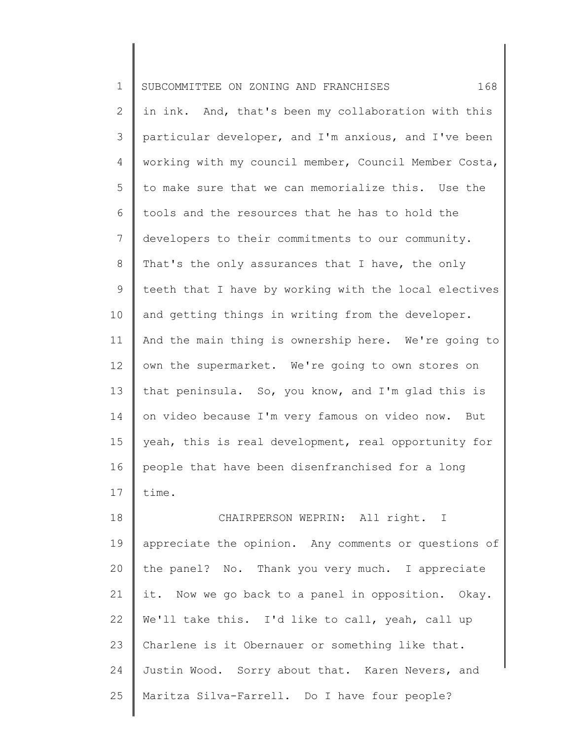| $\mathbf 1$    | 168<br>SUBCOMMITTEE ON ZONING AND FRANCHISES          |
|----------------|-------------------------------------------------------|
| $\overline{2}$ | in ink. And, that's been my collaboration with this   |
| 3              | particular developer, and I'm anxious, and I've been  |
| $\overline{4}$ | working with my council member, Council Member Costa, |
| 5              | to make sure that we can memorialize this. Use the    |
| 6              | tools and the resources that he has to hold the       |
| 7              | developers to their commitments to our community.     |
| 8              | That's the only assurances that I have, the only      |
| 9              | teeth that I have by working with the local electives |
| 10             | and getting things in writing from the developer.     |
| 11             | And the main thing is ownership here. We're going to  |
| 12             | own the supermarket. We're going to own stores on     |
| 13             | that peninsula. So, you know, and I'm glad this is    |
| 14             | on video because I'm very famous on video now. But    |
| 15             | yeah, this is real development, real opportunity for  |
| 16             | people that have been disenfranchised for a long      |
| 17             | time.                                                 |
| 18             | CHAIRPERSON WEPRIN: All right. I                      |
| 19             | appreciate the opinion. Any comments or questions of  |
| 20             | the panel? No. Thank you very much. I appreciate      |
| 21             | it. Now we go back to a panel in opposition. Okay.    |
| 22             | We'll take this. I'd like to call, yeah, call up      |
| 23             | Charlene is it Obernauer or something like that.      |
| 24             | Justin Wood. Sorry about that. Karen Nevers, and      |
| 25             | Maritza Silva-Farrell. Do I have four people?         |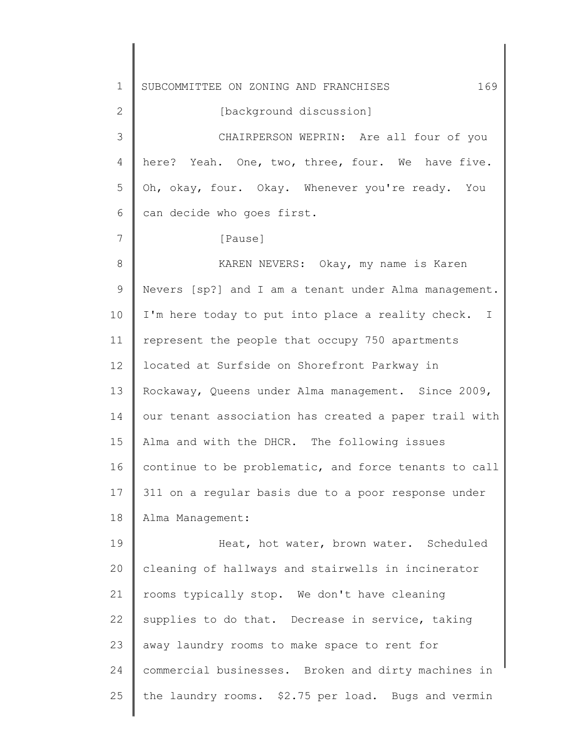1 2 3 4 5 6 7 8 9 10 11 12 13 14 15 16 17 18 19 20 21 22 23 24 25 SUBCOMMITTEE ON ZONING AND FRANCHISES 169 [background discussion] CHAIRPERSON WEPRIN: Are all four of you here? Yeah. One, two, three, four. We have five. Oh, okay, four. Okay. Whenever you're ready. You can decide who goes first. [Pause] KAREN NEVERS: Okay, my name is Karen Nevers [sp?] and I am a tenant under Alma management. I'm here today to put into place a reality check. I represent the people that occupy 750 apartments located at Surfside on Shorefront Parkway in Rockaway, Queens under Alma management. Since 2009, our tenant association has created a paper trail with Alma and with the DHCR. The following issues continue to be problematic, and force tenants to call 311 on a regular basis due to a poor response under Alma Management: Heat, hot water, brown water. Scheduled cleaning of hallways and stairwells in incinerator rooms typically stop. We don't have cleaning supplies to do that. Decrease in service, taking away laundry rooms to make space to rent for commercial businesses. Broken and dirty machines in the laundry rooms. \$2.75 per load. Bugs and vermin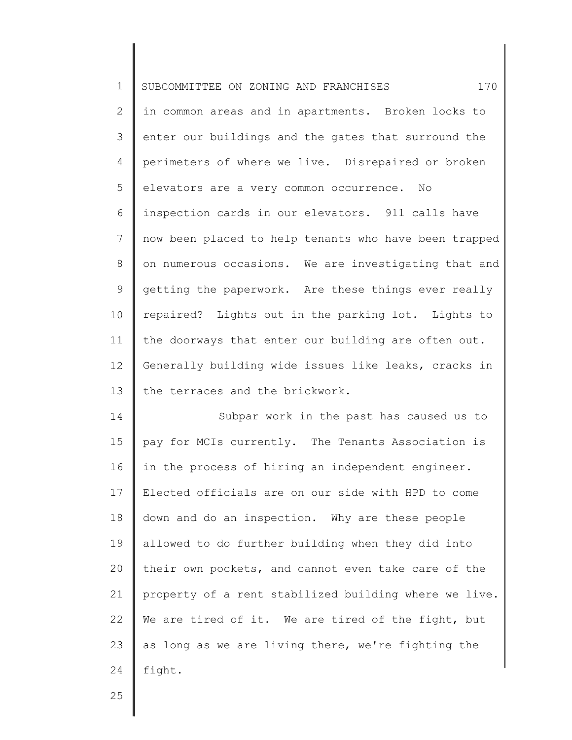| $\mathbf 1$    | 170<br>SUBCOMMITTEE ON ZONING AND FRANCHISES          |
|----------------|-------------------------------------------------------|
| $\mathbf{2}$   | in common areas and in apartments. Broken locks to    |
| 3              | enter our buildings and the gates that surround the   |
| 4              | perimeters of where we live. Disrepaired or broken    |
| 5              | elevators are a very common occurrence. No            |
| 6              | inspection cards in our elevators. 911 calls have     |
| $\overline{7}$ | now been placed to help tenants who have been trapped |
| $8\,$          | on numerous occasions. We are investigating that and  |
| 9              | getting the paperwork. Are these things ever really   |
| 10             | repaired? Lights out in the parking lot. Lights to    |
| 11             | the doorways that enter our building are often out.   |
| 12             | Generally building wide issues like leaks, cracks in  |
| 13             | the terraces and the brickwork.                       |
| 14             | Subpar work in the past has caused us to              |
| 15             | pay for MCIs currently. The Tenants Association is    |
| 16             | in the process of hiring an independent engineer.     |
| 17             | Elected officials are on our side with HPD to come    |
| 18             | down and do an inspection. Why are these people       |
| 19             | allowed to do further building when they did into     |
| 20             | their own pockets, and cannot even take care of the   |
| 21             | property of a rent stabilized building where we live. |
| 22             | We are tired of it. We are tired of the fight, but    |
| 23             | as long as we are living there, we're fighting the    |
| 24             | fight.                                                |
|                |                                                       |

Ι

║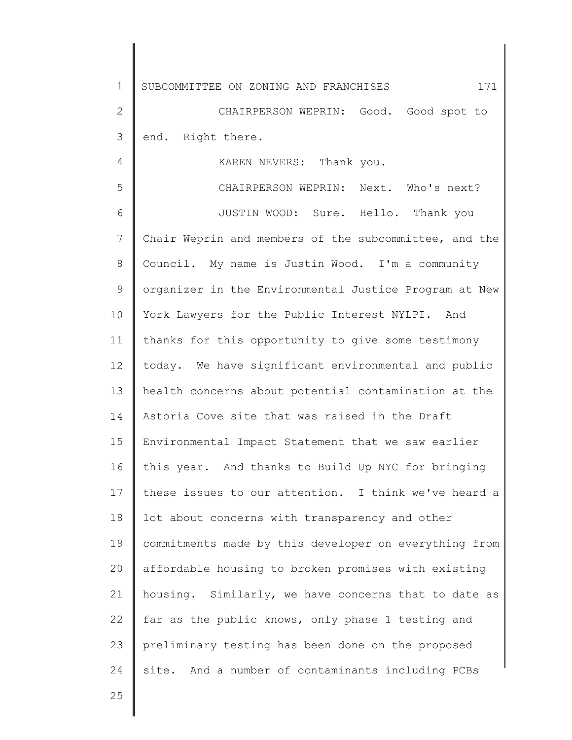1 2 3 4 5 6 7 8 9 10 11 12 13 14 15 16 17 18 19 20 21 22 23 24 SUBCOMMITTEE ON ZONING AND FRANCHISES 171 CHAIRPERSON WEPRIN: Good. Good spot to end. Right there. KAREN NEVERS: Thank you. CHAIRPERSON WEPRIN: Next. Who's next? JUSTIN WOOD: Sure. Hello. Thank you Chair Weprin and members of the subcommittee, and the Council. My name is Justin Wood. I'm a community organizer in the Environmental Justice Program at New York Lawyers for the Public Interest NYLPI. And thanks for this opportunity to give some testimony today. We have significant environmental and public health concerns about potential contamination at the Astoria Cove site that was raised in the Draft Environmental Impact Statement that we saw earlier this year. And thanks to Build Up NYC for bringing these issues to our attention. I think we've heard a lot about concerns with transparency and other commitments made by this developer on everything from affordable housing to broken promises with existing housing. Similarly, we have concerns that to date as far as the public knows, only phase 1 testing and preliminary testing has been done on the proposed site. And a number of contaminants including PCBs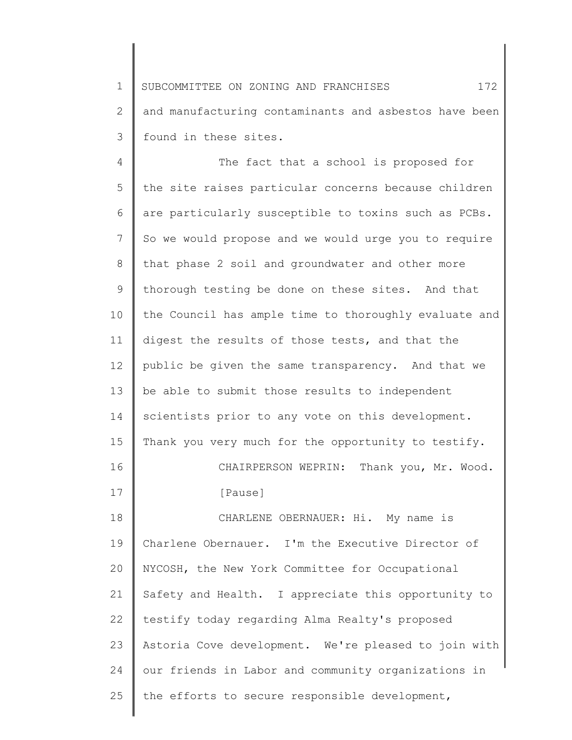1 2 3 SUBCOMMITTEE ON ZONING AND FRANCHISES  $172$ and manufacturing contaminants and asbestos have been found in these sites.

4 5 6 7 8 9 10 11 12 13 14 15 16 17 18 19 20 21 22 23 24 25 The fact that a school is proposed for the site raises particular concerns because children are particularly susceptible to toxins such as PCBs. So we would propose and we would urge you to require that phase 2 soil and groundwater and other more thorough testing be done on these sites. And that the Council has ample time to thoroughly evaluate and digest the results of those tests, and that the public be given the same transparency. And that we be able to submit those results to independent scientists prior to any vote on this development. Thank you very much for the opportunity to testify. CHAIRPERSON WEPRIN: Thank you, Mr. Wood. [Pause] CHARLENE OBERNAUER: Hi. My name is Charlene Obernauer. I'm the Executive Director of NYCOSH, the New York Committee for Occupational Safety and Health. I appreciate this opportunity to testify today regarding Alma Realty's proposed Astoria Cove development. We're pleased to join with our friends in Labor and community organizations in the efforts to secure responsible development,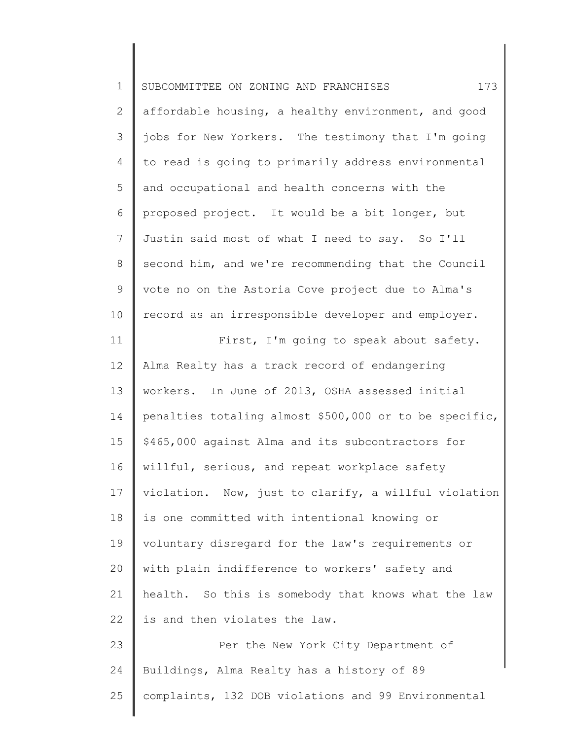| $\mathbf 1$     | 173<br>SUBCOMMITTEE ON ZONING AND FRANCHISES           |
|-----------------|--------------------------------------------------------|
| $\mathbf{2}$    | affordable housing, a healthy environment, and good    |
| 3               | jobs for New Yorkers. The testimony that I'm going     |
| 4               | to read is going to primarily address environmental    |
| 5               | and occupational and health concerns with the          |
| 6               | proposed project. It would be a bit longer, but        |
| $\overline{7}$  | Justin said most of what I need to say. So I'll        |
| $8\,$           | second him, and we're recommending that the Council    |
| $\mathsf 9$     | vote no on the Astoria Cove project due to Alma's      |
| 10              | record as an irresponsible developer and employer.     |
| 11              | First, I'm going to speak about safety.                |
| 12 <sup>°</sup> | Alma Realty has a track record of endangering          |
| 13              | workers. In June of 2013, OSHA assessed initial        |
| 14              | penalties totaling almost \$500,000 or to be specific, |
| 15              | \$465,000 against Alma and its subcontractors for      |
| 16              | willful, serious, and repeat workplace safety          |
| 17              | violation. Now, just to clarify, a willful violation   |
| 18              | is one committed with intentional knowing or           |
| 19              | voluntary disregard for the law's requirements or      |
| 20              | with plain indifference to workers' safety and         |
| 21              | health. So this is somebody that knows what the law    |
| 22              | is and then violates the law.                          |
| 23              | Per the New York City Department of                    |
| 24              | Buildings, Alma Realty has a history of 89             |
| 25              | complaints, 132 DOB violations and 99 Environmental    |
|                 |                                                        |

║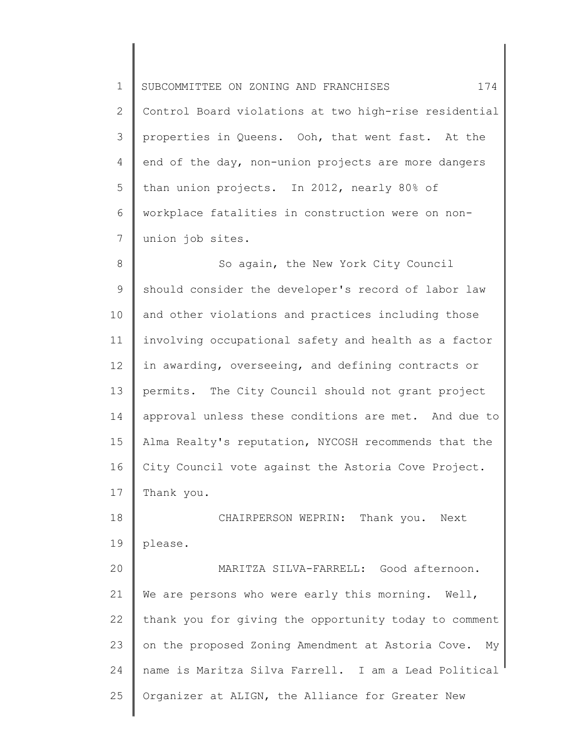1 2 3 4 5 6 7 SUBCOMMITTEE ON ZONING AND FRANCHISES 174 Control Board violations at two high-rise residential properties in Queens. Ooh, that went fast. At the end of the day, non-union projects are more dangers than union projects. In 2012, nearly 80% of workplace fatalities in construction were on nonunion job sites.

8 9 10 11 12 13 14 15 16 17 So again, the New York City Council should consider the developer's record of labor law and other violations and practices including those involving occupational safety and health as a factor in awarding, overseeing, and defining contracts or permits. The City Council should not grant project approval unless these conditions are met. And due to Alma Realty's reputation, NYCOSH recommends that the City Council vote against the Astoria Cove Project. Thank you.

18 19 20 21 22 CHAIRPERSON WEPRIN: Thank you. Next please. MARITZA SILVA-FARRELL: Good afternoon. We are persons who were early this morning. Well, thank you for giving the opportunity today to comment

23

25

24 name is Maritza Silva Farrell. I am a Lead Political

Organizer at ALIGN, the Alliance for Greater New

on the proposed Zoning Amendment at Astoria Cove. My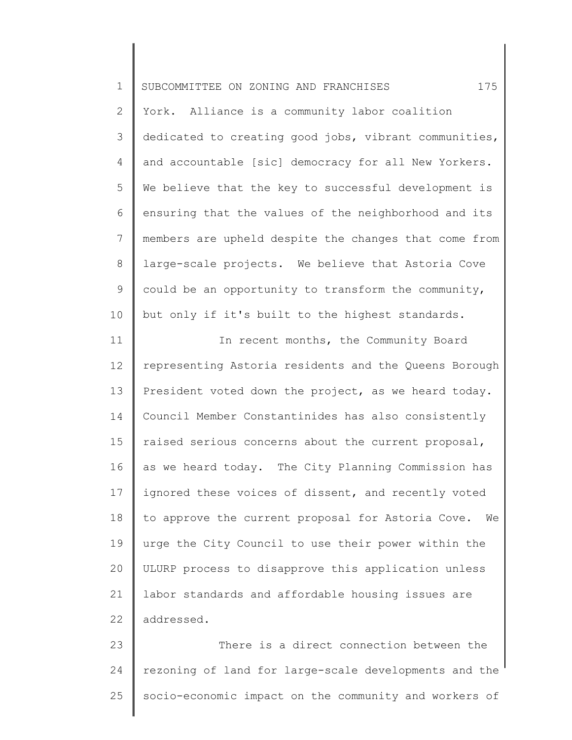| $\mathbf 1$    | 175<br>SUBCOMMITTEE ON ZONING AND FRANCHISES            |
|----------------|---------------------------------------------------------|
| $\overline{2}$ | York. Alliance is a community labor coalition           |
| 3              | dedicated to creating good jobs, vibrant communities,   |
| 4              | and accountable [sic] democracy for all New Yorkers.    |
| 5              | We believe that the key to successful development is    |
| 6              | ensuring that the values of the neighborhood and its    |
| 7              | members are upheld despite the changes that come from   |
| $\,8\,$        | large-scale projects. We believe that Astoria Cove      |
| $\mathsf 9$    | could be an opportunity to transform the community,     |
| 10             | but only if it's built to the highest standards.        |
| 11             | In recent months, the Community Board                   |
| 12             | representing Astoria residents and the Queens Borough   |
| 13             | President voted down the project, as we heard today.    |
| 14             | Council Member Constantinides has also consistently     |
| 15             | raised serious concerns about the current proposal,     |
| 16             | as we heard today. The City Planning Commission has     |
| 17             | ignored these voices of dissent, and recently voted     |
| 18             | to approve the current proposal for Astoria Cove.<br>We |
| 19             | urge the City Council to use their power within the     |
| 20             | ULURP process to disapprove this application unless     |
| 21             | labor standards and affordable housing issues are       |
| 22             | addressed.                                              |
| 23             | There is a direct connection between the                |
| 24             | rezoning of land for large-scale developments and the   |

∥

25 socio-economic impact on the community and workers of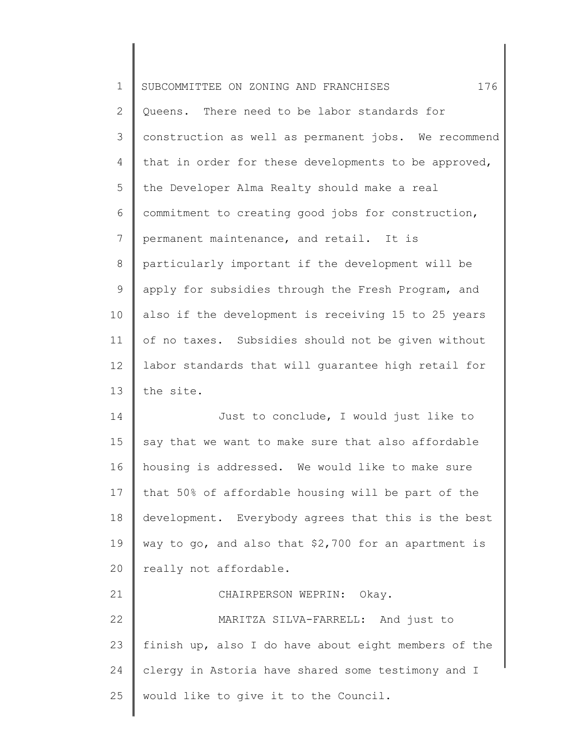| $\mathbf 1$    | 176<br>SUBCOMMITTEE ON ZONING AND FRANCHISES         |
|----------------|------------------------------------------------------|
| $\mathbf{2}$   | Queens. There need to be labor standards for         |
| 3              | construction as well as permanent jobs. We recommend |
| 4              | that in order for these developments to be approved, |
| 5              | the Developer Alma Realty should make a real         |
| 6              | commitment to creating good jobs for construction,   |
| $7\phantom{.}$ | permanent maintenance, and retail. It is             |
| $8\,$          | particularly important if the development will be    |
| 9              | apply for subsidies through the Fresh Program, and   |
| 10             | also if the development is receiving 15 to 25 years  |
| 11             | of no taxes. Subsidies should not be given without   |
| 12             | labor standards that will guarantee high retail for  |
| 13             | the site.                                            |
| 14             | Just to conclude, I would just like to               |
| 15             | say that we want to make sure that also affordable   |
| 16             | housing is addressed. We would like to make sure     |
| 17             | that 50% of affordable housing will be part of the   |
| 18             | development. Everybody agrees that this is the best  |
| 19             | way to go, and also that \$2,700 for an apartment is |
| 20             | really not affordable.                               |
| 21             | CHAIRPERSON WEPRIN:<br>Okay.                         |
| 22             | MARITZA SILVA-FARRELL: And just to                   |
| 23             | finish up, also I do have about eight members of the |
| 24             | clergy in Astoria have shared some testimony and I   |
| 25             | would like to give it to the Council.                |
|                |                                                      |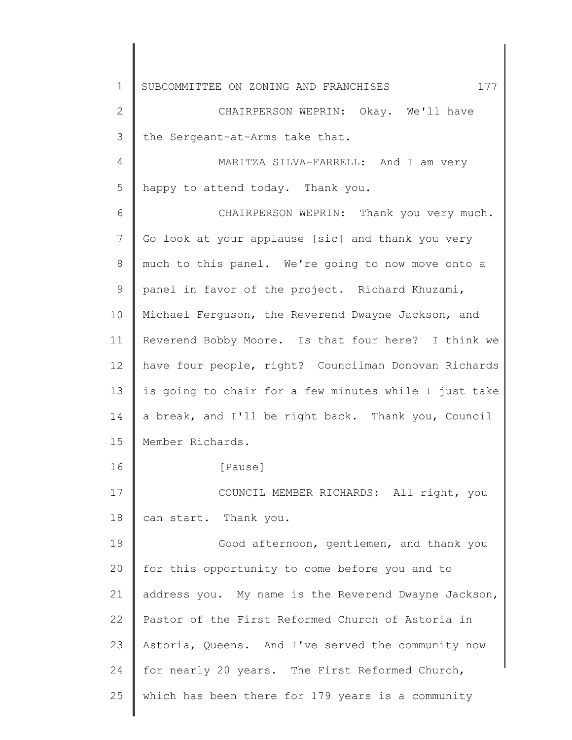1 2 3 4 5 6 7 8 9 10 11 12 13 14 15 16 17 18 19 20 21 22 23 24 25 SUBCOMMITTEE ON ZONING AND FRANCHISES  $177$ CHAIRPERSON WEPRIN: Okay. We'll have the Sergeant-at-Arms take that. MARITZA SILVA-FARRELL: And I am very happy to attend today. Thank you. CHAIRPERSON WEPRIN: Thank you very much. Go look at your applause [sic] and thank you very much to this panel. We're going to now move onto a panel in favor of the project. Richard Khuzami, Michael Ferguson, the Reverend Dwayne Jackson, and Reverend Bobby Moore. Is that four here? I think we have four people, right? Councilman Donovan Richards is going to chair for a few minutes while I just take a break, and I'll be right back. Thank you, Council Member Richards. [Pause] COUNCIL MEMBER RICHARDS: All right, you can start. Thank you. Good afternoon, gentlemen, and thank you for this opportunity to come before you and to address you. My name is the Reverend Dwayne Jackson, Pastor of the First Reformed Church of Astoria in Astoria, Queens. And I've served the community now for nearly 20 years. The First Reformed Church, which has been there for 179 years is a community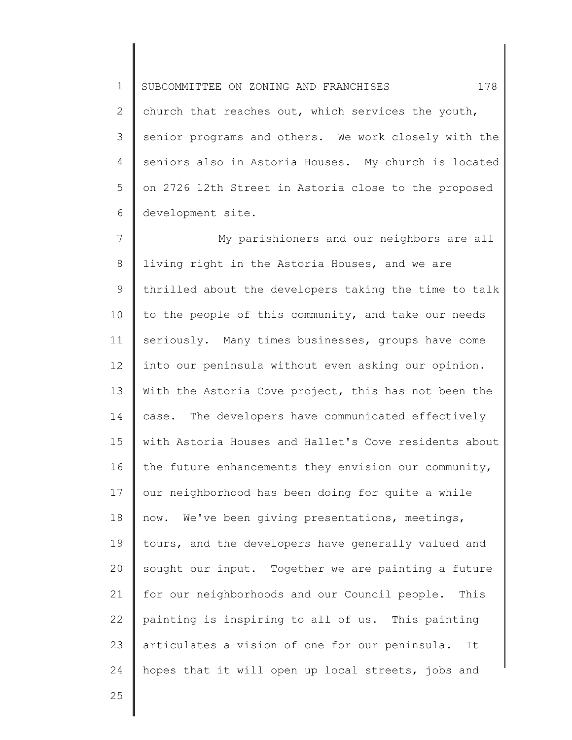1 2 3 4 5 6 SUBCOMMITTEE ON ZONING AND FRANCHISES 178 church that reaches out, which services the youth, senior programs and others. We work closely with the seniors also in Astoria Houses. My church is located on 2726 12th Street in Astoria close to the proposed development site.

7 8 9 10 11 12 13 14 15 16 17 18 19 20 21 22 23 24 My parishioners and our neighbors are all living right in the Astoria Houses, and we are thrilled about the developers taking the time to talk to the people of this community, and take our needs seriously. Many times businesses, groups have come into our peninsula without even asking our opinion. With the Astoria Cove project, this has not been the case. The developers have communicated effectively with Astoria Houses and Hallet's Cove residents about the future enhancements they envision our community, our neighborhood has been doing for quite a while now. We've been giving presentations, meetings, tours, and the developers have generally valued and sought our input. Together we are painting a future for our neighborhoods and our Council people. This painting is inspiring to all of us. This painting articulates a vision of one for our peninsula. It hopes that it will open up local streets, jobs and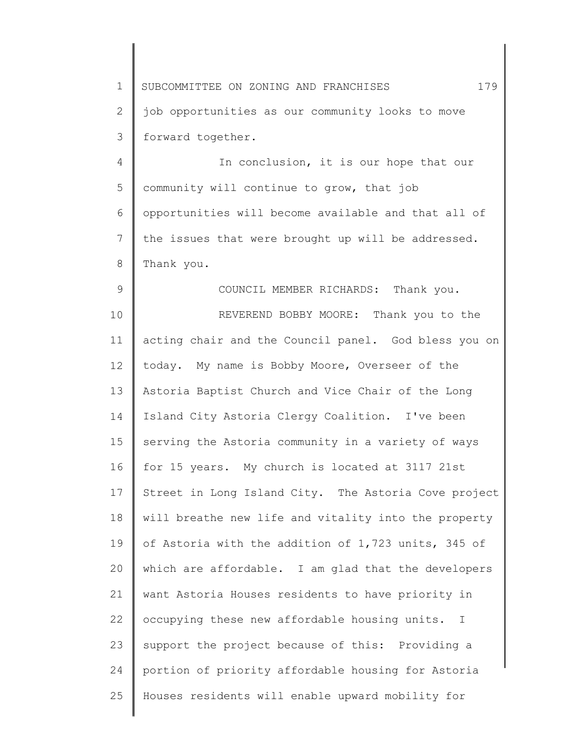1 2 3 4 SUBCOMMITTEE ON ZONING AND FRANCHISES  $179$ job opportunities as our community looks to move forward together. In conclusion, it is our hope that our

5 6 7 8 community will continue to grow, that job opportunities will become available and that all of the issues that were brought up will be addressed. Thank you.

9

10 11 12 13 14 15 16 17 18 19 20 21 22 23 24 25 COUNCIL MEMBER RICHARDS: Thank you. REVEREND BOBBY MOORE: Thank you to the acting chair and the Council panel. God bless you on today. My name is Bobby Moore, Overseer of the Astoria Baptist Church and Vice Chair of the Long Island City Astoria Clergy Coalition. I've been serving the Astoria community in a variety of ways for 15 years. My church is located at 3117 21st Street in Long Island City. The Astoria Cove project will breathe new life and vitality into the property of Astoria with the addition of 1,723 units, 345 of which are affordable. I am glad that the developers want Astoria Houses residents to have priority in occupying these new affordable housing units. I support the project because of this: Providing a portion of priority affordable housing for Astoria Houses residents will enable upward mobility for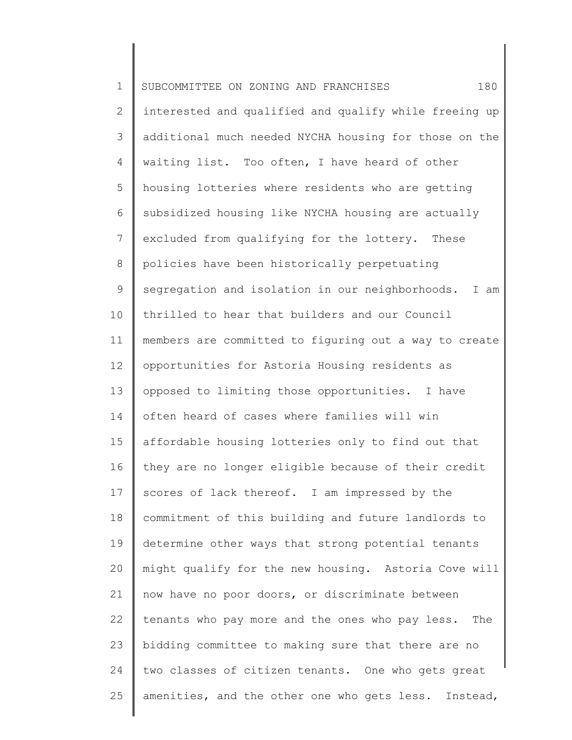1 2 3 4 5 6 7 8 9 10 11 12 13 14 15 16 17 18 19 20 21 22 23 24 25 SUBCOMMITTEE ON ZONING AND FRANCHISES 180 interested and qualified and qualify while freeing up additional much needed NYCHA housing for those on the waiting list. Too often, I have heard of other housing lotteries where residents who are getting subsidized housing like NYCHA housing are actually excluded from qualifying for the lottery. These policies have been historically perpetuating segregation and isolation in our neighborhoods. I am thrilled to hear that builders and our Council members are committed to figuring out a way to create opportunities for Astoria Housing residents as opposed to limiting those opportunities. I have often heard of cases where families will win affordable housing lotteries only to find out that they are no longer eligible because of their credit scores of lack thereof. I am impressed by the commitment of this building and future landlords to determine other ways that strong potential tenants might qualify for the new housing. Astoria Cove will now have no poor doors, or discriminate between tenants who pay more and the ones who pay less. The bidding committee to making sure that there are no two classes of citizen tenants. One who gets great amenities, and the other one who gets less. Instead,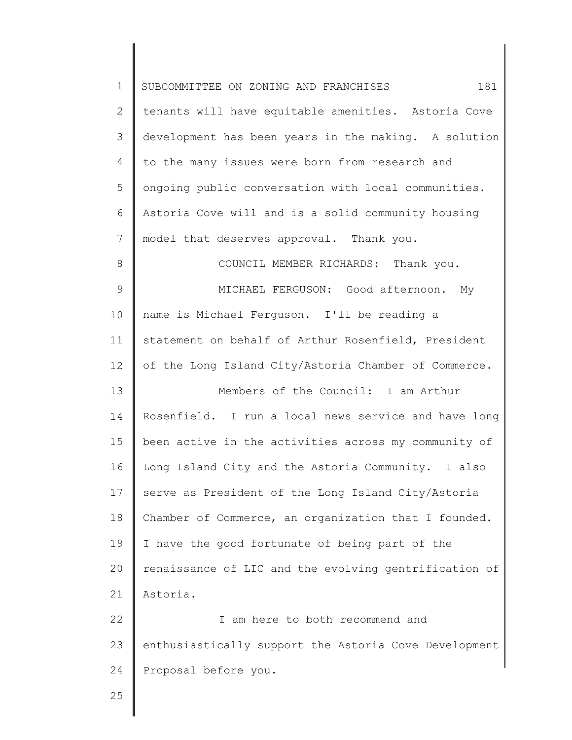| $\mathbf 1$     | 181<br>SUBCOMMITTEE ON ZONING AND FRANCHISES          |
|-----------------|-------------------------------------------------------|
| $\overline{2}$  | tenants will have equitable amenities. Astoria Cove   |
| 3               | development has been years in the making. A solution  |
| $\overline{4}$  | to the many issues were born from research and        |
| 5               | ongoing public conversation with local communities.   |
| 6               | Astoria Cove will and is a solid community housing    |
| 7               | model that deserves approval. Thank you.              |
| 8               | COUNCIL MEMBER RICHARDS: Thank you.                   |
| 9               | MICHAEL FERGUSON: Good afternoon. My                  |
| 10              | name is Michael Ferguson. I'll be reading a           |
| 11              | statement on behalf of Arthur Rosenfield, President   |
| 12 <sup>°</sup> | of the Long Island City/Astoria Chamber of Commerce.  |
| 13              | Members of the Council: I am Arthur                   |
| 14              | Rosenfield. I run a local news service and have long  |
| 15              | been active in the activities across my community of  |
| 16              | Long Island City and the Astoria Community. I also    |
| 17              | serve as President of the Long Island City/Astoria    |
| 18              | Chamber of Commerce, an organization that I founded.  |
| 19              | I have the good fortunate of being part of the        |
| 20              | renaissance of LIC and the evolving gentrification of |
| 21              | Astoria.                                              |
| 22              | I am here to both recommend and                       |
| 23              | enthusiastically support the Astoria Cove Development |
| 24              | Proposal before you.                                  |
| 25              |                                                       |
|                 |                                                       |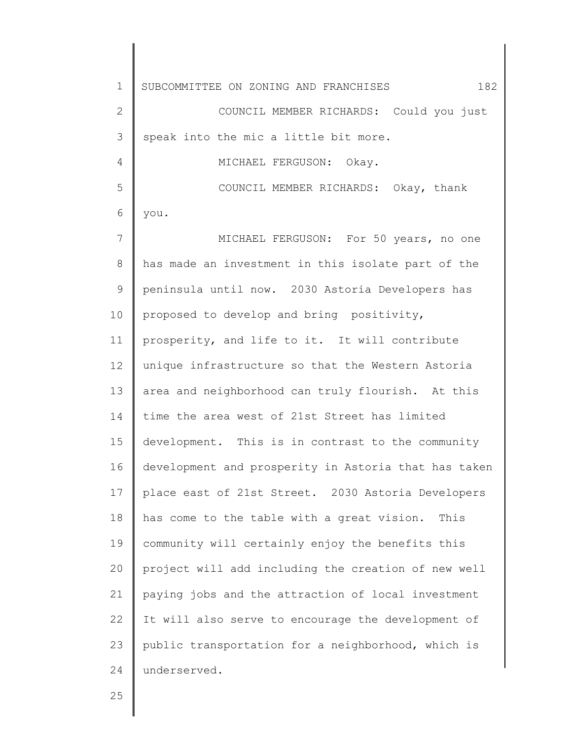1 2 3 4 5 6 7 8 9 10 11 12 13 14 15 16 17 18 19 20 21 22 23 24 SUBCOMMITTEE ON ZONING AND FRANCHISES  $182$ COUNCIL MEMBER RICHARDS: Could you just speak into the mic a little bit more. MICHAEL FERGUSON: Okay. COUNCIL MEMBER RICHARDS: Okay, thank you. MICHAEL FERGUSON: For 50 years, no one has made an investment in this isolate part of the peninsula until now. 2030 Astoria Developers has proposed to develop and bring positivity, prosperity, and life to it. It will contribute unique infrastructure so that the Western Astoria area and neighborhood can truly flourish. At this time the area west of 21st Street has limited development. This is in contrast to the community development and prosperity in Astoria that has taken place east of 21st Street. 2030 Astoria Developers has come to the table with a great vision. This community will certainly enjoy the benefits this project will add including the creation of new well paying jobs and the attraction of local investment It will also serve to encourage the development of public transportation for a neighborhood, which is underserved.

25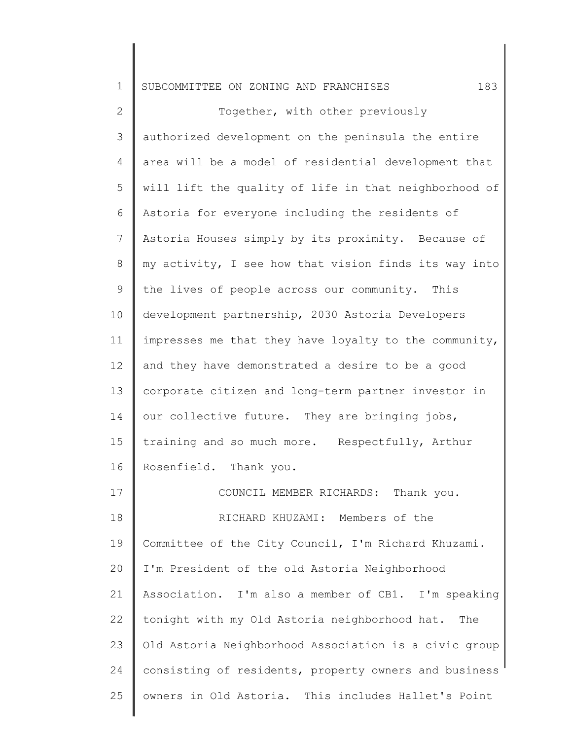| $\mathbf 1$    | 183<br>SUBCOMMITTEE ON ZONING AND FRANCHISES          |
|----------------|-------------------------------------------------------|
| $\mathbf{2}$   | Together, with other previously                       |
| 3              | authorized development on the peninsula the entire    |
| 4              | area will be a model of residential development that  |
| 5              | will lift the quality of life in that neighborhood of |
| 6              | Astoria for everyone including the residents of       |
| $7\phantom{.}$ | Astoria Houses simply by its proximity. Because of    |
| 8              | my activity, I see how that vision finds its way into |
| 9              | the lives of people across our community. This        |
| 10             | development partnership, 2030 Astoria Developers      |
| 11             | impresses me that they have loyalty to the community, |
| 12             | and they have demonstrated a desire to be a good      |
| 13             | corporate citizen and long-term partner investor in   |
| 14             | our collective future. They are bringing jobs,        |
| 15             | training and so much more. Respectfully, Arthur       |
| 16             | Rosenfield. Thank you.                                |
| 17             | COUNCIL MEMBER RICHARDS: Thank you.                   |
| 18             | RICHARD KHUZAMI: Members of the                       |
| 19             | Committee of the City Council, I'm Richard Khuzami.   |
| 20             | I'm President of the old Astoria Neighborhood         |
| 21             | Association. I'm also a member of CB1. I'm speaking   |
| 22             | tonight with my Old Astoria neighborhood hat.<br>The  |
|                |                                                       |

23 24 25 Old Astoria Neighborhood Association is a civic group consisting of residents, property owners and business owners in Old Astoria. This includes Hallet's Point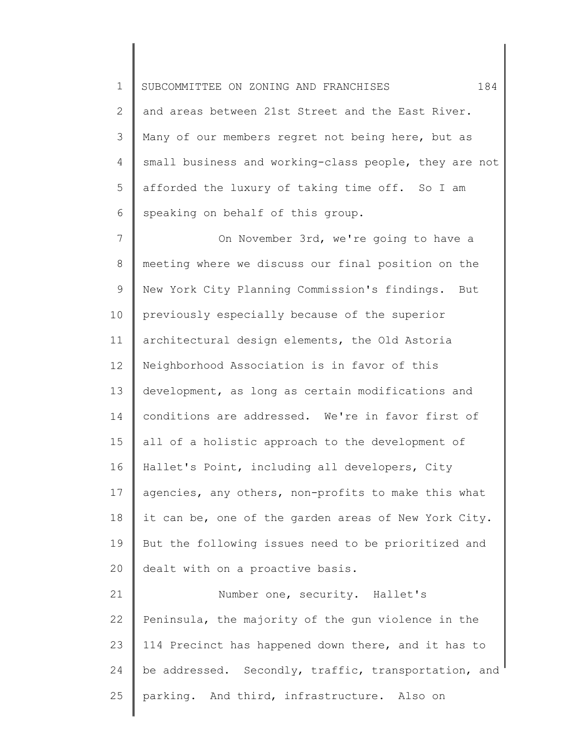1 2 3 4 5 6 SUBCOMMITTEE ON ZONING AND FRANCHISES 184 and areas between 21st Street and the East River. Many of our members regret not being here, but as small business and working-class people, they are not afforded the luxury of taking time off. So I am speaking on behalf of this group.

7 8 9 10 11 12 13 14 15 16 17 18 19 20 On November 3rd, we're going to have a meeting where we discuss our final position on the New York City Planning Commission's findings. But previously especially because of the superior architectural design elements, the Old Astoria Neighborhood Association is in favor of this development, as long as certain modifications and conditions are addressed. We're in favor first of all of a holistic approach to the development of Hallet's Point, including all developers, City agencies, any others, non-profits to make this what it can be, one of the garden areas of New York City. But the following issues need to be prioritized and dealt with on a proactive basis.

21 22 23 24 25 Number one, security. Hallet's Peninsula, the majority of the gun violence in the 114 Precinct has happened down there, and it has to be addressed. Secondly, traffic, transportation, and parking. And third, infrastructure. Also on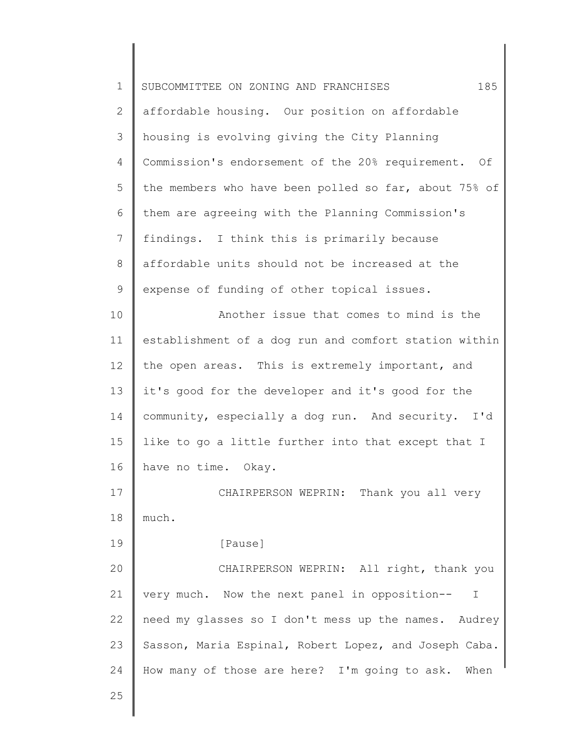| $\mathbf 1$    | 185<br>SUBCOMMITTEE ON ZONING AND FRANCHISES          |
|----------------|-------------------------------------------------------|
| $\mathbf{2}$   | affordable housing. Our position on affordable        |
| 3              | housing is evolving giving the City Planning          |
| 4              | Commission's endorsement of the 20% requirement. Of   |
| 5              | the members who have been polled so far, about 75% of |
| 6              | them are agreeing with the Planning Commission's      |
| $\overline{7}$ | findings. I think this is primarily because           |
| 8              | affordable units should not be increased at the       |
| 9              | expense of funding of other topical issues.           |
| 10             | Another issue that comes to mind is the               |
| 11             | establishment of a dog run and comfort station within |
| 12             | the open areas. This is extremely important, and      |
| 13             | it's good for the developer and it's good for the     |
| 14             | community, especially a dog run. And security. I'd    |
| 15             | like to go a little further into that except that I   |
| 16             | have no time. Okay.                                   |
| 17             | CHAIRPERSON WEPRIN: Thank you all very                |
| 18             | much.                                                 |
| 19             | [Pause]                                               |
| 20             | CHAIRPERSON WEPRIN: All right, thank you              |
| 21             | very much. Now the next panel in opposition--<br>I    |
| 22             | need my glasses so I don't mess up the names. Audrey  |
| 23             | Sasson, Maria Espinal, Robert Lopez, and Joseph Caba. |
| 24             | How many of those are here? I'm going to ask. When    |
| 25             |                                                       |
|                |                                                       |

║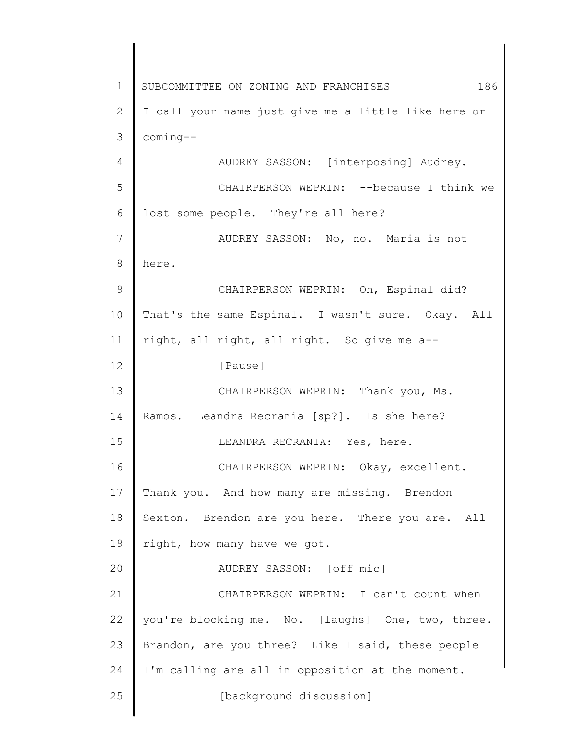1 2 3 4 5 6 7 8 9 10 11 12 13 14 15 16 17 18 19 20 21 22 23 24 25 SUBCOMMITTEE ON ZONING AND FRANCHISES 186 I call your name just give me a little like here or coming-- AUDREY SASSON: [interposing] Audrey. CHAIRPERSON WEPRIN: --because I think we lost some people. They're all here? AUDREY SASSON: No, no. Maria is not here. CHAIRPERSON WEPRIN: Oh, Espinal did? That's the same Espinal. I wasn't sure. Okay. All right, all right, all right. So give me a-- [Pause] CHAIRPERSON WEPRIN: Thank you, Ms. Ramos. Leandra Recrania [sp?]. Is she here? LEANDRA RECRANIA: Yes, here. CHAIRPERSON WEPRIN: Okay, excellent. Thank you. And how many are missing. Brendon Sexton. Brendon are you here. There you are. All right, how many have we got. AUDREY SASSON: [off mic] CHAIRPERSON WEPRIN: I can't count when you're blocking me. No. [laughs] One, two, three. Brandon, are you three? Like I said, these people I'm calling are all in opposition at the moment. [background discussion]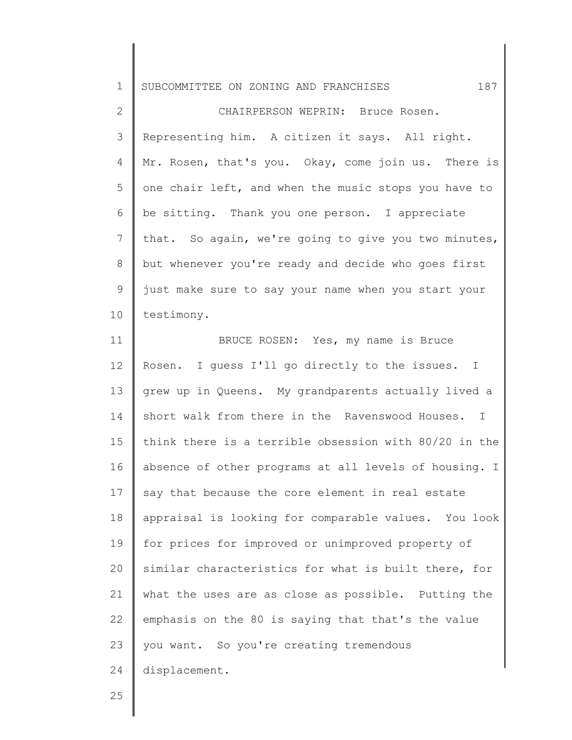2 3 4 5 6 7 8 9 10 CHAIRPERSON WEPRIN: Bruce Rosen. Representing him. A citizen it says. All right. Mr. Rosen, that's you. Okay, come join us. There is one chair left, and when the music stops you have to be sitting. Thank you one person. I appreciate that. So again, we're going to give you two minutes, but whenever you're ready and decide who goes first just make sure to say your name when you start your testimony.

11 12 13 14 15 16 17 18 19 20 21 22 23 24 BRUCE ROSEN: Yes, my name is Bruce Rosen. I guess I'll go directly to the issues. I grew up in Queens. My grandparents actually lived a short walk from there in the Ravenswood Houses. I think there is a terrible obsession with 80/20 in the absence of other programs at all levels of housing. I say that because the core element in real estate appraisal is looking for comparable values. You look for prices for improved or unimproved property of similar characteristics for what is built there, for what the uses are as close as possible. Putting the emphasis on the 80 is saying that that's the value you want. So you're creating tremendous displacement.

25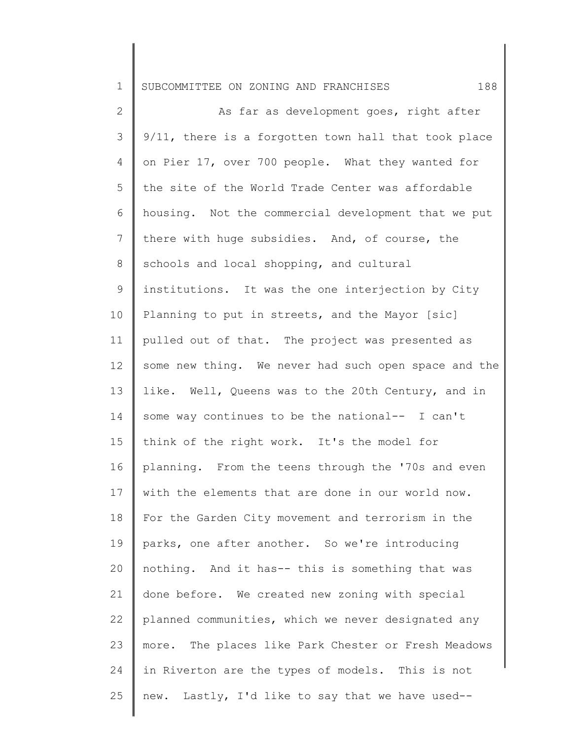2 3 4 5 6 7 8 9 10 11 12 13 14 15 16 17 18 19 20 21 22 23 24 25 As far as development goes, right after 9/11, there is a forgotten town hall that took place on Pier 17, over 700 people. What they wanted for the site of the World Trade Center was affordable housing. Not the commercial development that we put there with huge subsidies. And, of course, the schools and local shopping, and cultural institutions. It was the one interjection by City Planning to put in streets, and the Mayor [sic] pulled out of that. The project was presented as some new thing. We never had such open space and the like. Well, Queens was to the 20th Century, and in some way continues to be the national-- I can't think of the right work. It's the model for planning. From the teens through the '70s and even with the elements that are done in our world now. For the Garden City movement and terrorism in the parks, one after another. So we're introducing nothing. And it has-- this is something that was done before. We created new zoning with special planned communities, which we never designated any more. The places like Park Chester or Fresh Meadows in Riverton are the types of models. This is not new. Lastly, I'd like to say that we have used--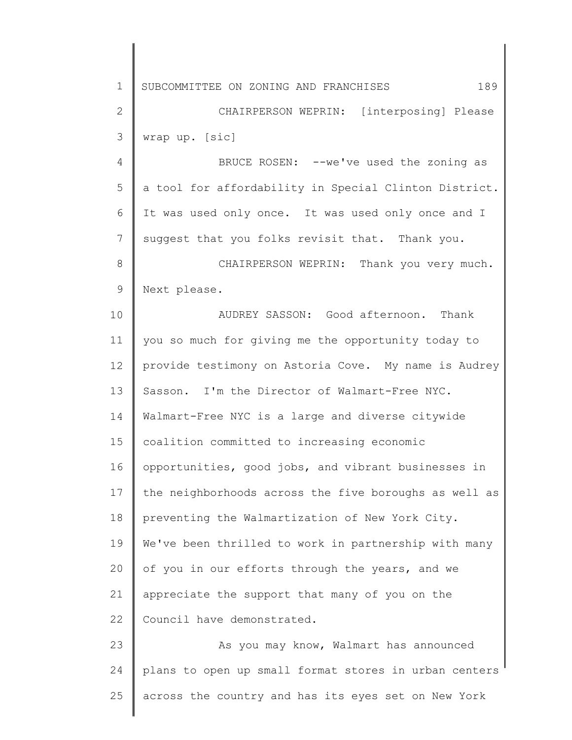1 2 3 4 5 6 7 8 9 10 11 12 13 14 15 16 17 18 19 20 21 22 23 24 25 SUBCOMMITTEE ON ZONING AND FRANCHISES 189 CHAIRPERSON WEPRIN: [interposing] Please wrap up. [sic] BRUCE ROSEN: --we've used the zoning as a tool for affordability in Special Clinton District. It was used only once. It was used only once and I suggest that you folks revisit that. Thank you. CHAIRPERSON WEPRIN: Thank you very much. Next please. AUDREY SASSON: Good afternoon. Thank you so much for giving me the opportunity today to provide testimony on Astoria Cove. My name is Audrey Sasson. I'm the Director of Walmart-Free NYC. Walmart-Free NYC is a large and diverse citywide coalition committed to increasing economic opportunities, good jobs, and vibrant businesses in the neighborhoods across the five boroughs as well as preventing the Walmartization of New York City. We've been thrilled to work in partnership with many of you in our efforts through the years, and we appreciate the support that many of you on the Council have demonstrated. As you may know, Walmart has announced plans to open up small format stores in urban centers across the country and has its eyes set on New York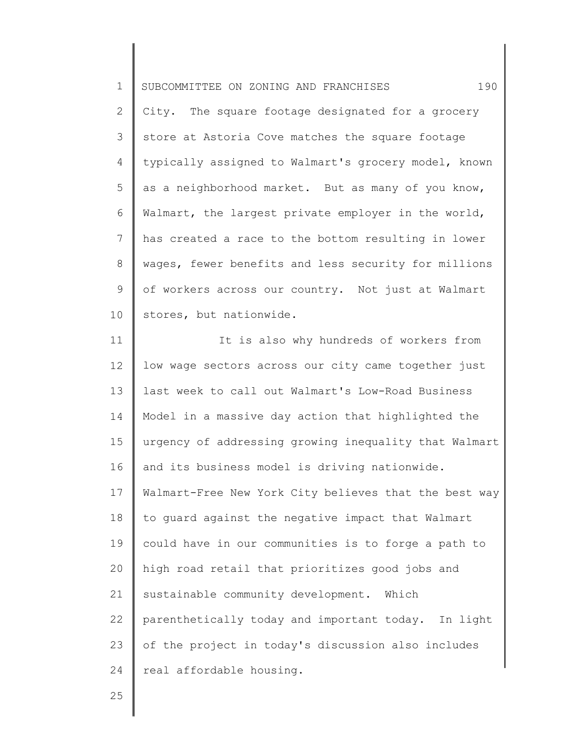1 2 3 4 5 6 7 8 9 10 SUBCOMMITTEE ON ZONING AND FRANCHISES 190 City. The square footage designated for a grocery store at Astoria Cove matches the square footage typically assigned to Walmart's grocery model, known as a neighborhood market. But as many of you know, Walmart, the largest private employer in the world, has created a race to the bottom resulting in lower wages, fewer benefits and less security for millions of workers across our country. Not just at Walmart stores, but nationwide.

11 12 13 14 15 16 17 18 19 20 21 22 23 24 It is also why hundreds of workers from low wage sectors across our city came together just last week to call out Walmart's Low-Road Business Model in a massive day action that highlighted the urgency of addressing growing inequality that Walmart and its business model is driving nationwide. Walmart-Free New York City believes that the best way to guard against the negative impact that Walmart could have in our communities is to forge a path to high road retail that prioritizes good jobs and sustainable community development. Which parenthetically today and important today. In light of the project in today's discussion also includes real affordable housing.

25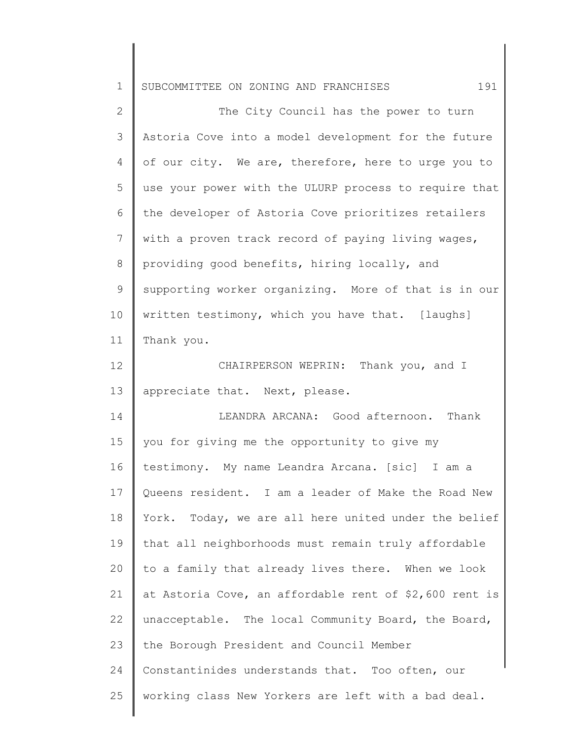|  | 1   SUBCOMMITTEE ON ZONING AND FRANCHISES |  |  |  |  |  |
|--|-------------------------------------------|--|--|--|--|--|
|--|-------------------------------------------|--|--|--|--|--|

2 3 4 5 6 7 8 9 10 11 The City Council has the power to turn Astoria Cove into a model development for the future of our city. We are, therefore, here to urge you to use your power with the ULURP process to require that the developer of Astoria Cove prioritizes retailers with a proven track record of paying living wages, providing good benefits, hiring locally, and supporting worker organizing. More of that is in our written testimony, which you have that. [laughs] Thank you.

12 13 CHAIRPERSON WEPRIN: Thank you, and I appreciate that. Next, please.

14 15 16 17 18 19 20 21 22 23 24 25 LEANDRA ARCANA: Good afternoon. Thank you for giving me the opportunity to give my testimony. My name Leandra Arcana. [sic] I am a Queens resident. I am a leader of Make the Road New York. Today, we are all here united under the belief that all neighborhoods must remain truly affordable to a family that already lives there. When we look at Astoria Cove, an affordable rent of \$2,600 rent is unacceptable. The local Community Board, the Board, the Borough President and Council Member Constantinides understands that. Too often, our working class New Yorkers are left with a bad deal.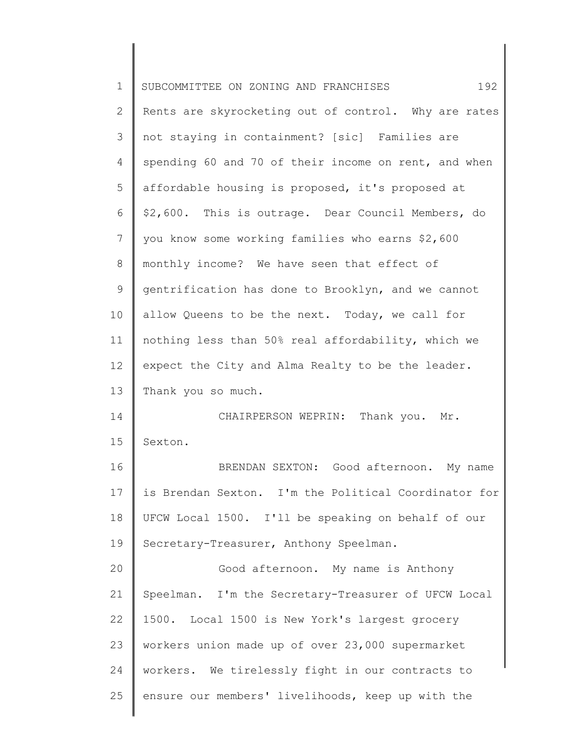| $\mathbf 1$     | SUBCOMMITTEE ON ZONING AND FRANCHISES<br>192         |
|-----------------|------------------------------------------------------|
| 2               | Rents are skyrocketing out of control. Why are rates |
| 3               | not staying in containment? [sic] Families are       |
| 4               | spending 60 and 70 of their income on rent, and when |
| 5               | affordable housing is proposed, it's proposed at     |
| 6               | \$2,600. This is outrage. Dear Council Members, do   |
| $7\phantom{.0}$ | you know some working families who earns \$2,600     |
| 8               | monthly income? We have seen that effect of          |
| 9               | gentrification has done to Brooklyn, and we cannot   |
| 10              | allow Queens to be the next. Today, we call for      |
| 11              | nothing less than 50% real affordability, which we   |
| 12              | expect the City and Alma Realty to be the leader.    |
| 13              | Thank you so much.                                   |
| 14              | CHAIRPERSON WEPRIN: Thank you. Mr.                   |
| 15              | Sexton.                                              |
| 16              | BRENDAN SEXTON: Good afternoon. My name              |
| 17              | is Brendan Sexton. I'm the Political Coordinator for |
| 18              | UFCW Local 1500. I'll be speaking on behalf of our   |
| 19              | Secretary-Treasurer, Anthony Speelman.               |
| 20              | Good afternoon. My name is Anthony                   |
| 21              | Speelman. I'm the Secretary-Treasurer of UFCW Local  |
| 22              | 1500. Local 1500 is New York's largest grocery       |
| 23              | workers union made up of over 23,000 supermarket     |
| 24              | workers. We tirelessly fight in our contracts to     |
| 25              | ensure our members' livelihoods, keep up with the    |
|                 |                                                      |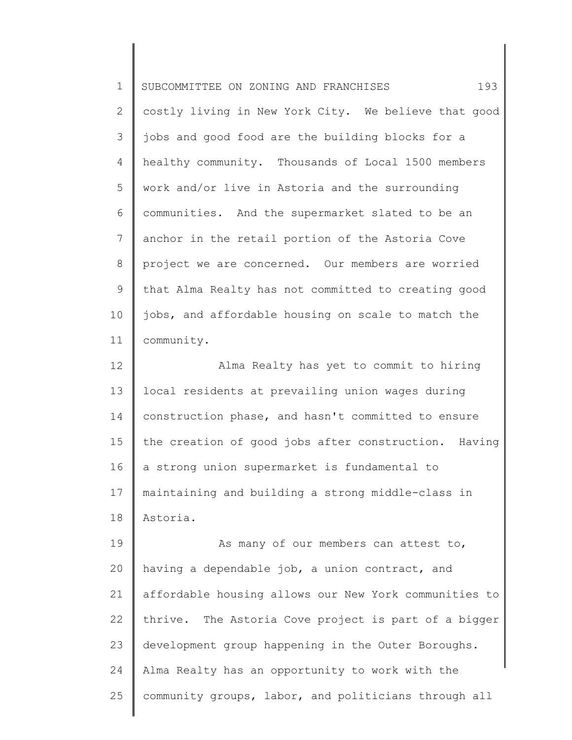| $\mathbf 1$    | 193<br>SUBCOMMITTEE ON ZONING AND FRANCHISES          |
|----------------|-------------------------------------------------------|
| $\mathbf{2}$   | costly living in New York City. We believe that good  |
| 3              | jobs and good food are the building blocks for a      |
| $\overline{4}$ | healthy community. Thousands of Local 1500 members    |
| 5              | work and/or live in Astoria and the surrounding       |
| 6              | communities. And the supermarket slated to be an      |
| $\overline{7}$ | anchor in the retail portion of the Astoria Cove      |
| 8              | project we are concerned. Our members are worried     |
| $\mathsf 9$    | that Alma Realty has not committed to creating good   |
| 10             | jobs, and affordable housing on scale to match the    |
| 11             | community.                                            |
| 12             | Alma Realty has yet to commit to hiring               |
| 13             | local residents at prevailing union wages during      |
| 14             | construction phase, and hasn't committed to ensure    |
| 15             | the creation of good jobs after construction. Having  |
| 16             | a strong union supermarket is fundamental to          |
| 17             | maintaining and building a strong middle-class in     |
| 18             | Astoria.                                              |
| 19             | As many of our members can attest to,                 |
| 20             | having a dependable job, a union contract, and        |
| 21             | affordable housing allows our New York communities to |
| 22             | thrive. The Astoria Cove project is part of a bigger  |
| 23             | development group happening in the Outer Boroughs.    |
| 24             | Alma Realty has an opportunity to work with the       |
| 25             | community groups, labor, and politicians through all  |

 $\parallel$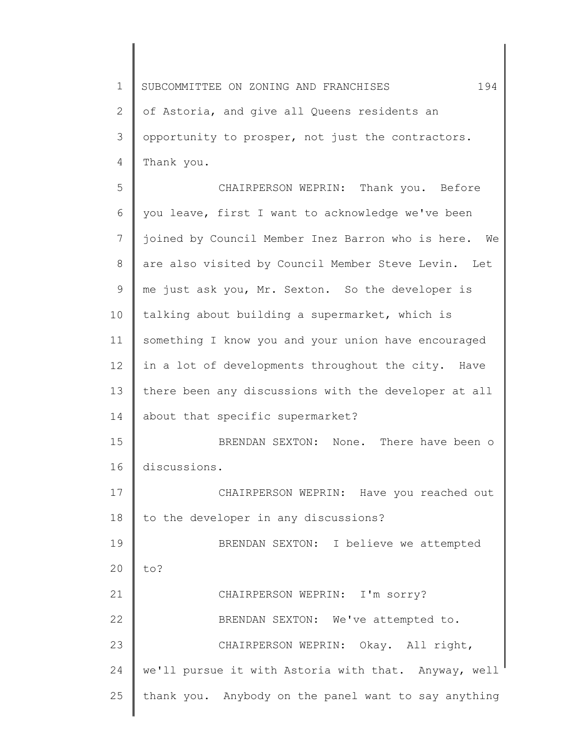1 2 3 4 5 6 7 8 9 10 11 SUBCOMMITTEE ON ZONING AND FRANCHISES 194 of Astoria, and give all Queens residents an opportunity to prosper, not just the contractors. Thank you. CHAIRPERSON WEPRIN: Thank you. Before you leave, first I want to acknowledge we've been joined by Council Member Inez Barron who is here. We are also visited by Council Member Steve Levin. Let me just ask you, Mr. Sexton. So the developer is talking about building a supermarket, which is something I know you and your union have encouraged

13 14 15 there been any discussions with the developer at all about that specific supermarket? BRENDAN SEXTON: None. There have been o

in a lot of developments throughout the city. Have

16 discussions.

12

25

17 18 19 20 21 22 23 24 CHAIRPERSON WEPRIN: Have you reached out to the developer in any discussions? BRENDAN SEXTON: I believe we attempted to? CHAIRPERSON WEPRIN: I'm sorry? BRENDAN SEXTON: We've attempted to. CHAIRPERSON WEPRIN: Okay. All right, we'll pursue it with Astoria with that. Anyway, well

thank you. Anybody on the panel want to say anything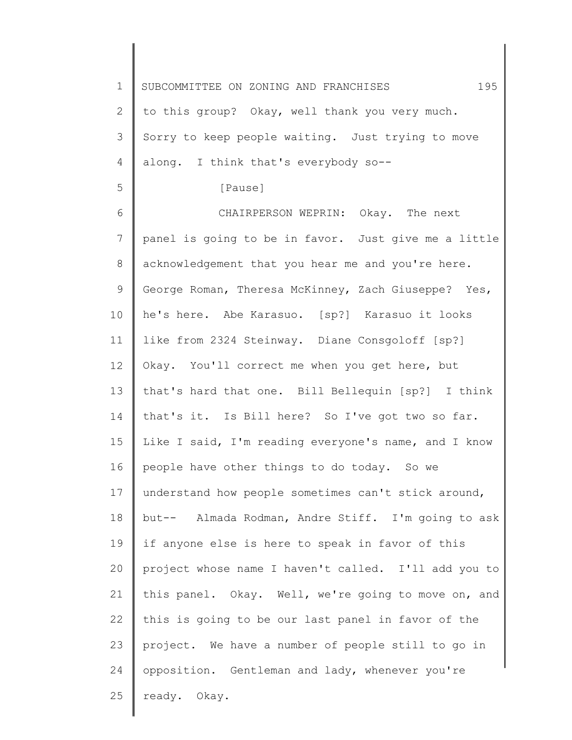1 2 3 4 5 6 7 8 9 10 11 12 13 14 15 16 17 18 19 20 21 22 23 24 25 SUBCOMMITTEE ON ZONING AND FRANCHISES 195 to this group? Okay, well thank you very much. Sorry to keep people waiting. Just trying to move along. I think that's everybody so-- [Pause] CHAIRPERSON WEPRIN: Okay. The next panel is going to be in favor. Just give me a little acknowledgement that you hear me and you're here. George Roman, Theresa McKinney, Zach Giuseppe? Yes, he's here. Abe Karasuo. [sp?] Karasuo it looks like from 2324 Steinway. Diane Consgoloff [sp?] Okay. You'll correct me when you get here, but that's hard that one. Bill Bellequin [sp?] I think that's it. Is Bill here? So I've got two so far. Like I said, I'm reading everyone's name, and I know people have other things to do today. So we understand how people sometimes can't stick around, but-- Almada Rodman, Andre Stiff. I'm going to ask if anyone else is here to speak in favor of this project whose name I haven't called. I'll add you to this panel. Okay. Well, we're going to move on, and this is going to be our last panel in favor of the project. We have a number of people still to go in opposition. Gentleman and lady, whenever you're ready. Okay.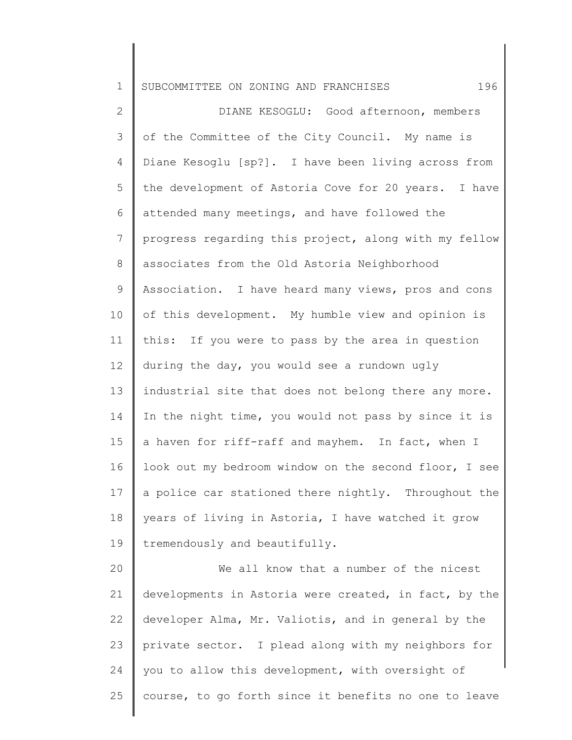2 3 4 5 6 7 8 9 10 11 12 13 14 15 16 17 18 19 DIANE KESOGLU: Good afternoon, members of the Committee of the City Council. My name is Diane Kesoglu [sp?]. I have been living across from the development of Astoria Cove for 20 years. I have attended many meetings, and have followed the progress regarding this project, along with my fellow associates from the Old Astoria Neighborhood Association. I have heard many views, pros and cons of this development. My humble view and opinion is this: If you were to pass by the area in question during the day, you would see a rundown ugly industrial site that does not belong there any more. In the night time, you would not pass by since it is a haven for riff-raff and mayhem. In fact, when I look out my bedroom window on the second floor, I see a police car stationed there nightly. Throughout the years of living in Astoria, I have watched it grow tremendously and beautifully.

20 21 22 23 24 25 We all know that a number of the nicest developments in Astoria were created, in fact, by the developer Alma, Mr. Valiotis, and in general by the private sector. I plead along with my neighbors for you to allow this development, with oversight of course, to go forth since it benefits no one to leave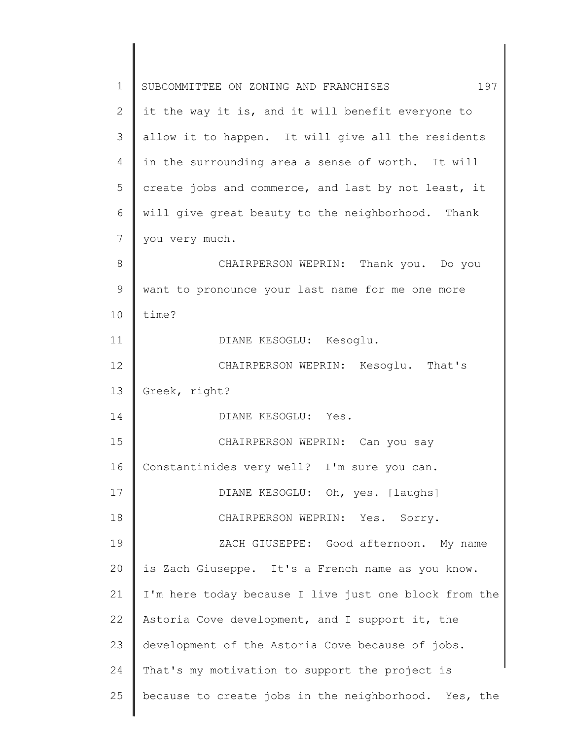| $\mathbf 1$ | 197<br>SUBCOMMITTEE ON ZONING AND FRANCHISES          |
|-------------|-------------------------------------------------------|
| 2           | it the way it is, and it will benefit everyone to     |
| 3           | allow it to happen. It will give all the residents    |
| 4           | in the surrounding area a sense of worth. It will     |
| 5           | create jobs and commerce, and last by not least, it   |
| 6           | will give great beauty to the neighborhood. Thank     |
| 7           | you very much.                                        |
| 8           | CHAIRPERSON WEPRIN: Thank you. Do you                 |
| 9           | want to pronounce your last name for me one more      |
| 10          | time?                                                 |
| 11          | DIANE KESOGLU: Kesoglu.                               |
| 12          | CHAIRPERSON WEPRIN: Kesoglu. That's                   |
| 13          | Greek, right?                                         |
| 14          | DIANE KESOGLU: Yes.                                   |
| 15          | CHAIRPERSON WEPRIN: Can you say                       |
| 16          | Constantinides very well? I'm sure you can.           |
| 17          | DIANE KESOGLU: Oh, yes. [laughs]                      |
| 18          | CHAIRPERSON WEPRIN: Yes. Sorry.                       |
| 19          | ZACH GIUSEPPE: Good afternoon. My name                |
| 20          | is Zach Giuseppe. It's a French name as you know.     |
| 21          | I'm here today because I live just one block from the |
| 22          | Astoria Cove development, and I support it, the       |
| 23          | development of the Astoria Cove because of jobs.      |
| 24          | That's my motivation to support the project is        |
| 25          | because to create jobs in the neighborhood. Yes, the  |
|             |                                                       |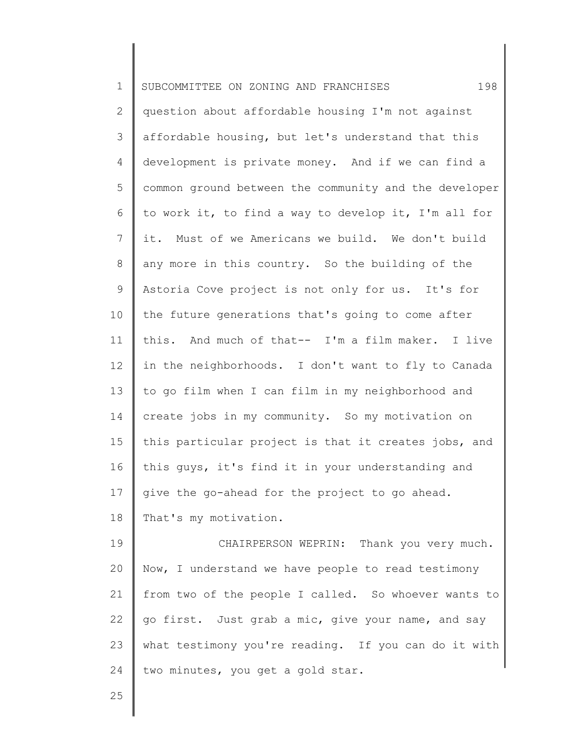| $\mathbf 1$     | 198<br>SUBCOMMITTEE ON ZONING AND FRANCHISES          |
|-----------------|-------------------------------------------------------|
| 2               | question about affordable housing I'm not against     |
| 3               | affordable housing, but let's understand that this    |
| 4               | development is private money. And if we can find a    |
| 5               | common ground between the community and the developer |
| 6               | to work it, to find a way to develop it, I'm all for  |
| $7\phantom{.0}$ | it. Must of we Americans we build. We don't build     |
| $8\,$           | any more in this country. So the building of the      |
| $\mathsf 9$     | Astoria Cove project is not only for us. It's for     |
| 10              | the future generations that's going to come after     |
| 11              | this. And much of that-- I'm a film maker. I live     |
| 12              | in the neighborhoods. I don't want to fly to Canada   |
| 13              | to go film when I can film in my neighborhood and     |
| 14              | create jobs in my community. So my motivation on      |
| 15              | this particular project is that it creates jobs, and  |
| 16              | this guys, it's find it in your understanding and     |
| 17              | give the go-ahead for the project to go ahead.        |
| 18              | That's my motivation.                                 |
| 19              | CHAIRPERSON WEPRIN: Thank you very much.              |
| 20              | Now, I understand we have people to read testimony    |
| 21              | from two of the people I called. So whoever wants to  |
| 22              | go first. Just grab a mic, give your name, and say    |
| 23              | what testimony you're reading. If you can do it with  |
| 24              | two minutes, you get a gold star.                     |
| 25              |                                                       |

25

∥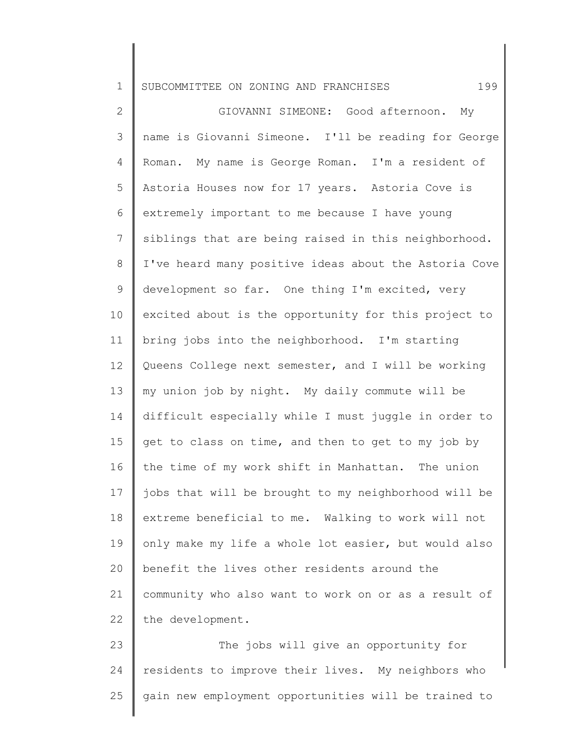2 3 4 5 6 7 8 9 10 11 12 13 14 15 16 17 18 19 20 21 22 GIOVANNI SIMEONE: Good afternoon. My name is Giovanni Simeone. I'll be reading for George Roman. My name is George Roman. I'm a resident of Astoria Houses now for 17 years. Astoria Cove is extremely important to me because I have young siblings that are being raised in this neighborhood. I've heard many positive ideas about the Astoria Cove development so far. One thing I'm excited, very excited about is the opportunity for this project to bring jobs into the neighborhood. I'm starting Queens College next semester, and I will be working my union job by night. My daily commute will be difficult especially while I must juggle in order to get to class on time, and then to get to my job by the time of my work shift in Manhattan. The union jobs that will be brought to my neighborhood will be extreme beneficial to me. Walking to work will not only make my life a whole lot easier, but would also benefit the lives other residents around the community who also want to work on or as a result of the development.

23 24 25 The jobs will give an opportunity for residents to improve their lives. My neighbors who gain new employment opportunities will be trained to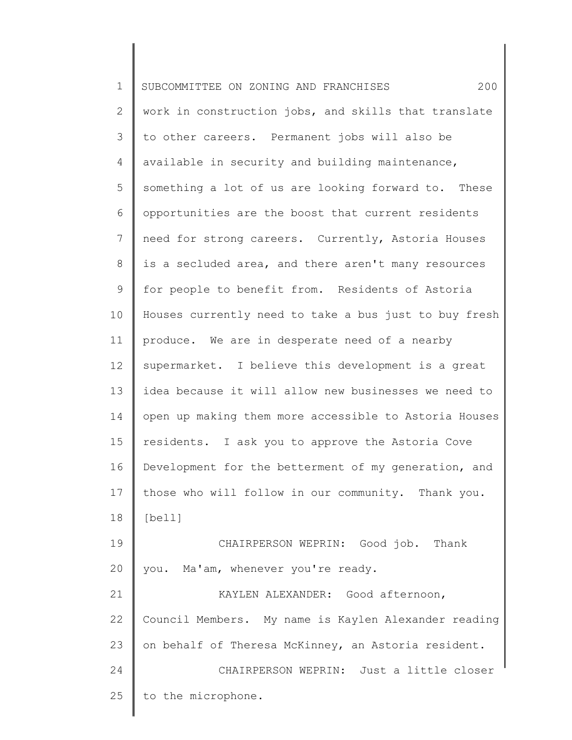1 2 3 4 5 6 7 8 9 10 11 12 13 14 15 16 17 18 19 20 21 22 23 24 25 SUBCOMMITTEE ON ZONING AND FRANCHISES 200 work in construction jobs, and skills that translate to other careers. Permanent jobs will also be available in security and building maintenance, something a lot of us are looking forward to. These opportunities are the boost that current residents need for strong careers. Currently, Astoria Houses is a secluded area, and there aren't many resources for people to benefit from. Residents of Astoria Houses currently need to take a bus just to buy fresh produce. We are in desperate need of a nearby supermarket. I believe this development is a great idea because it will allow new businesses we need to open up making them more accessible to Astoria Houses residents. I ask you to approve the Astoria Cove Development for the betterment of my generation, and those who will follow in our community. Thank you. [bell] CHAIRPERSON WEPRIN: Good job. Thank you. Ma'am, whenever you're ready. KAYLEN ALEXANDER: Good afternoon, Council Members. My name is Kaylen Alexander reading on behalf of Theresa McKinney, an Astoria resident. CHAIRPERSON WEPRIN: Just a little closer to the microphone.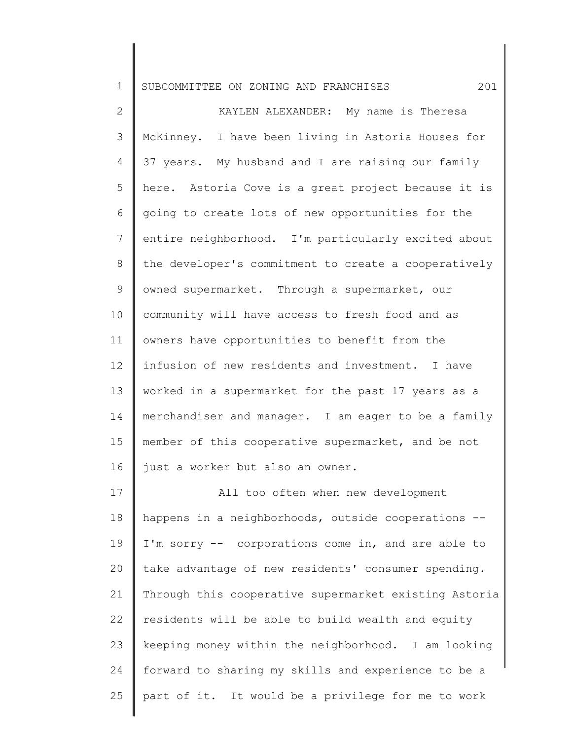2 3 4 5 6 7 8 9 10 11 12 13 14 15 16 17 KAYLEN ALEXANDER: My name is Theresa McKinney. I have been living in Astoria Houses for 37 years. My husband and I are raising our family here. Astoria Cove is a great project because it is going to create lots of new opportunities for the entire neighborhood. I'm particularly excited about the developer's commitment to create a cooperatively owned supermarket. Through a supermarket, our community will have access to fresh food and as owners have opportunities to benefit from the infusion of new residents and investment. I have worked in a supermarket for the past 17 years as a merchandiser and manager. I am eager to be a family member of this cooperative supermarket, and be not just a worker but also an owner. All too often when new development

18 19 20 21 22 23 24 25 happens in a neighborhoods, outside cooperations -- I'm sorry -- corporations come in, and are able to take advantage of new residents' consumer spending. Through this cooperative supermarket existing Astoria residents will be able to build wealth and equity keeping money within the neighborhood. I am looking forward to sharing my skills and experience to be a part of it. It would be a privilege for me to work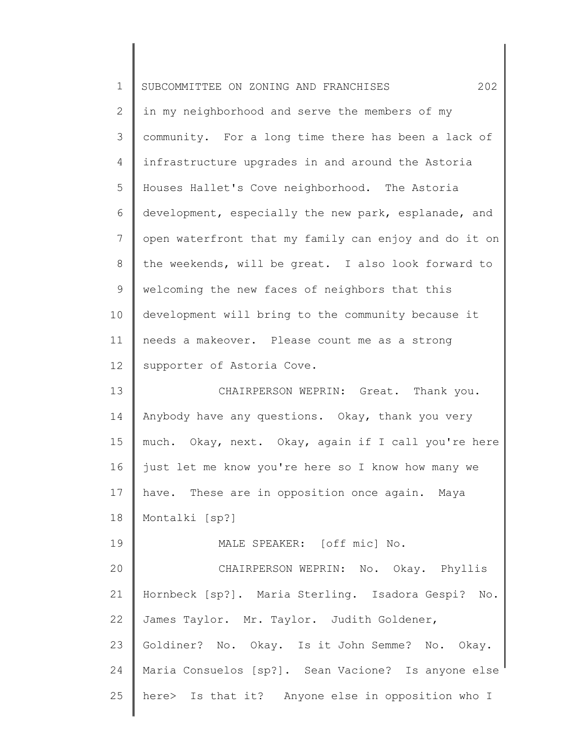| $\mathbf 1$    | 202<br>SUBCOMMITTEE ON ZONING AND FRANCHISES          |
|----------------|-------------------------------------------------------|
| $\overline{2}$ | in my neighborhood and serve the members of my        |
| 3              | community. For a long time there has been a lack of   |
| 4              | infrastructure upgrades in and around the Astoria     |
| 5              | Houses Hallet's Cove neighborhood. The Astoria        |
| 6              | development, especially the new park, esplanade, and  |
| $\overline{7}$ | open waterfront that my family can enjoy and do it on |
| 8              | the weekends, will be great. I also look forward to   |
| 9              | welcoming the new faces of neighbors that this        |
| 10             | development will bring to the community because it    |
| 11             | needs a makeover. Please count me as a strong         |
| 12             | supporter of Astoria Cove.                            |
| 13             | CHAIRPERSON WEPRIN: Great. Thank you.                 |
| 14             | Anybody have any questions. Okay, thank you very      |
| 15             | much. Okay, next. Okay, again if I call you're here   |
| 16             | just let me know you're here so I know how many we    |
| 17             | have. These are in opposition once again. Maya        |
| 18             | Montalki [sp?]                                        |
| 19             | MALE SPEAKER: [off mic] No.                           |
| 20             | CHAIRPERSON WEPRIN: No. Okay. Phyllis                 |
| 21             | Hornbeck [sp?]. Maria Sterling. Isadora Gespi? No.    |
| 22             | James Taylor. Mr. Taylor. Judith Goldener,            |
| 23             | Goldiner? No. Okay. Is it John Semme? No. Okay.       |
| 24             | Maria Consuelos [sp?]. Sean Vacione? Is anyone else   |
| 25             | here> Is that it? Anyone else in opposition who I     |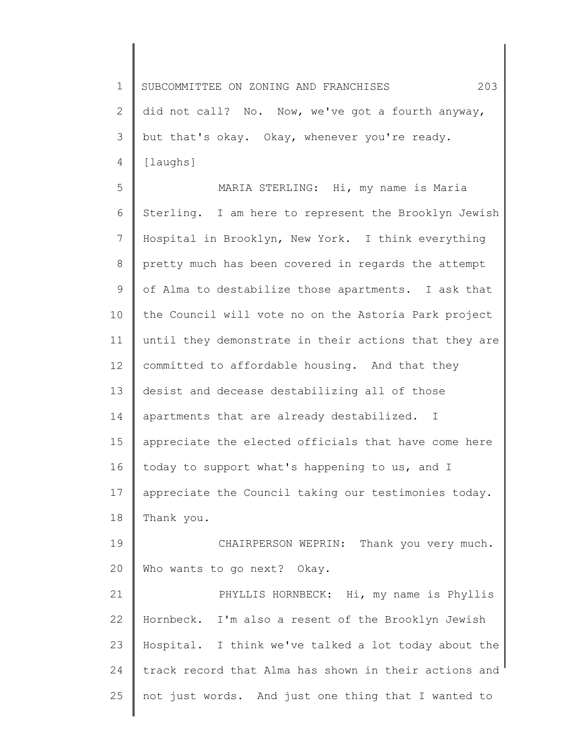1 2 3 4 SUBCOMMITTEE ON ZONING AND FRANCHISES 203 did not call? No. Now, we've got a fourth anyway, but that's okay. Okay, whenever you're ready. [laughs]

5 6 7 8 9 10 11 12 13 14 15 16 17 18 MARIA STERLING: Hi, my name is Maria Sterling. I am here to represent the Brooklyn Jewish Hospital in Brooklyn, New York. I think everything pretty much has been covered in regards the attempt of Alma to destabilize those apartments. I ask that the Council will vote no on the Astoria Park project until they demonstrate in their actions that they are committed to affordable housing. And that they desist and decease destabilizing all of those apartments that are already destabilized. I appreciate the elected officials that have come here today to support what's happening to us, and I appreciate the Council taking our testimonies today. Thank you.

19 20 CHAIRPERSON WEPRIN: Thank you very much. Who wants to go next? Okay.

21 22 23 24 25 PHYLLIS HORNBECK: Hi, my name is Phyllis Hornbeck. I'm also a resent of the Brooklyn Jewish Hospital. I think we've talked a lot today about the track record that Alma has shown in their actions and not just words. And just one thing that I wanted to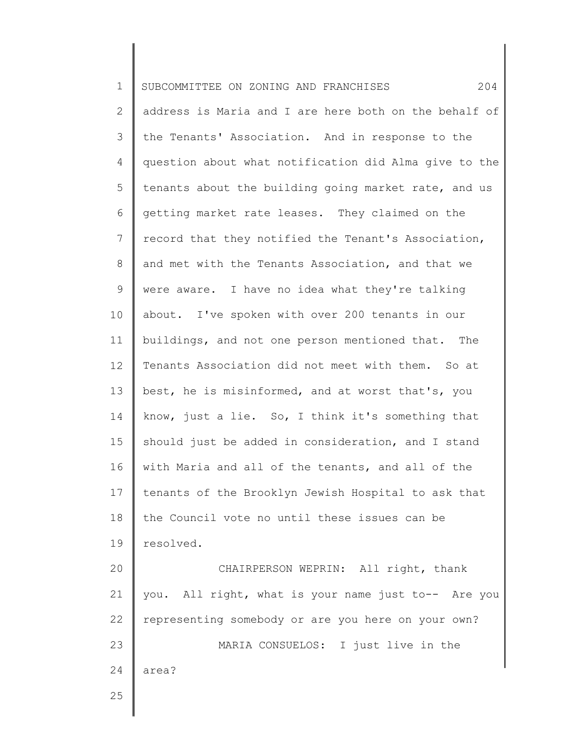| $\mathbf 1$  | 204<br>SUBCOMMITTEE ON ZONING AND FRANCHISES          |
|--------------|-------------------------------------------------------|
| $\mathbf{2}$ | address is Maria and I are here both on the behalf of |
| 3            | the Tenants' Association. And in response to the      |
| 4            | question about what notification did Alma give to the |
| 5            | tenants about the building going market rate, and us  |
| 6            | getting market rate leases. They claimed on the       |
| 7            | record that they notified the Tenant's Association,   |
| 8            | and met with the Tenants Association, and that we     |
| 9            | were aware. I have no idea what they're talking       |
| 10           | about. I've spoken with over 200 tenants in our       |
| 11           | buildings, and not one person mentioned that. The     |
| 12           | Tenants Association did not meet with them. So at     |
| 13           | best, he is misinformed, and at worst that's, you     |
| 14           | know, just a lie. So, I think it's something that     |
| 15           | should just be added in consideration, and I stand    |
| 16           | with Maria and all of the tenants, and all of the     |
| 17           | tenants of the Brooklyn Jewish Hospital to ask that   |
| 18           | the Council vote no until these issues can be         |
| 19           | resolved.                                             |
| 20           | CHAIRPERSON WEPRIN: All right, thank                  |
| 21           | you. All right, what is your name just to-- Are you   |
| 22           | representing somebody or are you here on your own?    |
| 23           | MARIA CONSUELOS: I just live in the                   |
| 24           | area?                                                 |
| 25           |                                                       |
|              |                                                       |

∥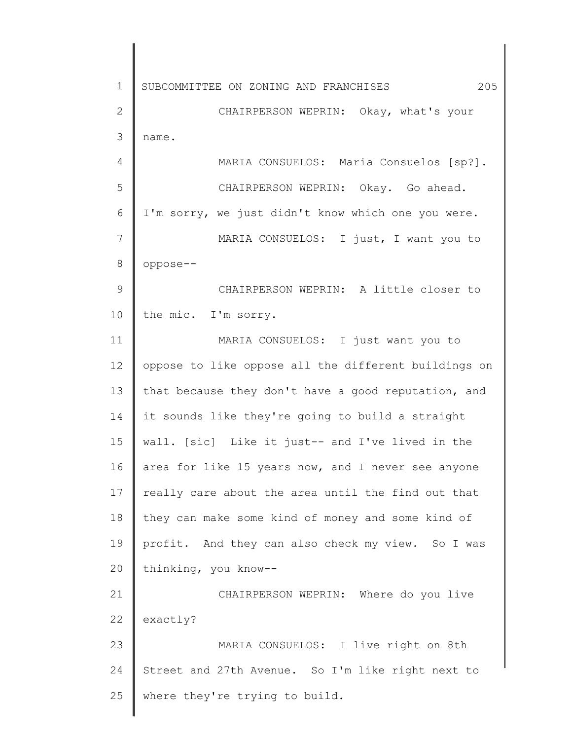1 2 3 4 5 6 7 8 9 10 11 12 13 14 15 16 17 18 19 20 21 22 23 24 25 SUBCOMMITTEE ON ZONING AND FRANCHISES 205 CHAIRPERSON WEPRIN: Okay, what's your name. MARIA CONSUELOS: Maria Consuelos [sp?]. CHAIRPERSON WEPRIN: Okay. Go ahead. I'm sorry, we just didn't know which one you were. MARIA CONSUELOS: I just, I want you to oppose-- CHAIRPERSON WEPRIN: A little closer to the mic. I'm sorry. MARIA CONSUELOS: I just want you to oppose to like oppose all the different buildings on that because they don't have a good reputation, and it sounds like they're going to build a straight wall. [sic] Like it just-- and I've lived in the area for like 15 years now, and I never see anyone really care about the area until the find out that they can make some kind of money and some kind of profit. And they can also check my view. So I was thinking, you know-- CHAIRPERSON WEPRIN: Where do you live exactly? MARIA CONSUELOS: I live right on 8th Street and 27th Avenue. So I'm like right next to where they're trying to build.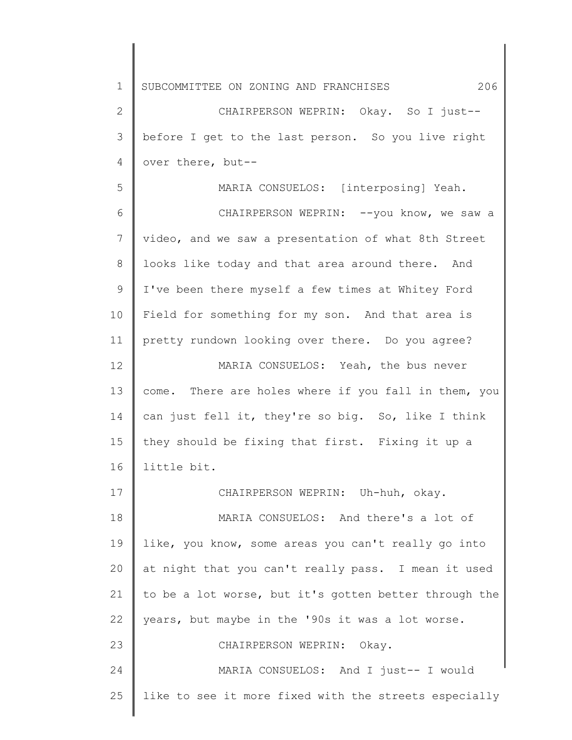1 2 3 4 5 6 7 8 9 10 11 12 13 14 15 16 17 18 19 20 21 22 23 24 25 SUBCOMMITTEE ON ZONING AND FRANCHISES 206 CHAIRPERSON WEPRIN: Okay. So I just- before I get to the last person. So you live right over there, but-- MARIA CONSUELOS: [interposing] Yeah. CHAIRPERSON WEPRIN: --you know, we saw a video, and we saw a presentation of what 8th Street looks like today and that area around there. And I've been there myself a few times at Whitey Ford Field for something for my son. And that area is pretty rundown looking over there. Do you agree? MARIA CONSUELOS: Yeah, the bus never come. There are holes where if you fall in them, you can just fell it, they're so big. So, like I think they should be fixing that first. Fixing it up a little bit. CHAIRPERSON WEPRIN: Uh-huh, okay. MARIA CONSUELOS: And there's a lot of like, you know, some areas you can't really go into at night that you can't really pass. I mean it used to be a lot worse, but it's gotten better through the years, but maybe in the '90s it was a lot worse. CHAIRPERSON WEPRIN: Okay. MARIA CONSUELOS: And I just-- I would like to see it more fixed with the streets especially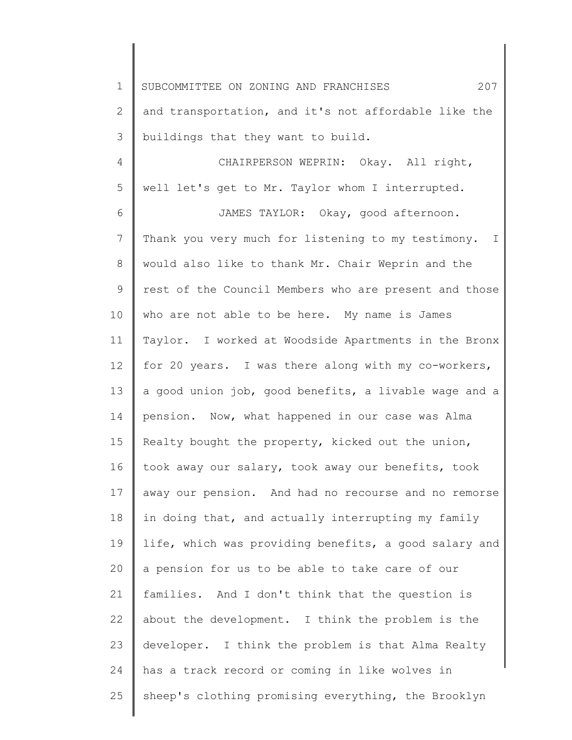2 3 and transportation, and it's not affordable like the buildings that they want to build.

4 5 CHAIRPERSON WEPRIN: Okay. All right, well let's get to Mr. Taylor whom I interrupted.

6 7 8 9 10 11 12 13 14 15 16 17 18 19 20 21 22 23 24 25 JAMES TAYLOR: Okay, good afternoon. Thank you very much for listening to my testimony. I would also like to thank Mr. Chair Weprin and the rest of the Council Members who are present and those who are not able to be here. My name is James Taylor. I worked at Woodside Apartments in the Bronx for 20 years. I was there along with my co-workers, a good union job, good benefits, a livable wage and a pension. Now, what happened in our case was Alma Realty bought the property, kicked out the union, took away our salary, took away our benefits, took away our pension. And had no recourse and no remorse in doing that, and actually interrupting my family life, which was providing benefits, a good salary and a pension for us to be able to take care of our families. And I don't think that the question is about the development. I think the problem is the developer. I think the problem is that Alma Realty has a track record or coming in like wolves in sheep's clothing promising everything, the Brooklyn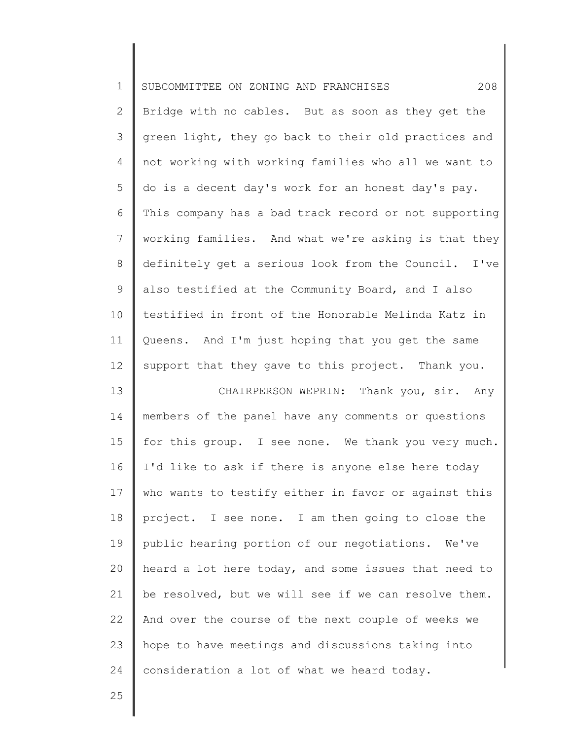| $\mathbf 1$    | 208<br>SUBCOMMITTEE ON ZONING AND FRANCHISES          |
|----------------|-------------------------------------------------------|
| $\mathbf{2}$   | Bridge with no cables. But as soon as they get the    |
| 3              | green light, they go back to their old practices and  |
| 4              | not working with working families who all we want to  |
| 5              | do is a decent day's work for an honest day's pay.    |
| 6              | This company has a bad track record or not supporting |
| $\overline{7}$ | working families. And what we're asking is that they  |
| $8\,$          | definitely get a serious look from the Council. I've  |
| $\mathsf 9$    | also testified at the Community Board, and I also     |
| 10             | testified in front of the Honorable Melinda Katz in   |
| 11             | Queens. And I'm just hoping that you get the same     |
| 12             | support that they gave to this project. Thank you.    |
| 13             | CHAIRPERSON WEPRIN: Thank you, sir. Any               |
| 14             | members of the panel have any comments or questions   |
| 15             | for this group. I see none. We thank you very much.   |
| 16             | I'd like to ask if there is anyone else here today    |
| 17             | who wants to testify either in favor or against this  |
| 18             | project. I see none. I am then going to close the     |
| 19             | public hearing portion of our negotiations. We've     |
| 20             | heard a lot here today, and some issues that need to  |
| 21             | be resolved, but we will see if we can resolve them.  |
| 22             | And over the course of the next couple of weeks we    |
| 23             | hope to have meetings and discussions taking into     |
| 24             | consideration a lot of what we heard today.           |
| 25             |                                                       |
|                |                                                       |

∥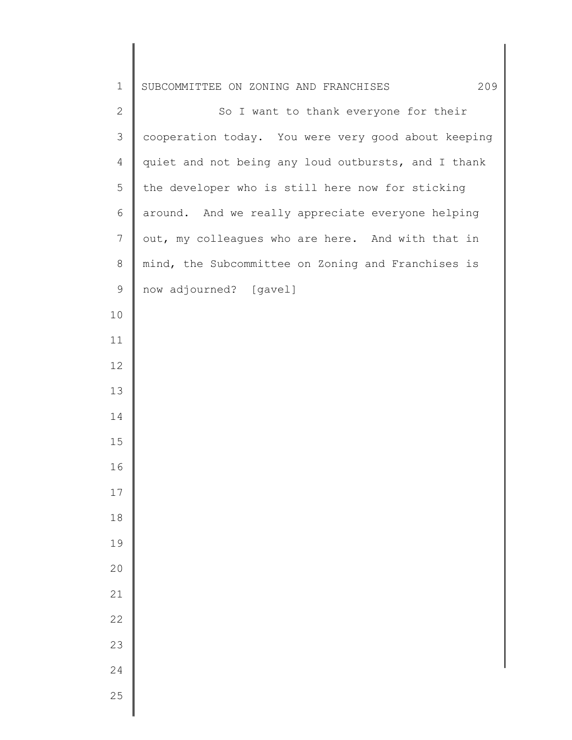| $\mathbf 1$    | 209<br>SUBCOMMITTEE ON ZONING AND FRANCHISES        |
|----------------|-----------------------------------------------------|
| $\mathbf{2}$   | So I want to thank everyone for their               |
| 3              | cooperation today. You were very good about keeping |
| $\overline{4}$ | quiet and not being any loud outbursts, and I thank |
| 5              | the developer who is still here now for sticking    |
| 6              | around. And we really appreciate everyone helping   |
| $\overline{7}$ | out, my colleagues who are here. And with that in   |
| $\,8\,$        | mind, the Subcommittee on Zoning and Franchises is  |
| 9              | now adjourned? [gavel]                              |
| 10             |                                                     |
| 11             |                                                     |
| 12             |                                                     |
| 13             |                                                     |
| 14             |                                                     |
| 15             |                                                     |
| 16             |                                                     |
| 17             |                                                     |
| 18             |                                                     |
| 19             |                                                     |
| 20             |                                                     |
| 21             |                                                     |
| 22             |                                                     |
| 23             |                                                     |
| 24             |                                                     |
| 25             |                                                     |